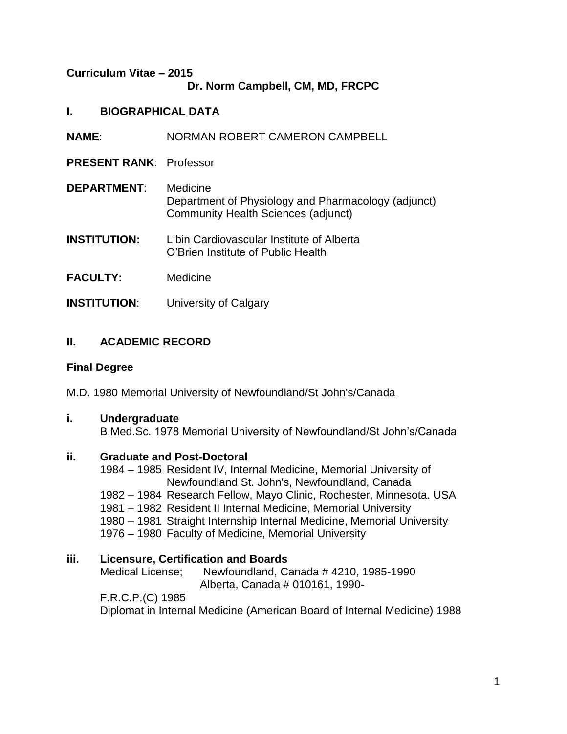### **Curriculum Vitae – 2015 Dr. Norm Campbell, CM, MD, FRCPC**

- **I. BIOGRAPHICAL DATA**
- **NAME**: NORMAN ROBERT CAMERON CAMPBELL
- **PRESENT RANK**: Professor
- **DEPARTMENT**: Medicine Department of Physiology and Pharmacology (adjunct) Community Health Sciences (adjunct)
- **INSTITUTION:** Libin Cardiovascular Institute of Alberta O'Brien Institute of Public Health
- **FACULTY:** Medicine
- **INSTITUTION:** University of Calgary

# **II. ACADEMIC RECORD**

## **Final Degree**

M.D. 1980 Memorial University of Newfoundland/St John's/Canada

## **i. Undergraduate**

B.Med.Sc. 1978 Memorial University of Newfoundland/St John's/Canada

## **ii. Graduate and Post-Doctoral**

1984 – 1985 Resident IV, Internal Medicine, Memorial University of Newfoundland St. John's, Newfoundland, Canada 1982 – 1984 Research Fellow, Mayo Clinic, Rochester, Minnesota. USA 1981 – 1982 Resident II Internal Medicine, Memorial University 1980 – 1981 Straight Internship Internal Medicine, Memorial University

1976 – 1980 Faculty of Medicine, Memorial University

## **iii. Licensure, Certification and Boards**

Medical License; Newfoundland, Canada # 4210, 1985-1990 Alberta, Canada # 010161, 1990-

F.R.C.P.(C) 1985

Diplomat in Internal Medicine (American Board of Internal Medicine) 1988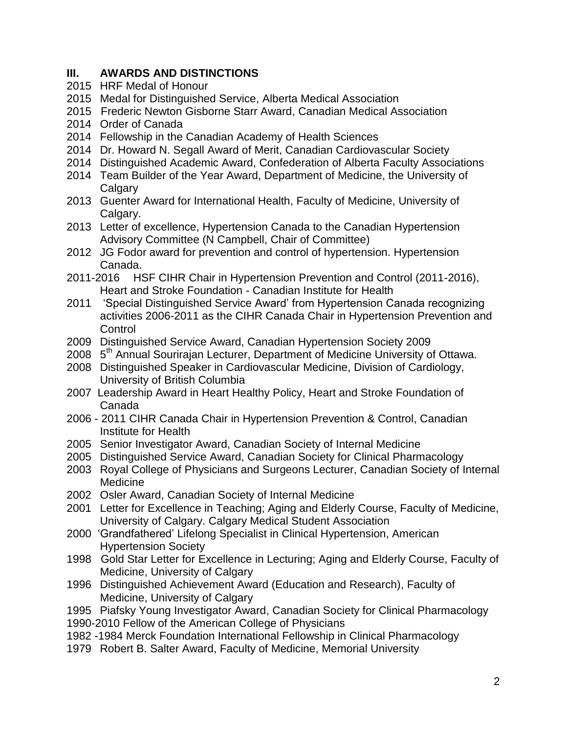## **III. AWARDS AND DISTINCTIONS**

- 2015 HRF Medal of Honour
- 2015 Medal for Distinguished Service, Alberta Medical Association
- 2015 Frederic Newton Gisborne Starr Award, Canadian Medical Association
- 2014 Order of Canada
- 2014 Fellowship in the Canadian Academy of Health Sciences
- 2014 Dr. Howard N. Segall Award of Merit, Canadian Cardiovascular Society
- 2014 Distinguished Academic Award, Confederation of Alberta Faculty Associations
- 2014 Team Builder of the Year Award, Department of Medicine, the University of Calgary
- 2013 Guenter Award for International Health, Faculty of Medicine, University of Calgary.
- 2013 Letter of excellence, Hypertension Canada to the Canadian Hypertension Advisory Committee (N Campbell, Chair of Committee)
- 2012 JG Fodor award for prevention and control of hypertension. Hypertension Canada.
- 2011-2016 HSF CIHR Chair in Hypertension Prevention and Control (2011-2016), Heart and Stroke Foundation - Canadian Institute for Health
- 2011 'Special Distinguished Service Award' from Hypertension Canada recognizing activities 2006-2011 as the CIHR Canada Chair in Hypertension Prevention and **Control**
- 2009 Distinguished Service Award, Canadian Hypertension Society 2009
- 2008 5<sup>th</sup> Annual Sourirajan Lecturer, Department of Medicine University of Ottawa.
- 2008 Distinguished Speaker in Cardiovascular Medicine, Division of Cardiology, University of British Columbia
- 2007 Leadership Award in Heart Healthy Policy, Heart and Stroke Foundation of Canada
- 2006 2011 CIHR Canada Chair in Hypertension Prevention & Control, Canadian Institute for Health
- 2005 Senior Investigator Award, Canadian Society of Internal Medicine
- 2005 Distinguished Service Award, Canadian Society for Clinical Pharmacology
- 2003 Royal College of Physicians and Surgeons Lecturer, Canadian Society of Internal Medicine
- 2002 Osler Award, Canadian Society of Internal Medicine
- 2001 Letter for Excellence in Teaching; Aging and Elderly Course, Faculty of Medicine, University of Calgary. Calgary Medical Student Association
- 2000 'Grandfathered' Lifelong Specialist in Clinical Hypertension, American Hypertension Society
- 1998 Gold Star Letter for Excellence in Lecturing; Aging and Elderly Course, Faculty of Medicine, University of Calgary
- 1996 Distinguished Achievement Award (Education and Research), Faculty of Medicine, University of Calgary
- 1995 Piafsky Young Investigator Award, Canadian Society for Clinical Pharmacology
- 1990-2010 Fellow of the American College of Physicians
- 1982 -1984 Merck Foundation International Fellowship in Clinical Pharmacology
- 1979 Robert B. Salter Award, Faculty of Medicine, Memorial University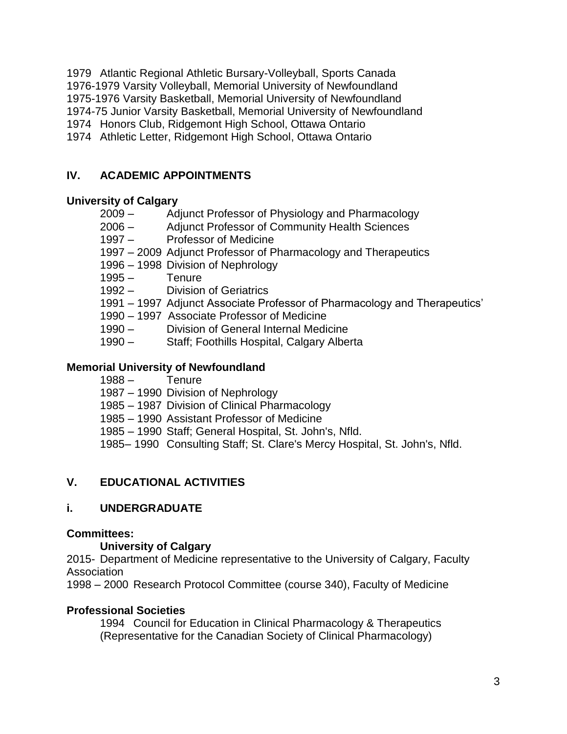1979 Atlantic Regional Athletic Bursary-Volleyball, Sports Canada 1976-1979 Varsity Volleyball, Memorial University of Newfoundland 1975-1976 Varsity Basketball, Memorial University of Newfoundland 1974-75 Junior Varsity Basketball, Memorial University of Newfoundland 1974 Honors Club, Ridgemont High School, Ottawa Ontario 1974 Athletic Letter, Ridgemont High School, Ottawa Ontario

# **IV. ACADEMIC APPOINTMENTS**

## **University of Calgary**

- 2009 Adjunct Professor of Physiology and Pharmacology
- 2006 Adjunct Professor of Community Health Sciences
- 1997 Professor of Medicine
- 1997 2009 Adjunct Professor of Pharmacology and Therapeutics
- 1996 1998 Division of Nephrology
- 1995 Tenure
- 1992 Division of Geriatrics
- 1991 1997 Adjunct Associate Professor of Pharmacology and Therapeutics'
- 1990 1997 Associate Professor of Medicine
- 1990 Division of General Internal Medicine
- 1990 Staff; Foothills Hospital, Calgary Alberta

### **Memorial University of Newfoundland**

- 1988 Tenure
- 1987 1990 Division of Nephrology
- 1985 1987 Division of Clinical Pharmacology
- 1985 1990 Assistant Professor of Medicine
- 1985 1990 Staff; General Hospital, St. John's, Nfld.
- 1985– 1990 Consulting Staff; St. Clare's Mercy Hospital, St. John's, Nfld.

## **V. EDUCATIONAL ACTIVITIES**

## **i. UNDERGRADUATE**

### **Committees:**

### **University of Calgary**

2015- Department of Medicine representative to the University of Calgary, Faculty Association

1998 – 2000 Research Protocol Committee (course 340), Faculty of Medicine

### **Professional Societies**

1994 Council for Education in Clinical Pharmacology & Therapeutics (Representative for the Canadian Society of Clinical Pharmacology)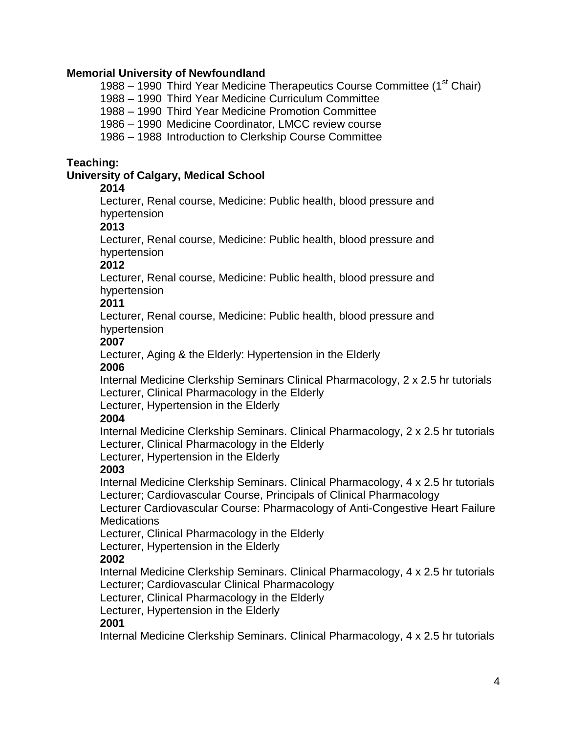### **Memorial University of Newfoundland**

1988 – 1990 Third Year Medicine Therapeutics Course Committee (1<sup>st</sup> Chair)

1988 – 1990 Third Year Medicine Curriculum Committee

1988 – 1990 Third Year Medicine Promotion Committee

1986 – 1990 Medicine Coordinator, LMCC review course

1986 – 1988 Introduction to Clerkship Course Committee

### **Teaching:**

### **University of Calgary, Medical School**

### **2014**

Lecturer, Renal course, Medicine: Public health, blood pressure and hypertension

### **2013**

Lecturer, Renal course, Medicine: Public health, blood pressure and hypertension

### **2012**

Lecturer, Renal course, Medicine: Public health, blood pressure and hypertension

## **2011**

Lecturer, Renal course, Medicine: Public health, blood pressure and hypertension

## **2007**

Lecturer, Aging & the Elderly: Hypertension in the Elderly

### **2006**

Internal Medicine Clerkship Seminars Clinical Pharmacology, 2 x 2.5 hr tutorials Lecturer, Clinical Pharmacology in the Elderly

Lecturer, Hypertension in the Elderly

## **2004**

Internal Medicine Clerkship Seminars. Clinical Pharmacology, 2 x 2.5 hr tutorials Lecturer, Clinical Pharmacology in the Elderly

Lecturer, Hypertension in the Elderly

## **2003**

Internal Medicine Clerkship Seminars. Clinical Pharmacology, 4 x 2.5 hr tutorials Lecturer; Cardiovascular Course, Principals of Clinical Pharmacology

Lecturer Cardiovascular Course: Pharmacology of Anti-Congestive Heart Failure **Medications** 

Lecturer, Clinical Pharmacology in the Elderly

Lecturer, Hypertension in the Elderly

## **2002**

Internal Medicine Clerkship Seminars. Clinical Pharmacology, 4 x 2.5 hr tutorials Lecturer; Cardiovascular Clinical Pharmacology

Lecturer, Clinical Pharmacology in the Elderly

Lecturer, Hypertension in the Elderly

## **2001**

Internal Medicine Clerkship Seminars. Clinical Pharmacology, 4 x 2.5 hr tutorials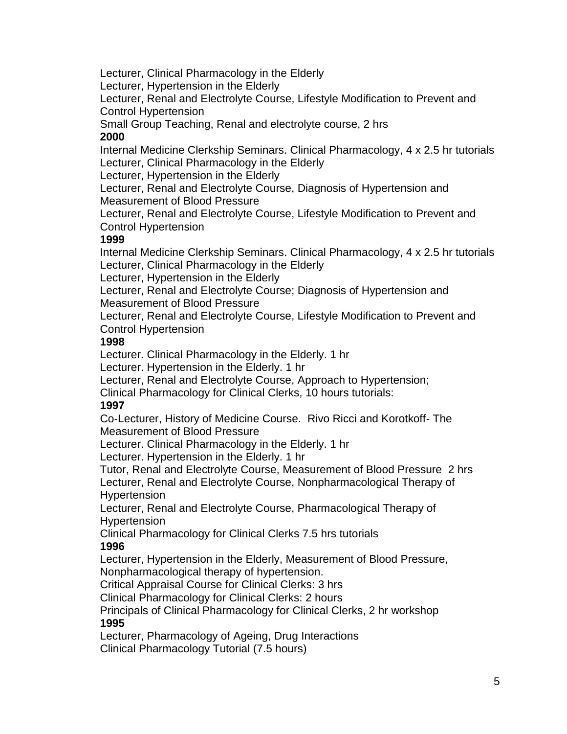Lecturer, Clinical Pharmacology in the Elderly

Lecturer, Hypertension in the Elderly

Lecturer, Renal and Electrolyte Course, Lifestyle Modification to Prevent and Control Hypertension

Small Group Teaching, Renal and electrolyte course, 2 hrs

## **2000**

Internal Medicine Clerkship Seminars. Clinical Pharmacology, 4 x 2.5 hr tutorials Lecturer, Clinical Pharmacology in the Elderly

Lecturer, Hypertension in the Elderly

Lecturer, Renal and Electrolyte Course, Diagnosis of Hypertension and Measurement of Blood Pressure

Lecturer, Renal and Electrolyte Course, Lifestyle Modification to Prevent and Control Hypertension

## **1999**

Internal Medicine Clerkship Seminars. Clinical Pharmacology, 4 x 2.5 hr tutorials Lecturer, Clinical Pharmacology in the Elderly

Lecturer, Hypertension in the Elderly

Lecturer, Renal and Electrolyte Course; Diagnosis of Hypertension and Measurement of Blood Pressure

Lecturer, Renal and Electrolyte Course, Lifestyle Modification to Prevent and Control Hypertension

## **1998**

Lecturer. Clinical Pharmacology in the Elderly. 1 hr

Lecturer. Hypertension in the Elderly. 1 hr

Lecturer, Renal and Electrolyte Course, Approach to Hypertension;

Clinical Pharmacology for Clinical Clerks, 10 hours tutorials:

# **1997**

Co-Lecturer, History of Medicine Course. Rivo Ricci and Korotkoff- The Measurement of Blood Pressure

Lecturer. Clinical Pharmacology in the Elderly. 1 hr

Lecturer. Hypertension in the Elderly. 1 hr

Tutor, Renal and Electrolyte Course, Measurement of Blood Pressure 2 hrs Lecturer, Renal and Electrolyte Course, Nonpharmacological Therapy of Hypertension

Lecturer, Renal and Electrolyte Course, Pharmacological Therapy of Hypertension

Clinical Pharmacology for Clinical Clerks 7.5 hrs tutorials **1996**

Lecturer, Hypertension in the Elderly, Measurement of Blood Pressure, Nonpharmacological therapy of hypertension.

Critical Appraisal Course for Clinical Clerks: 3 hrs

Clinical Pharmacology for Clinical Clerks: 2 hours

Principals of Clinical Pharmacology for Clinical Clerks, 2 hr workshop **1995**

Lecturer, Pharmacology of Ageing, Drug Interactions

Clinical Pharmacology Tutorial (7.5 hours)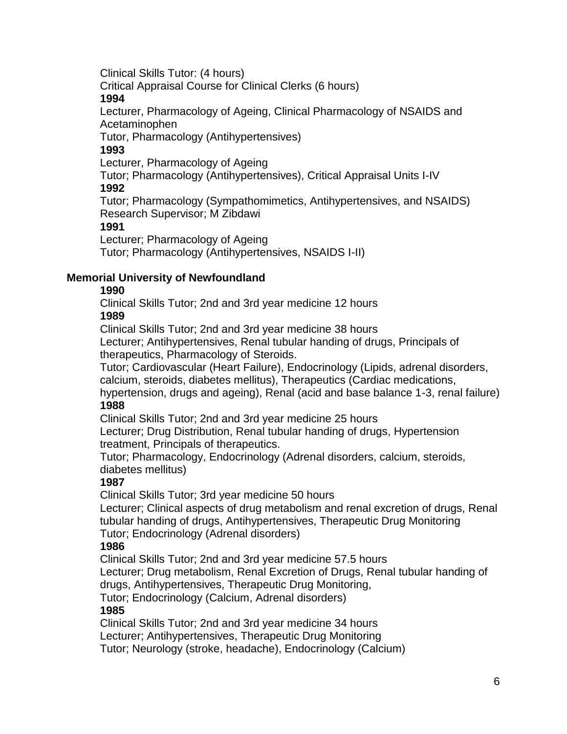Clinical Skills Tutor: (4 hours)

Critical Appraisal Course for Clinical Clerks (6 hours)

### **1994**

Lecturer, Pharmacology of Ageing, Clinical Pharmacology of NSAIDS and Acetaminophen

Tutor, Pharmacology (Antihypertensives)

## **1993**

Lecturer, Pharmacology of Ageing

Tutor; Pharmacology (Antihypertensives), Critical Appraisal Units I-IV **1992**

Tutor; Pharmacology (Sympathomimetics, Antihypertensives, and NSAIDS) Research Supervisor; M Zibdawi

## **1991**

Lecturer; Pharmacology of Ageing

Tutor; Pharmacology (Antihypertensives, NSAIDS I-II)

## **Memorial University of Newfoundland**

## **1990**

Clinical Skills Tutor; 2nd and 3rd year medicine 12 hours **1989**

Clinical Skills Tutor; 2nd and 3rd year medicine 38 hours

Lecturer; Antihypertensives, Renal tubular handing of drugs, Principals of therapeutics, Pharmacology of Steroids.

Tutor; Cardiovascular (Heart Failure), Endocrinology (Lipids, adrenal disorders, calcium, steroids, diabetes mellitus), Therapeutics (Cardiac medications,

hypertension, drugs and ageing), Renal (acid and base balance 1-3, renal failure) **1988**

Clinical Skills Tutor; 2nd and 3rd year medicine 25 hours

Lecturer; Drug Distribution, Renal tubular handing of drugs, Hypertension treatment, Principals of therapeutics.

Tutor; Pharmacology, Endocrinology (Adrenal disorders, calcium, steroids, diabetes mellitus)

# **1987**

Clinical Skills Tutor; 3rd year medicine 50 hours

Lecturer; Clinical aspects of drug metabolism and renal excretion of drugs, Renal tubular handing of drugs, Antihypertensives, Therapeutic Drug Monitoring Tutor; Endocrinology (Adrenal disorders)

# **1986**

Clinical Skills Tutor; 2nd and 3rd year medicine 57.5 hours

Lecturer; Drug metabolism, Renal Excretion of Drugs, Renal tubular handing of drugs, Antihypertensives, Therapeutic Drug Monitoring,

Tutor; Endocrinology (Calcium, Adrenal disorders)

## **1985**

Clinical Skills Tutor; 2nd and 3rd year medicine 34 hours

Lecturer; Antihypertensives, Therapeutic Drug Monitoring

Tutor; Neurology (stroke, headache), Endocrinology (Calcium)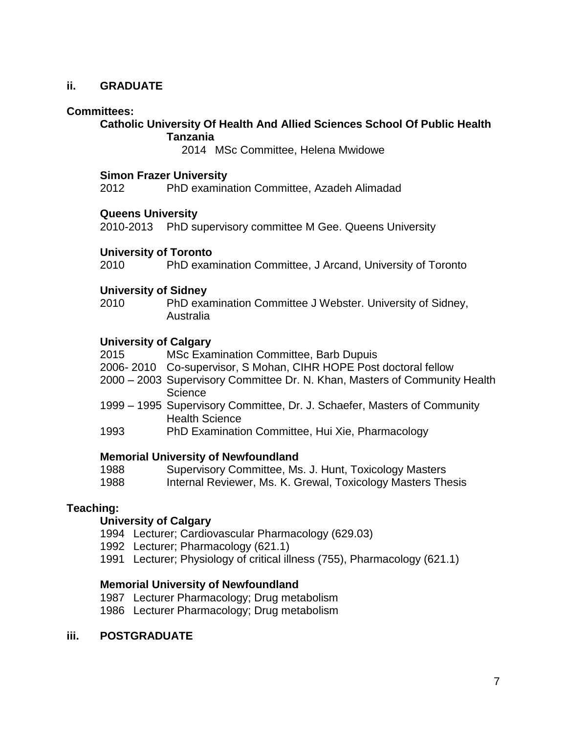### **ii. GRADUATE**

#### **Committees:**

#### **Catholic University Of Health And Allied Sciences School Of Public Health Tanzania**

2014 MSc Committee, Helena Mwidowe

#### **Simon Frazer University**

2012 PhD examination Committee, Azadeh Alimadad

#### **Queens University**

2010-2013 PhD supervisory committee M Gee. Queens University

#### **University of Toronto**

2010 PhD examination Committee, J Arcand, University of Toronto

#### **University of Sidney**

2010 PhD examination Committee J Webster. University of Sidney, Australia

#### **University of Calgary**

- 2015 MSc Examination Committee, Barb Dupuis
- 2006- 2010 Co-supervisor, S Mohan, CIHR HOPE Post doctoral fellow
- 2000 2003 Supervisory Committee Dr. N. Khan, Masters of Community Health **Science**
- 1999 1995 Supervisory Committee, Dr. J. Schaefer, Masters of Community Health Science
- 1993 PhD Examination Committee, Hui Xie, Pharmacology

### **Memorial University of Newfoundland**

1988 Supervisory Committee, Ms. J. Hunt, Toxicology Masters

1988 Internal Reviewer, Ms. K. Grewal, Toxicology Masters Thesis

### **Teaching:**

#### **University of Calgary**

- 1994 Lecturer; Cardiovascular Pharmacology (629.03)
- 1992 Lecturer; Pharmacology (621.1)
- 1991 Lecturer; Physiology of critical illness (755), Pharmacology (621.1)

### **Memorial University of Newfoundland**

- 1987 Lecturer Pharmacology; Drug metabolism
- 1986 Lecturer Pharmacology; Drug metabolism

#### **iii. POSTGRADUATE**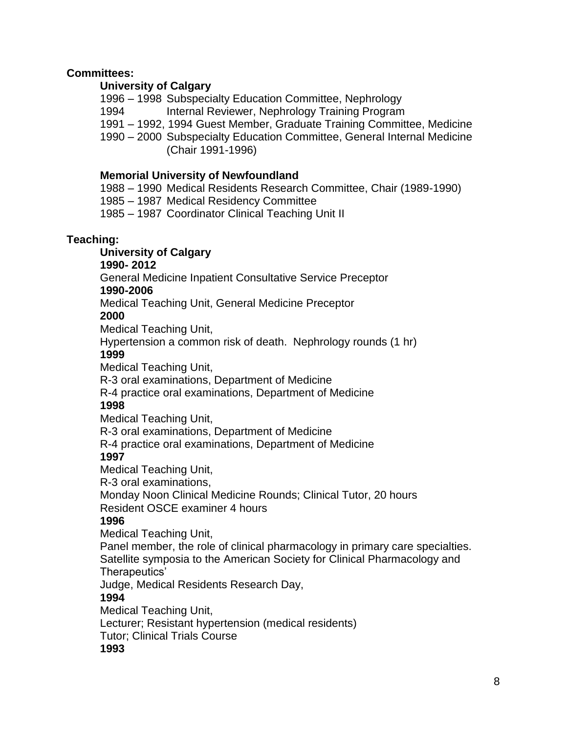### **Committees:**

### **University of Calgary**

1996 – 1998 Subspecialty Education Committee, Nephrology

1994 Internal Reviewer, Nephrology Training Program

1991 – 1992, 1994 Guest Member, Graduate Training Committee, Medicine

1990 – 2000 Subspecialty Education Committee, General Internal Medicine (Chair 1991-1996)

### **Memorial University of Newfoundland**

1988 – 1990 Medical Residents Research Committee, Chair (1989-1990)

1985 – 1987 Medical Residency Committee

1985 – 1987 Coordinator Clinical Teaching Unit II

### **Teaching:**

**University of Calgary**

### **1990- 2012**

General Medicine Inpatient Consultative Service Preceptor

### **1990-2006**

Medical Teaching Unit, General Medicine Preceptor

### **2000**

Medical Teaching Unit,

Hypertension a common risk of death. Nephrology rounds (1 hr)

### **1999**

Medical Teaching Unit,

R-3 oral examinations, Department of Medicine

R-4 practice oral examinations, Department of Medicine

## **1998**

Medical Teaching Unit,

R-3 oral examinations, Department of Medicine

R-4 practice oral examinations, Department of Medicine

## **1997**

Medical Teaching Unit,

R-3 oral examinations,

Monday Noon Clinical Medicine Rounds; Clinical Tutor, 20 hours Resident OSCE examiner 4 hours

## **1996**

Medical Teaching Unit,

Panel member, the role of clinical pharmacology in primary care specialties. Satellite symposia to the American Society for Clinical Pharmacology and Therapeutics'

Judge, Medical Residents Research Day,

## **1994**

Medical Teaching Unit,

Lecturer; Resistant hypertension (medical residents)

Tutor; Clinical Trials Course

### **1993**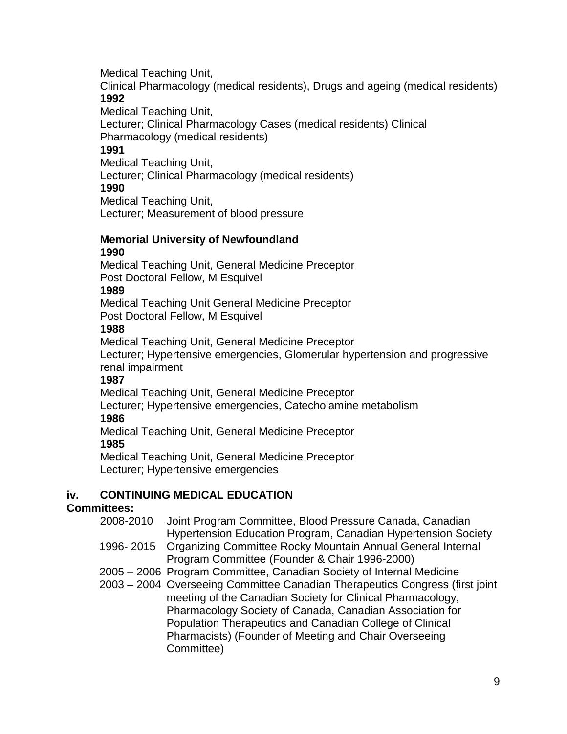Medical Teaching Unit,

Clinical Pharmacology (medical residents), Drugs and ageing (medical residents) **1992**

Medical Teaching Unit,

Lecturer; Clinical Pharmacology Cases (medical residents) Clinical Pharmacology (medical residents)

# **1991**

Medical Teaching Unit,

Lecturer; Clinical Pharmacology (medical residents)

### **1990**

Medical Teaching Unit, Lecturer; Measurement of blood pressure

#### **Memorial University of Newfoundland 1990**

Medical Teaching Unit, General Medicine Preceptor Post Doctoral Fellow, M Esquivel

## **1989**

Medical Teaching Unit General Medicine Preceptor Post Doctoral Fellow, M Esquivel

## **1988**

Medical Teaching Unit, General Medicine Preceptor

Lecturer; Hypertensive emergencies, Glomerular hypertension and progressive renal impairment

## **1987**

Medical Teaching Unit, General Medicine Preceptor

Lecturer; Hypertensive emergencies, Catecholamine metabolism

## **1986**

Medical Teaching Unit, General Medicine Preceptor

## **1985**

Medical Teaching Unit, General Medicine Preceptor Lecturer; Hypertensive emergencies

## **iv. CONTINUING MEDICAL EDUCATION**

# **Committees:**

- 2008-2010 Joint Program Committee, Blood Pressure Canada, Canadian Hypertension Education Program, Canadian Hypertension Society
- 1996- 2015 Organizing Committee Rocky Mountain Annual General Internal Program Committee (Founder & Chair 1996-2000)
- 2005 2006 Program Committee, Canadian Society of Internal Medicine
- 2003 2004 Overseeing Committee Canadian Therapeutics Congress (first joint meeting of the Canadian Society for Clinical Pharmacology, Pharmacology Society of Canada, Canadian Association for Population Therapeutics and Canadian College of Clinical Pharmacists) (Founder of Meeting and Chair Overseeing Committee)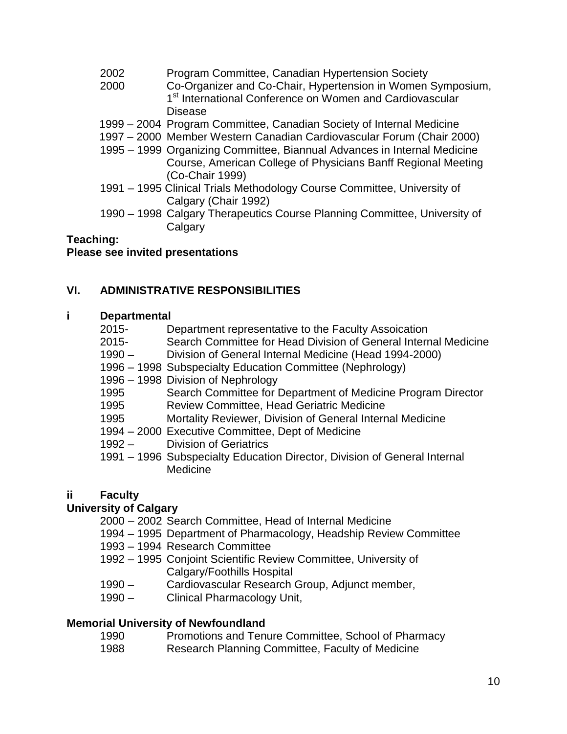- 2002 Program Committee, Canadian Hypertension Society
- 2000 Co-Organizer and Co-Chair, Hypertension in Women Symposium, 1<sup>st</sup> International Conference on Women and Cardiovascular Disease
- 1999 2004 Program Committee, Canadian Society of Internal Medicine
- 1997 2000 Member Western Canadian Cardiovascular Forum (Chair 2000)
- 1995 1999 Organizing Committee, Biannual Advances in Internal Medicine Course, American College of Physicians Banff Regional Meeting (Co-Chair 1999)
- 1991 1995 Clinical Trials Methodology Course Committee, University of Calgary (Chair 1992)
- 1990 1998 Calgary Therapeutics Course Planning Committee, University of **Calgary**

#### **Teaching:**

### **Please see invited presentations**

### **VI. ADMINISTRATIVE RESPONSIBILITIES**

#### **i Departmental**

- 2015- Department representative to the Faculty Assoication
- 2015- Search Committee for Head Division of General Internal Medicine
- 1990 Division of General Internal Medicine (Head 1994-2000)
- 1996 1998 Subspecialty Education Committee (Nephrology)
- 1996 1998 Division of Nephrology
- 1995 Search Committee for Department of Medicine Program Director
- 1995 Review Committee, Head Geriatric Medicine
- 1995 Mortality Reviewer, Division of General Internal Medicine
- 1994 2000 Executive Committee, Dept of Medicine
- 1992 Division of Geriatrics
- 1991 1996 Subspecialty Education Director, Division of General Internal Medicine

### **ii Faculty**

### **University of Calgary**

- 2000 2002 Search Committee, Head of Internal Medicine
- 1994 1995 Department of Pharmacology, Headship Review Committee
- 1993 1994 Research Committee
- 1992 1995 Conjoint Scientific Review Committee, University of Calgary/Foothills Hospital
- 1990 Cardiovascular Research Group, Adjunct member,
- 1990 Clinical Pharmacology Unit,

### **Memorial University of Newfoundland**

- 1990 Promotions and Tenure Committee, School of Pharmacy
- 1988 Research Planning Committee, Faculty of Medicine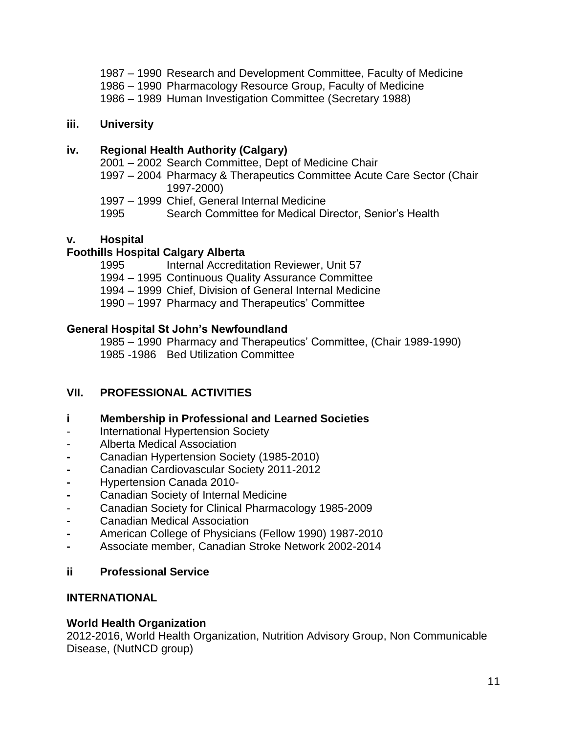- 1987 1990 Research and Development Committee, Faculty of Medicine
- 1986 1990 Pharmacology Resource Group, Faculty of Medicine
- 1986 1989 Human Investigation Committee (Secretary 1988)

### **iii. University**

### **iv. Regional Health Authority (Calgary)**

2001 – 2002 Search Committee, Dept of Medicine Chair

- 1997 2004 Pharmacy & Therapeutics Committee Acute Care Sector (Chair 1997-2000)
- 1997 1999 Chief, General Internal Medicine
- 1995 Search Committee for Medical Director, Senior's Health

## **v. Hospital**

## **Foothills Hospital Calgary Alberta**

- 1995 Internal Accreditation Reviewer, Unit 57
- 1994 1995 Continuous Quality Assurance Committee
- 1994 1999 Chief, Division of General Internal Medicine
- 1990 1997 Pharmacy and Therapeutics' Committee

### **General Hospital St John's Newfoundland**

1985 – 1990 Pharmacy and Therapeutics' Committee, (Chair 1989-1990) 1985 -1986 Bed Utilization Committee

## **VII. PROFESSIONAL ACTIVITIES**

### **i Membership in Professional and Learned Societies**

- International Hypertension Society
- Alberta Medical Association
- **-** Canadian Hypertension Society (1985-2010)
- **-** Canadian Cardiovascular Society 2011-2012
- **-** Hypertension Canada 2010-
- **-** Canadian Society of Internal Medicine
- Canadian Society for Clinical Pharmacology 1985-2009
- Canadian Medical Association
- **-** American College of Physicians (Fellow 1990) 1987-2010
- **-** Associate member, Canadian Stroke Network 2002-2014

## **ii Professional Service**

### **INTERNATIONAL**

### **World Health Organization**

2012-2016, World Health Organization, Nutrition Advisory Group, Non Communicable Disease, (NutNCD group)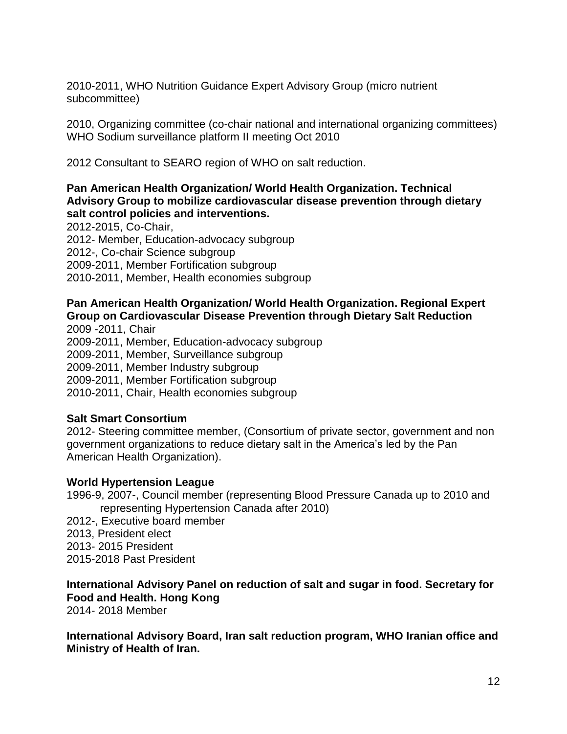2010-2011, WHO Nutrition Guidance Expert Advisory Group (micro nutrient subcommittee)

2010, Organizing committee (co-chair national and international organizing committees) WHO Sodium surveillance platform II meeting Oct 2010

2012 Consultant to SEARO region of WHO on salt reduction.

### **Pan American Health Organization/ World Health Organization. Technical Advisory Group to mobilize cardiovascular disease prevention through dietary salt control policies and interventions.**

2012-2015, Co-Chair, 2012- Member, Education-advocacy subgroup 2012-, Co-chair Science subgroup 2009-2011, Member Fortification subgroup 2010-2011, Member, Health economies subgroup

## **Pan American Health Organization/ World Health Organization. Regional Expert Group on Cardiovascular Disease Prevention through Dietary Salt Reduction**

2009 -2011, Chair 2009-2011, Member, Education-advocacy subgroup 2009-2011, Member, Surveillance subgroup 2009-2011, Member Industry subgroup 2009-2011, Member Fortification subgroup 2010-2011, Chair, Health economies subgroup

## **Salt Smart Consortium**

2012- Steering committee member, (Consortium of private sector, government and non government organizations to reduce dietary salt in the America's led by the Pan American Health Organization).

### **World Hypertension League**

- 1996-9, 2007-, Council member (representing Blood Pressure Canada up to 2010 and representing Hypertension Canada after 2010)
- 2012-, Executive board member
- 2013, President elect
- 2013- 2015 President
- 2015-2018 Past President

# **International Advisory Panel on reduction of salt and sugar in food. Secretary for Food and Health. Hong Kong**

2014- 2018 Member

**International Advisory Board, Iran salt reduction program, WHO Iranian office and Ministry of Health of Iran.**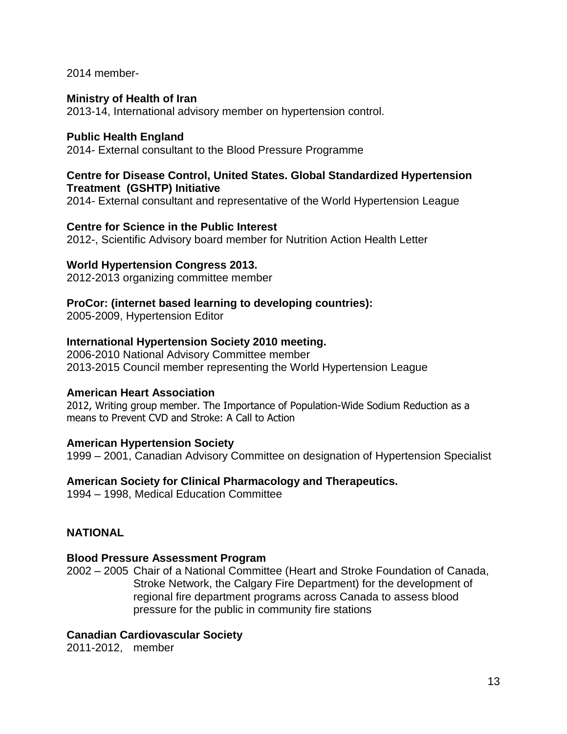2014 member-

#### **Ministry of Health of Iran**

2013-14, International advisory member on hypertension control.

#### **Public Health England**

2014- External consultant to the Blood Pressure Programme

#### **Centre for Disease Control, United States. Global Standardized Hypertension Treatment (GSHTP) Initiative**

2014- External consultant and representative of the World Hypertension League

#### **Centre for Science in the Public Interest**

2012-, Scientific Advisory board member for Nutrition Action Health Letter

#### **World Hypertension Congress 2013.**

2012-2013 organizing committee member

### **ProCor: (internet based learning to developing countries):**

2005-2009, Hypertension Editor

### **International Hypertension Society 2010 meeting.**

2006-2010 National Advisory Committee member 2013-2015 Council member representing the World Hypertension League

### **American Heart Association**

2012, Writing group member. The Importance of Population-Wide Sodium Reduction as a means to Prevent CVD and Stroke: A Call to Action

### **American Hypertension Society**

1999 – 2001, Canadian Advisory Committee on designation of Hypertension Specialist

### **American Society for Clinical Pharmacology and Therapeutics.**

1994 – 1998, Medical Education Committee

### **NATIONAL**

### **Blood Pressure Assessment Program**

2002 – 2005 Chair of a National Committee (Heart and Stroke Foundation of Canada, Stroke Network, the Calgary Fire Department) for the development of regional fire department programs across Canada to assess blood pressure for the public in community fire stations

### **Canadian Cardiovascular Society**

2011-2012, member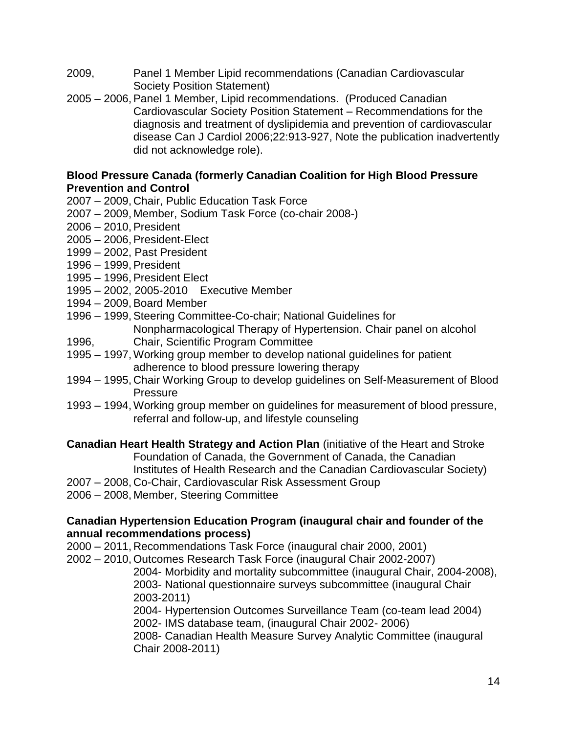- 2009, Panel 1 Member Lipid recommendations (Canadian Cardiovascular Society Position Statement)
- 2005 2006,Panel 1 Member, Lipid recommendations. (Produced Canadian Cardiovascular Society Position Statement – Recommendations for the diagnosis and treatment of dyslipidemia and prevention of cardiovascular disease Can J Cardiol 2006;22:913-927, Note the publication inadvertently did not acknowledge role).

### **Blood Pressure Canada (formerly Canadian Coalition for High Blood Pressure Prevention and Control**

- 2007 2009, Chair, Public Education Task Force
- 2007 2009, Member, Sodium Task Force (co-chair 2008-)
- $2006 2010$ , President
- 2005 2006, President-Elect
- 1999 2002, Past President
- 1996 1999, President
- 1995 1996, President Elect
- 1995 2002, 2005-2010 Executive Member
- 1994 2009, Board Member
- 1996 1999, Steering Committee-Co-chair; National Guidelines for Nonpharmacological Therapy of Hypertension. Chair panel on alcohol
- 1996, Chair, Scientific Program Committee
- 1995 1997,Working group member to develop national guidelines for patient adherence to blood pressure lowering therapy
- 1994 1995, Chair Working Group to develop guidelines on Self-Measurement of Blood Pressure
- 1993 1994,Working group member on guidelines for measurement of blood pressure, referral and follow-up, and lifestyle counseling

**Canadian Heart Health Strategy and Action Plan** (initiative of the Heart and Stroke Foundation of Canada, the Government of Canada, the Canadian Institutes of Health Research and the Canadian Cardiovascular Society)

- 2007 2008, Co-Chair, Cardiovascular Risk Assessment Group
- 2006 2008, Member, Steering Committee

### **Canadian Hypertension Education Program (inaugural chair and founder of the annual recommendations process)**

- 2000 2011, Recommendations Task Force (inaugural chair 2000, 2001)
- 2002 2010, Outcomes Research Task Force (inaugural Chair 2002-2007)

2004- Morbidity and mortality subcommittee (inaugural Chair, 2004-2008), 2003- National questionnaire surveys subcommittee (inaugural Chair 2003-2011)

2004- Hypertension Outcomes Surveillance Team (co-team lead 2004) 2002- IMS database team, (inaugural Chair 2002- 2006)

2008- Canadian Health Measure Survey Analytic Committee (inaugural Chair 2008-2011)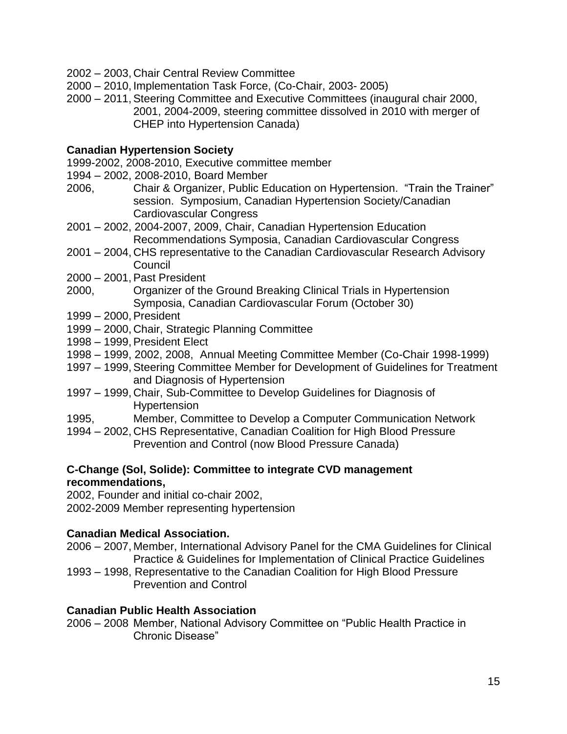- 2002 2003, Chair Central Review Committee
- 2000 2010, Implementation Task Force, (Co-Chair, 2003- 2005)
- 2000 2011,Steering Committee and Executive Committees (inaugural chair 2000, 2001, 2004-2009, steering committee dissolved in 2010 with merger of CHEP into Hypertension Canada)

### **Canadian Hypertension Society**

1999-2002, 2008-2010, Executive committee member

- 1994 2002, 2008-2010, Board Member
- 2006, Chair & Organizer, Public Education on Hypertension. "Train the Trainer" session. Symposium, Canadian Hypertension Society/Canadian Cardiovascular Congress
- 2001 2002, 2004-2007, 2009, Chair, Canadian Hypertension Education Recommendations Symposia, Canadian Cardiovascular Congress
- 2001 2004, CHS representative to the Canadian Cardiovascular Research Advisory Council
- 2000 2001, Past President
- 2000, Organizer of the Ground Breaking Clinical Trials in Hypertension Symposia, Canadian Cardiovascular Forum (October 30)
- 1999 2000, President
- 1999 2000, Chair, Strategic Planning Committee
- 1998 1999, President Elect
- 1998 1999, 2002, 2008, Annual Meeting Committee Member (Co-Chair 1998-1999)
- 1997 1999, Steering Committee Member for Development of Guidelines for Treatment and Diagnosis of Hypertension
- 1997 1999, Chair, Sub-Committee to Develop Guidelines for Diagnosis of Hypertension
- 1995, Member, Committee to Develop a Computer Communication Network
- 1994 2002, CHS Representative, Canadian Coalition for High Blood Pressure Prevention and Control (now Blood Pressure Canada)

## **C-Change (Sol, Solide): Committee to integrate CVD management recommendations,**

2002, Founder and initial co-chair 2002,

2002-2009 Member representing hypertension

## **Canadian Medical Association.**

- 2006 2007, Member, International Advisory Panel for the CMA Guidelines for Clinical Practice & Guidelines for Implementation of Clinical Practice Guidelines
- 1993 1998, Representative to the Canadian Coalition for High Blood Pressure Prevention and Control

## **Canadian Public Health Association**

2006 – 2008 Member, National Advisory Committee on "Public Health Practice in Chronic Disease"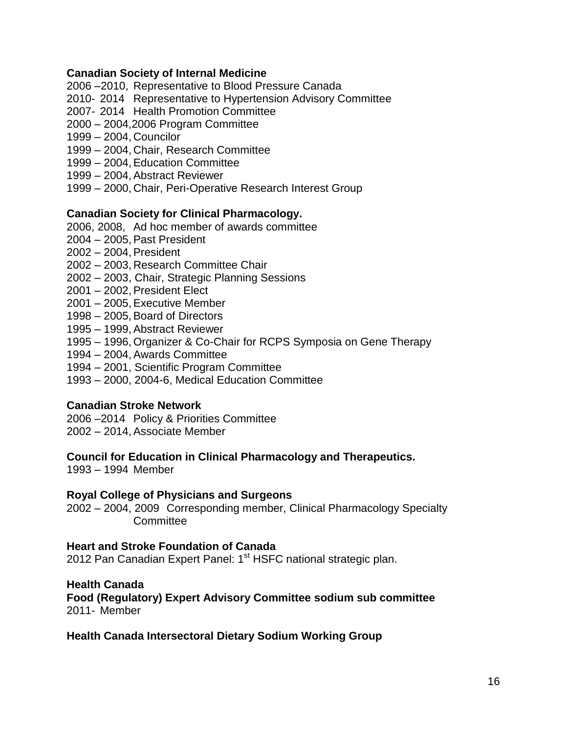#### **Canadian Society of Internal Medicine**

- 2006 –2010, Representative to Blood Pressure Canada
- 2010- 2014 Representative to Hypertension Advisory Committee
- 2007- 2014 Health Promotion Committee
- 2000 2004,2006 Program Committee
- 1999 2004, Councilor
- 1999 2004, Chair, Research Committee
- 1999 2004, Education Committee
- 1999 2004,Abstract Reviewer
- 1999 2000, Chair, Peri-Operative Research Interest Group

#### **Canadian Society for Clinical Pharmacology.**

- 2006, 2008, Ad hoc member of awards committee
- 2004 2005. Past President
- 2002 2004, President
- 2002 2003, Research Committee Chair
- 2002 2003, Chair, Strategic Planning Sessions
- 2001 2002, President Elect
- 2001 2005,Executive Member
- $1998 2005$ , Board of Directors
- 1995 1999,Abstract Reviewer
- 1995 1996,Organizer & Co-Chair for RCPS Symposia on Gene Therapy
- 1994 2004,Awards Committee
- 1994 2001, Scientific Program Committee
- 1993 2000, 2004-6, Medical Education Committee

### **Canadian Stroke Network**

2006 –2014 Policy & Priorities Committee 2002 – 2014,Associate Member

# **Council for Education in Clinical Pharmacology and Therapeutics.**

1993 – 1994 Member

#### **Royal College of Physicians and Surgeons**

2002 – 2004, 2009 Corresponding member, Clinical Pharmacology Specialty **Committee** 

#### **Heart and Stroke Foundation of Canada**

2012 Pan Canadian Expert Panel: 1<sup>st</sup> HSFC national strategic plan.

#### **Health Canada**

**Food (Regulatory) Expert Advisory Committee sodium sub committee** 2011- Member

#### **Health Canada Intersectoral Dietary Sodium Working Group**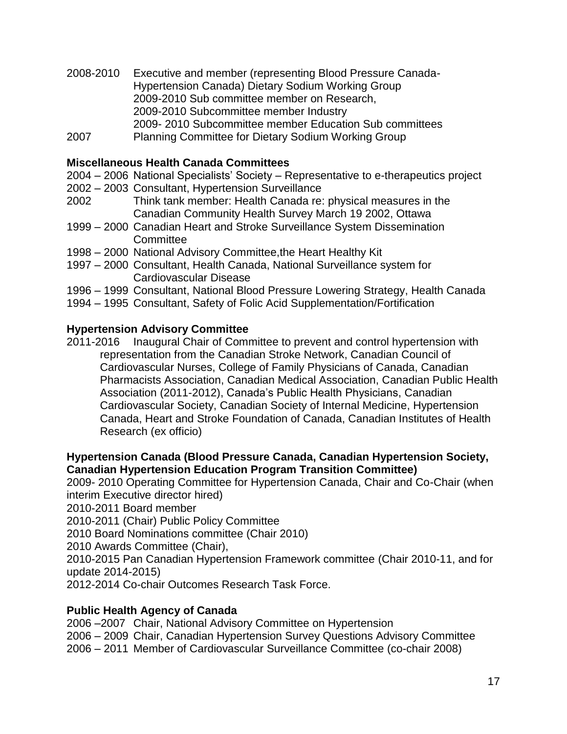- 2008-2010 Executive and member (representing Blood Pressure Canada-Hypertension Canada) Dietary Sodium Working Group 2009-2010 Sub committee member on Research, 2009-2010 Subcommittee member Industry 2009- 2010 Subcommittee member Education Sub committees
- 2007 Planning Committee for Dietary Sodium Working Group

### **Miscellaneous Health Canada Committees**

- 2004 2006 National Specialists' Society Representative to e-therapeutics project
- 2002 2003 Consultant, Hypertension Surveillance
- 2002 Think tank member: Health Canada re: physical measures in the Canadian Community Health Survey March 19 2002, Ottawa
- 1999 2000 Canadian Heart and Stroke Surveillance System Dissemination **Committee**
- 1998 2000 National Advisory Committee,the Heart Healthy Kit
- 1997 2000 Consultant, Health Canada, National Surveillance system for Cardiovascular Disease
- 1996 1999 Consultant, National Blood Pressure Lowering Strategy, Health Canada
- 1994 1995 Consultant, Safety of Folic Acid Supplementation/Fortification

### **Hypertension Advisory Committee**

2011-2016 Inaugural Chair of Committee to prevent and control hypertension with representation from the Canadian Stroke Network, Canadian Council of Cardiovascular Nurses, College of Family Physicians of Canada, Canadian Pharmacists Association, Canadian Medical Association, Canadian Public Health Association (2011-2012), Canada's Public Health Physicians, Canadian Cardiovascular Society, Canadian Society of Internal Medicine, Hypertension Canada, Heart and Stroke Foundation of Canada, Canadian Institutes of Health Research (ex officio)

### **Hypertension Canada (Blood Pressure Canada, Canadian Hypertension Society, Canadian Hypertension Education Program Transition Committee)**

2009- 2010 Operating Committee for Hypertension Canada, Chair and Co-Chair (when interim Executive director hired)

2010-2011 Board member

2010-2011 (Chair) Public Policy Committee

2010 Board Nominations committee (Chair 2010)

2010 Awards Committee (Chair),

2010-2015 Pan Canadian Hypertension Framework committee (Chair 2010-11, and for update 2014-2015)

2012-2014 Co-chair Outcomes Research Task Force.

### **Public Health Agency of Canada**

2006 –2007 Chair, National Advisory Committee on Hypertension 2006 – 2009 Chair, Canadian Hypertension Survey Questions Advisory Committee 2006 – 2011 Member of Cardiovascular Surveillance Committee (co-chair 2008)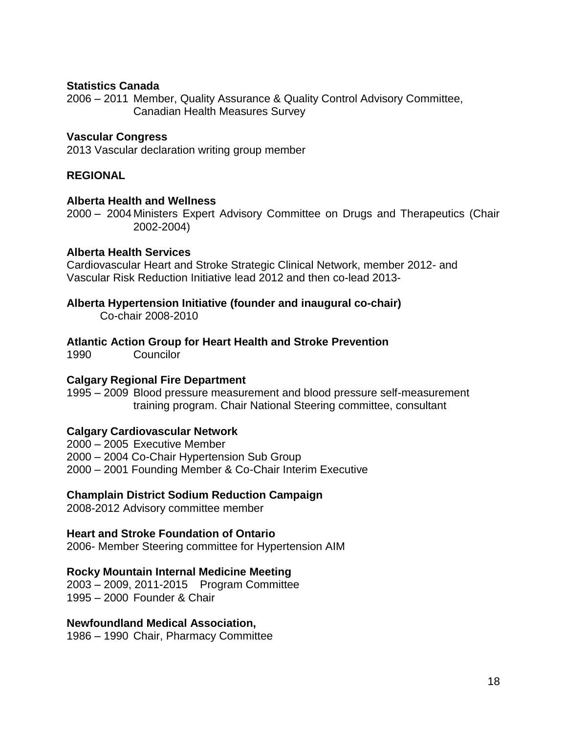#### **Statistics Canada**

2006 – 2011 Member, Quality Assurance & Quality Control Advisory Committee, Canadian Health Measures Survey

#### **Vascular Congress**

2013 Vascular declaration writing group member

#### **REGIONAL**

#### **Alberta Health and Wellness**

2000 – 2004 Ministers Expert Advisory Committee on Drugs and Therapeutics (Chair 2002-2004)

#### **Alberta Health Services**

Cardiovascular Heart and Stroke Strategic Clinical Network, member 2012- and Vascular Risk Reduction Initiative lead 2012 and then co-lead 2013-

#### **Alberta Hypertension Initiative (founder and inaugural co-chair)**

Co-chair 2008-2010

#### **Atlantic Action Group for Heart Health and Stroke Prevention**

1990 Councilor

#### **Calgary Regional Fire Department**

1995 – 2009 Blood pressure measurement and blood pressure self-measurement training program. Chair National Steering committee, consultant

### **Calgary Cardiovascular Network**

2000 – 2005 Executive Member 2000 – 2004 Co-Chair Hypertension Sub Group 2000 – 2001 Founding Member & Co-Chair Interim Executive

#### **Champlain District Sodium Reduction Campaign**

2008-2012 Advisory committee member

#### **Heart and Stroke Foundation of Ontario**

2006- Member Steering committee for Hypertension AIM

#### **Rocky Mountain Internal Medicine Meeting**

2003 – 2009, 2011-2015 Program Committee 1995 – 2000 Founder & Chair

#### **Newfoundland Medical Association,**

1986 – 1990 Chair, Pharmacy Committee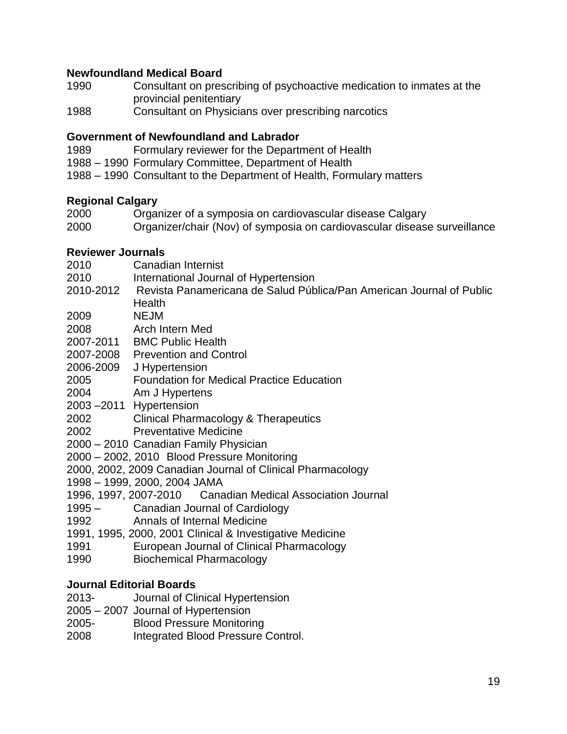## **Newfoundland Medical Board**

- 1990 Consultant on prescribing of psychoactive medication to inmates at the provincial penitentiary
- 1988 Consultant on Physicians over prescribing narcotics

### **Government of Newfoundland and Labrador**

- 1989 Formulary reviewer for the Department of Health
- 1988 1990 Formulary Committee, Department of Health
- 1988 1990 Consultant to the Department of Health, Formulary matters

### **Regional Calgary**

- 2000 Organizer of a symposia on cardiovascular disease Calgary
- 2000 Organizer/chair (Nov) of symposia on cardiovascular disease surveillance

### **Reviewer Journals**

- 2010 Canadian Internist
- 2010 International Journal of Hypertension
- 2010-2012 Revista Panamericana de Salud Pública/Pan American Journal of Public **Health**
- 2009 NEJM
- 2008 Arch Intern Med
- 2007-2011 BMC Public Health
- 2007-2008 Prevention and Control
- 2006-2009 J Hypertension
- 2005 Foundation for Medical Practice Education
- 2004 Am J Hypertens
- 2003 –2011 Hypertension
- 2002 Clinical Pharmacology & Therapeutics
- 2002 Preventative Medicine
- 2000 2010 Canadian Family Physician
- 2000 2002, 2010 Blood Pressure Monitoring

2000, 2002, 2009 Canadian Journal of Clinical Pharmacology

- 1998 1999, 2000, 2004 JAMA
- 1996, 1997, 2007-2010 Canadian Medical Association Journal
- 1995 Canadian Journal of Cardiology
- 1992 Annals of Internal Medicine
- 1991, 1995, 2000, 2001 Clinical & Investigative Medicine
- 1991 European Journal of Clinical Pharmacology
- 1990 Biochemical Pharmacology

## **Journal Editorial Boards**

- 2013- Journal of Clinical Hypertension
- 2005 2007 Journal of Hypertension
- 2005- Blood Pressure Monitoring
- 2008 Integrated Blood Pressure Control.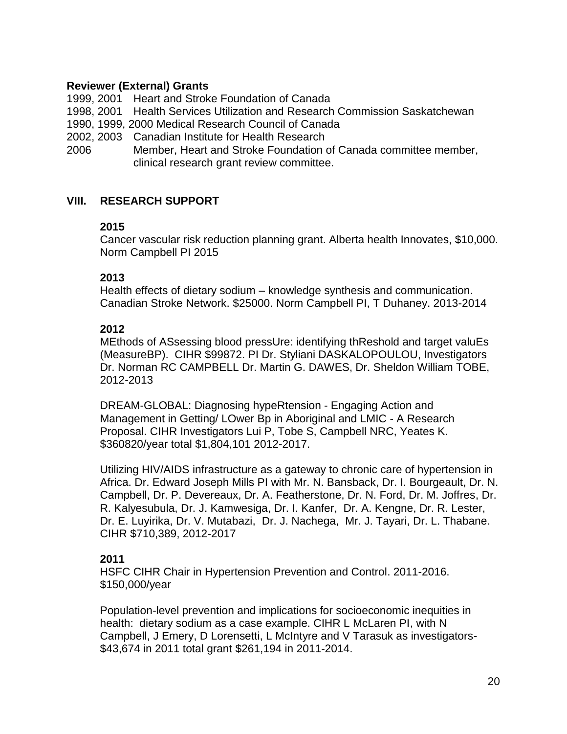### **Reviewer (External) Grants**

1999, 2001 Heart and Stroke Foundation of Canada

1998, 2001 Health Services Utilization and Research Commission Saskatchewan

- 1990, 1999, 2000 Medical Research Council of Canada
- 2002, 2003 Canadian Institute for Health Research
- 2006 Member, Heart and Stroke Foundation of Canada committee member, clinical research grant review committee.

### **VIII. RESEARCH SUPPORT**

### **2015**

Cancer vascular risk reduction planning grant. Alberta health Innovates, \$10,000. Norm Campbell PI 2015

### **2013**

Health effects of dietary sodium – knowledge synthesis and communication. Canadian Stroke Network. \$25000. Norm Campbell PI, T Duhaney. 2013-2014

### **2012**

MEthods of ASsessing blood pressUre: identifying thReshold and target valuEs (MeasureBP). CIHR \$99872. PI Dr. Styliani DASKALOPOULOU, Investigators Dr. Norman RC CAMPBELL Dr. Martin G. DAWES, Dr. Sheldon William TOBE, 2012-2013

DREAM-GLOBAL: Diagnosing hypeRtension - Engaging Action and Management in Getting/ LOwer Bp in Aboriginal and LMIC - A Research Proposal. CIHR Investigators Lui P, Tobe S, Campbell NRC, Yeates K. \$360820/year total \$1,804,101 2012-2017.

Utilizing HIV/AIDS infrastructure as a gateway to chronic care of hypertension in Africa. Dr. Edward Joseph Mills PI with Mr. N. Bansback, Dr. I. Bourgeault, Dr. N. Campbell, Dr. P. Devereaux, Dr. A. Featherstone, Dr. N. Ford, Dr. M. Joffres, Dr. R. Kalyesubula, Dr. J. Kamwesiga, Dr. I. Kanfer, Dr. A. Kengne, Dr. R. Lester, Dr. E. Luyirika, Dr. V. Mutabazi, Dr. J. Nachega, Mr. J. Tayari, Dr. L. Thabane. CIHR \$710,389, 2012-2017

### **2011**

HSFC CIHR Chair in Hypertension Prevention and Control. 2011-2016. \$150,000/year

Population-level prevention and implications for socioeconomic inequities in health: dietary sodium as a case example. CIHR L McLaren PI, with N Campbell, J Emery, D Lorensetti, L McIntyre and V Tarasuk as investigators- \$43,674 in 2011 total grant \$261,194 in 2011-2014.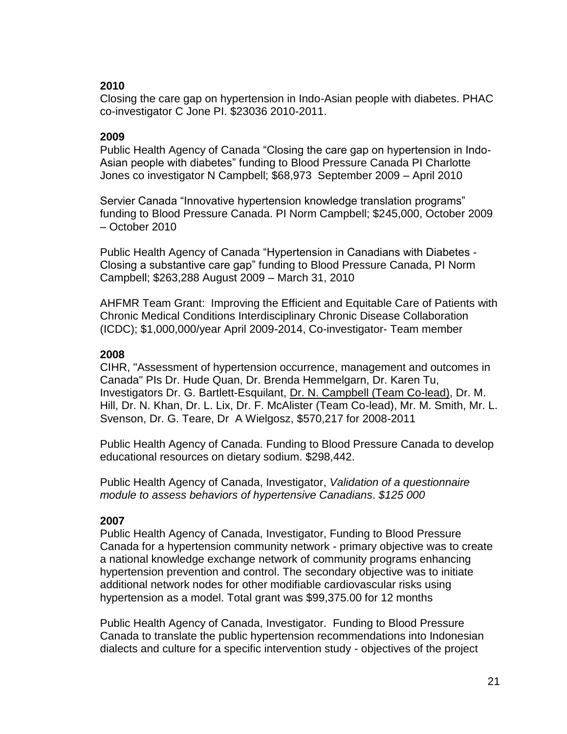## **2010**

Closing the care gap on hypertension in Indo-Asian people with diabetes. PHAC co-investigator C Jone PI. \$23036 2010-2011.

# **2009**

Public Health Agency of Canada "Closing the care gap on hypertension in Indo-Asian people with diabetes" funding to Blood Pressure Canada PI Charlotte Jones co investigator N Campbell; \$68,973 September 2009 – April 2010

Servier Canada "Innovative hypertension knowledge translation programs" funding to Blood Pressure Canada. PI Norm Campbell; \$245,000, October 2009 – October 2010

Public Health Agency of Canada "Hypertension in Canadians with Diabetes - Closing a substantive care gap" funding to Blood Pressure Canada, PI Norm Campbell; \$263,288 August 2009 – March 31, 2010

AHFMR Team Grant: Improving the Efficient and Equitable Care of Patients with Chronic Medical Conditions Interdisciplinary Chronic Disease Collaboration (ICDC); \$1,000,000/year April 2009-2014, Co-investigator- Team member

## **2008**

CIHR, "Assessment of hypertension occurrence, management and outcomes in Canada" PIs Dr. Hude Quan, Dr. Brenda Hemmelgarn, Dr. Karen Tu, Investigators Dr. G. Bartlett-Esquilant, Dr. N. Campbell (Team Co-lead), Dr. M. Hill, Dr. N. Khan, Dr. L. Lix, Dr. F. McAlister (Team Co-lead), Mr. M. Smith, Mr. L. Svenson, Dr. G. Teare, Dr A Wielgosz, \$570,217 for 2008-2011

Public Health Agency of Canada. Funding to Blood Pressure Canada to develop educational resources on dietary sodium. \$298,442.

Public Health Agency of Canada, Investigator, *Validation of a questionnaire module to assess behaviors of hypertensive Canadians*. *\$125 000* 

# **2007**

Public Health Agency of Canada, Investigator, Funding to Blood Pressure Canada for a hypertension community network - primary objective was to create a national knowledge exchange network of community programs enhancing hypertension prevention and control. The secondary objective was to initiate additional network nodes for other modifiable cardiovascular risks using hypertension as a model. Total grant was \$99,375.00 for 12 months

Public Health Agency of Canada, Investigator. Funding to Blood Pressure Canada to translate the public hypertension recommendations into Indonesian dialects and culture for a specific intervention study - objectives of the project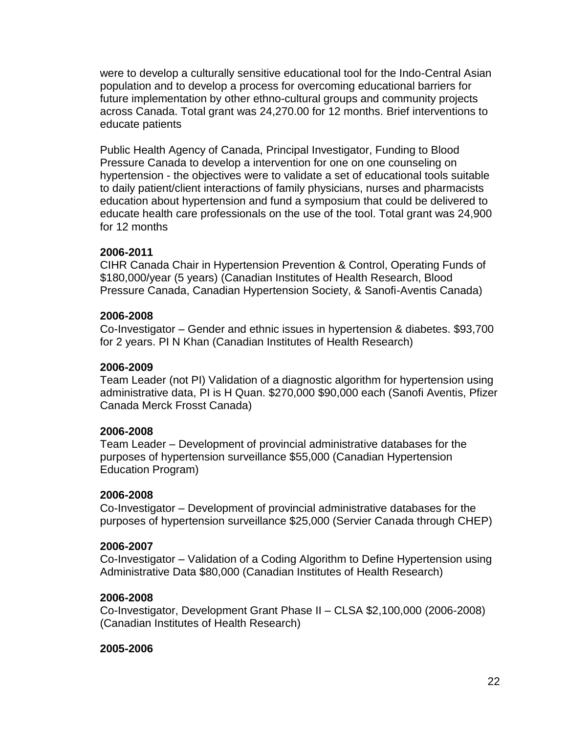were to develop a culturally sensitive educational tool for the Indo-Central Asian population and to develop a process for overcoming educational barriers for future implementation by other ethno-cultural groups and community projects across Canada. Total grant was 24,270.00 for 12 months. Brief interventions to educate patients

Public Health Agency of Canada, Principal Investigator, Funding to Blood Pressure Canada to develop a intervention for one on one counseling on hypertension - the objectives were to validate a set of educational tools suitable to daily patient/client interactions of family physicians, nurses and pharmacists education about hypertension and fund a symposium that could be delivered to educate health care professionals on the use of the tool. Total grant was 24,900 for 12 months

### **2006-2011**

CIHR Canada Chair in Hypertension Prevention & Control, Operating Funds of \$180,000/year (5 years) (Canadian Institutes of Health Research, Blood Pressure Canada, Canadian Hypertension Society, & Sanofi-Aventis Canada)

### **2006-2008**

Co-Investigator – Gender and ethnic issues in hypertension & diabetes. \$93,700 for 2 years. PI N Khan (Canadian Institutes of Health Research)

### **2006-2009**

Team Leader (not PI) Validation of a diagnostic algorithm for hypertension using administrative data, PI is H Quan. \$270,000 \$90,000 each (Sanofi Aventis, Pfizer Canada Merck Frosst Canada)

### **2006-2008**

Team Leader – Development of provincial administrative databases for the purposes of hypertension surveillance \$55,000 (Canadian Hypertension Education Program)

### **2006-2008**

Co-Investigator – Development of provincial administrative databases for the purposes of hypertension surveillance \$25,000 (Servier Canada through CHEP)

#### **2006-2007**

Co-Investigator – Validation of a Coding Algorithm to Define Hypertension using Administrative Data \$80,000 (Canadian Institutes of Health Research)

### **2006-2008**

Co-Investigator, Development Grant Phase II – CLSA \$2,100,000 (2006-2008) (Canadian Institutes of Health Research)

#### **2005-2006**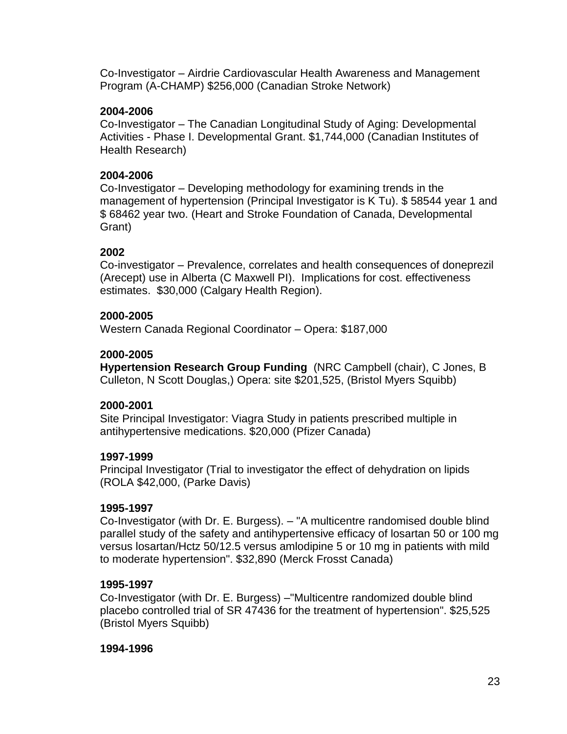Co-Investigator – Airdrie Cardiovascular Health Awareness and Management Program (A-CHAMP) \$256,000 (Canadian Stroke Network)

#### **2004-2006**

Co-Investigator – The Canadian Longitudinal Study of Aging: Developmental Activities - Phase I. Developmental Grant. \$1,744,000 (Canadian Institutes of Health Research)

### **2004-2006**

Co-Investigator – Developing methodology for examining trends in the management of hypertension (Principal Investigator is K Tu). \$ 58544 year 1 and \$ 68462 year two. (Heart and Stroke Foundation of Canada, Developmental Grant)

#### **2002**

Co-investigator – Prevalence, correlates and health consequences of doneprezil (Arecept) use in Alberta (C Maxwell PI). Implications for cost. effectiveness estimates. \$30,000 (Calgary Health Region).

#### **2000-2005**

Western Canada Regional Coordinator – Opera: \$187,000

#### **2000-2005**

**Hypertension Research Group Funding** (NRC Campbell (chair), C Jones, B Culleton, N Scott Douglas,) Opera: site \$201,525, (Bristol Myers Squibb)

#### **2000-2001**

Site Principal Investigator: Viagra Study in patients prescribed multiple in antihypertensive medications. \$20,000 (Pfizer Canada)

#### **1997-1999**

Principal Investigator (Trial to investigator the effect of dehydration on lipids (ROLA \$42,000, (Parke Davis)

#### **1995-1997**

Co-Investigator (with Dr. E. Burgess). – "A multicentre randomised double blind parallel study of the safety and antihypertensive efficacy of losartan 50 or 100 mg versus losartan/Hctz 50/12.5 versus amlodipine 5 or 10 mg in patients with mild to moderate hypertension". \$32,890 (Merck Frosst Canada)

#### **1995-1997**

Co-Investigator (with Dr. E. Burgess) –"Multicentre randomized double blind placebo controlled trial of SR 47436 for the treatment of hypertension". \$25,525 (Bristol Myers Squibb)

**1994-1996**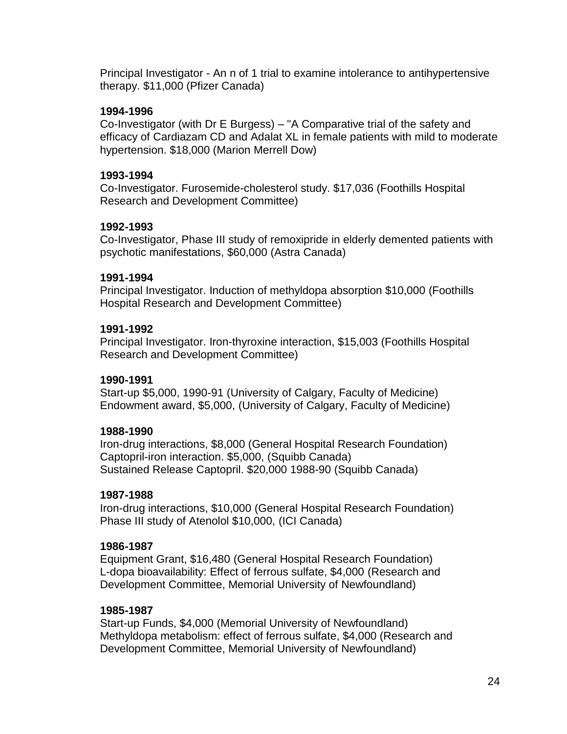Principal Investigator - An n of 1 trial to examine intolerance to antihypertensive therapy. \$11,000 (Pfizer Canada)

### **1994-1996**

Co-Investigator (with Dr E Burgess) – "A Comparative trial of the safety and efficacy of Cardiazam CD and Adalat XL in female patients with mild to moderate hypertension. \$18,000 (Marion Merrell Dow)

### **1993-1994**

Co-Investigator. Furosemide-cholesterol study. \$17,036 (Foothills Hospital Research and Development Committee)

### **1992-1993**

Co-Investigator, Phase III study of remoxipride in elderly demented patients with psychotic manifestations, \$60,000 (Astra Canada)

### **1991-1994**

Principal Investigator. Induction of methyldopa absorption \$10,000 (Foothills Hospital Research and Development Committee)

### **1991-1992**

Principal Investigator. Iron-thyroxine interaction, \$15,003 (Foothills Hospital Research and Development Committee)

### **1990-1991**

Start-up \$5,000, 1990-91 (University of Calgary, Faculty of Medicine) Endowment award, \$5,000, (University of Calgary, Faculty of Medicine)

## **1988-1990**

Iron-drug interactions, \$8,000 (General Hospital Research Foundation) Captopril-iron interaction. \$5,000, (Squibb Canada) Sustained Release Captopril. \$20,000 1988-90 (Squibb Canada)

## **1987-1988**

Iron-drug interactions, \$10,000 (General Hospital Research Foundation) Phase III study of Atenolol \$10,000, (ICI Canada)

### **1986-1987**

Equipment Grant, \$16,480 (General Hospital Research Foundation) L-dopa bioavailability: Effect of ferrous sulfate, \$4,000 (Research and Development Committee, Memorial University of Newfoundland)

### **1985-1987**

Start-up Funds, \$4,000 (Memorial University of Newfoundland) Methyldopa metabolism: effect of ferrous sulfate, \$4,000 (Research and Development Committee, Memorial University of Newfoundland)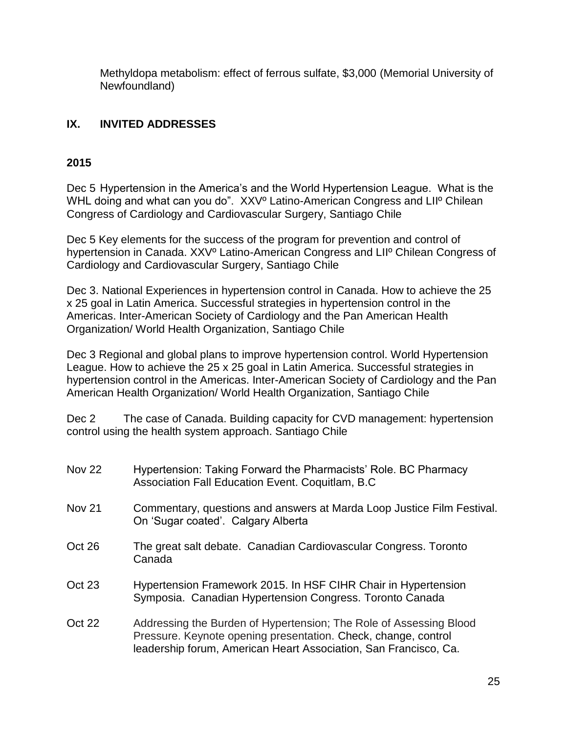Methyldopa metabolism: effect of ferrous sulfate, \$3,000 (Memorial University of Newfoundland)

# **IX. INVITED ADDRESSES**

## **2015**

Dec 5 Hypertension in the America's and the World Hypertension League. What is the WHL doing and what can you do". XXVº Latino-American Congress and LIIº Chilean Congress of Cardiology and Cardiovascular Surgery, Santiago Chile

Dec 5 Key elements for the success of the program for prevention and control of hypertension in Canada. XXVº Latino-American Congress and LIIº Chilean Congress of Cardiology and Cardiovascular Surgery, Santiago Chile

Dec 3. National Experiences in hypertension control in Canada. How to achieve the 25 x 25 goal in Latin America. Successful strategies in hypertension control in the Americas. Inter-American Society of Cardiology and the Pan American Health Organization/ World Health Organization, Santiago Chile

Dec 3 Regional and global plans to improve hypertension control. World Hypertension League. How to achieve the 25 x 25 goal in Latin America. Successful strategies in hypertension control in the Americas. Inter-American Society of Cardiology and the Pan American Health Organization/ World Health Organization, Santiago Chile

Dec 2 The case of Canada. Building capacity for CVD management: hypertension control using the health system approach. Santiago Chile

| Hypertension: Taking Forward the Pharmacists' Role. BC Pharmacy<br>Association Fall Education Event. Coquitlam, B.C.                                                                                     |
|----------------------------------------------------------------------------------------------------------------------------------------------------------------------------------------------------------|
| Commentary, questions and answers at Marda Loop Justice Film Festival.<br>On 'Sugar coated'. Calgary Alberta                                                                                             |
| The great salt debate. Canadian Cardiovascular Congress. Toronto<br>Canada                                                                                                                               |
| Hypertension Framework 2015. In HSF CIHR Chair in Hypertension<br>Symposia. Canadian Hypertension Congress. Toronto Canada                                                                               |
| Addressing the Burden of Hypertension; The Role of Assessing Blood<br>Pressure. Keynote opening presentation. Check, change, control<br>leadership forum, American Heart Association, San Francisco, Ca. |
|                                                                                                                                                                                                          |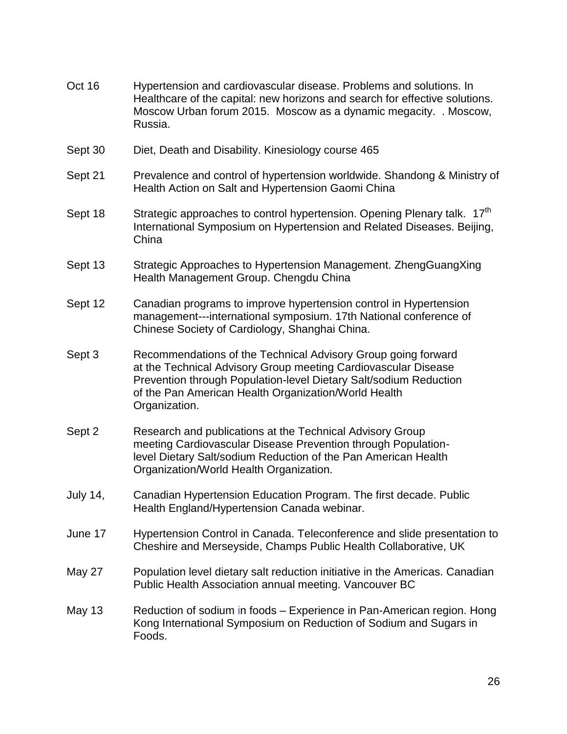- Oct 16 Hypertension and cardiovascular disease. Problems and solutions. In Healthcare of the capital: new horizons and search for effective solutions. Moscow Urban forum 2015. Moscow as a dynamic megacity. . Moscow, Russia.
- Sept 30 Diet, Death and Disability. Kinesiology course 465
- Sept 21 Prevalence and control of hypertension worldwide. Shandong & Ministry of Health Action on Salt and Hypertension Gaomi China
- Sept 18 Strategic approaches to control hypertension. Opening Plenary talk. 17<sup>th</sup> International Symposium on Hypertension and Related Diseases. Beijing, China
- Sept 13 Strategic Approaches to Hypertension Management. ZhengGuangXing Health Management Group. Chengdu China
- Sept 12 Canadian programs to improve hypertension control in Hypertension management---international symposium. 17th National conference of Chinese Society of Cardiology, Shanghai China.
- Sept 3 Recommendations of the Technical Advisory Group going forward at the Technical Advisory Group meeting Cardiovascular Disease Prevention through Population-level Dietary Salt/sodium Reduction of the Pan American Health Organization/World Health Organization.
- Sept 2 Research and publications at the Technical Advisory Group meeting Cardiovascular Disease Prevention through Populationlevel Dietary Salt/sodium Reduction of the Pan American Health Organization/World Health Organization.
- July 14, Canadian Hypertension Education Program. The first decade. Public Health England/Hypertension Canada webinar.
- June 17 Hypertension Control in Canada. Teleconference and slide presentation to Cheshire and Merseyside, Champs Public Health Collaborative, UK
- May 27 Population level dietary salt reduction initiative in the Americas. Canadian Public Health Association annual meeting. Vancouver BC
- May 13 Reduction of sodium in foods Experience in Pan-American region. Hong Kong International Symposium on Reduction of Sodium and Sugars in Foods.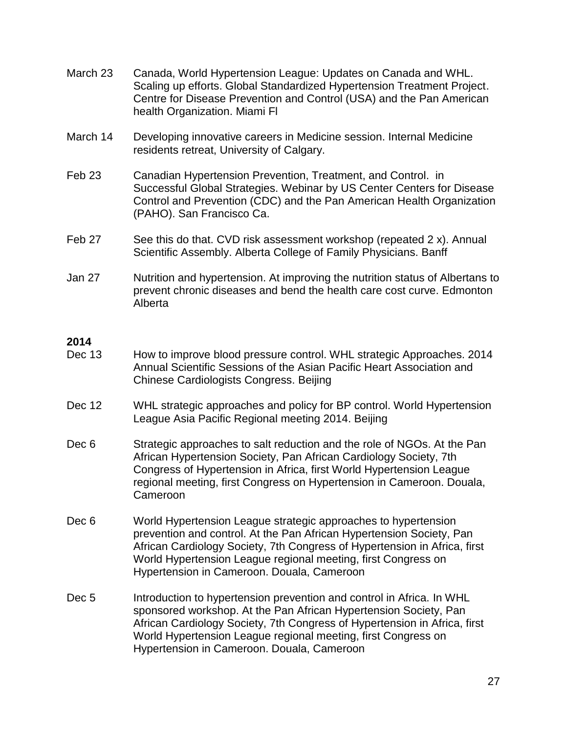- March 23 Canada, World Hypertension League: Updates on Canada and WHL. Scaling up efforts. Global Standardized Hypertension Treatment Project. Centre for Disease Prevention and Control (USA) and the Pan American health Organization. Miami Fl
- March 14 Developing innovative careers in Medicine session. Internal Medicine residents retreat, University of Calgary.
- Feb 23 Canadian Hypertension Prevention, Treatment, and Control. in Successful Global Strategies. Webinar by US Center Centers for Disease Control and Prevention (CDC) and the Pan American Health Organization (PAHO). San Francisco Ca.
- Feb 27 See this do that. CVD risk assessment workshop (repeated 2 x). Annual Scientific Assembly. Alberta College of Family Physicians. Banff
- Jan 27 Nutrition and hypertension. At improving the nutrition status of Albertans to prevent chronic diseases and bend the health care cost curve. Edmonton Alberta

### **2014**

- Dec 13 How to improve blood pressure control. WHL strategic Approaches. 2014 Annual Scientific Sessions of the Asian Pacific Heart Association and Chinese Cardiologists Congress. Beijing
- Dec 12 WHL strategic approaches and policy for BP control. World Hypertension League Asia Pacific Regional meeting 2014. Beijing
- Dec 6 Strategic approaches to salt reduction and the role of NGOs. At the Pan African Hypertension Society, Pan African Cardiology Society, 7th Congress of Hypertension in Africa, first World Hypertension League regional meeting, first Congress on Hypertension in Cameroon. Douala, Cameroon
- Dec 6 World Hypertension League strategic approaches to hypertension prevention and control. At the Pan African Hypertension Society, Pan African Cardiology Society, 7th Congress of Hypertension in Africa, first World Hypertension League regional meeting, first Congress on Hypertension in Cameroon. Douala, Cameroon
- Dec 5 Introduction to hypertension prevention and control in Africa. In WHL sponsored workshop. At the Pan African Hypertension Society, Pan African Cardiology Society, 7th Congress of Hypertension in Africa, first World Hypertension League regional meeting, first Congress on Hypertension in Cameroon. Douala, Cameroon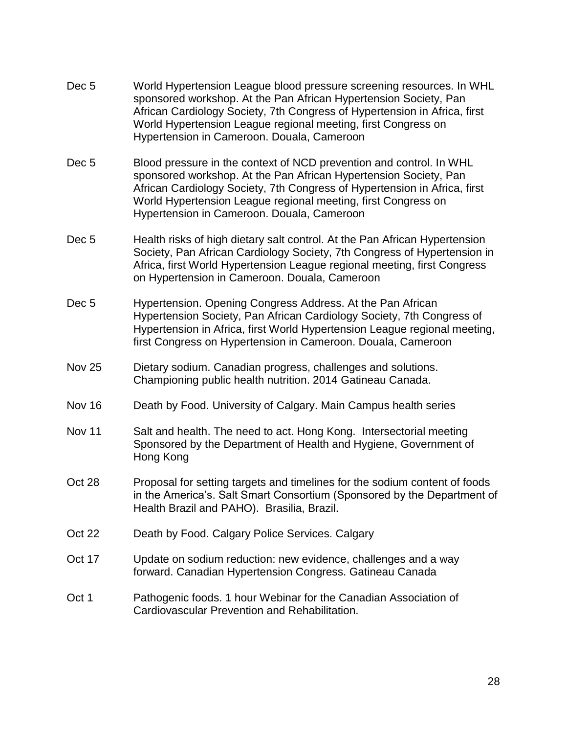- Dec 5 World Hypertension League blood pressure screening resources. In WHL sponsored workshop. At the Pan African Hypertension Society, Pan African Cardiology Society, 7th Congress of Hypertension in Africa, first World Hypertension League regional meeting, first Congress on Hypertension in Cameroon. Douala, Cameroon
- Dec 5 Blood pressure in the context of NCD prevention and control. In WHL sponsored workshop. At the Pan African Hypertension Society, Pan African Cardiology Society, 7th Congress of Hypertension in Africa, first World Hypertension League regional meeting, first Congress on Hypertension in Cameroon. Douala, Cameroon
- Dec 5 Health risks of high dietary salt control. At the Pan African Hypertension Society, Pan African Cardiology Society, 7th Congress of Hypertension in Africa, first World Hypertension League regional meeting, first Congress on Hypertension in Cameroon. Douala, Cameroon
- Dec 5 Hypertension. Opening Congress Address. At the Pan African Hypertension Society, Pan African Cardiology Society, 7th Congress of Hypertension in Africa, first World Hypertension League regional meeting, first Congress on Hypertension in Cameroon. Douala, Cameroon
- Nov 25 Dietary sodium. Canadian progress, challenges and solutions. Championing public health nutrition. 2014 Gatineau Canada.
- Nov 16 Death by Food. University of Calgary. Main Campus health series
- Nov 11 Salt and health. The need to act. Hong Kong. Intersectorial meeting Sponsored by the Department of Health and Hygiene, Government of Hong Kong
- Oct 28 Proposal for setting targets and timelines for the sodium content of foods in the America's. Salt Smart Consortium (Sponsored by the Department of Health Brazil and PAHO). Brasilia, Brazil.
- Oct 22 Death by Food. Calgary Police Services. Calgary
- Oct 17 Update on sodium reduction: new evidence, challenges and a way forward. Canadian Hypertension Congress. Gatineau Canada
- Oct 1 Pathogenic foods. 1 hour Webinar for the Canadian Association of Cardiovascular Prevention and Rehabilitation.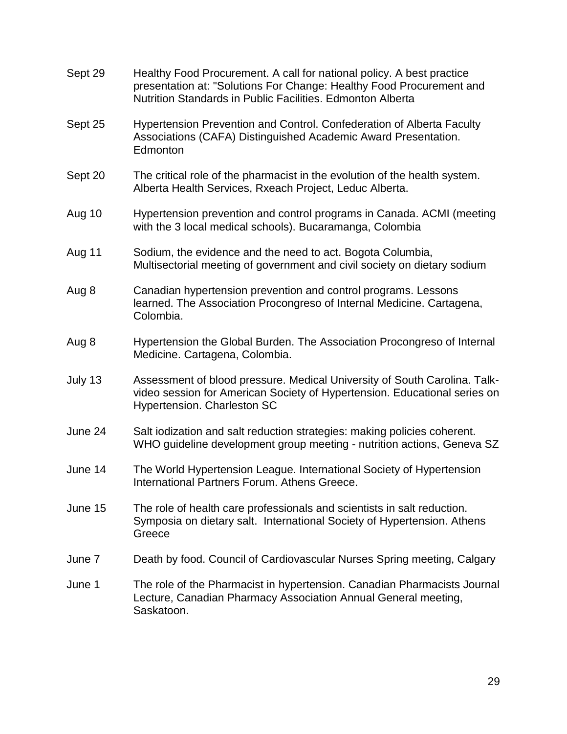| Sept 29 | Healthy Food Procurement. A call for national policy. A best practice<br>presentation at: "Solutions For Change: Healthy Food Procurement and<br>Nutrition Standards in Public Facilities. Edmonton Alberta |
|---------|-------------------------------------------------------------------------------------------------------------------------------------------------------------------------------------------------------------|
| Sept 25 | Hypertension Prevention and Control. Confederation of Alberta Faculty<br>Associations (CAFA) Distinguished Academic Award Presentation.<br>Edmonton                                                         |
| Sept 20 | The critical role of the pharmacist in the evolution of the health system.<br>Alberta Health Services, Rxeach Project, Leduc Alberta.                                                                       |
| Aug 10  | Hypertension prevention and control programs in Canada. ACMI (meeting<br>with the 3 local medical schools). Bucaramanga, Colombia                                                                           |
| Aug 11  | Sodium, the evidence and the need to act. Bogota Columbia,<br>Multisectorial meeting of government and civil society on dietary sodium                                                                      |
| Aug 8   | Canadian hypertension prevention and control programs. Lessons<br>learned. The Association Procongreso of Internal Medicine. Cartagena,<br>Colombia.                                                        |
| Aug 8   | Hypertension the Global Burden. The Association Procongreso of Internal<br>Medicine. Cartagena, Colombia.                                                                                                   |
| July 13 | Assessment of blood pressure. Medical University of South Carolina. Talk-<br>video session for American Society of Hypertension. Educational series on<br><b>Hypertension. Charleston SC</b>                |
| June 24 | Salt iodization and salt reduction strategies: making policies coherent.<br>WHO guideline development group meeting - nutrition actions, Geneva SZ                                                          |
| June 14 | The World Hypertension League. International Society of Hypertension<br>International Partners Forum. Athens Greece.                                                                                        |
| June 15 | The role of health care professionals and scientists in salt reduction.<br>Symposia on dietary salt. International Society of Hypertension. Athens<br>Greece                                                |
| June 7  | Death by food. Council of Cardiovascular Nurses Spring meeting, Calgary                                                                                                                                     |
| June 1  | The role of the Pharmacist in hypertension. Canadian Pharmacists Journal<br>Lecture, Canadian Pharmacy Association Annual General meeting,<br>Saskatoon.                                                    |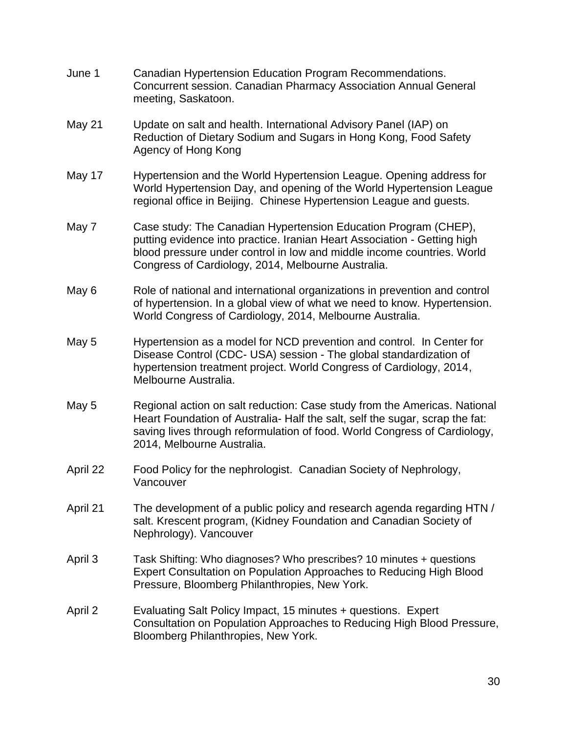- June 1 Canadian Hypertension Education Program Recommendations. Concurrent session. Canadian Pharmacy Association Annual General meeting, Saskatoon.
- May 21 Update on salt and health. International Advisory Panel (IAP) on Reduction of Dietary Sodium and Sugars in Hong Kong, Food Safety Agency of Hong Kong
- May 17 Hypertension and the World Hypertension League. Opening address for World Hypertension Day, and opening of the World Hypertension League regional office in Beijing. Chinese Hypertension League and guests.
- May 7 Case study: The Canadian Hypertension Education Program (CHEP), putting evidence into practice. Iranian Heart Association - Getting high blood pressure under control in low and middle income countries. World Congress of Cardiology, 2014, Melbourne Australia.
- May 6 Role of national and international organizations in prevention and control of hypertension. In a global view of what we need to know. Hypertension. World Congress of Cardiology, 2014, Melbourne Australia.
- May 5 Hypertension as a model for NCD prevention and control. In Center for Disease Control (CDC- USA) session - The global standardization of hypertension treatment project. World Congress of Cardiology, 2014, Melbourne Australia.
- May 5 Regional action on salt reduction: Case study from the Americas. National Heart Foundation of Australia- Half the salt, self the sugar, scrap the fat: saving lives through reformulation of food. World Congress of Cardiology, 2014, Melbourne Australia.
- April 22 Food Policy for the nephrologist. Canadian Society of Nephrology, Vancouver
- April 21 The development of a public policy and research agenda regarding HTN / salt. Krescent program, (Kidney Foundation and Canadian Society of Nephrology). Vancouver
- April 3 Task Shifting: Who diagnoses? Who prescribes? 10 minutes + questions Expert Consultation on Population Approaches to Reducing High Blood Pressure, Bloomberg Philanthropies, New York.
- April 2 Evaluating Salt Policy Impact, 15 minutes + questions. Expert Consultation on Population Approaches to Reducing High Blood Pressure, Bloomberg Philanthropies, New York.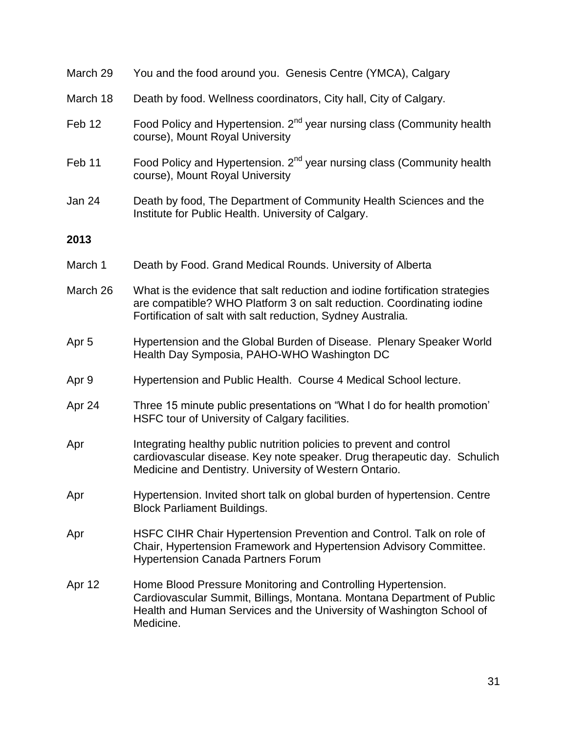| March 29         | You and the food around you. Genesis Centre (YMCA), Calgary                                                                                                                                                                 |
|------------------|-----------------------------------------------------------------------------------------------------------------------------------------------------------------------------------------------------------------------------|
| March 18         | Death by food. Wellness coordinators, City hall, City of Calgary.                                                                                                                                                           |
| Feb 12           | Food Policy and Hypertension. 2 <sup>nd</sup> year nursing class (Community health<br>course), Mount Royal University                                                                                                       |
| Feb 11           | Food Policy and Hypertension. 2 <sup>nd</sup> year nursing class (Community health<br>course), Mount Royal University                                                                                                       |
| Jan 24           | Death by food, The Department of Community Health Sciences and the<br>Institute for Public Health. University of Calgary.                                                                                                   |
| 2013             |                                                                                                                                                                                                                             |
| March 1          | Death by Food. Grand Medical Rounds. University of Alberta                                                                                                                                                                  |
| March 26         | What is the evidence that salt reduction and iodine fortification strategies<br>are compatible? WHO Platform 3 on salt reduction. Coordinating iodine<br>Fortification of salt with salt reduction, Sydney Australia.       |
| Apr <sub>5</sub> | Hypertension and the Global Burden of Disease. Plenary Speaker World<br>Health Day Symposia, PAHO-WHO Washington DC                                                                                                         |
| Apr 9            | Hypertension and Public Health. Course 4 Medical School lecture.                                                                                                                                                            |
| Apr 24           | Three 15 minute public presentations on "What I do for health promotion"<br>HSFC tour of University of Calgary facilities.                                                                                                  |
| Apr              | Integrating healthy public nutrition policies to prevent and control<br>cardiovascular disease. Key note speaker. Drug therapeutic day. Schulich<br>Medicine and Dentistry. University of Western Ontario.                  |
| Apr              | Hypertension. Invited short talk on global burden of hypertension. Centre<br><b>Block Parliament Buildings.</b>                                                                                                             |
| Apr              | HSFC CIHR Chair Hypertension Prevention and Control. Talk on role of<br>Chair, Hypertension Framework and Hypertension Advisory Committee.<br><b>Hypertension Canada Partners Forum</b>                                     |
| Apr 12           | Home Blood Pressure Monitoring and Controlling Hypertension.<br>Cardiovascular Summit, Billings, Montana. Montana Department of Public<br>Health and Human Services and the University of Washington School of<br>Medicine. |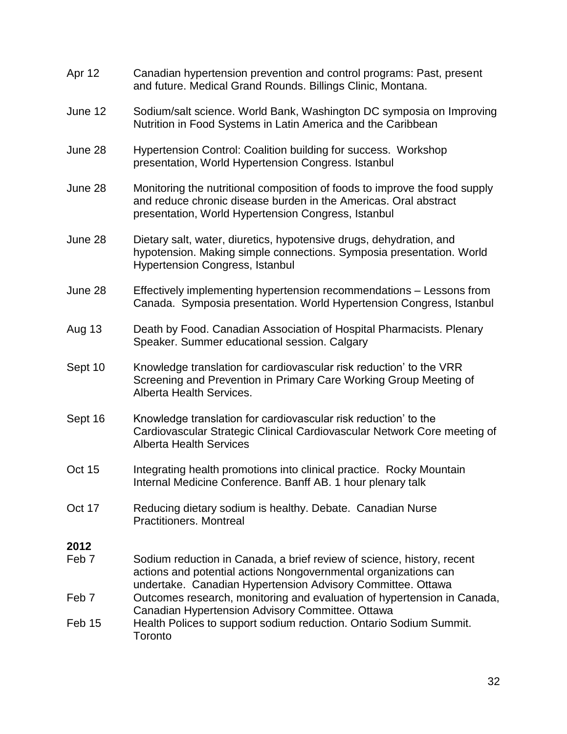Apr 12 Canadian hypertension prevention and control programs: Past, present and future. Medical Grand Rounds. Billings Clinic, Montana. June 12 Sodium/salt science. World Bank, Washington DC symposia on Improving Nutrition in Food Systems in Latin America and the Caribbean June 28 Hypertension Control: Coalition building for success. Workshop presentation, World Hypertension Congress. Istanbul June 28 Monitoring the nutritional composition of foods to improve the food supply and reduce chronic disease burden in the Americas. Oral abstract presentation, World Hypertension Congress, Istanbul June 28 Dietary salt, water, diuretics, hypotensive drugs, dehydration, and hypotension. Making simple connections. Symposia presentation. World Hypertension Congress, Istanbul June 28 Effectively implementing hypertension recommendations – Lessons from Canada. Symposia presentation. World Hypertension Congress, Istanbul Aug 13 Death by Food. Canadian Association of Hospital Pharmacists. Plenary Speaker. Summer educational session. Calgary Sept 10 Knowledge translation for cardiovascular risk reduction' to the VRR Screening and Prevention in Primary Care Working Group Meeting of Alberta Health Services. Sept 16 Knowledge translation for cardiovascular risk reduction' to the Cardiovascular Strategic Clinical Cardiovascular Network Core meeting of Alberta Health Services Oct 15 Integrating health promotions into clinical practice. Rocky Mountain Internal Medicine Conference. Banff AB. 1 hour plenary talk Oct 17 Reducing dietary sodium is healthy. Debate. Canadian Nurse Practitioners. Montreal **2012** Feb 7 Sodium reduction in Canada, a brief review of science, history, recent actions and potential actions Nongovernmental organizations can undertake. Canadian Hypertension Advisory Committee. Ottawa Feb 7 Outcomes research, monitoring and evaluation of hypertension in Canada, Canadian Hypertension Advisory Committee. Ottawa Feb 15 Health Polices to support sodium reduction. Ontario Sodium Summit. **Toronto**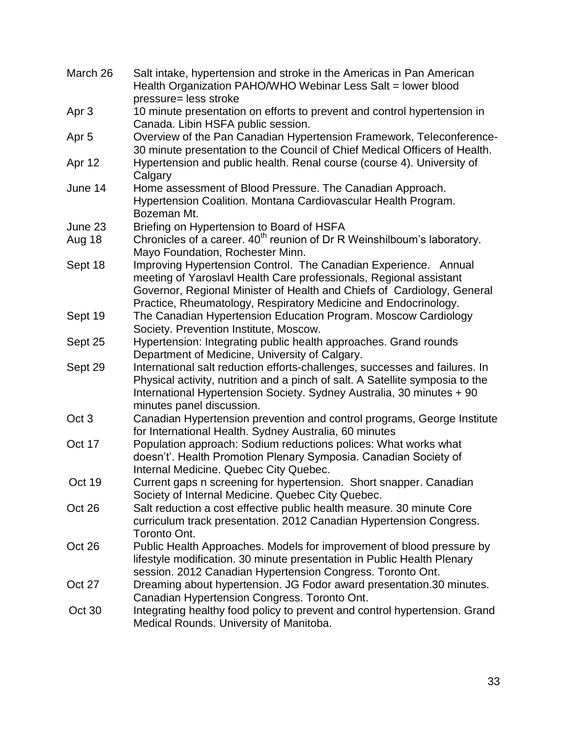| March 26         | Salt intake, hypertension and stroke in the Americas in Pan American<br>Health Organization PAHO/WHO Webinar Less Salt = lower blood<br>pressure= less stroke                                                                                                                       |
|------------------|-------------------------------------------------------------------------------------------------------------------------------------------------------------------------------------------------------------------------------------------------------------------------------------|
| Apr 3            | 10 minute presentation on efforts to prevent and control hypertension in<br>Canada. Libin HSFA public session.                                                                                                                                                                      |
| Apr <sub>5</sub> | Overview of the Pan Canadian Hypertension Framework, Teleconference-<br>30 minute presentation to the Council of Chief Medical Officers of Health.                                                                                                                                  |
| Apr 12           | Hypertension and public health. Renal course (course 4). University of<br>Calgary                                                                                                                                                                                                   |
| June 14          | Home assessment of Blood Pressure. The Canadian Approach.<br>Hypertension Coalition. Montana Cardiovascular Health Program.<br>Bozeman Mt.                                                                                                                                          |
| June 23          | Briefing on Hypertension to Board of HSFA                                                                                                                                                                                                                                           |
| Aug 18           | Chronicles of a career. 40 <sup>th</sup> reunion of Dr R Weinshilboum's laboratory.<br>Mayo Foundation, Rochester Minn.                                                                                                                                                             |
| Sept 18          | Improving Hypertension Control. The Canadian Experience. Annual<br>meeting of Yaroslavl Health Care professionals, Regional assistant<br>Governor, Regional Minister of Health and Chiefs of Cardiology, General<br>Practice, Rheumatology, Respiratory Medicine and Endocrinology. |
| Sept 19          | The Canadian Hypertension Education Program. Moscow Cardiology<br>Society. Prevention Institute, Moscow.                                                                                                                                                                            |
| Sept 25          | Hypertension: Integrating public health approaches. Grand rounds<br>Department of Medicine, University of Calgary.                                                                                                                                                                  |
| Sept 29          | International salt reduction efforts-challenges, successes and failures. In<br>Physical activity, nutrition and a pinch of salt. A Satellite symposia to the<br>International Hypertension Society. Sydney Australia, 30 minutes + 90<br>minutes panel discussion.                  |
| Oct <sub>3</sub> | Canadian Hypertension prevention and control programs, George Institute<br>for International Health. Sydney Australia, 60 minutes                                                                                                                                                   |
| Oct 17           | Population approach: Sodium reductions polices: What works what<br>doesn't'. Health Promotion Plenary Symposia. Canadian Society of<br>Internal Medicine. Quebec City Quebec.                                                                                                       |
| Oct 19           | Current gaps n screening for hypertension. Short snapper. Canadian<br>Society of Internal Medicine. Quebec City Quebec.                                                                                                                                                             |
| Oct 26           | Salt reduction a cost effective public health measure. 30 minute Core<br>curriculum track presentation. 2012 Canadian Hypertension Congress.<br>Toronto Ont.                                                                                                                        |
| Oct 26           | Public Health Approaches. Models for improvement of blood pressure by<br>lifestyle modification. 30 minute presentation in Public Health Plenary<br>session. 2012 Canadian Hypertension Congress. Toronto Ont.                                                                      |
| Oct 27           | Dreaming about hypertension. JG Fodor award presentation.30 minutes.<br>Canadian Hypertension Congress. Toronto Ont.                                                                                                                                                                |
| Oct 30           | Integrating healthy food policy to prevent and control hypertension. Grand<br>Medical Rounds. University of Manitoba.                                                                                                                                                               |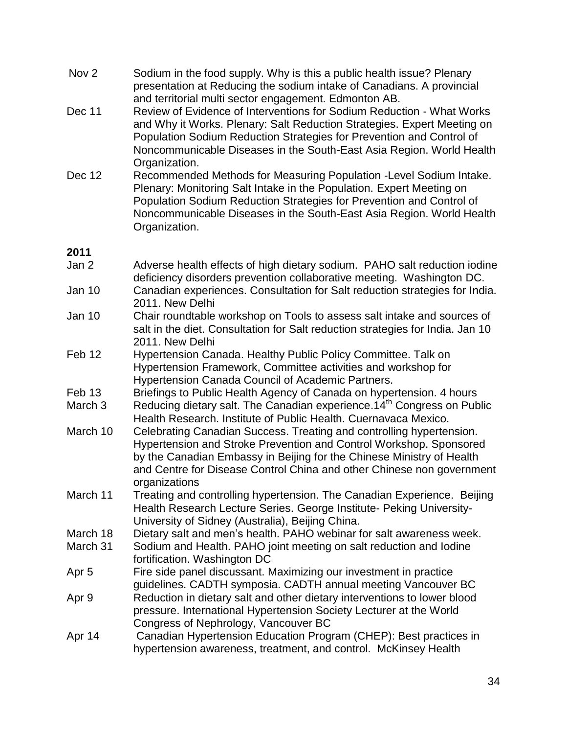- Nov 2 Sodium in the food supply. Why is this a public health issue? Plenary presentation at Reducing the sodium intake of Canadians. A provincial and territorial multi sector engagement. Edmonton AB.
- Dec 11 Review of Evidence of Interventions for Sodium Reduction What Works and Why it Works. Plenary: Salt Reduction Strategies. Expert Meeting on Population Sodium Reduction Strategies for Prevention and Control of Noncommunicable Diseases in the South-East Asia Region. World Health Organization.
- Dec 12 Recommended Methods for Measuring Population -Level Sodium Intake. Plenary: Monitoring Salt Intake in the Population. Expert Meeting on Population Sodium Reduction Strategies for Prevention and Control of Noncommunicable Diseases in the South-East Asia Region. World Health Organization.

## **2011**

- Jan 2 Adverse health effects of high dietary sodium. PAHO salt reduction iodine deficiency disorders prevention collaborative meeting. Washington DC.
- Jan 10 Canadian experiences. Consultation for Salt reduction strategies for India. 2011. New Delhi
- Jan 10 Chair roundtable workshop on Tools to assess salt intake and sources of salt in the diet. Consultation for Salt reduction strategies for India. Jan 10 2011. New Delhi
- Feb 12 Hypertension Canada. Healthy Public Policy Committee. Talk on Hypertension Framework, Committee activities and workshop for Hypertension Canada Council of Academic Partners.
- Feb 13 Briefings to Public Health Agency of Canada on hypertension. 4 hours
- March 3 Reducing dietary salt. The Canadian experience.  $14<sup>th</sup>$  Congress on Public Health Research. Institute of Public Health. Cuernavaca Mexico.
- March 10 Celebrating Canadian Success. Treating and controlling hypertension. Hypertension and Stroke Prevention and Control Workshop. Sponsored by the Canadian Embassy in Beijing for the Chinese Ministry of Health and Centre for Disease Control China and other Chinese non government organizations
- March 11 Treating and controlling hypertension. The Canadian Experience. Beijing Health Research Lecture Series. George Institute- Peking University-University of Sidney (Australia), Beijing China.
- March 18 Dietary salt and men's health. PAHO webinar for salt awareness week.
- March 31 Sodium and Health. PAHO joint meeting on salt reduction and Iodine fortification. Washington DC
- Apr 5 Fire side panel discussant. Maximizing our investment in practice guidelines. CADTH symposia. CADTH annual meeting Vancouver BC
- Apr 9 Reduction in dietary salt and other dietary interventions to lower blood pressure. International Hypertension Society Lecturer at the World Congress of Nephrology, Vancouver BC
- Apr 14 Canadian Hypertension Education Program (CHEP): Best practices in hypertension awareness, treatment, and control. McKinsey Health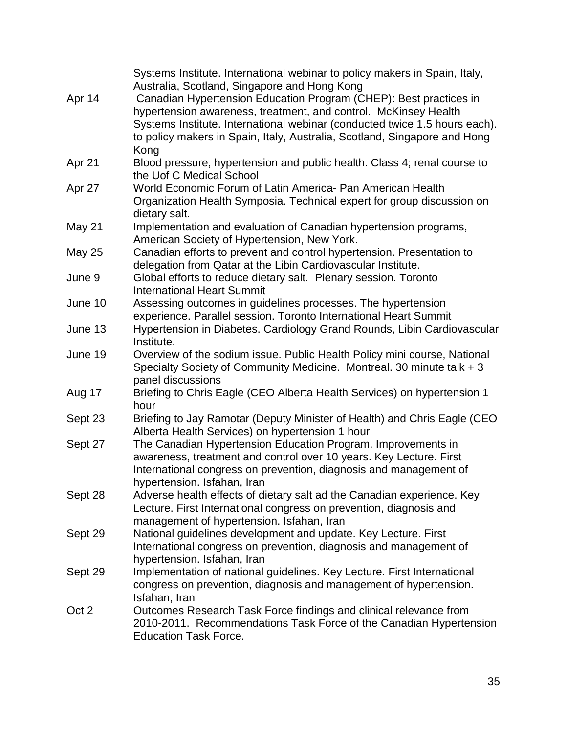|               | Systems Institute. International webinar to policy makers in Spain, Italy,<br>Australia, Scotland, Singapore and Hong Kong |
|---------------|----------------------------------------------------------------------------------------------------------------------------|
| Apr 14        | Canadian Hypertension Education Program (CHEP): Best practices in                                                          |
|               | hypertension awareness, treatment, and control. McKinsey Health                                                            |
|               | Systems Institute. International webinar (conducted twice 1.5 hours each).                                                 |
|               | to policy makers in Spain, Italy, Australia, Scotland, Singapore and Hong                                                  |
|               | Kong                                                                                                                       |
| Apr 21        | Blood pressure, hypertension and public health. Class 4; renal course to                                                   |
|               | the Uof C Medical School                                                                                                   |
| Apr 27        | World Economic Forum of Latin America- Pan American Health                                                                 |
|               | Organization Health Symposia. Technical expert for group discussion on                                                     |
|               | dietary salt.                                                                                                              |
| May 21        | Implementation and evaluation of Canadian hypertension programs,                                                           |
|               | American Society of Hypertension, New York.                                                                                |
| <b>May 25</b> | Canadian efforts to prevent and control hypertension. Presentation to                                                      |
|               | delegation from Qatar at the Libin Cardiovascular Institute.                                                               |
| June 9        | Global efforts to reduce dietary salt. Plenary session. Toronto                                                            |
|               | <b>International Heart Summit</b>                                                                                          |
| June 10       | Assessing outcomes in guidelines processes. The hypertension                                                               |
|               | experience. Parallel session. Toronto International Heart Summit                                                           |
| June 13       | Hypertension in Diabetes. Cardiology Grand Rounds, Libin Cardiovascular                                                    |
|               | Institute.                                                                                                                 |
| June 19       | Overview of the sodium issue. Public Health Policy mini course, National                                                   |
|               | Specialty Society of Community Medicine. Montreal. 30 minute talk + 3                                                      |
|               | panel discussions                                                                                                          |
| Aug 17        | Briefing to Chris Eagle (CEO Alberta Health Services) on hypertension 1                                                    |
|               | hour                                                                                                                       |
| Sept 23       | Briefing to Jay Ramotar (Deputy Minister of Health) and Chris Eagle (CEO                                                   |
|               | Alberta Health Services) on hypertension 1 hour<br>The Canadian Hypertension Education Program. Improvements in            |
| Sept 27       | awareness, treatment and control over 10 years. Key Lecture. First                                                         |
|               | International congress on prevention, diagnosis and management of                                                          |
|               | hypertension. Isfahan, Iran                                                                                                |
| Sept 28       | Adverse health effects of dietary salt ad the Canadian experience. Key                                                     |
|               | Lecture. First International congress on prevention, diagnosis and                                                         |
|               | management of hypertension. Isfahan, Iran                                                                                  |
| Sept 29       | National guidelines development and update. Key Lecture. First                                                             |
|               | International congress on prevention, diagnosis and management of                                                          |
|               | hypertension. Isfahan, Iran                                                                                                |
| Sept 29       | Implementation of national guidelines. Key Lecture. First International                                                    |
|               | congress on prevention, diagnosis and management of hypertension.                                                          |
|               | Isfahan, Iran                                                                                                              |
| Oct 2         | Outcomes Research Task Force findings and clinical relevance from                                                          |
|               | 2010-2011. Recommendations Task Force of the Canadian Hypertension                                                         |
|               | <b>Education Task Force.</b>                                                                                               |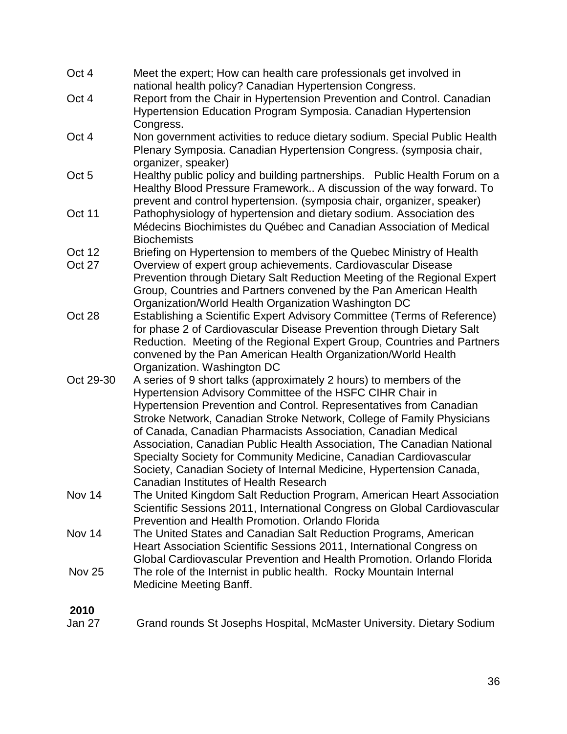| Oct 4         | Meet the expert; How can health care professionals get involved in<br>national health policy? Canadian Hypertension Congress.                                                                                                                                                                                                                                                                                                                                                                                                                                                                                     |
|---------------|-------------------------------------------------------------------------------------------------------------------------------------------------------------------------------------------------------------------------------------------------------------------------------------------------------------------------------------------------------------------------------------------------------------------------------------------------------------------------------------------------------------------------------------------------------------------------------------------------------------------|
| Oct 4         | Report from the Chair in Hypertension Prevention and Control. Canadian<br>Hypertension Education Program Symposia. Canadian Hypertension                                                                                                                                                                                                                                                                                                                                                                                                                                                                          |
|               | Congress.                                                                                                                                                                                                                                                                                                                                                                                                                                                                                                                                                                                                         |
| Oct 4         | Non government activities to reduce dietary sodium. Special Public Health<br>Plenary Symposia. Canadian Hypertension Congress. (symposia chair,<br>organizer, speaker)                                                                                                                                                                                                                                                                                                                                                                                                                                            |
| Oct 5         | Healthy public policy and building partnerships. Public Health Forum on a                                                                                                                                                                                                                                                                                                                                                                                                                                                                                                                                         |
|               | Healthy Blood Pressure Framework A discussion of the way forward. To<br>prevent and control hypertension. (symposia chair, organizer, speaker)                                                                                                                                                                                                                                                                                                                                                                                                                                                                    |
| Oct 11        | Pathophysiology of hypertension and dietary sodium. Association des<br>Médecins Biochimistes du Québec and Canadian Association of Medical                                                                                                                                                                                                                                                                                                                                                                                                                                                                        |
|               | <b>Biochemists</b>                                                                                                                                                                                                                                                                                                                                                                                                                                                                                                                                                                                                |
| Oct 12        | Briefing on Hypertension to members of the Quebec Ministry of Health                                                                                                                                                                                                                                                                                                                                                                                                                                                                                                                                              |
| Oct 27        | Overview of expert group achievements. Cardiovascular Disease<br>Prevention through Dietary Salt Reduction Meeting of the Regional Expert<br>Group, Countries and Partners convened by the Pan American Health<br>Organization/World Health Organization Washington DC                                                                                                                                                                                                                                                                                                                                            |
| Oct 28        | Establishing a Scientific Expert Advisory Committee (Terms of Reference)<br>for phase 2 of Cardiovascular Disease Prevention through Dietary Salt<br>Reduction. Meeting of the Regional Expert Group, Countries and Partners<br>convened by the Pan American Health Organization/World Health<br>Organization. Washington DC                                                                                                                                                                                                                                                                                      |
| Oct 29-30     | A series of 9 short talks (approximately 2 hours) to members of the<br>Hypertension Advisory Committee of the HSFC CIHR Chair in<br>Hypertension Prevention and Control. Representatives from Canadian<br>Stroke Network, Canadian Stroke Network, College of Family Physicians<br>of Canada, Canadian Pharmacists Association, Canadian Medical<br>Association, Canadian Public Health Association, The Canadian National<br>Specialty Society for Community Medicine, Canadian Cardiovascular<br>Society, Canadian Society of Internal Medicine, Hypertension Canada,<br>Canadian Institutes of Health Research |
| Nov 14        | The United Kingdom Salt Reduction Program, American Heart Association<br>Scientific Sessions 2011, International Congress on Global Cardiovascular<br>Prevention and Health Promotion, Orlando Florida                                                                                                                                                                                                                                                                                                                                                                                                            |
| Nov 14        | The United States and Canadian Salt Reduction Programs, American<br>Heart Association Scientific Sessions 2011, International Congress on<br>Global Cardiovascular Prevention and Health Promotion. Orlando Florida                                                                                                                                                                                                                                                                                                                                                                                               |
| <b>Nov 25</b> | The role of the Internist in public health. Rocky Mountain Internal<br><b>Medicine Meeting Banff.</b>                                                                                                                                                                                                                                                                                                                                                                                                                                                                                                             |
| 2010          |                                                                                                                                                                                                                                                                                                                                                                                                                                                                                                                                                                                                                   |

**Jan 27** Grand rounds St Josephs Hospital, McMaster University. Dietary Sodium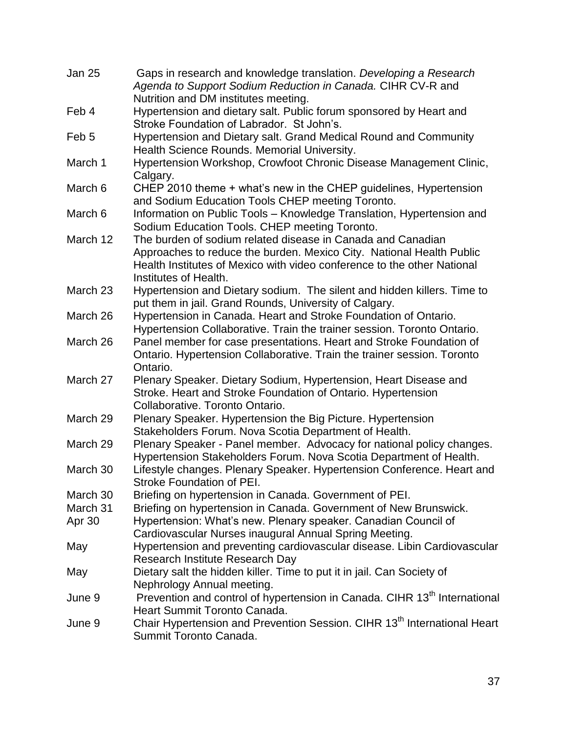| Jan 25           | Gaps in research and knowledge translation. Developing a Research<br>Agenda to Support Sodium Reduction in Canada. CIHR CV-R and                                                                                                        |
|------------------|-----------------------------------------------------------------------------------------------------------------------------------------------------------------------------------------------------------------------------------------|
|                  | Nutrition and DM institutes meeting.                                                                                                                                                                                                    |
| Feb 4            | Hypertension and dietary salt. Public forum sponsored by Heart and<br>Stroke Foundation of Labrador. St John's.                                                                                                                         |
| Feb <sub>5</sub> | Hypertension and Dietary salt. Grand Medical Round and Community<br>Health Science Rounds. Memorial University.                                                                                                                         |
| March 1          | Hypertension Workshop, Crowfoot Chronic Disease Management Clinic,<br>Calgary.                                                                                                                                                          |
| March 6          | CHEP 2010 theme + what's new in the CHEP guidelines, Hypertension<br>and Sodium Education Tools CHEP meeting Toronto.                                                                                                                   |
| March 6          | Information on Public Tools - Knowledge Translation, Hypertension and<br>Sodium Education Tools. CHEP meeting Toronto.                                                                                                                  |
| March 12         | The burden of sodium related disease in Canada and Canadian<br>Approaches to reduce the burden. Mexico City. National Health Public<br>Health Institutes of Mexico with video conference to the other National<br>Institutes of Health. |
| March 23         | Hypertension and Dietary sodium. The silent and hidden killers. Time to<br>put them in jail. Grand Rounds, University of Calgary.                                                                                                       |
| March 26         | Hypertension in Canada. Heart and Stroke Foundation of Ontario.<br>Hypertension Collaborative. Train the trainer session. Toronto Ontario.                                                                                              |
| March 26         | Panel member for case presentations. Heart and Stroke Foundation of<br>Ontario. Hypertension Collaborative. Train the trainer session. Toronto<br>Ontario.                                                                              |
| March 27         | Plenary Speaker. Dietary Sodium, Hypertension, Heart Disease and<br>Stroke. Heart and Stroke Foundation of Ontario. Hypertension<br>Collaborative. Toronto Ontario.                                                                     |
| March 29         | Plenary Speaker. Hypertension the Big Picture. Hypertension<br>Stakeholders Forum. Nova Scotia Department of Health.                                                                                                                    |
| March 29         | Plenary Speaker - Panel member. Advocacy for national policy changes.<br>Hypertension Stakeholders Forum. Nova Scotia Department of Health.                                                                                             |
| March 30         | Lifestyle changes. Plenary Speaker. Hypertension Conference. Heart and<br><b>Stroke Foundation of PEI</b>                                                                                                                               |
| March 30         | Briefing on hypertension in Canada. Government of PEI.                                                                                                                                                                                  |
| March 31         | Briefing on hypertension in Canada. Government of New Brunswick.                                                                                                                                                                        |
| Apr 30           | Hypertension: What's new. Plenary speaker. Canadian Council of<br>Cardiovascular Nurses inaugural Annual Spring Meeting.                                                                                                                |
| May              | Hypertension and preventing cardiovascular disease. Libin Cardiovascular<br><b>Research Institute Research Day</b>                                                                                                                      |
| May              | Dietary salt the hidden killer. Time to put it in jail. Can Society of<br>Nephrology Annual meeting.                                                                                                                                    |
| June 9           | Prevention and control of hypertension in Canada. CIHR 13 <sup>th</sup> International<br>Heart Summit Toronto Canada.                                                                                                                   |
| June 9           | Chair Hypertension and Prevention Session. CIHR 13 <sup>th</sup> International Heart<br>Summit Toronto Canada.                                                                                                                          |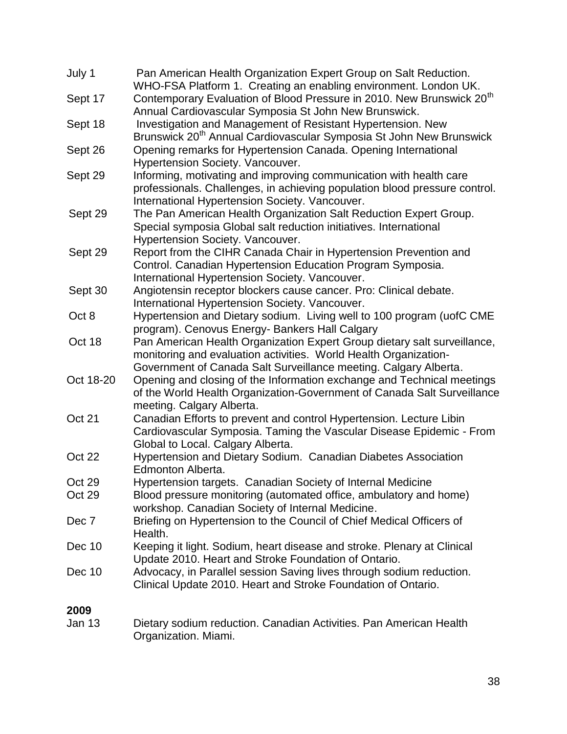| July 1    | Pan American Health Organization Expert Group on Salt Reduction.<br>WHO-FSA Platform 1. Creating an enabling environment. London UK.           |
|-----------|------------------------------------------------------------------------------------------------------------------------------------------------|
| Sept 17   | Contemporary Evaluation of Blood Pressure in 2010. New Brunswick 20 <sup>th</sup>                                                              |
|           | Annual Cardiovascular Symposia St John New Brunswick.                                                                                          |
| Sept 18   | Investigation and Management of Resistant Hypertension. New<br>Brunswick 20 <sup>th</sup> Annual Cardiovascular Symposia St John New Brunswick |
| Sept 26   | Opening remarks for Hypertension Canada. Opening International                                                                                 |
|           | Hypertension Society. Vancouver.                                                                                                               |
| Sept 29   | Informing, motivating and improving communication with health care                                                                             |
|           | professionals. Challenges, in achieving population blood pressure control.                                                                     |
|           | International Hypertension Society. Vancouver.                                                                                                 |
| Sept 29   | The Pan American Health Organization Salt Reduction Expert Group.                                                                              |
|           | Special symposia Global salt reduction initiatives. International                                                                              |
|           | Hypertension Society. Vancouver.                                                                                                               |
| Sept 29   | Report from the CIHR Canada Chair in Hypertension Prevention and                                                                               |
|           | Control. Canadian Hypertension Education Program Symposia.                                                                                     |
|           | International Hypertension Society. Vancouver.                                                                                                 |
| Sept 30   | Angiotensin receptor blockers cause cancer. Pro: Clinical debate.                                                                              |
|           | International Hypertension Society. Vancouver.                                                                                                 |
| Oct 8     | Hypertension and Dietary sodium. Living well to 100 program (uofC CME                                                                          |
|           | program). Cenovus Energy- Bankers Hall Calgary                                                                                                 |
| Oct 18    | Pan American Health Organization Expert Group dietary salt surveillance,                                                                       |
|           | monitoring and evaluation activities. World Health Organization-                                                                               |
|           | Government of Canada Salt Surveillance meeting. Calgary Alberta.                                                                               |
| Oct 18-20 | Opening and closing of the Information exchange and Technical meetings                                                                         |
|           | of the World Health Organization-Government of Canada Salt Surveillance                                                                        |
|           | meeting. Calgary Alberta.                                                                                                                      |
| Oct 21    | Canadian Efforts to prevent and control Hypertension. Lecture Libin                                                                            |
|           | Cardiovascular Symposia. Taming the Vascular Disease Epidemic - From                                                                           |
|           | Global to Local. Calgary Alberta.                                                                                                              |
| Oct 22    | Hypertension and Dietary Sodium. Canadian Diabetes Association                                                                                 |
| Oct 29    | Edmonton Alberta.                                                                                                                              |
| Oct 29    | Hypertension targets. Canadian Society of Internal Medicine                                                                                    |
|           | Blood pressure monitoring (automated office, ambulatory and home)<br>workshop. Canadian Society of Internal Medicine.                          |
| Dec 7     | Briefing on Hypertension to the Council of Chief Medical Officers of                                                                           |
|           | Health.                                                                                                                                        |
| Dec 10    | Keeping it light. Sodium, heart disease and stroke. Plenary at Clinical                                                                        |
|           | Update 2010. Heart and Stroke Foundation of Ontario.                                                                                           |
| Dec 10    | Advocacy, in Parallel session Saving lives through sodium reduction.                                                                           |
|           | Clinical Update 2010. Heart and Stroke Foundation of Ontario.                                                                                  |
| 2009      |                                                                                                                                                |
| Jan 13    | Dietary sodium reduction. Canadian Activities. Pan American Health                                                                             |
|           | Organization. Miami.                                                                                                                           |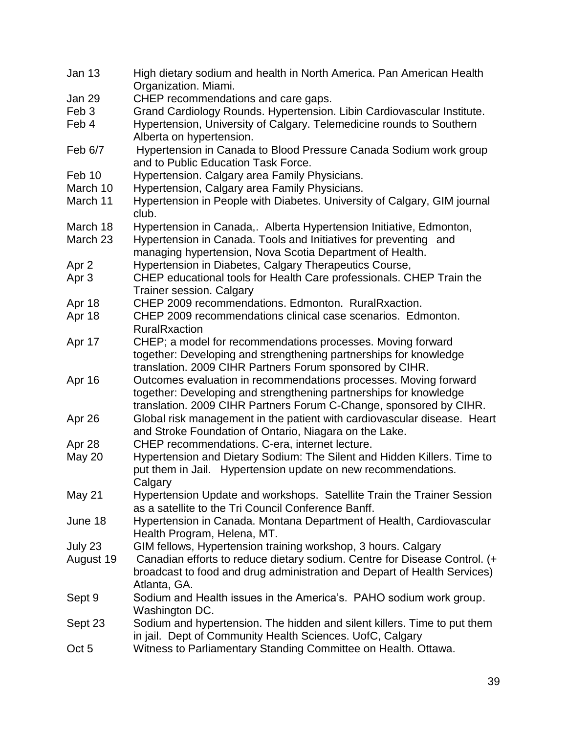| Jan 13           | High dietary sodium and health in North America. Pan American Health                             |
|------------------|--------------------------------------------------------------------------------------------------|
|                  | Organization. Miami.                                                                             |
| Jan 29           | CHEP recommendations and care gaps.                                                              |
| Feb 3            | Grand Cardiology Rounds. Hypertension. Libin Cardiovascular Institute.                           |
| Feb 4            | Hypertension, University of Calgary. Telemedicine rounds to Southern<br>Alberta on hypertension. |
| Feb 6/7          | Hypertension in Canada to Blood Pressure Canada Sodium work group                                |
|                  | and to Public Education Task Force.                                                              |
| Feb 10           | Hypertension. Calgary area Family Physicians.                                                    |
| March 10         | Hypertension, Calgary area Family Physicians.                                                    |
| March 11         | Hypertension in People with Diabetes. University of Calgary, GIM journal<br>club.                |
| March 18         | Hypertension in Canada,. Alberta Hypertension Initiative, Edmonton,                              |
| March 23         | Hypertension in Canada. Tools and Initiatives for preventing and                                 |
|                  | managing hypertension, Nova Scotia Department of Health.                                         |
| Apr <sub>2</sub> | Hypertension in Diabetes, Calgary Therapeutics Course,                                           |
| Apr <sub>3</sub> | CHEP educational tools for Health Care professionals. CHEP Train the                             |
|                  | <b>Trainer session. Calgary</b>                                                                  |
| Apr 18           | CHEP 2009 recommendations. Edmonton. RuralRxaction.                                              |
| Apr 18           | CHEP 2009 recommendations clinical case scenarios. Edmonton.                                     |
|                  | <b>RuralRxaction</b>                                                                             |
| Apr 17           | CHEP; a model for recommendations processes. Moving forward                                      |
|                  | together: Developing and strengthening partnerships for knowledge                                |
|                  | translation. 2009 CIHR Partners Forum sponsored by CIHR.                                         |
| Apr 16           | Outcomes evaluation in recommendations processes. Moving forward                                 |
|                  | together: Developing and strengthening partnerships for knowledge                                |
|                  | translation. 2009 CIHR Partners Forum C-Change, sponsored by CIHR.                               |
| Apr 26           | Global risk management in the patient with cardiovascular disease. Heart                         |
|                  | and Stroke Foundation of Ontario, Niagara on the Lake.                                           |
| Apr 28           | CHEP recommendations. C-era, internet lecture.                                                   |
| <b>May 20</b>    | Hypertension and Dietary Sodium: The Silent and Hidden Killers. Time to                          |
|                  | put them in Jail. Hypertension update on new recommendations.                                    |
|                  | Calgary                                                                                          |
| May 21           | Hypertension Update and workshops. Satellite Train the Trainer Session                           |
|                  | as a satellite to the Tri Council Conference Banff.                                              |
| June 18          | Hypertension in Canada. Montana Department of Health, Cardiovascular                             |
|                  | Health Program, Helena, MT.                                                                      |
| July 23          | GIM fellows, Hypertension training workshop, 3 hours. Calgary                                    |
| August 19        | Canadian efforts to reduce dietary sodium. Centre for Disease Control. (+                        |
|                  | broadcast to food and drug administration and Depart of Health Services)                         |
|                  | Atlanta, GA.                                                                                     |
| Sept 9           | Sodium and Health issues in the America's. PAHO sodium work group.                               |
|                  | Washington DC.                                                                                   |
| Sept 23          | Sodium and hypertension. The hidden and silent killers. Time to put them                         |
|                  | in jail. Dept of Community Health Sciences. UofC, Calgary                                        |
| Oct 5            | Witness to Parliamentary Standing Committee on Health. Ottawa.                                   |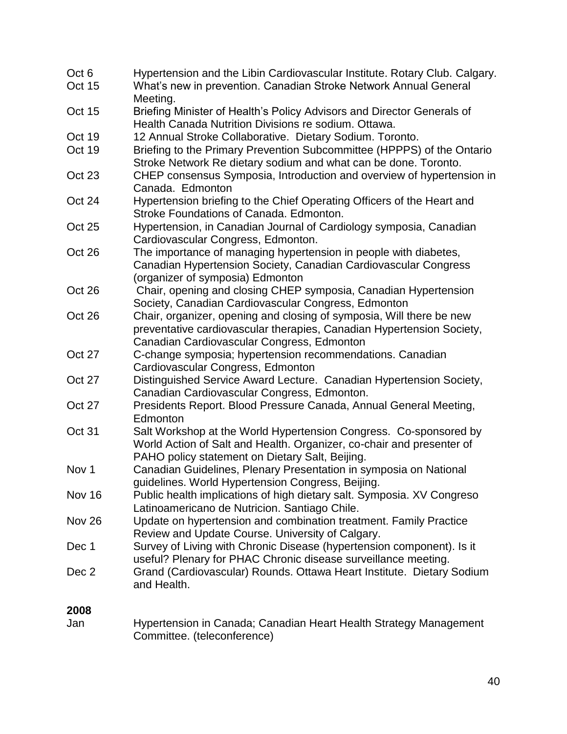| Oct 6<br><b>Oct 15</b> | Hypertension and the Libin Cardiovascular Institute. Rotary Club. Calgary.                                                                                                                    |
|------------------------|-----------------------------------------------------------------------------------------------------------------------------------------------------------------------------------------------|
|                        | What's new in prevention. Canadian Stroke Network Annual General<br>Meeting.                                                                                                                  |
| <b>Oct 15</b>          | Briefing Minister of Health's Policy Advisors and Director Generals of                                                                                                                        |
|                        | Health Canada Nutrition Divisions re sodium, Ottawa.                                                                                                                                          |
| Oct 19                 | 12 Annual Stroke Collaborative. Dietary Sodium. Toronto.                                                                                                                                      |
| Oct 19                 | Briefing to the Primary Prevention Subcommittee (HPPPS) of the Ontario<br>Stroke Network Re dietary sodium and what can be done. Toronto.                                                     |
| Oct 23                 | CHEP consensus Symposia, Introduction and overview of hypertension in<br>Canada. Edmonton                                                                                                     |
| Oct 24                 | Hypertension briefing to the Chief Operating Officers of the Heart and<br>Stroke Foundations of Canada. Edmonton.                                                                             |
| <b>Oct 25</b>          | Hypertension, in Canadian Journal of Cardiology symposia, Canadian<br>Cardiovascular Congress, Edmonton.                                                                                      |
| Oct 26                 | The importance of managing hypertension in people with diabetes,<br>Canadian Hypertension Society, Canadian Cardiovascular Congress<br>(organizer of symposia) Edmonton                       |
| Oct 26                 | Chair, opening and closing CHEP symposia, Canadian Hypertension<br>Society, Canadian Cardiovascular Congress, Edmonton                                                                        |
| Oct 26                 | Chair, organizer, opening and closing of symposia, Will there be new<br>preventative cardiovascular therapies, Canadian Hypertension Society,<br>Canadian Cardiovascular Congress, Edmonton   |
| Oct 27                 | C-change symposia; hypertension recommendations. Canadian<br>Cardiovascular Congress, Edmonton                                                                                                |
| Oct 27                 | Distinguished Service Award Lecture. Canadian Hypertension Society,<br>Canadian Cardiovascular Congress, Edmonton.                                                                            |
| Oct 27                 | Presidents Report. Blood Pressure Canada, Annual General Meeting,<br>Edmonton                                                                                                                 |
| Oct 31                 | Salt Workshop at the World Hypertension Congress. Co-sponsored by<br>World Action of Salt and Health. Organizer, co-chair and presenter of<br>PAHO policy statement on Dietary Salt, Beijing. |
| Nov <sub>1</sub>       | Canadian Guidelines, Plenary Presentation in symposia on National<br>guidelines. World Hypertension Congress, Beijing.                                                                        |
| Nov 16                 | Public health implications of high dietary salt. Symposia. XV Congreso<br>Latinoamericano de Nutricion. Santiago Chile.                                                                       |
| Nov 26                 | Update on hypertension and combination treatment. Family Practice<br>Review and Update Course. University of Calgary.                                                                         |
| Dec 1                  | Survey of Living with Chronic Disease (hypertension component). Is it<br>useful? Plenary for PHAC Chronic disease surveillance meeting.                                                       |
| Dec 2                  | Grand (Cardiovascular) Rounds. Ottawa Heart Institute. Dietary Sodium<br>and Health.                                                                                                          |
| 2008                   |                                                                                                                                                                                               |

Jan Hypertension in Canada; Canadian Heart Health Strategy Management Committee. (teleconference)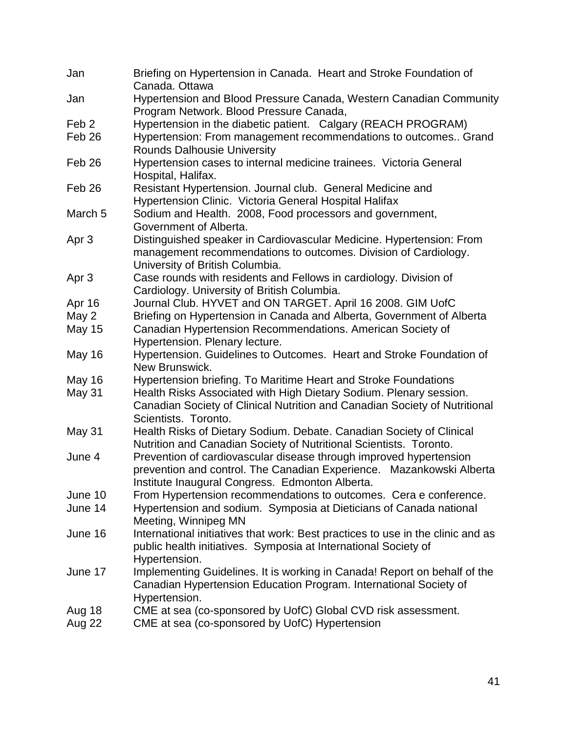| Jan                | Briefing on Hypertension in Canada. Heart and Stroke Foundation of<br>Canada. Ottawa                                                                                                          |
|--------------------|-----------------------------------------------------------------------------------------------------------------------------------------------------------------------------------------------|
| Jan                | Hypertension and Blood Pressure Canada, Western Canadian Community<br>Program Network. Blood Pressure Canada,                                                                                 |
| Feb <sub>2</sub>   | Hypertension in the diabetic patient. Calgary (REACH PROGRAM)                                                                                                                                 |
| Feb <sub>26</sub>  | Hypertension: From management recommendations to outcomes Grand<br>Rounds Dalhousie University                                                                                                |
| Feb <sub>26</sub>  | Hypertension cases to internal medicine trainees. Victoria General<br>Hospital, Halifax.                                                                                                      |
| Feb <sub>26</sub>  | Resistant Hypertension. Journal club. General Medicine and<br>Hypertension Clinic. Victoria General Hospital Halifax                                                                          |
| March <sub>5</sub> | Sodium and Health. 2008, Food processors and government,<br>Government of Alberta.                                                                                                            |
| Apr <sub>3</sub>   | Distinguished speaker in Cardiovascular Medicine. Hypertension: From<br>management recommendations to outcomes. Division of Cardiology.<br>University of British Columbia.                    |
| Apr 3              | Case rounds with residents and Fellows in cardiology. Division of<br>Cardiology. University of British Columbia.                                                                              |
| Apr 16             | Journal Club. HYVET and ON TARGET. April 16 2008. GIM UofC                                                                                                                                    |
| May 2              | Briefing on Hypertension in Canada and Alberta, Government of Alberta                                                                                                                         |
| <b>May 15</b>      | Canadian Hypertension Recommendations. American Society of<br>Hypertension. Plenary lecture.                                                                                                  |
| <b>May 16</b>      | Hypertension. Guidelines to Outcomes. Heart and Stroke Foundation of<br>New Brunswick.                                                                                                        |
| <b>May 16</b>      | Hypertension briefing. To Maritime Heart and Stroke Foundations                                                                                                                               |
| May 31             | Health Risks Associated with High Dietary Sodium. Plenary session.<br>Canadian Society of Clinical Nutrition and Canadian Society of Nutritional<br>Scientists. Toronto.                      |
| May 31             | Health Risks of Dietary Sodium. Debate. Canadian Society of Clinical<br>Nutrition and Canadian Society of Nutritional Scientists. Toronto.                                                    |
| June 4             | Prevention of cardiovascular disease through improved hypertension<br>prevention and control. The Canadian Experience. Mazankowski Alberta<br>Institute Inaugural Congress. Edmonton Alberta. |
| June 10            | From Hypertension recommendations to outcomes. Cera e conference.                                                                                                                             |
| June 14            | Hypertension and sodium. Symposia at Dieticians of Canada national<br>Meeting, Winnipeg MN                                                                                                    |
| June 16            | International initiatives that work: Best practices to use in the clinic and as<br>public health initiatives. Symposia at International Society of<br>Hypertension.                           |
| June 17            | Implementing Guidelines. It is working in Canada! Report on behalf of the<br>Canadian Hypertension Education Program. International Society of<br>Hypertension.                               |
| Aug 18             | CME at sea (co-sponsored by UofC) Global CVD risk assessment.                                                                                                                                 |
| Aug 22             | CME at sea (co-sponsored by UofC) Hypertension                                                                                                                                                |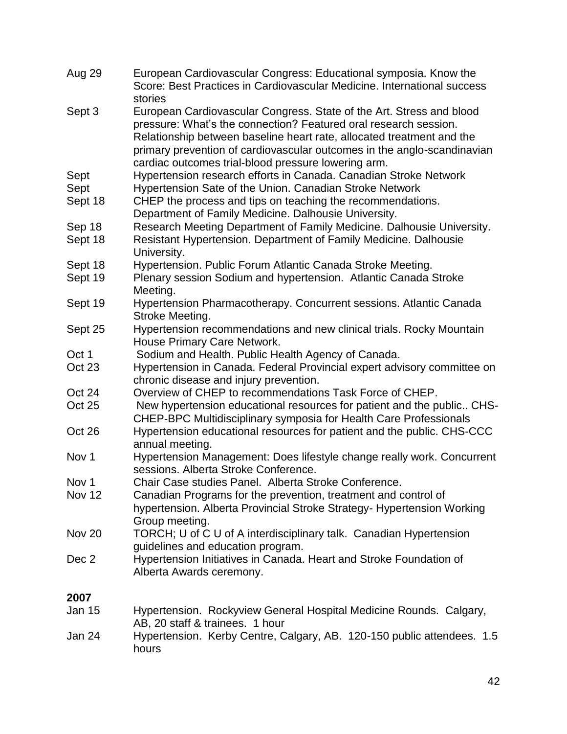| Aug 29           | European Cardiovascular Congress: Educational symposia. Know the<br>Score: Best Practices in Cardiovascular Medicine. International success<br>stories                                                                                                                                                                                              |
|------------------|-----------------------------------------------------------------------------------------------------------------------------------------------------------------------------------------------------------------------------------------------------------------------------------------------------------------------------------------------------|
| Sept 3           | European Cardiovascular Congress. State of the Art. Stress and blood<br>pressure: What's the connection? Featured oral research session.<br>Relationship between baseline heart rate, allocated treatment and the<br>primary prevention of cardiovascular outcomes in the anglo-scandinavian<br>cardiac outcomes trial-blood pressure lowering arm. |
| Sept             | Hypertension research efforts in Canada. Canadian Stroke Network                                                                                                                                                                                                                                                                                    |
| Sept             | Hypertension Sate of the Union. Canadian Stroke Network                                                                                                                                                                                                                                                                                             |
| Sept 18          | CHEP the process and tips on teaching the recommendations.<br>Department of Family Medicine. Dalhousie University.                                                                                                                                                                                                                                  |
| Sep 18           | Research Meeting Department of Family Medicine. Dalhousie University.                                                                                                                                                                                                                                                                               |
| Sept 18          | Resistant Hypertension. Department of Family Medicine. Dalhousie<br>University.                                                                                                                                                                                                                                                                     |
| Sept 18          | Hypertension. Public Forum Atlantic Canada Stroke Meeting.                                                                                                                                                                                                                                                                                          |
| Sept 19          | Plenary session Sodium and hypertension. Atlantic Canada Stroke<br>Meeting.                                                                                                                                                                                                                                                                         |
| Sept 19          | Hypertension Pharmacotherapy. Concurrent sessions. Atlantic Canada<br>Stroke Meeting.                                                                                                                                                                                                                                                               |
| Sept 25          | Hypertension recommendations and new clinical trials. Rocky Mountain<br>House Primary Care Network.                                                                                                                                                                                                                                                 |
| Oct 1            | Sodium and Health. Public Health Agency of Canada.                                                                                                                                                                                                                                                                                                  |
| Oct 23           | Hypertension in Canada. Federal Provincial expert advisory committee on<br>chronic disease and injury prevention.                                                                                                                                                                                                                                   |
| Oct 24           | Overview of CHEP to recommendations Task Force of CHEP.                                                                                                                                                                                                                                                                                             |
| Oct 25           | New hypertension educational resources for patient and the public CHS-<br>CHEP-BPC Multidisciplinary symposia for Health Care Professionals                                                                                                                                                                                                         |
| Oct 26           | Hypertension educational resources for patient and the public. CHS-CCC<br>annual meeting.                                                                                                                                                                                                                                                           |
| Nov <sub>1</sub> | Hypertension Management: Does lifestyle change really work. Concurrent<br>sessions. Alberta Stroke Conference.                                                                                                                                                                                                                                      |
| Nov 1            | Chair Case studies Panel. Alberta Stroke Conference                                                                                                                                                                                                                                                                                                 |
| <b>Nov 12</b>    | Canadian Programs for the prevention, treatment and control of<br>hypertension. Alberta Provincial Stroke Strategy- Hypertension Working<br>Group meeting.                                                                                                                                                                                          |
| Nov 20           | TORCH; U of C U of A interdisciplinary talk. Canadian Hypertension<br>guidelines and education program.                                                                                                                                                                                                                                             |
| Dec 2            | Hypertension Initiatives in Canada. Heart and Stroke Foundation of<br>Alberta Awards ceremony.                                                                                                                                                                                                                                                      |
| 2007             |                                                                                                                                                                                                                                                                                                                                                     |
| Jan 15           | Hypertension. Rockyview General Hospital Medicine Rounds. Calgary,<br>AB, 20 staff & trainees. 1 hour                                                                                                                                                                                                                                               |
| Jan 24           | Hypertension. Kerby Centre, Calgary, AB. 120-150 public attendees. 1.5<br>hours                                                                                                                                                                                                                                                                     |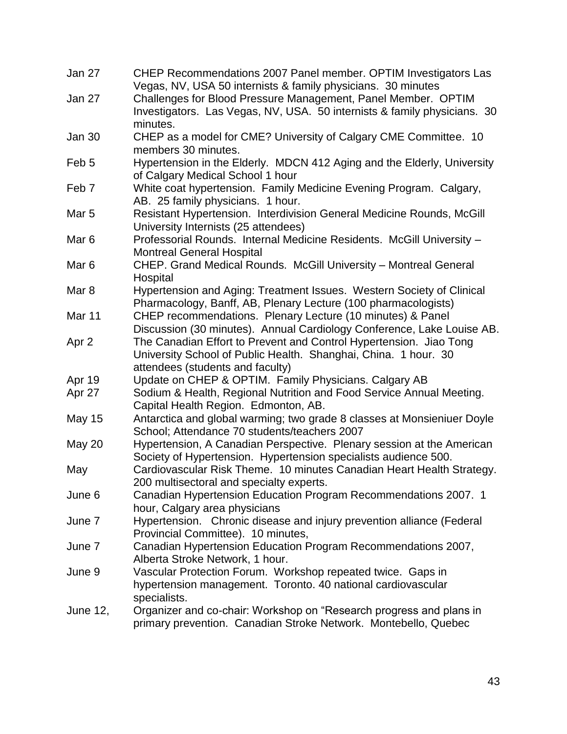| Jan 27           | CHEP Recommendations 2007 Panel member. OPTIM Investigators Las                                               |
|------------------|---------------------------------------------------------------------------------------------------------------|
|                  | Vegas, NV, USA 50 internists & family physicians. 30 minutes                                                  |
| Jan 27           | Challenges for Blood Pressure Management, Panel Member. OPTIM                                                 |
|                  | Investigators. Las Vegas, NV, USA. 50 internists & family physicians. 30                                      |
|                  | minutes.                                                                                                      |
| <b>Jan 30</b>    | CHEP as a model for CME? University of Calgary CME Committee. 10                                              |
|                  | members 30 minutes.                                                                                           |
| Feb 5            | Hypertension in the Elderly. MDCN 412 Aging and the Elderly, University                                       |
|                  | of Calgary Medical School 1 hour                                                                              |
| Feb <sub>7</sub> | White coat hypertension. Family Medicine Evening Program. Calgary,                                            |
| Mar <sub>5</sub> | AB. 25 family physicians. 1 hour.                                                                             |
|                  | Resistant Hypertension. Interdivision General Medicine Rounds, McGill                                         |
| Mar <sub>6</sub> | University Internists (25 attendees)<br>Professorial Rounds. Internal Medicine Residents. McGill University - |
|                  | <b>Montreal General Hospital</b>                                                                              |
| Mar <sub>6</sub> | CHEP. Grand Medical Rounds. McGill University - Montreal General                                              |
|                  | Hospital                                                                                                      |
| Mar <sub>8</sub> | Hypertension and Aging: Treatment Issues. Western Society of Clinical                                         |
|                  | Pharmacology, Banff, AB, Plenary Lecture (100 pharmacologists)                                                |
| Mar 11           | CHEP recommendations. Plenary Lecture (10 minutes) & Panel                                                    |
|                  | Discussion (30 minutes). Annual Cardiology Conference, Lake Louise AB.                                        |
| Apr <sub>2</sub> | The Canadian Effort to Prevent and Control Hypertension. Jiao Tong                                            |
|                  | University School of Public Health. Shanghai, China. 1 hour. 30                                               |
|                  | attendees (students and faculty)                                                                              |
| Apr 19           | Update on CHEP & OPTIM. Family Physicians. Calgary AB                                                         |
| Apr 27           | Sodium & Health, Regional Nutrition and Food Service Annual Meeting.                                          |
|                  | Capital Health Region. Edmonton, AB.                                                                          |
| <b>May 15</b>    | Antarctica and global warming; two grade 8 classes at Monsieniuer Doyle                                       |
|                  | School; Attendance 70 students/teachers 2007                                                                  |
| May 20           | Hypertension, A Canadian Perspective. Plenary session at the American                                         |
|                  | Society of Hypertension. Hypertension specialists audience 500.                                               |
| May              | Cardiovascular Risk Theme. 10 minutes Canadian Heart Health Strategy.                                         |
|                  | 200 multisectoral and specialty experts.                                                                      |
| June 6           | Canadian Hypertension Education Program Recommendations 2007. 1                                               |
|                  | hour, Calgary area physicians                                                                                 |
| June 7           | Hypertension. Chronic disease and injury prevention alliance (Federal                                         |
|                  | Provincial Committee). 10 minutes,                                                                            |
| June 7           | Canadian Hypertension Education Program Recommendations 2007,                                                 |
|                  | Alberta Stroke Network, 1 hour.                                                                               |
| June 9           | Vascular Protection Forum. Workshop repeated twice. Gaps in                                                   |
|                  | hypertension management. Toronto. 40 national cardiovascular                                                  |
|                  | specialists.                                                                                                  |
| June 12,         | Organizer and co-chair: Workshop on "Research progress and plans in                                           |
|                  | primary prevention. Canadian Stroke Network. Montebello, Quebec                                               |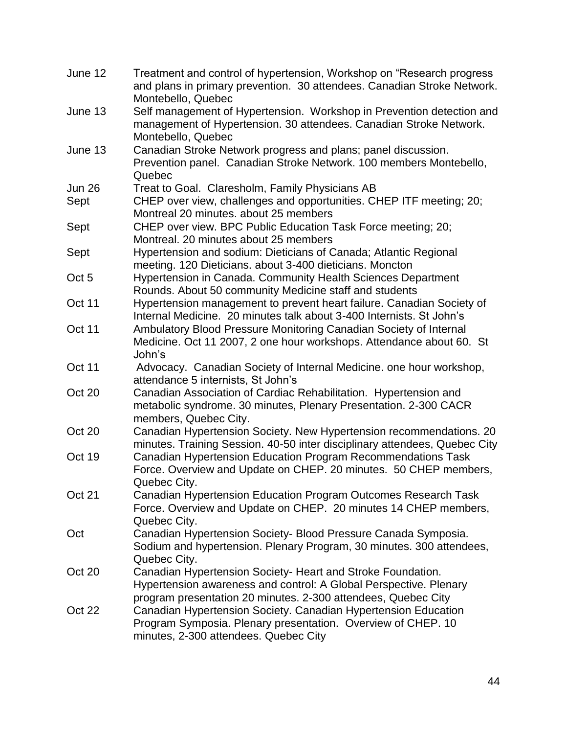| June 12          | Treatment and control of hypertension, Workshop on "Research progress"<br>and plans in primary prevention. 30 attendees. Canadian Stroke Network.                                                       |
|------------------|---------------------------------------------------------------------------------------------------------------------------------------------------------------------------------------------------------|
| June 13          | Montebello, Quebec<br>Self management of Hypertension. Workshop in Prevention detection and                                                                                                             |
|                  | management of Hypertension. 30 attendees. Canadian Stroke Network.<br>Montebello, Quebec                                                                                                                |
| June 13          | Canadian Stroke Network progress and plans; panel discussion.<br>Prevention panel. Canadian Stroke Network. 100 members Montebello,                                                                     |
| <b>Jun 26</b>    | Quebec<br>Treat to Goal. Claresholm, Family Physicians AB                                                                                                                                               |
| Sept             | CHEP over view, challenges and opportunities. CHEP ITF meeting; 20;<br>Montreal 20 minutes. about 25 members                                                                                            |
| Sept             | CHEP over view. BPC Public Education Task Force meeting; 20;<br>Montreal. 20 minutes about 25 members                                                                                                   |
| Sept             | Hypertension and sodium: Dieticians of Canada; Atlantic Regional                                                                                                                                        |
| Oct <sub>5</sub> | meeting. 120 Dieticians. about 3-400 dieticians. Moncton<br>Hypertension in Canada. Community Health Sciences Department                                                                                |
| Oct 11           | Rounds. About 50 community Medicine staff and students<br>Hypertension management to prevent heart failure. Canadian Society of<br>Internal Medicine. 20 minutes talk about 3-400 Internists. St John's |
| Oct 11           | Ambulatory Blood Pressure Monitoring Canadian Society of Internal<br>Medicine. Oct 11 2007, 2 one hour workshops. Attendance about 60. St<br>John's                                                     |
| Oct 11           | Advocacy. Canadian Society of Internal Medicine. one hour workshop,<br>attendance 5 internists, St John's                                                                                               |
| Oct 20           | Canadian Association of Cardiac Rehabilitation. Hypertension and<br>metabolic syndrome. 30 minutes, Plenary Presentation. 2-300 CACR<br>members, Quebec City.                                           |
| Oct 20           | Canadian Hypertension Society. New Hypertension recommendations. 20<br>minutes. Training Session. 40-50 inter disciplinary attendees, Quebec City                                                       |
| Oct 19           | Canadian Hypertension Education Program Recommendations Task<br>Force. Overview and Update on CHEP. 20 minutes. 50 CHEP members,<br>Quebec City.                                                        |
| Oct 21           | Canadian Hypertension Education Program Outcomes Research Task<br>Force. Overview and Update on CHEP. 20 minutes 14 CHEP members,<br>Quebec City.                                                       |
| Oct              | Canadian Hypertension Society- Blood Pressure Canada Symposia.<br>Sodium and hypertension. Plenary Program, 30 minutes. 300 attendees,<br>Quebec City.                                                  |
| Oct 20           | Canadian Hypertension Society- Heart and Stroke Foundation.<br>Hypertension awareness and control: A Global Perspective. Plenary<br>program presentation 20 minutes. 2-300 attendees, Quebec City       |
| Oct 22           | Canadian Hypertension Society. Canadian Hypertension Education<br>Program Symposia. Plenary presentation. Overview of CHEP. 10<br>minutes, 2-300 attendees. Quebec City                                 |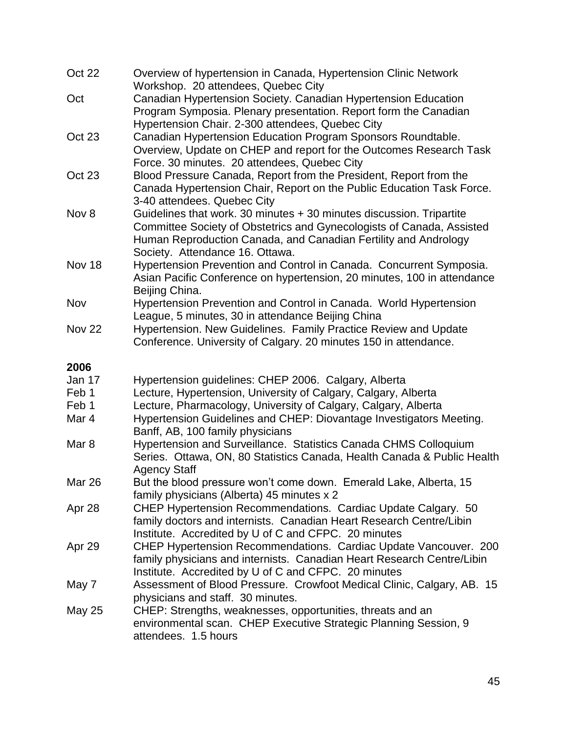| Oct 22           | Overview of hypertension in Canada, Hypertension Clinic Network<br>Workshop. 20 attendees, Quebec City                                                                      |
|------------------|-----------------------------------------------------------------------------------------------------------------------------------------------------------------------------|
| Oct              | Canadian Hypertension Society. Canadian Hypertension Education<br>Program Symposia. Plenary presentation. Report form the Canadian                                          |
|                  | Hypertension Chair. 2-300 attendees, Quebec City                                                                                                                            |
| Oct 23           | Canadian Hypertension Education Program Sponsors Roundtable.                                                                                                                |
|                  | Overview, Update on CHEP and report for the Outcomes Research Task                                                                                                          |
|                  | Force. 30 minutes. 20 attendees, Quebec City                                                                                                                                |
| Oct 23           | Blood Pressure Canada, Report from the President, Report from the                                                                                                           |
|                  | Canada Hypertension Chair, Report on the Public Education Task Force.<br>3-40 attendees. Quebec City                                                                        |
| Nov 8            | Guidelines that work. 30 minutes + 30 minutes discussion. Tripartite                                                                                                        |
|                  | Committee Society of Obstetrics and Gynecologists of Canada, Assisted<br>Human Reproduction Canada, and Canadian Fertility and Andrology<br>Society. Attendance 16. Ottawa. |
| Nov 18           | Hypertension Prevention and Control in Canada. Concurrent Symposia.                                                                                                         |
|                  | Asian Pacific Conference on hypertension, 20 minutes, 100 in attendance<br>Beijing China.                                                                                   |
| Nov              | Hypertension Prevention and Control in Canada. World Hypertension                                                                                                           |
|                  | League, 5 minutes, 30 in attendance Beijing China                                                                                                                           |
| <b>Nov 22</b>    | Hypertension. New Guidelines. Family Practice Review and Update                                                                                                             |
|                  | Conference. University of Calgary. 20 minutes 150 in attendance.                                                                                                            |
| 2006             |                                                                                                                                                                             |
| Jan 17           | Hypertension guidelines: CHEP 2006. Calgary, Alberta                                                                                                                        |
| Feb 1            | Lecture, Hypertension, University of Calgary, Calgary, Alberta                                                                                                              |
| Feb 1            | Lecture, Pharmacology, University of Calgary, Calgary, Alberta                                                                                                              |
| Mar 4            | Hypertension Guidelines and CHEP: Diovantage Investigators Meeting.<br>Banff, AB, 100 family physicians                                                                     |
| Mar <sub>8</sub> | Hypertension and Surveillance. Statistics Canada CHMS Colloquium<br>Series. Ottawa, ON, 80 Statistics Canada, Health Canada & Public Health<br><b>Agency Staff</b>          |
| Mar 26           | But the blood pressure won't come down. Emerald Lake, Alberta, 15<br>family physicians (Alberta) 45 minutes x 2                                                             |
| Apr 28           | CHEP Hypertension Recommendations. Cardiac Update Calgary. 50                                                                                                               |
|                  | family doctors and internists. Canadian Heart Research Centre/Libin<br>Institute. Accredited by U of C and CFPC. 20 minutes                                                 |
| Apr 29           | <b>CHEP Hypertension Recommendations. Cardiac Update Vancouver. 200</b>                                                                                                     |
|                  | family physicians and internists. Canadian Heart Research Centre/Libin<br>Institute. Accredited by U of C and CFPC. 20 minutes                                              |
| May 7            | Assessment of Blood Pressure. Crowfoot Medical Clinic, Calgary, AB. 15<br>physicians and staff. 30 minutes.                                                                 |
|                  |                                                                                                                                                                             |
| May 25           | CHEP: Strengths, weaknesses, opportunities, threats and an                                                                                                                  |
|                  | environmental scan. CHEP Executive Strategic Planning Session, 9                                                                                                            |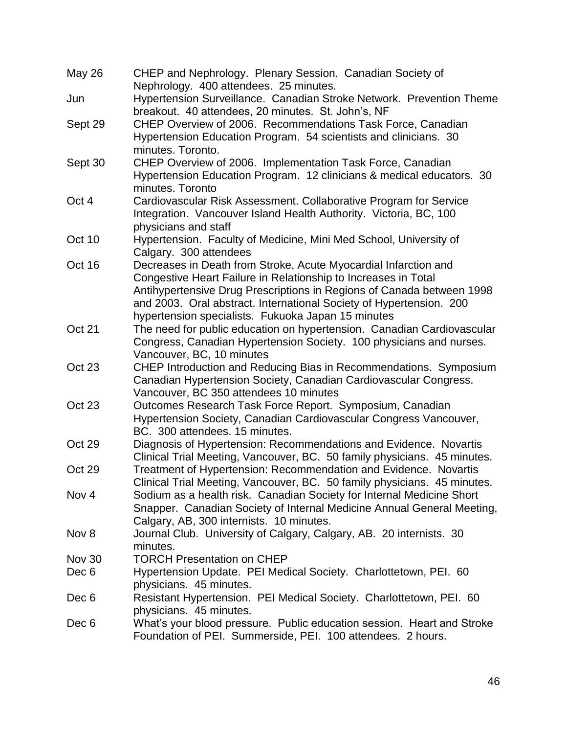| May 26           | CHEP and Nephrology. Plenary Session. Canadian Society of<br>Nephrology. 400 attendees. 25 minutes. |
|------------------|-----------------------------------------------------------------------------------------------------|
| Jun              | Hypertension Surveillance. Canadian Stroke Network. Prevention Theme                                |
|                  | breakout. 40 attendees, 20 minutes. St. John's, NF                                                  |
| Sept 29          | CHEP Overview of 2006. Recommendations Task Force, Canadian                                         |
|                  | Hypertension Education Program. 54 scientists and clinicians. 30                                    |
|                  | minutes. Toronto.                                                                                   |
| Sept 30          | CHEP Overview of 2006. Implementation Task Force, Canadian                                          |
|                  | Hypertension Education Program. 12 clinicians & medical educators. 30                               |
|                  | minutes. Toronto                                                                                    |
| Oct 4            | Cardiovascular Risk Assessment. Collaborative Program for Service                                   |
|                  | Integration. Vancouver Island Health Authority. Victoria, BC, 100                                   |
|                  | physicians and staff                                                                                |
| Oct 10           | Hypertension. Faculty of Medicine, Mini Med School, University of                                   |
|                  | Calgary. 300 attendees                                                                              |
| Oct 16           | Decreases in Death from Stroke, Acute Myocardial Infarction and                                     |
|                  | Congestive Heart Failure in Relationship to Increases in Total                                      |
|                  | Antihypertensive Drug Prescriptions in Regions of Canada between 1998                               |
|                  | and 2003. Oral abstract. International Society of Hypertension. 200                                 |
|                  | hypertension specialists. Fukuoka Japan 15 minutes                                                  |
| <b>Oct 21</b>    | The need for public education on hypertension. Canadian Cardiovascular                              |
|                  | Congress, Canadian Hypertension Society. 100 physicians and nurses.                                 |
|                  | Vancouver, BC, 10 minutes                                                                           |
| Oct 23           | CHEP Introduction and Reducing Bias in Recommendations. Symposium                                   |
|                  | Canadian Hypertension Society, Canadian Cardiovascular Congress.                                    |
|                  | Vancouver, BC 350 attendees 10 minutes                                                              |
| Oct 23           | Outcomes Research Task Force Report. Symposium, Canadian                                            |
|                  | Hypertension Society, Canadian Cardiovascular Congress Vancouver,                                   |
|                  | BC. 300 attendees. 15 minutes.                                                                      |
| Oct 29           | Diagnosis of Hypertension: Recommendations and Evidence. Novartis                                   |
|                  | Clinical Trial Meeting, Vancouver, BC. 50 family physicians. 45 minutes.                            |
| Oct 29           | Treatment of Hypertension: Recommendation and Evidence. Novartis                                    |
|                  | Clinical Trial Meeting, Vancouver, BC. 50 family physicians. 45 minutes.                            |
| Nov <sub>4</sub> | Sodium as a health risk. Canadian Society for Internal Medicine Short                               |
|                  | Snapper. Canadian Society of Internal Medicine Annual General Meeting,                              |
|                  | Calgary, AB, 300 internists. 10 minutes.                                                            |
| Nov 8            | Journal Club. University of Calgary, Calgary, AB. 20 internists. 30                                 |
|                  | minutes.                                                                                            |
| Nov 30           | <b>TORCH Presentation on CHEP</b>                                                                   |
| Dec 6            | Hypertension Update. PEI Medical Society. Charlottetown, PEI. 60                                    |
|                  | physicians. 45 minutes.                                                                             |
| Dec 6            | Resistant Hypertension. PEI Medical Society. Charlottetown, PEI. 60                                 |
|                  | physicians. 45 minutes.                                                                             |
| Dec 6            | What's your blood pressure. Public education session. Heart and Stroke                              |
|                  | Foundation of PEI. Summerside, PEI. 100 attendees. 2 hours.                                         |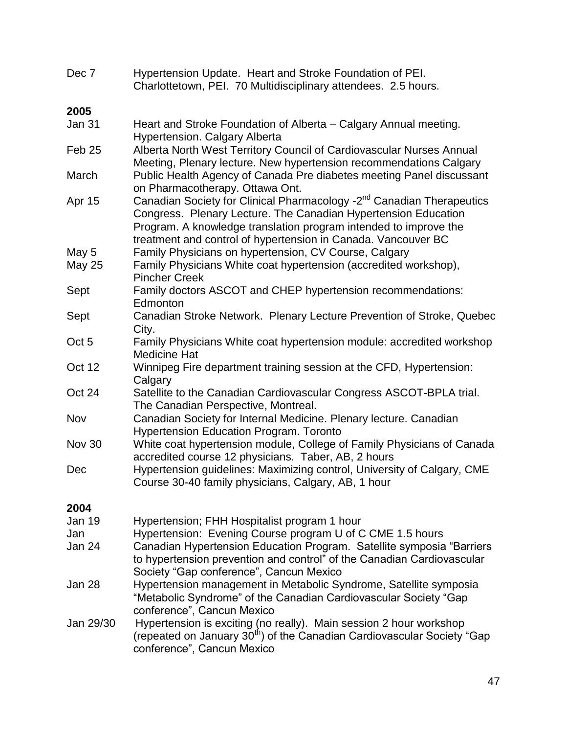| Dec 7             | Hypertension Update. Heart and Stroke Foundation of PEI.<br>Charlottetown, PEI. 70 Multidisciplinary attendees. 2.5 hours.                                                                                                                                                               |
|-------------------|------------------------------------------------------------------------------------------------------------------------------------------------------------------------------------------------------------------------------------------------------------------------------------------|
| 2005              |                                                                                                                                                                                                                                                                                          |
| Jan 31            | Heart and Stroke Foundation of Alberta – Calgary Annual meeting.<br><b>Hypertension. Calgary Alberta</b>                                                                                                                                                                                 |
| Feb <sub>25</sub> | Alberta North West Territory Council of Cardiovascular Nurses Annual<br>Meeting, Plenary lecture. New hypertension recommendations Calgary                                                                                                                                               |
| March             | Public Health Agency of Canada Pre diabetes meeting Panel discussant<br>on Pharmacotherapy. Ottawa Ont.                                                                                                                                                                                  |
| Apr 15            | Canadian Society for Clinical Pharmacology -2 <sup>nd</sup> Canadian Therapeutics<br>Congress. Plenary Lecture. The Canadian Hypertension Education<br>Program. A knowledge translation program intended to improve the<br>treatment and control of hypertension in Canada. Vancouver BC |
| May 5             | Family Physicians on hypertension, CV Course, Calgary                                                                                                                                                                                                                                    |
| <b>May 25</b>     | Family Physicians White coat hypertension (accredited workshop),<br><b>Pincher Creek</b>                                                                                                                                                                                                 |
| Sept              | Family doctors ASCOT and CHEP hypertension recommendations:<br>Edmonton                                                                                                                                                                                                                  |
| Sept              | Canadian Stroke Network. Plenary Lecture Prevention of Stroke, Quebec<br>City.                                                                                                                                                                                                           |
| Oct <sub>5</sub>  | Family Physicians White coat hypertension module: accredited workshop<br><b>Medicine Hat</b>                                                                                                                                                                                             |
| Oct 12            | Winnipeg Fire department training session at the CFD, Hypertension:<br>Calgary                                                                                                                                                                                                           |
| Oct 24            | Satellite to the Canadian Cardiovascular Congress ASCOT-BPLA trial.<br>The Canadian Perspective, Montreal.                                                                                                                                                                               |
| Nov               | Canadian Society for Internal Medicine. Plenary lecture. Canadian<br><b>Hypertension Education Program. Toronto</b>                                                                                                                                                                      |
| <b>Nov 30</b>     | White coat hypertension module, College of Family Physicians of Canada<br>accredited course 12 physicians. Taber, AB, 2 hours                                                                                                                                                            |
| Dec               | Hypertension guidelines: Maximizing control, University of Calgary, CME<br>Course 30-40 family physicians, Calgary, AB, 1 hour                                                                                                                                                           |
| 2004              |                                                                                                                                                                                                                                                                                          |
| Jan 19            | Hypertension; FHH Hospitalist program 1 hour                                                                                                                                                                                                                                             |
| Jan               | Hypertension: Evening Course program U of C CME 1.5 hours                                                                                                                                                                                                                                |
| Jan 24            | Canadian Hypertension Education Program. Satellite symposia "Barriers"<br>to hypertension prevention and control" of the Canadian Cardiovascular<br>Society "Gap conference", Cancun Mexico                                                                                              |
| Jan 28            | Hypertension management in Metabolic Syndrome, Satellite symposia<br>"Metabolic Syndrome" of the Canadian Cardiovascular Society "Gap<br>conference", Cancun Mexico                                                                                                                      |
| Jan 29/30         | Hypertension is exciting (no really). Main session 2 hour workshop<br>(repeated on January 30 <sup>th</sup> ) of the Canadian Cardiovascular Society "Gap<br>conference", Cancun Mexico                                                                                                  |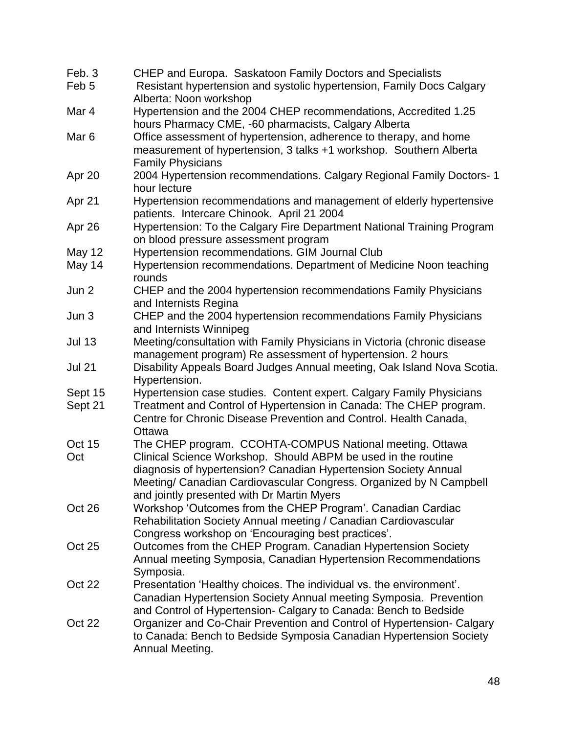| Feb. 3             | CHEP and Europa. Saskatoon Family Doctors and Specialists                             |
|--------------------|---------------------------------------------------------------------------------------|
| Feb <sub>5</sub>   | Resistant hypertension and systolic hypertension, Family Docs Calgary                 |
|                    | Alberta: Noon workshop                                                                |
| Mar 4              | Hypertension and the 2004 CHEP recommendations, Accredited 1.25                       |
|                    | hours Pharmacy CME, -60 pharmacists, Calgary Alberta                                  |
| Mar <sub>6</sub>   | Office assessment of hypertension, adherence to therapy, and home                     |
|                    | measurement of hypertension, 3 talks +1 workshop. Southern Alberta                    |
|                    | <b>Family Physicians</b>                                                              |
| Apr 20             | 2004 Hypertension recommendations. Calgary Regional Family Doctors- 1                 |
|                    | hour lecture                                                                          |
| Apr 21             | Hypertension recommendations and management of elderly hypertensive                   |
|                    | patients. Intercare Chinook. April 21 2004                                            |
| Apr 26             | Hypertension: To the Calgary Fire Department National Training Program                |
|                    | on blood pressure assessment program                                                  |
| <b>May 12</b>      | Hypertension recommendations. GIM Journal Club                                        |
| May 14             | Hypertension recommendations. Department of Medicine Noon teaching                    |
|                    | rounds                                                                                |
| Jun 2              | CHEP and the 2004 hypertension recommendations Family Physicians                      |
|                    | and Internists Regina                                                                 |
| Jun 3              | CHEP and the 2004 hypertension recommendations Family Physicians                      |
|                    | and Internists Winnipeg                                                               |
| <b>Jul 13</b>      | Meeting/consultation with Family Physicians in Victoria (chronic disease              |
|                    | management program) Re assessment of hypertension. 2 hours                            |
| <b>Jul 21</b>      |                                                                                       |
|                    | Disability Appeals Board Judges Annual meeting, Oak Island Nova Scotia.               |
|                    | Hypertension.<br>Hypertension case studies. Content expert. Calgary Family Physicians |
| Sept 15<br>Sept 21 | Treatment and Control of Hypertension in Canada: The CHEP program.                    |
|                    | Centre for Chronic Disease Prevention and Control. Health Canada,                     |
|                    | Ottawa                                                                                |
| Oct 15             | The CHEP program. CCOHTA-COMPUS National meeting. Ottawa                              |
| Oct                | Clinical Science Workshop. Should ABPM be used in the routine                         |
|                    |                                                                                       |
|                    | diagnosis of hypertension? Canadian Hypertension Society Annual                       |
|                    | Meeting/ Canadian Cardiovascular Congress. Organized by N Campbell                    |
|                    | and jointly presented with Dr Martin Myers                                            |
| Oct 26             | Workshop 'Outcomes from the CHEP Program'. Canadian Cardiac                           |
|                    | Rehabilitation Society Annual meeting / Canadian Cardiovascular                       |
|                    | Congress workshop on 'Encouraging best practices'.                                    |
| Oct 25             | Outcomes from the CHEP Program. Canadian Hypertension Society                         |
|                    | Annual meeting Symposia, Canadian Hypertension Recommendations                        |
|                    | Symposia.                                                                             |
| Oct 22             | Presentation 'Healthy choices. The individual vs. the environment'.                   |
|                    | Canadian Hypertension Society Annual meeting Symposia. Prevention                     |
|                    | and Control of Hypertension- Calgary to Canada: Bench to Bedside                      |
| Oct 22             | Organizer and Co-Chair Prevention and Control of Hypertension- Calgary                |
|                    | to Canada: Bench to Bedside Symposia Canadian Hypertension Society                    |
|                    | Annual Meeting.                                                                       |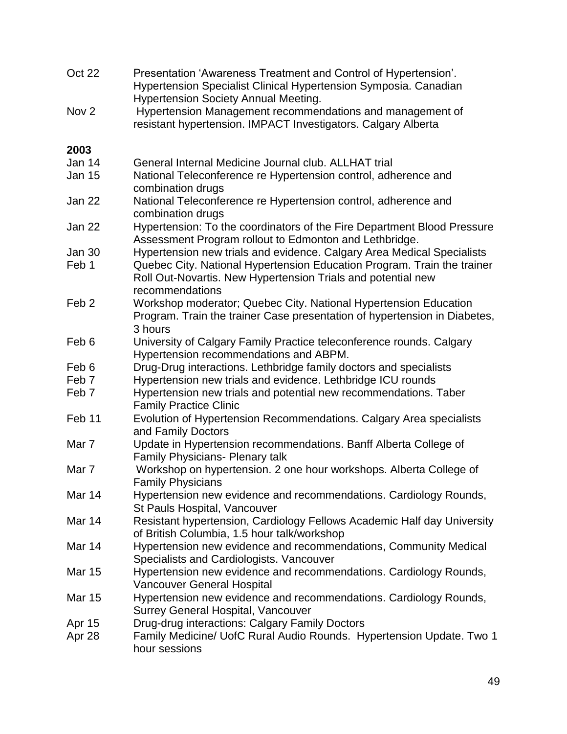| Oct 22           | Presentation 'Awareness Treatment and Control of Hypertension'.<br>Hypertension Specialist Clinical Hypertension Symposia. Canadian<br><b>Hypertension Society Annual Meeting.</b> |
|------------------|------------------------------------------------------------------------------------------------------------------------------------------------------------------------------------|
| Nov <sub>2</sub> | Hypertension Management recommendations and management of<br>resistant hypertension. IMPACT Investigators. Calgary Alberta                                                         |
| 2003             |                                                                                                                                                                                    |
| Jan 14           | General Internal Medicine Journal club. ALLHAT trial                                                                                                                               |
| <b>Jan 15</b>    | National Teleconference re Hypertension control, adherence and<br>combination drugs                                                                                                |
| Jan 22           | National Teleconference re Hypertension control, adherence and<br>combination drugs                                                                                                |
| Jan 22           | Hypertension: To the coordinators of the Fire Department Blood Pressure<br>Assessment Program rollout to Edmonton and Lethbridge.                                                  |
| Jan 30           | Hypertension new trials and evidence. Calgary Area Medical Specialists                                                                                                             |
| Feb 1            | Quebec City. National Hypertension Education Program. Train the trainer<br>Roll Out-Novartis. New Hypertension Trials and potential new                                            |
|                  | recommendations                                                                                                                                                                    |
| Feb <sub>2</sub> | Workshop moderator; Quebec City. National Hypertension Education<br>Program. Train the trainer Case presentation of hypertension in Diabetes,<br>3 hours                           |
| Feb 6            | University of Calgary Family Practice teleconference rounds. Calgary<br>Hypertension recommendations and ABPM.                                                                     |
| Feb 6            | Drug-Drug interactions. Lethbridge family doctors and specialists                                                                                                                  |
| Feb <sub>7</sub> | Hypertension new trials and evidence. Lethbridge ICU rounds                                                                                                                        |
| Feb <sub>7</sub> | Hypertension new trials and potential new recommendations. Taber<br><b>Family Practice Clinic</b>                                                                                  |
| Feb 11           | Evolution of Hypertension Recommendations. Calgary Area specialists<br>and Family Doctors                                                                                          |
| Mar 7            | Update in Hypertension recommendations. Banff Alberta College of<br><b>Family Physicians- Plenary talk</b>                                                                         |
| Mar 7            | Workshop on hypertension. 2 one hour workshops. Alberta College of<br><b>Family Physicians</b>                                                                                     |
| <b>Mar 14</b>    | Hypertension new evidence and recommendations. Cardiology Rounds,<br>St Pauls Hospital, Vancouver                                                                                  |
| Mar 14           | Resistant hypertension, Cardiology Fellows Academic Half day University<br>of British Columbia, 1.5 hour talk/workshop                                                             |
| Mar 14           | Hypertension new evidence and recommendations, Community Medical<br>Specialists and Cardiologists. Vancouver                                                                       |
| <b>Mar 15</b>    | Hypertension new evidence and recommendations. Cardiology Rounds,<br><b>Vancouver General Hospital</b>                                                                             |
| <b>Mar 15</b>    | Hypertension new evidence and recommendations. Cardiology Rounds,<br><b>Surrey General Hospital, Vancouver</b>                                                                     |
| Apr 15           | Drug-drug interactions: Calgary Family Doctors                                                                                                                                     |
| Apr 28           | Family Medicine/ UofC Rural Audio Rounds. Hypertension Update. Two 1<br>hour sessions                                                                                              |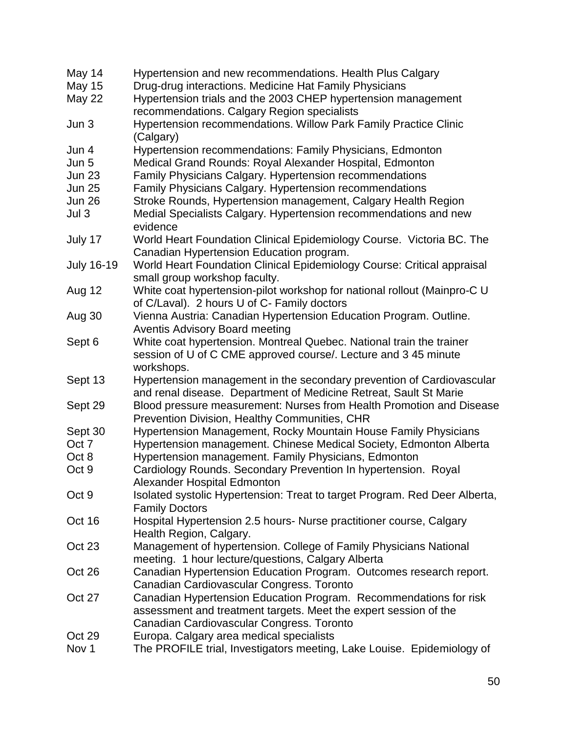| May 14            | Hypertension and new recommendations. Health Plus Calgary                                                                                                                          |
|-------------------|------------------------------------------------------------------------------------------------------------------------------------------------------------------------------------|
| May 15            | Drug-drug interactions. Medicine Hat Family Physicians                                                                                                                             |
| <b>May 22</b>     | Hypertension trials and the 2003 CHEP hypertension management                                                                                                                      |
|                   | recommendations. Calgary Region specialists                                                                                                                                        |
| Jun 3             | Hypertension recommendations. Willow Park Family Practice Clinic<br>(Calgary)                                                                                                      |
| Jun 4             | Hypertension recommendations: Family Physicians, Edmonton                                                                                                                          |
| Jun 5             | Medical Grand Rounds: Royal Alexander Hospital, Edmonton                                                                                                                           |
| <b>Jun 23</b>     | Family Physicians Calgary. Hypertension recommendations                                                                                                                            |
| <b>Jun 25</b>     | Family Physicians Calgary. Hypertension recommendations                                                                                                                            |
| <b>Jun 26</b>     | Stroke Rounds, Hypertension management, Calgary Health Region                                                                                                                      |
| Jul 3             | Medial Specialists Calgary. Hypertension recommendations and new<br>evidence                                                                                                       |
| July 17           | World Heart Foundation Clinical Epidemiology Course. Victoria BC. The<br>Canadian Hypertension Education program.                                                                  |
| <b>July 16-19</b> | World Heart Foundation Clinical Epidemiology Course: Critical appraisal<br>small group workshop faculty.                                                                           |
| <b>Aug 12</b>     | White coat hypertension-pilot workshop for national rollout (Mainpro-C U<br>of C/Laval). 2 hours U of C- Family doctors                                                            |
| Aug 30            | Vienna Austria: Canadian Hypertension Education Program. Outline.<br><b>Aventis Advisory Board meeting</b>                                                                         |
| Sept 6            | White coat hypertension. Montreal Quebec. National train the trainer<br>session of U of C CME approved course/. Lecture and 345 minute<br>workshops.                               |
| Sept 13           | Hypertension management in the secondary prevention of Cardiovascular<br>and renal disease. Department of Medicine Retreat, Sault St Marie                                         |
| Sept 29           | Blood pressure measurement: Nurses from Health Promotion and Disease<br>Prevention Division, Healthy Communities, CHR                                                              |
| Sept 30           | Hypertension Management, Rocky Mountain House Family Physicians                                                                                                                    |
| Oct 7             | Hypertension management. Chinese Medical Society, Edmonton Alberta                                                                                                                 |
| Oct 8             | Hypertension management. Family Physicians, Edmonton                                                                                                                               |
| Oct 9             | Cardiology Rounds. Secondary Prevention In hypertension. Royal<br>Alexander Hospital Edmonton                                                                                      |
| Oct 9             | Isolated systolic Hypertension: Treat to target Program. Red Deer Alberta,<br><b>Family Doctors</b>                                                                                |
| Oct 16            | Hospital Hypertension 2.5 hours- Nurse practitioner course, Calgary<br>Health Region, Calgary.                                                                                     |
| Oct 23            | Management of hypertension. College of Family Physicians National<br>meeting. 1 hour lecture/questions, Calgary Alberta                                                            |
| Oct 26            | Canadian Hypertension Education Program. Outcomes research report.<br>Canadian Cardiovascular Congress. Toronto                                                                    |
| <b>Oct 27</b>     | Canadian Hypertension Education Program. Recommendations for risk<br>assessment and treatment targets. Meet the expert session of the<br>Canadian Cardiovascular Congress. Toronto |
| Oct 29            | Europa. Calgary area medical specialists                                                                                                                                           |
| Nov 1             | The PROFILE trial, Investigators meeting, Lake Louise. Epidemiology of                                                                                                             |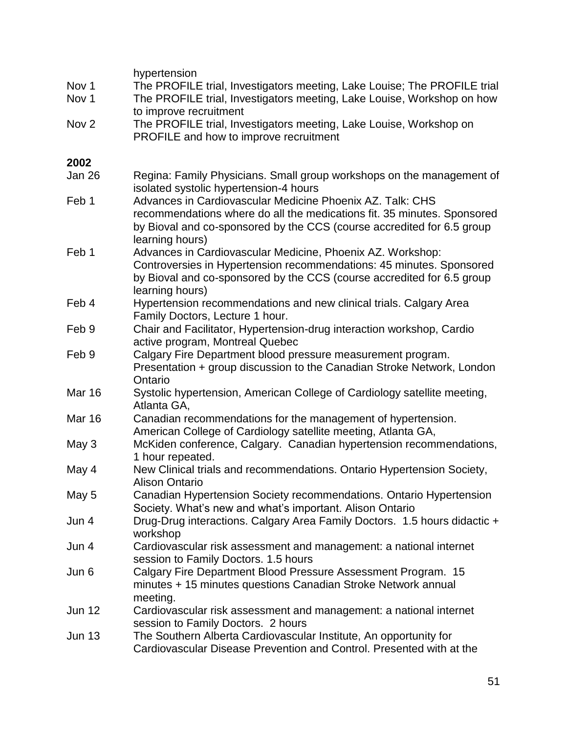|                  | hypertension                                                                            |
|------------------|-----------------------------------------------------------------------------------------|
| Nov 1            | The PROFILE trial, Investigators meeting, Lake Louise; The PROFILE trial                |
| Nov <sub>1</sub> | The PROFILE trial, Investigators meeting, Lake Louise, Workshop on how                  |
|                  | to improve recruitment                                                                  |
| Nov <sub>2</sub> | The PROFILE trial, Investigators meeting, Lake Louise, Workshop on                      |
|                  | PROFILE and how to improve recruitment                                                  |
| 2002             |                                                                                         |
| Jan 26           | Regina: Family Physicians. Small group workshops on the management of                   |
|                  | isolated systolic hypertension-4 hours                                                  |
| Feb 1            | Advances in Cardiovascular Medicine Phoenix AZ. Talk: CHS                               |
|                  | recommendations where do all the medications fit. 35 minutes. Sponsored                 |
|                  | by Bioval and co-sponsored by the CCS (course accredited for 6.5 group                  |
|                  | learning hours)                                                                         |
| Feb 1            | Advances in Cardiovascular Medicine, Phoenix AZ. Workshop:                              |
|                  | Controversies in Hypertension recommendations: 45 minutes. Sponsored                    |
|                  | by Bioval and co-sponsored by the CCS (course accredited for 6.5 group                  |
|                  | learning hours)                                                                         |
| Feb 4            | Hypertension recommendations and new clinical trials. Calgary Area                      |
|                  | Family Doctors, Lecture 1 hour.                                                         |
| Feb 9            | Chair and Facilitator, Hypertension-drug interaction workshop, Cardio                   |
|                  | active program, Montreal Quebec                                                         |
| Feb 9            | Calgary Fire Department blood pressure measurement program.                             |
|                  | Presentation + group discussion to the Canadian Stroke Network, London                  |
|                  | Ontario                                                                                 |
| <b>Mar 16</b>    | Systolic hypertension, American College of Cardiology satellite meeting,<br>Atlanta GA, |
| <b>Mar 16</b>    | Canadian recommendations for the management of hypertension.                            |
|                  | American College of Cardiology satellite meeting, Atlanta GA,                           |
| May 3            | McKiden conference, Calgary. Canadian hypertension recommendations,                     |
|                  | 1 hour repeated.                                                                        |
| May 4            | New Clinical trials and recommendations. Ontario Hypertension Society,                  |
|                  | Alison Ontario                                                                          |
| May 5            | Canadian Hypertension Society recommendations. Ontario Hypertension                     |
|                  | Society. What's new and what's important. Alison Ontario                                |
| Jun 4            | Drug-Drug interactions. Calgary Area Family Doctors. 1.5 hours didactic +               |
|                  | workshop                                                                                |
| Jun 4            | Cardiovascular risk assessment and management: a national internet                      |
|                  | session to Family Doctors. 1.5 hours                                                    |
| Jun 6            | Calgary Fire Department Blood Pressure Assessment Program. 15                           |
|                  | minutes + 15 minutes questions Canadian Stroke Network annual                           |
|                  | meeting.                                                                                |
| <b>Jun 12</b>    | Cardiovascular risk assessment and management: a national internet                      |
|                  | session to Family Doctors. 2 hours                                                      |
| <b>Jun 13</b>    | The Southern Alberta Cardiovascular Institute, An opportunity for                       |
|                  | Cardiovascular Disease Prevention and Control. Presented with at the                    |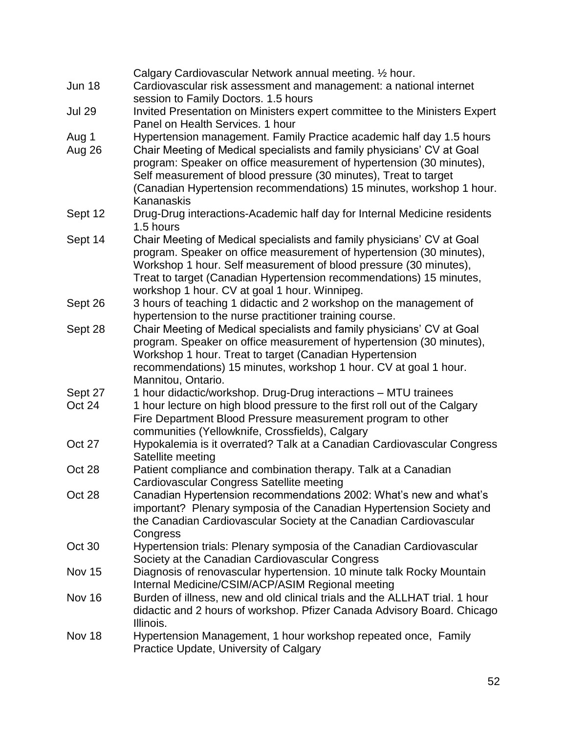|               | Calgary Cardiovascular Network annual meeting. 1/2 hour.                                                                   |
|---------------|----------------------------------------------------------------------------------------------------------------------------|
| <b>Jun 18</b> | Cardiovascular risk assessment and management: a national internet                                                         |
|               | session to Family Doctors. 1.5 hours                                                                                       |
| <b>Jul 29</b> | Invited Presentation on Ministers expert committee to the Ministers Expert                                                 |
|               | Panel on Health Services. 1 hour                                                                                           |
| Aug 1         | Hypertension management. Family Practice academic half day 1.5 hours                                                       |
| Aug 26        | Chair Meeting of Medical specialists and family physicians' CV at Goal                                                     |
|               | program: Speaker on office measurement of hypertension (30 minutes),                                                       |
|               | Self measurement of blood pressure (30 minutes), Treat to target                                                           |
|               | (Canadian Hypertension recommendations) 15 minutes, workshop 1 hour.                                                       |
|               | Kananaskis                                                                                                                 |
| Sept 12       | Drug-Drug interactions-Academic half day for Internal Medicine residents                                                   |
|               | 1.5 hours                                                                                                                  |
| Sept 14       | Chair Meeting of Medical specialists and family physicians' CV at Goal                                                     |
|               | program. Speaker on office measurement of hypertension (30 minutes),                                                       |
|               | Workshop 1 hour. Self measurement of blood pressure (30 minutes),                                                          |
|               | Treat to target (Canadian Hypertension recommendations) 15 minutes,                                                        |
|               | workshop 1 hour. CV at goal 1 hour. Winnipeg.                                                                              |
| Sept 26       | 3 hours of teaching 1 didactic and 2 workshop on the management of                                                         |
|               | hypertension to the nurse practitioner training course.                                                                    |
| Sept 28       | Chair Meeting of Medical specialists and family physicians' CV at Goal                                                     |
|               | program. Speaker on office measurement of hypertension (30 minutes),                                                       |
|               | Workshop 1 hour. Treat to target (Canadian Hypertension                                                                    |
|               | recommendations) 15 minutes, workshop 1 hour. CV at goal 1 hour.                                                           |
|               | Mannitou, Ontario.                                                                                                         |
| Sept 27       | 1 hour didactic/workshop. Drug-Drug interactions - MTU trainees                                                            |
| Oct 24        | 1 hour lecture on high blood pressure to the first roll out of the Calgary                                                 |
|               | Fire Department Blood Pressure measurement program to other                                                                |
| Oct 27        | communities (Yellowknife, Crossfields), Calgary<br>Hypokalemia is it overrated? Talk at a Canadian Cardiovascular Congress |
|               | Satellite meeting                                                                                                          |
| Oct 28        | Patient compliance and combination therapy. Talk at a Canadian                                                             |
|               | Cardiovascular Congress Satellite meeting                                                                                  |
| Oct 28        | Canadian Hypertension recommendations 2002: What's new and what's                                                          |
|               | important? Plenary symposia of the Canadian Hypertension Society and                                                       |
|               | the Canadian Cardiovascular Society at the Canadian Cardiovascular                                                         |
|               | Congress                                                                                                                   |
| Oct 30        | Hypertension trials: Plenary symposia of the Canadian Cardiovascular                                                       |
|               | Society at the Canadian Cardiovascular Congress                                                                            |
| Nov 15        | Diagnosis of renovascular hypertension. 10 minute talk Rocky Mountain                                                      |
|               | Internal Medicine/CSIM/ACP/ASIM Regional meeting                                                                           |
| <b>Nov 16</b> | Burden of illness, new and old clinical trials and the ALLHAT trial. 1 hour                                                |
|               | didactic and 2 hours of workshop. Pfizer Canada Advisory Board. Chicago                                                    |
|               | Illinois.                                                                                                                  |
| Nov 18        | Hypertension Management, 1 hour workshop repeated once, Family                                                             |
|               | Practice Update, University of Calgary                                                                                     |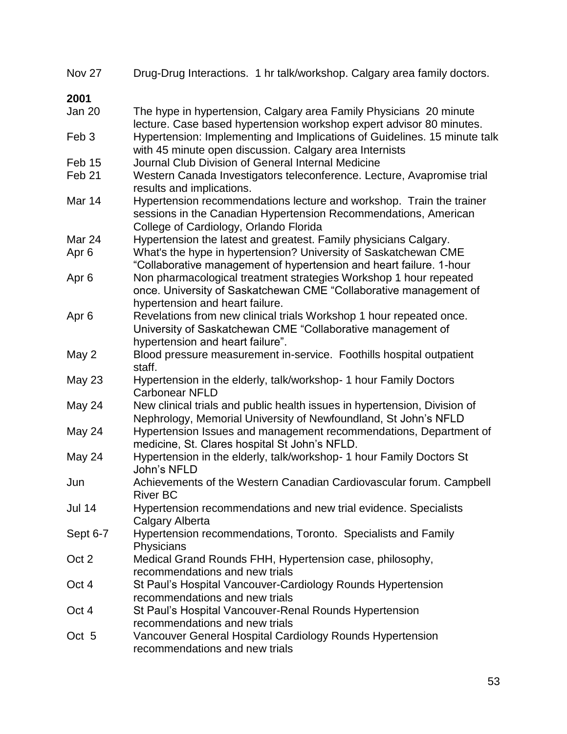| Nov 27            | Drug-Drug Interactions. 1 hr talk/workshop. Calgary area family doctors.                                                                                                          |
|-------------------|-----------------------------------------------------------------------------------------------------------------------------------------------------------------------------------|
| 2001              |                                                                                                                                                                                   |
| Jan 20            | The hype in hypertension, Calgary area Family Physicians 20 minute<br>lecture. Case based hypertension workshop expert advisor 80 minutes.                                        |
| Feb <sub>3</sub>  | Hypertension: Implementing and Implications of Guidelines. 15 minute talk<br>with 45 minute open discussion. Calgary area Internists                                              |
| Feb 15            | Journal Club Division of General Internal Medicine                                                                                                                                |
| Feb <sub>21</sub> | Western Canada Investigators teleconference. Lecture, Avapromise trial<br>results and implications.                                                                               |
| Mar 14            | Hypertension recommendations lecture and workshop. Train the trainer<br>sessions in the Canadian Hypertension Recommendations, American<br>College of Cardiology, Orlando Florida |
| Mar 24            | Hypertension the latest and greatest. Family physicians Calgary.                                                                                                                  |
| Apr <sub>6</sub>  | What's the hype in hypertension? University of Saskatchewan CME<br>"Collaborative management of hypertension and heart failure. 1-hour                                            |
| Apr <sub>6</sub>  | Non pharmacological treatment strategies Workshop 1 hour repeated<br>once. University of Saskatchewan CME "Collaborative management of<br>hypertension and heart failure.         |
| Apr <sub>6</sub>  | Revelations from new clinical trials Workshop 1 hour repeated once.<br>University of Saskatchewan CME "Collaborative management of<br>hypertension and heart failure".            |
| May 2             | Blood pressure measurement in-service. Foothills hospital outpatient<br>staff.                                                                                                    |
| <b>May 23</b>     | Hypertension in the elderly, talk/workshop- 1 hour Family Doctors<br><b>Carbonear NFLD</b>                                                                                        |
| May 24            | New clinical trials and public health issues in hypertension, Division of<br>Nephrology, Memorial University of Newfoundland, St John's NFLD                                      |
| May 24            | Hypertension Issues and management recommendations, Department of<br>medicine, St. Clares hospital St John's NFLD.                                                                |
| May 24            | Hypertension in the elderly, talk/workshop- 1 hour Family Doctors St<br>John's NFLD                                                                                               |
| Jun               | Achievements of the Western Canadian Cardiovascular forum. Campbell<br><b>River BC</b>                                                                                            |
| <b>Jul 14</b>     | Hypertension recommendations and new trial evidence. Specialists<br>Calgary Alberta                                                                                               |
| Sept 6-7          | Hypertension recommendations, Toronto. Specialists and Family<br>Physicians                                                                                                       |
| Oct 2             | Medical Grand Rounds FHH, Hypertension case, philosophy,<br>recommendations and new trials                                                                                        |
| Oct 4             | St Paul's Hospital Vancouver-Cardiology Rounds Hypertension<br>recommendations and new trials                                                                                     |
| Oct 4             | St Paul's Hospital Vancouver-Renal Rounds Hypertension<br>recommendations and new trials                                                                                          |
| Oct 5             | Vancouver General Hospital Cardiology Rounds Hypertension<br>recommendations and new trials                                                                                       |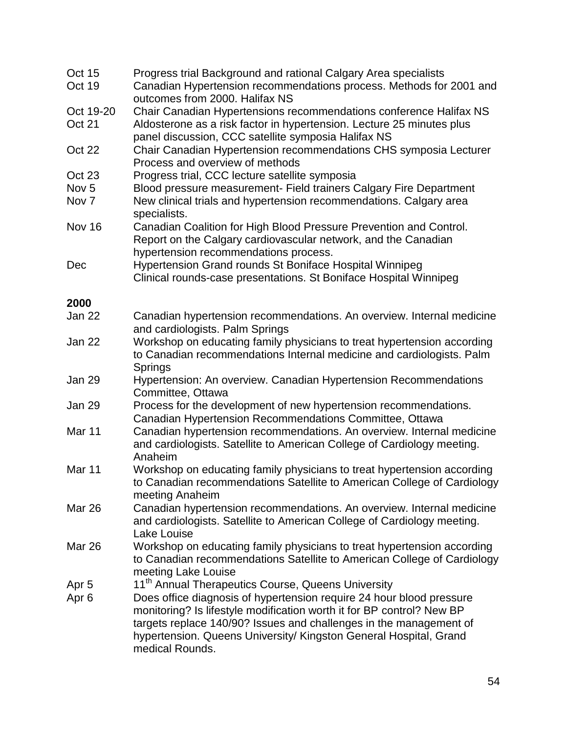| Oct 15<br>Oct 19    | Progress trial Background and rational Calgary Area specialists<br>Canadian Hypertension recommendations process. Methods for 2001 and<br>outcomes from 2000. Halifax NS                                            |
|---------------------|---------------------------------------------------------------------------------------------------------------------------------------------------------------------------------------------------------------------|
| Oct 19-20<br>Oct 21 | Chair Canadian Hypertensions recommendations conference Halifax NS<br>Aldosterone as a risk factor in hypertension. Lecture 25 minutes plus                                                                         |
|                     | panel discussion, CCC satellite symposia Halifax NS                                                                                                                                                                 |
| Oct 22              | Chair Canadian Hypertension recommendations CHS symposia Lecturer<br>Process and overview of methods                                                                                                                |
| Oct 23              | Progress trial, CCC lecture satellite symposia                                                                                                                                                                      |
| Nov <sub>5</sub>    | Blood pressure measurement- Field trainers Calgary Fire Department                                                                                                                                                  |
| Nov 7               | New clinical trials and hypertension recommendations. Calgary area<br>specialists.                                                                                                                                  |
| <b>Nov 16</b>       | Canadian Coalition for High Blood Pressure Prevention and Control.<br>Report on the Calgary cardiovascular network, and the Canadian<br>hypertension recommendations process.                                       |
| Dec                 | Hypertension Grand rounds St Boniface Hospital Winnipeg                                                                                                                                                             |
|                     | Clinical rounds-case presentations. St Boniface Hospital Winnipeg                                                                                                                                                   |
| 2000                |                                                                                                                                                                                                                     |
| Jan 22              | Canadian hypertension recommendations. An overview. Internal medicine<br>and cardiologists. Palm Springs                                                                                                            |
| Jan 22              | Workshop on educating family physicians to treat hypertension according<br>to Canadian recommendations Internal medicine and cardiologists. Palm                                                                    |
|                     | Springs                                                                                                                                                                                                             |
| Jan 29              | Hypertension: An overview. Canadian Hypertension Recommendations<br>Committee, Ottawa                                                                                                                               |
| Jan 29              | Process for the development of new hypertension recommendations.<br>Canadian Hypertension Recommendations Committee, Ottawa                                                                                         |
| Mar <sub>11</sub>   | Canadian hypertension recommendations. An overview. Internal medicine<br>and cardiologists. Satellite to American College of Cardiology meeting.<br>Anaheim                                                         |
| Mar 11              | Workshop on educating family physicians to treat hypertension according<br>to Canadian recommendations Satellite to American College of Cardiology<br>meeting Anaheim                                               |
| Mar 26              | Canadian hypertension recommendations. An overview. Internal medicine<br>and cardiologists. Satellite to American College of Cardiology meeting.                                                                    |
| <b>Mar 26</b>       | Lake Louise<br>Workshop on educating family physicians to treat hypertension according<br>to Canadian recommendations Satellite to American College of Cardiology<br>meeting Lake Louise                            |
| Apr 5               | 11 <sup>th</sup> Annual Therapeutics Course, Queens University                                                                                                                                                      |
| Apr <sub>6</sub>    | Does office diagnosis of hypertension require 24 hour blood pressure<br>monitoring? Is lifestyle modification worth it for BP control? New BP<br>targets replace 140/90? Issues and challenges in the management of |
|                     | hypertension. Queens University/ Kingston General Hospital, Grand<br>medical Rounds.                                                                                                                                |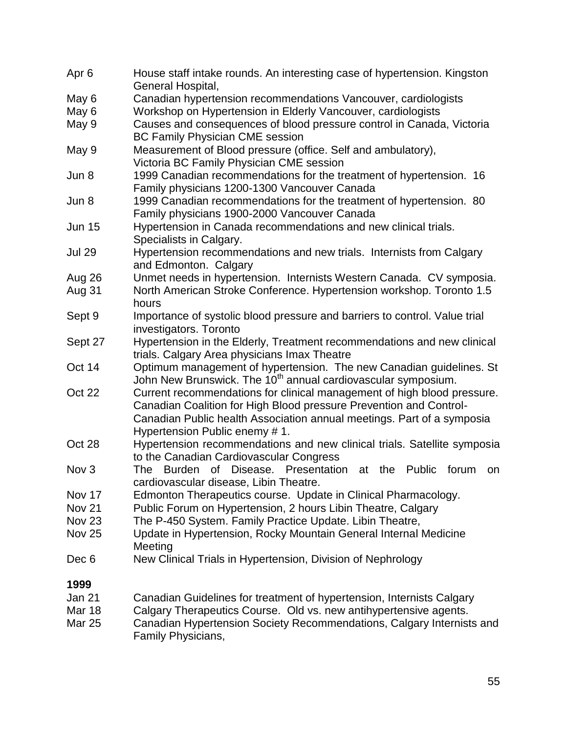| Apr <sub>6</sub> | House staff intake rounds. An interesting case of hypertension. Kingston<br>General Hospital, |
|------------------|-----------------------------------------------------------------------------------------------|
| May 6            | Canadian hypertension recommendations Vancouver, cardiologists                                |
| May 6            | Workshop on Hypertension in Elderly Vancouver, cardiologists                                  |
| May 9            | Causes and consequences of blood pressure control in Canada, Victoria                         |
|                  | <b>BC Family Physician CME session</b>                                                        |
| May 9            | Measurement of Blood pressure (office. Self and ambulatory),                                  |
|                  | Victoria BC Family Physician CME session                                                      |
| Jun 8            | 1999 Canadian recommendations for the treatment of hypertension. 16                           |
|                  | Family physicians 1200-1300 Vancouver Canada                                                  |
| Jun 8            | 1999 Canadian recommendations for the treatment of hypertension. 80                           |
|                  | Family physicians 1900-2000 Vancouver Canada                                                  |
| <b>Jun 15</b>    | Hypertension in Canada recommendations and new clinical trials.                               |
|                  | Specialists in Calgary.                                                                       |
| <b>Jul 29</b>    | Hypertension recommendations and new trials. Internists from Calgary                          |
|                  | and Edmonton. Calgary                                                                         |
| Aug 26           | Unmet needs in hypertension. Internists Western Canada. CV symposia.                          |
| Aug 31           | North American Stroke Conference. Hypertension workshop. Toronto 1.5                          |
|                  | hours                                                                                         |
| Sept 9           | Importance of systolic blood pressure and barriers to control. Value trial                    |
|                  | investigators. Toronto                                                                        |
| Sept 27          | Hypertension in the Elderly, Treatment recommendations and new clinical                       |
|                  | trials. Calgary Area physicians Imax Theatre                                                  |
| Oct 14           | Optimum management of hypertension. The new Canadian guidelines. St                           |
|                  | John New Brunswick. The 10 <sup>th</sup> annual cardiovascular symposium.                     |
| Oct 22           | Current recommendations for clinical management of high blood pressure.                       |
|                  | Canadian Coalition for High Blood pressure Prevention and Control-                            |
|                  | Canadian Public health Association annual meetings. Part of a symposia                        |
|                  | Hypertension Public enemy #1.                                                                 |
| Oct 28           | Hypertension recommendations and new clinical trials. Satellite symposia                      |
|                  | to the Canadian Cardiovascular Congress                                                       |
| Nov <sub>3</sub> | Disease. Presentation<br><b>Burden</b><br>the<br>Public<br>The<br>of<br>at<br>forum<br>on     |
|                  | cardiovascular disease, Libin Theatre.                                                        |
| Nov 17           | Edmonton Therapeutics course. Update in Clinical Pharmacology.                                |
| <b>Nov 21</b>    | Public Forum on Hypertension, 2 hours Libin Theatre, Calgary                                  |
| <b>Nov 23</b>    | The P-450 System. Family Practice Update. Libin Theatre,                                      |
| <b>Nov 25</b>    | Update in Hypertension, Rocky Mountain General Internal Medicine                              |
|                  | Meeting                                                                                       |
| Dec 6            | New Clinical Trials in Hypertension, Division of Nephrology                                   |
| 1999             |                                                                                               |
| Jan 21           | Canadian Guidelines for treatment of hypertension, Internists Calgary                         |
|                  |                                                                                               |

- Mar 18 Calgary Therapeutics Course. Old vs. new antihypertensive agents.
- Mar 25 Canadian Hypertension Society Recommendations, Calgary Internists and Family Physicians,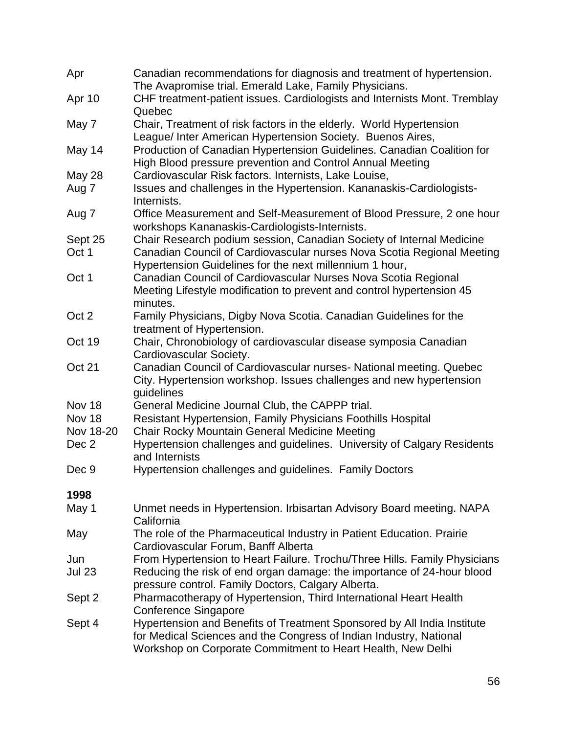| Apr           | Canadian recommendations for diagnosis and treatment of hypertension.<br>The Avapromise trial. Emerald Lake, Family Physicians.                                                                              |
|---------------|--------------------------------------------------------------------------------------------------------------------------------------------------------------------------------------------------------------|
| Apr 10        | CHF treatment-patient issues. Cardiologists and Internists Mont. Tremblay                                                                                                                                    |
|               | Quebec                                                                                                                                                                                                       |
| May 7         | Chair, Treatment of risk factors in the elderly. World Hypertension<br>League/ Inter American Hypertension Society. Buenos Aires,                                                                            |
| May 14        | Production of Canadian Hypertension Guidelines. Canadian Coalition for<br>High Blood pressure prevention and Control Annual Meeting                                                                          |
| May 28        | Cardiovascular Risk factors. Internists, Lake Louise,                                                                                                                                                        |
| Aug 7         | Issues and challenges in the Hypertension. Kananaskis-Cardiologists-                                                                                                                                         |
|               | Internists.                                                                                                                                                                                                  |
| Aug 7         | Office Measurement and Self-Measurement of Blood Pressure, 2 one hour<br>workshops Kananaskis-Cardiologists-Internists.                                                                                      |
| Sept 25       | Chair Research podium session, Canadian Society of Internal Medicine                                                                                                                                         |
| Oct 1         | Canadian Council of Cardiovascular nurses Nova Scotia Regional Meeting<br>Hypertension Guidelines for the next millennium 1 hour,                                                                            |
| Oct 1         | Canadian Council of Cardiovascular Nurses Nova Scotia Regional                                                                                                                                               |
|               | Meeting Lifestyle modification to prevent and control hypertension 45                                                                                                                                        |
|               | minutes.                                                                                                                                                                                                     |
| Oct 2         | Family Physicians, Digby Nova Scotia. Canadian Guidelines for the                                                                                                                                            |
|               | treatment of Hypertension.                                                                                                                                                                                   |
| Oct 19        | Chair, Chronobiology of cardiovascular disease symposia Canadian<br>Cardiovascular Society.                                                                                                                  |
| Oct 21        | Canadian Council of Cardiovascular nurses- National meeting. Quebec<br>City. Hypertension workshop. Issues challenges and new hypertension                                                                   |
| Nov 18        | guidelines<br>General Medicine Journal Club, the CAPPP trial.                                                                                                                                                |
| Nov 18        | Resistant Hypertension, Family Physicians Foothills Hospital                                                                                                                                                 |
| Nov 18-20     | Chair Rocky Mountain General Medicine Meeting                                                                                                                                                                |
| Dec 2         | Hypertension challenges and guidelines. University of Calgary Residents                                                                                                                                      |
|               | and Internists                                                                                                                                                                                               |
| Dec 9         | Hypertension challenges and guidelines. Family Doctors                                                                                                                                                       |
| 1998          |                                                                                                                                                                                                              |
| May 1         | Unmet needs in Hypertension. Irbisartan Advisory Board meeting. NAPA<br>California                                                                                                                           |
| May           | The role of the Pharmaceutical Industry in Patient Education. Prairie<br>Cardiovascular Forum, Banff Alberta                                                                                                 |
| Jun           | From Hypertension to Heart Failure. Trochu/Three Hills. Family Physicians                                                                                                                                    |
| <b>Jul 23</b> | Reducing the risk of end organ damage: the importance of 24-hour blood<br>pressure control. Family Doctors, Calgary Alberta.                                                                                 |
| Sept 2        | Pharmacotherapy of Hypertension, Third International Heart Health                                                                                                                                            |
|               | <b>Conference Singapore</b>                                                                                                                                                                                  |
| Sept 4        | Hypertension and Benefits of Treatment Sponsored by All India Institute<br>for Medical Sciences and the Congress of Indian Industry, National<br>Workshop on Corporate Commitment to Heart Health, New Delhi |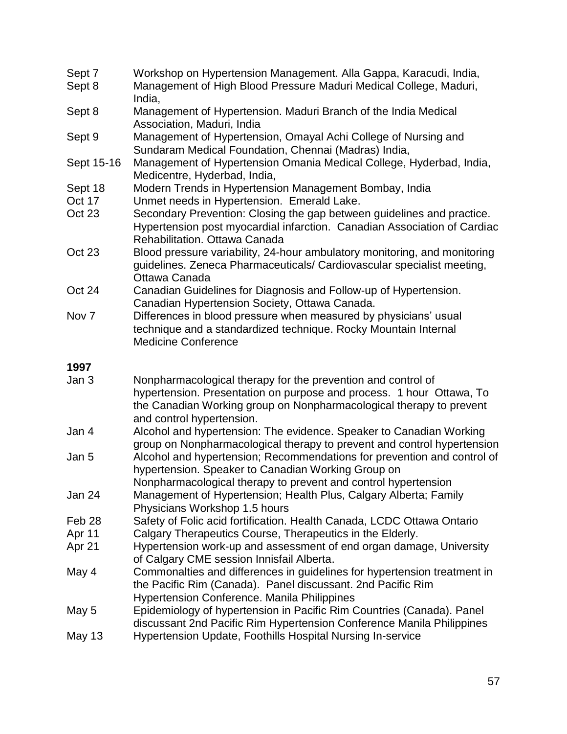| Sept 7           | Workshop on Hypertension Management. Alla Gappa, Karacudi, India,                                                                                                                                                                        |
|------------------|------------------------------------------------------------------------------------------------------------------------------------------------------------------------------------------------------------------------------------------|
| Sept 8           | Management of High Blood Pressure Maduri Medical College, Maduri,<br>India,                                                                                                                                                              |
| Sept 8           | Management of Hypertension. Maduri Branch of the India Medical<br>Association, Maduri, India                                                                                                                                             |
| Sept 9           | Management of Hypertension, Omayal Achi College of Nursing and<br>Sundaram Medical Foundation, Chennai (Madras) India,                                                                                                                   |
| Sept 15-16       | Management of Hypertension Omania Medical College, Hyderbad, India,<br>Medicentre, Hyderbad, India,                                                                                                                                      |
| Sept 18          | Modern Trends in Hypertension Management Bombay, India                                                                                                                                                                                   |
| Oct 17           | Unmet needs in Hypertension. Emerald Lake.                                                                                                                                                                                               |
| Oct 23           | Secondary Prevention: Closing the gap between guidelines and practice.<br>Hypertension post myocardial infarction. Canadian Association of Cardiac<br>Rehabilitation. Ottawa Canada                                                      |
| Oct 23           | Blood pressure variability, 24-hour ambulatory monitoring, and monitoring<br>guidelines. Zeneca Pharmaceuticals/ Cardiovascular specialist meeting,<br>Ottawa Canada                                                                     |
| Oct 24           | Canadian Guidelines for Diagnosis and Follow-up of Hypertension.<br>Canadian Hypertension Society, Ottawa Canada.                                                                                                                        |
| Nov <sub>7</sub> | Differences in blood pressure when measured by physicians' usual<br>technique and a standardized technique. Rocky Mountain Internal<br><b>Medicine Conference</b>                                                                        |
|                  |                                                                                                                                                                                                                                          |
| 1997             |                                                                                                                                                                                                                                          |
| Jan 3            | Nonpharmacological therapy for the prevention and control of<br>hypertension. Presentation on purpose and process. 1 hour Ottawa, To<br>the Canadian Working group on Nonpharmacological therapy to prevent<br>and control hypertension. |
| Jan 4            | Alcohol and hypertension: The evidence. Speaker to Canadian Working<br>group on Nonpharmacological therapy to prevent and control hypertension                                                                                           |
| Jan 5            | Alcohol and hypertension; Recommendations for prevention and control of<br>hypertension. Speaker to Canadian Working Group on                                                                                                            |
| Jan 24           | Nonpharmacological therapy to prevent and control hypertension<br>Management of Hypertension; Health Plus, Calgary Alberta; Family                                                                                                       |
| Feb 28           | Physicians Workshop 1.5 hours<br>Safety of Folic acid fortification. Health Canada, LCDC Ottawa Ontario                                                                                                                                  |
| Apr 11           | Calgary Therapeutics Course, Therapeutics in the Elderly.                                                                                                                                                                                |
| Apr 21           | Hypertension work-up and assessment of end organ damage, University<br>of Calgary CME session Innisfail Alberta.                                                                                                                         |
| May 4            | Commonalties and differences in guidelines for hypertension treatment in<br>the Pacific Rim (Canada). Panel discussant. 2nd Pacific Rim<br><b>Hypertension Conference. Manila Philippines</b>                                            |
| May 5            | Epidemiology of hypertension in Pacific Rim Countries (Canada). Panel<br>discussant 2nd Pacific Rim Hypertension Conference Manila Philippines                                                                                           |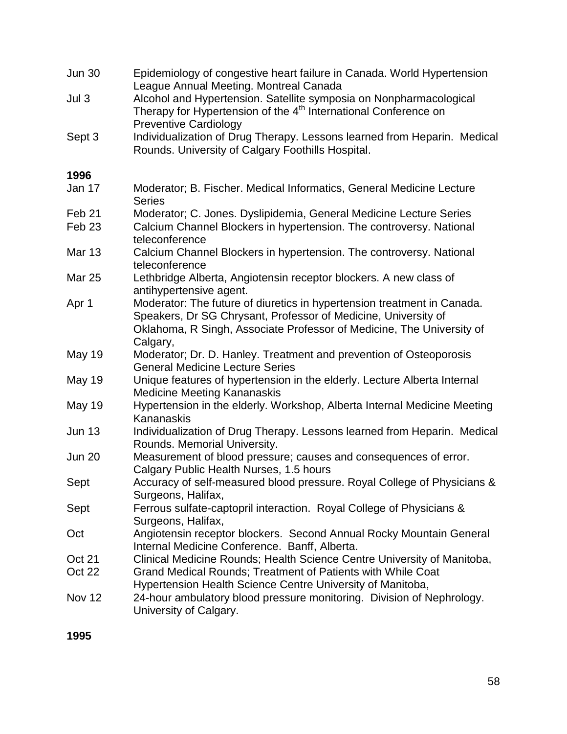| <b>Jun 30</b>     | Epidemiology of congestive heart failure in Canada. World Hypertension<br>League Annual Meeting. Montreal Canada                                                                                                               |
|-------------------|--------------------------------------------------------------------------------------------------------------------------------------------------------------------------------------------------------------------------------|
| Jul <sub>3</sub>  | Alcohol and Hypertension. Satellite symposia on Nonpharmacological<br>Therapy for Hypertension of the 4 <sup>th</sup> International Conference on<br><b>Preventive Cardiology</b>                                              |
| Sept 3            | Individualization of Drug Therapy. Lessons learned from Heparin. Medical<br>Rounds. University of Calgary Foothills Hospital.                                                                                                  |
| 1996              |                                                                                                                                                                                                                                |
| Jan 17            | Moderator; B. Fischer. Medical Informatics, General Medicine Lecture<br><b>Series</b>                                                                                                                                          |
| Feb <sub>21</sub> | Moderator; C. Jones. Dyslipidemia, General Medicine Lecture Series                                                                                                                                                             |
| Feb <sub>23</sub> | Calcium Channel Blockers in hypertension. The controversy. National<br>teleconference                                                                                                                                          |
| <b>Mar 13</b>     | Calcium Channel Blockers in hypertension. The controversy. National<br>teleconference                                                                                                                                          |
| <b>Mar 25</b>     | Lethbridge Alberta, Angiotensin receptor blockers. A new class of<br>antihypertensive agent.                                                                                                                                   |
| Apr 1             | Moderator: The future of diuretics in hypertension treatment in Canada.<br>Speakers, Dr SG Chrysant, Professor of Medicine, University of<br>Oklahoma, R Singh, Associate Professor of Medicine, The University of<br>Calgary, |
| <b>May 19</b>     | Moderator; Dr. D. Hanley. Treatment and prevention of Osteoporosis<br><b>General Medicine Lecture Series</b>                                                                                                                   |
| <b>May 19</b>     | Unique features of hypertension in the elderly. Lecture Alberta Internal<br><b>Medicine Meeting Kananaskis</b>                                                                                                                 |
| <b>May 19</b>     | Hypertension in the elderly. Workshop, Alberta Internal Medicine Meeting<br>Kananaskis                                                                                                                                         |
| <b>Jun 13</b>     | Individualization of Drug Therapy. Lessons learned from Heparin. Medical<br>Rounds. Memorial University.                                                                                                                       |
| <b>Jun 20</b>     | Measurement of blood pressure; causes and consequences of error.<br>Calgary Public Health Nurses, 1.5 hours                                                                                                                    |
| Sept              | Accuracy of self-measured blood pressure. Royal College of Physicians &<br>Surgeons, Halifax,                                                                                                                                  |
| Sept              | Ferrous sulfate-captopril interaction. Royal College of Physicians &<br>Surgeons, Halifax,                                                                                                                                     |
| Oct               | Angiotensin receptor blockers. Second Annual Rocky Mountain General<br>Internal Medicine Conference. Banff, Alberta.                                                                                                           |
| Oct 21            | Clinical Medicine Rounds; Health Science Centre University of Manitoba,                                                                                                                                                        |
| Oct 22            | Grand Medical Rounds; Treatment of Patients with While Coat<br>Hypertension Health Science Centre University of Manitoba,                                                                                                      |
| <b>Nov 12</b>     | 24-hour ambulatory blood pressure monitoring. Division of Nephrology.<br>University of Calgary.                                                                                                                                |

**1995**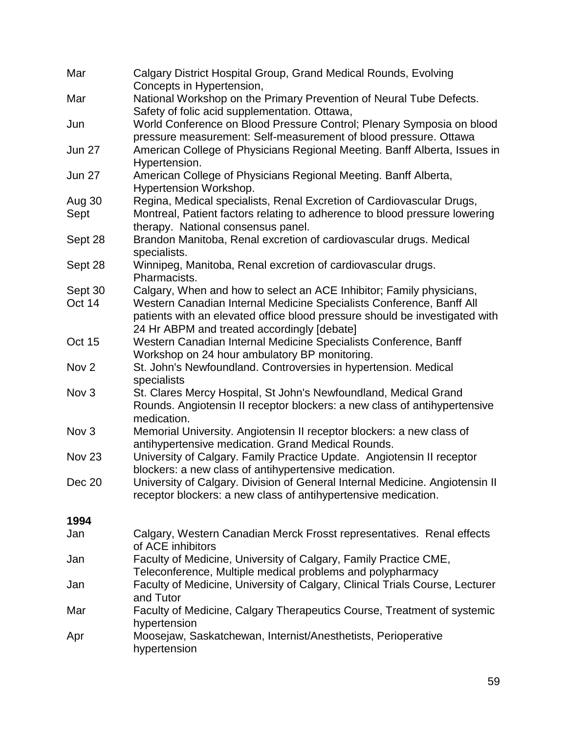| Mar               | Calgary District Hospital Group, Grand Medical Rounds, Evolving<br>Concepts in Hypertension,                                                                                                       |
|-------------------|----------------------------------------------------------------------------------------------------------------------------------------------------------------------------------------------------|
| Mar               | National Workshop on the Primary Prevention of Neural Tube Defects.                                                                                                                                |
| Jun               | Safety of folic acid supplementation. Ottawa,<br>World Conference on Blood Pressure Control; Plenary Symposia on blood<br>pressure measurement: Self-measurement of blood pressure. Ottawa         |
| <b>Jun 27</b>     | American College of Physicians Regional Meeting. Banff Alberta, Issues in<br>Hypertension.                                                                                                         |
| <b>Jun 27</b>     | American College of Physicians Regional Meeting. Banff Alberta,<br>Hypertension Workshop.                                                                                                          |
| Aug 30            | Regina, Medical specialists, Renal Excretion of Cardiovascular Drugs,                                                                                                                              |
| Sept              | Montreal, Patient factors relating to adherence to blood pressure lowering<br>therapy. National consensus panel.                                                                                   |
| Sept 28           | Brandon Manitoba, Renal excretion of cardiovascular drugs. Medical<br>specialists.                                                                                                                 |
| Sept 28           | Winnipeg, Manitoba, Renal excretion of cardiovascular drugs.<br>Pharmacists.                                                                                                                       |
| Sept 30           | Calgary, When and how to select an ACE Inhibitor; Family physicians,                                                                                                                               |
| Oct 14            | Western Canadian Internal Medicine Specialists Conference, Banff All<br>patients with an elevated office blood pressure should be investigated with<br>24 Hr ABPM and treated accordingly [debate] |
| Oct 15            | Western Canadian Internal Medicine Specialists Conference, Banff                                                                                                                                   |
|                   | Workshop on 24 hour ambulatory BP monitoring.                                                                                                                                                      |
| Nov <sub>2</sub>  | St. John's Newfoundland. Controversies in hypertension. Medical<br>specialists                                                                                                                     |
| Nov <sub>3</sub>  | St. Clares Mercy Hospital, St John's Newfoundland, Medical Grand<br>Rounds. Angiotensin II receptor blockers: a new class of antihypertensive<br>medication.                                       |
| Nov <sub>3</sub>  | Memorial University. Angiotensin II receptor blockers: a new class of<br>antihypertensive medication. Grand Medical Rounds.                                                                        |
| Nov <sub>23</sub> | University of Calgary. Family Practice Update. Angiotensin II receptor<br>blockers: a new class of antihypertensive medication.                                                                    |
| Dec 20            | University of Calgary. Division of General Internal Medicine. Angiotensin II<br>receptor blockers: a new class of antihypertensive medication.                                                     |
| 1994              |                                                                                                                                                                                                    |
| Jan               | Calgary, Western Canadian Merck Frosst representatives. Renal effects<br>of ACE inhibitors                                                                                                         |
| Jan               | Faculty of Medicine, University of Calgary, Family Practice CME,<br>Teleconference, Multiple medical problems and polypharmacy                                                                     |
| Jan               | Faculty of Medicine, University of Calgary, Clinical Trials Course, Lecturer<br>and Tutor                                                                                                          |
| Mar               | Faculty of Medicine, Calgary Therapeutics Course, Treatment of systemic<br>hypertension                                                                                                            |
| Apr               | Moosejaw, Saskatchewan, Internist/Anesthetists, Perioperative<br>hypertension                                                                                                                      |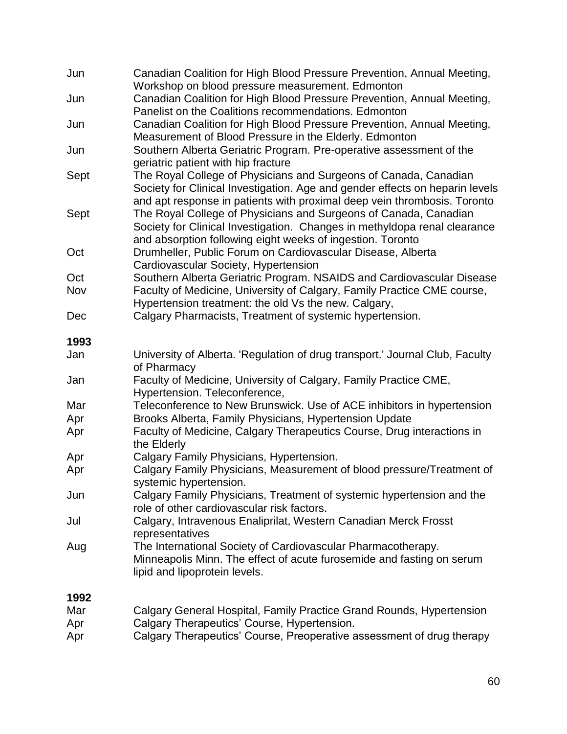| Jun        | Canadian Coalition for High Blood Pressure Prevention, Annual Meeting,<br>Workshop on blood pressure measurement. Edmonton                                                                                                   |
|------------|------------------------------------------------------------------------------------------------------------------------------------------------------------------------------------------------------------------------------|
| Jun        | Canadian Coalition for High Blood Pressure Prevention, Annual Meeting,<br>Panelist on the Coalitions recommendations. Edmonton                                                                                               |
| Jun        | Canadian Coalition for High Blood Pressure Prevention, Annual Meeting,<br>Measurement of Blood Pressure in the Elderly. Edmonton                                                                                             |
| Jun        | Southern Alberta Geriatric Program. Pre-operative assessment of the<br>geriatric patient with hip fracture                                                                                                                   |
| Sept       | The Royal College of Physicians and Surgeons of Canada, Canadian<br>Society for Clinical Investigation. Age and gender effects on heparin levels<br>and apt response in patients with proximal deep vein thrombosis. Toronto |
| Sept       | The Royal College of Physicians and Surgeons of Canada, Canadian<br>Society for Clinical Investigation. Changes in methyldopa renal clearance<br>and absorption following eight weeks of ingestion. Toronto                  |
| Oct        | Drumheller, Public Forum on Cardiovascular Disease, Alberta<br>Cardiovascular Society, Hypertension                                                                                                                          |
| Oct        | Southern Alberta Geriatric Program. NSAIDS and Cardiovascular Disease                                                                                                                                                        |
| Nov        | Faculty of Medicine, University of Calgary, Family Practice CME course,<br>Hypertension treatment: the old Vs the new. Calgary,                                                                                              |
| Dec        | Calgary Pharmacists, Treatment of systemic hypertension.                                                                                                                                                                     |
| 1993       |                                                                                                                                                                                                                              |
| Jan        | University of Alberta. 'Regulation of drug transport.' Journal Club, Faculty<br>of Pharmacy                                                                                                                                  |
| Jan        | Faculty of Medicine, University of Calgary, Family Practice CME,<br>Hypertension. Teleconference,                                                                                                                            |
| Mar        | Teleconference to New Brunswick. Use of ACE inhibitors in hypertension                                                                                                                                                       |
| Apr        | Brooks Alberta, Family Physicians, Hypertension Update                                                                                                                                                                       |
| Apr        | Faculty of Medicine, Calgary Therapeutics Course, Drug interactions in<br>the Elderly                                                                                                                                        |
| Apr        | Calgary Family Physicians, Hypertension.                                                                                                                                                                                     |
| Apr        | Calgary Family Physicians, Measurement of blood pressure/Treatment of<br>systemic hypertension.                                                                                                                              |
| Jun        | Calgary Family Physicians, Treatment of systemic hypertension and the<br>role of other cardiovascular risk factors.                                                                                                          |
| Jul        | Calgary, Intravenous Enaliprilat, Western Canadian Merck Frosst<br>representatives                                                                                                                                           |
| Aug        | The International Society of Cardiovascular Pharmacotherapy.<br>Minneapolis Minn. The effect of acute furosemide and fasting on serum<br>lipid and lipoprotein levels.                                                       |
| 1992       |                                                                                                                                                                                                                              |
| Mar<br>Apr | Calgary General Hospital, Family Practice Grand Rounds, Hypertension<br>Calgary Therapeutics' Course, Hypertension.                                                                                                          |

Apr Calgary Therapeutics' Course, Preoperative assessment of drug therapy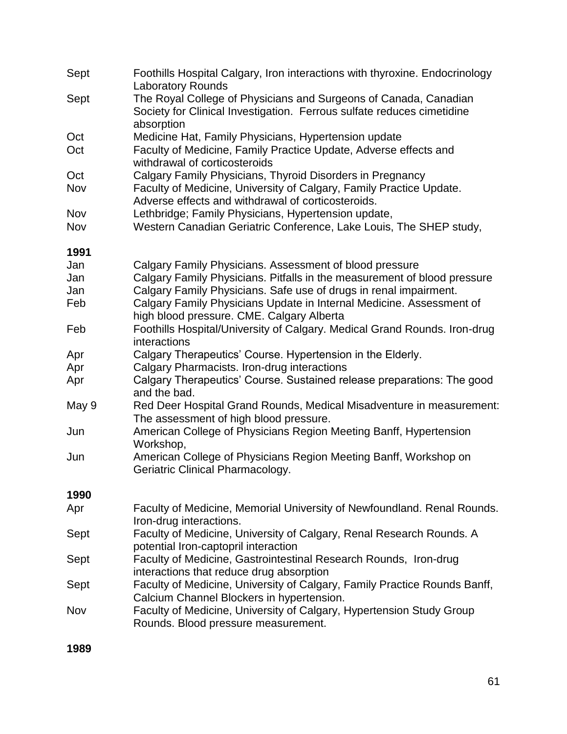| Sept  | Foothills Hospital Calgary, Iron interactions with thyroxine. Endocrinology<br><b>Laboratory Rounds</b>                                                  |
|-------|----------------------------------------------------------------------------------------------------------------------------------------------------------|
| Sept  | The Royal College of Physicians and Surgeons of Canada, Canadian<br>Society for Clinical Investigation. Ferrous sulfate reduces cimetidine<br>absorption |
| Oct   | Medicine Hat, Family Physicians, Hypertension update                                                                                                     |
| Oct   | Faculty of Medicine, Family Practice Update, Adverse effects and<br>withdrawal of corticosteroids                                                        |
| Oct   | Calgary Family Physicians, Thyroid Disorders in Pregnancy                                                                                                |
| Nov   | Faculty of Medicine, University of Calgary, Family Practice Update.<br>Adverse effects and withdrawal of corticosteroids.                                |
| Nov   | Lethbridge; Family Physicians, Hypertension update,                                                                                                      |
| Nov   | Western Canadian Geriatric Conference, Lake Louis, The SHEP study,                                                                                       |
| 1991  |                                                                                                                                                          |
| Jan   | Calgary Family Physicians. Assessment of blood pressure                                                                                                  |
| Jan   | Calgary Family Physicians. Pitfalls in the measurement of blood pressure                                                                                 |
| Jan   | Calgary Family Physicians. Safe use of drugs in renal impairment.                                                                                        |
| Feb   | Calgary Family Physicians Update in Internal Medicine. Assessment of<br>high blood pressure. CME. Calgary Alberta                                        |
| Feb   | Foothills Hospital/University of Calgary. Medical Grand Rounds. Iron-drug<br>interactions                                                                |
| Apr   | Calgary Therapeutics' Course. Hypertension in the Elderly.                                                                                               |
| Apr   | Calgary Pharmacists. Iron-drug interactions                                                                                                              |
| Apr   | Calgary Therapeutics' Course. Sustained release preparations: The good<br>and the bad.                                                                   |
| May 9 | Red Deer Hospital Grand Rounds, Medical Misadventure in measurement:<br>The assessment of high blood pressure.                                           |
| Jun   | American College of Physicians Region Meeting Banff, Hypertension<br>Workshop,                                                                           |
| Jun   | American College of Physicians Region Meeting Banff, Workshop on<br>Geriatric Clinical Pharmacology.                                                     |
| 1990  |                                                                                                                                                          |
| Apr   | Faculty of Medicine, Memorial University of Newfoundland. Renal Rounds.<br>Iron-drug interactions.                                                       |
| Sept  | Faculty of Medicine, University of Calgary, Renal Research Rounds. A<br>potential Iron-captopril interaction                                             |
| Sept  | Faculty of Medicine, Gastrointestinal Research Rounds, Iron-drug<br>interactions that reduce drug absorption                                             |
| Sept  | Faculty of Medicine, University of Calgary, Family Practice Rounds Banff,<br>Calcium Channel Blockers in hypertension.                                   |
| Nov   | Faculty of Medicine, University of Calgary, Hypertension Study Group<br>Rounds. Blood pressure measurement.                                              |

**1989**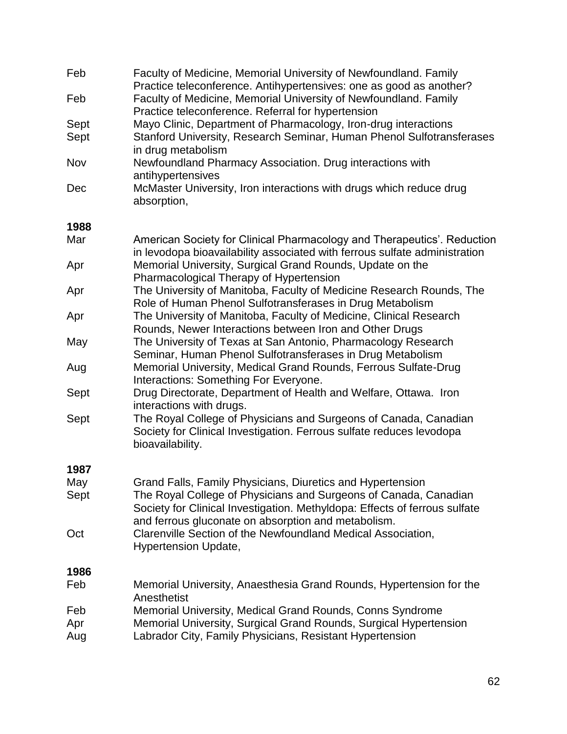| Feb  | Faculty of Medicine, Memorial University of Newfoundland. Family<br>Practice teleconference. Antihypertensives: one as good as another?                                                               |
|------|-------------------------------------------------------------------------------------------------------------------------------------------------------------------------------------------------------|
| Feb  | Faculty of Medicine, Memorial University of Newfoundland. Family<br>Practice teleconference. Referral for hypertension                                                                                |
| Sept | Mayo Clinic, Department of Pharmacology, Iron-drug interactions                                                                                                                                       |
| Sept | Stanford University, Research Seminar, Human Phenol Sulfotransferases                                                                                                                                 |
|      | in drug metabolism                                                                                                                                                                                    |
| Nov  | Newfoundland Pharmacy Association. Drug interactions with                                                                                                                                             |
|      | antihypertensives                                                                                                                                                                                     |
| Dec  | McMaster University, Iron interactions with drugs which reduce drug<br>absorption,                                                                                                                    |
| 1988 |                                                                                                                                                                                                       |
| Mar  | American Society for Clinical Pharmacology and Therapeutics'. Reduction<br>in levodopa bioavailability associated with ferrous sulfate administration                                                 |
| Apr  | Memorial University, Surgical Grand Rounds, Update on the<br>Pharmacological Therapy of Hypertension                                                                                                  |
| Apr  | The University of Manitoba, Faculty of Medicine Research Rounds, The<br>Role of Human Phenol Sulfotransferases in Drug Metabolism                                                                     |
| Apr  | The University of Manitoba, Faculty of Medicine, Clinical Research<br>Rounds, Newer Interactions between Iron and Other Drugs                                                                         |
| May  | The University of Texas at San Antonio, Pharmacology Research<br>Seminar, Human Phenol Sulfotransferases in Drug Metabolism                                                                           |
| Aug  | Memorial University, Medical Grand Rounds, Ferrous Sulfate-Drug<br>Interactions: Something For Everyone.                                                                                              |
| Sept | Drug Directorate, Department of Health and Welfare, Ottawa. Iron<br>interactions with drugs.                                                                                                          |
| Sept | The Royal College of Physicians and Surgeons of Canada, Canadian<br>Society for Clinical Investigation. Ferrous sulfate reduces levodopa<br>bioavailability.                                          |
| 1987 |                                                                                                                                                                                                       |
| May  | Grand Falls, Family Physicians, Diuretics and Hypertension                                                                                                                                            |
| Sept | The Royal College of Physicians and Surgeons of Canada, Canadian<br>Society for Clinical Investigation. Methyldopa: Effects of ferrous sulfate<br>and ferrous gluconate on absorption and metabolism. |
| Oct  | Clarenville Section of the Newfoundland Medical Association,<br><b>Hypertension Update,</b>                                                                                                           |
| 1986 |                                                                                                                                                                                                       |
| Feb  | Memorial University, Anaesthesia Grand Rounds, Hypertension for the<br>Anesthetist                                                                                                                    |
| Feb  | Memorial University, Medical Grand Rounds, Conns Syndrome                                                                                                                                             |
| Apr  | Memorial University, Surgical Grand Rounds, Surgical Hypertension                                                                                                                                     |
| Aug  | Labrador City, Family Physicians, Resistant Hypertension                                                                                                                                              |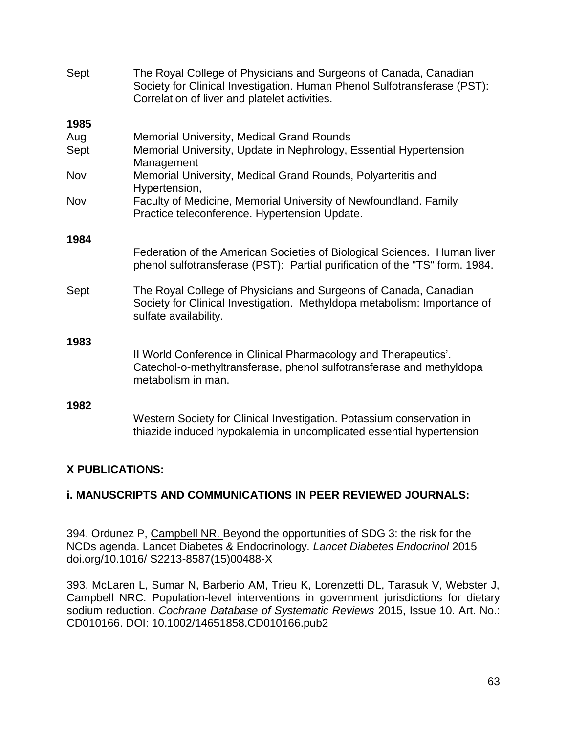| Sept | The Royal College of Physicians and Surgeons of Canada, Canadian<br>Society for Clinical Investigation. Human Phenol Sulfotransferase (PST):<br>Correlation of liver and platelet activities. |
|------|-----------------------------------------------------------------------------------------------------------------------------------------------------------------------------------------------|
| 1985 |                                                                                                                                                                                               |
| Aug  | <b>Memorial University, Medical Grand Rounds</b>                                                                                                                                              |
| Sept | Memorial University, Update in Nephrology, Essential Hypertension<br>Management                                                                                                               |
| Nov  | Memorial University, Medical Grand Rounds, Polyarteritis and<br>Hypertension,                                                                                                                 |
| Nov  | Faculty of Medicine, Memorial University of Newfoundland. Family<br>Practice teleconference. Hypertension Update.                                                                             |
| 1984 |                                                                                                                                                                                               |
|      | Federation of the American Societies of Biological Sciences. Human liver<br>phenol sulfotransferase (PST): Partial purification of the "TS" form. 1984.                                       |
| Sept | The Royal College of Physicians and Surgeons of Canada, Canadian<br>Society for Clinical Investigation. Methyldopa metabolism: Importance of<br>sulfate availability.                         |
| 1983 |                                                                                                                                                                                               |
|      | Il World Conference in Clinical Pharmacology and Therapeutics'.<br>Catechol-o-methyltransferase, phenol sulfotransferase and methyldopa<br>metabolism in man.                                 |
| 1982 |                                                                                                                                                                                               |
|      | Western Society for Clinical Investigation. Potassium conservation in<br>thiazide induced hypokalemia in uncomplicated essential hypertension                                                 |

## **X PUBLICATIONS:**

## **i. MANUSCRIPTS AND COMMUNICATIONS IN PEER REVIEWED JOURNALS:**

394. Ordunez P, Campbell NR. Beyond the opportunities of SDG 3: the risk for the NCDs agenda. Lancet Diabetes & Endocrinology. *Lancet Diabetes Endocrinol* 2015 [doi.org/10.1016/](http://dx.doi.org/10.1016/) S2213-8587(15)00488-X

393. McLaren L, Sumar N, Barberio AM, Trieu K, Lorenzetti DL, Tarasuk V, Webster J, Campbell NRC. Population-level interventions in government jurisdictions for dietary sodium reduction. *Cochrane Database of Systematic Reviews* 2015, Issue 10. Art. No.: CD010166. DOI: 10.1002/14651858.CD010166.pub2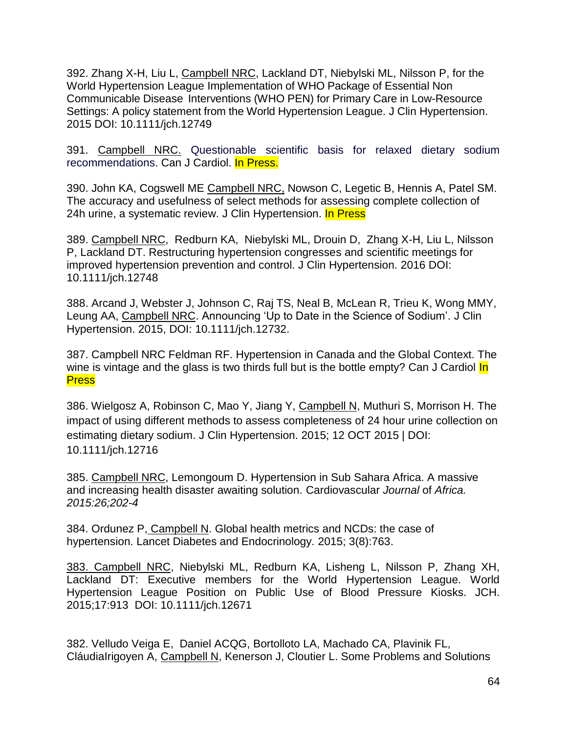392. Zhang X-H, Liu L, Campbell NRC, Lackland DT, Niebylski ML, Nilsson P, for the World Hypertension League Implementation of WHO Package of Essential Non Communicable Disease Interventions (WHO PEN) for Primary Care in Low-Resource Settings: A policy statement from the World Hypertension League. J Clin Hypertension. 2015 DOI: 10.1111/jch.12749

391. Campbell NRC. Questionable scientific basis for relaxed dietary sodium recommendations. Can J Cardiol. In Press.

390. John KA, Cogswell ME Campbell NRC, Nowson C, Legetic B, Hennis A, Patel SM. The accuracy and usefulness of select methods for assessing complete collection of 24h urine, a systematic review. J Clin Hypertension. In Press

389. Campbell NRC, Redburn KA, Niebylski ML, Drouin D, Zhang X-H, Liu L, Nilsson P, Lackland DT. Restructuring hypertension congresses and scientific meetings for improved hypertension prevention and control. J Clin Hypertension. 2016 DOI: 10.1111/jch.12748

388. Arcand J, Webster J, Johnson C, Raj TS, Neal B, McLean R, Trieu K, Wong MMY, Leung AA, Campbell NRC. Announcing 'Up to Date in the Science of Sodium'. J Clin Hypertension. 2015, DOI: 10.1111/jch.12732.

387. Campbell NRC Feldman RF. Hypertension in Canada and the Global Context. The wine is vintage and the glass is two thirds full but is the bottle empty? Can J Cardiol In **Press** 

386. Wielgosz A, Robinson C, Mao Y, Jiang Y, Campbell N, Muthuri S, Morrison H. The impact of using different methods to assess completeness of 24 hour urine collection on estimating dietary sodium. J Clin Hypertension. 2015; 12 OCT 2015 | DOI: 10.1111/jch.12716

385. Campbell NRC, Lemongoum D. Hypertension in Sub Sahara Africa. A massive and increasing health disaster awaiting solution. Cardiovascular *Journal* of *Africa. 2015:26;202-4*

384. Ordunez P, Campbell N. Global health metrics and NCDs: the case of hypertension. Lancet Diabetes and Endocrinology. 2015; 3(8):763.

383. Campbell NRC, Niebylski ML, Redburn KA, Lisheng L, Nilsson P, Zhang XH, Lackland DT: Executive members for the World Hypertension League. World Hypertension League Position on Public Use of Blood Pressure Kiosks. JCH. 2015;17:913 DOI: 10.1111/jch.12671

382. Velludo Veiga E, Daniel ACQG, Bortolloto LA, Machado CA, Plavinik FL, CláudiaIrigoyen A, Campbell N, Kenerson J, Cloutier L. Some Problems and Solutions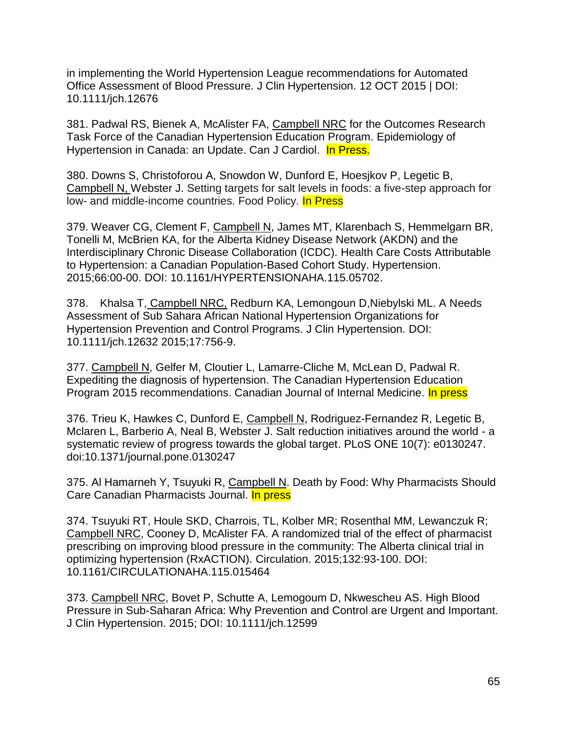in implementing the World Hypertension League recommendations for Automated Office Assessment of Blood Pressure. J Clin Hypertension. 12 OCT 2015 | DOI: 10.1111/jch.12676

381. Padwal RS, Bienek A, McAlister FA, Campbell NRC for the Outcomes Research Task Force of the Canadian Hypertension Education Program. Epidemiology of Hypertension in Canada: an Update. Can J Cardiol. In Press.

380. Downs S, Christoforou A, Snowdon W, Dunford E, Hoesjkov P, Legetic B, Campbell N, Webster J. Setting targets for salt levels in foods: a five-step approach for low- and middle-income countries. Food Policy. In Press

379. Weaver CG, Clement F, Campbell N, James MT, Klarenbach S, Hemmelgarn BR, Tonelli M, McBrien KA, for the Alberta Kidney Disease Network (AKDN) and the Interdisciplinary Chronic Disease Collaboration (ICDC). Health Care Costs Attributable to Hypertension: a Canadian Population-Based Cohort Study. Hypertension. 2015;66:00-00. DOI: 10.1161/HYPERTENSIONAHA.115.05702.

378. Khalsa T, Campbell NRC, Redburn KA, Lemongoun D,Niebylski ML. A Needs Assessment of Sub Sahara African National Hypertension Organizations for Hypertension Prevention and Control Programs. J Clin Hypertension. DOI: 10.1111/jch.12632 2015;17:756-9.

377. Campbell N, Gelfer M, Cloutier L, Lamarre-Cliche M, McLean D, Padwal R. Expediting the diagnosis of hypertension. The Canadian Hypertension Education Program 2015 recommendations. Canadian Journal of Internal Medicine. In press

376. Trieu K, Hawkes C, Dunford E, Campbell N, Rodriguez-Fernandez R, Legetic B, Mclaren L, Barberio A, Neal B, Webster J. Salt reduction initiatives around the world - a systematic review of progress towards the global target. PLoS ONE 10(7): e0130247. doi:10.1371/journal.pone.0130247

375. Al Hamarneh Y, Tsuyuki R, Campbell N. Death by Food: Why Pharmacists Should Care Canadian Pharmacists Journal. In press

374. Tsuyuki RT, Houle SKD, Charrois, TL, Kolber MR; Rosenthal MM, Lewanczuk R; Campbell NRC, Cooney D, McAlister FA. A randomized trial of the effect of pharmacist prescribing on improving blood pressure in the community: The Alberta clinical trial in optimizing hypertension (RxACTION). Circulation. 2015;132:93-100. DOI: 10.1161/CIRCULATIONAHA.115.015464

373. Campbell NRC, Bovet P, Schutte A, Lemogoum D, Nkwescheu AS. High Blood Pressure in Sub-Saharan Africa: Why Prevention and Control are Urgent and Important. J Clin Hypertension. 2015; DOI: 10.1111/jch.12599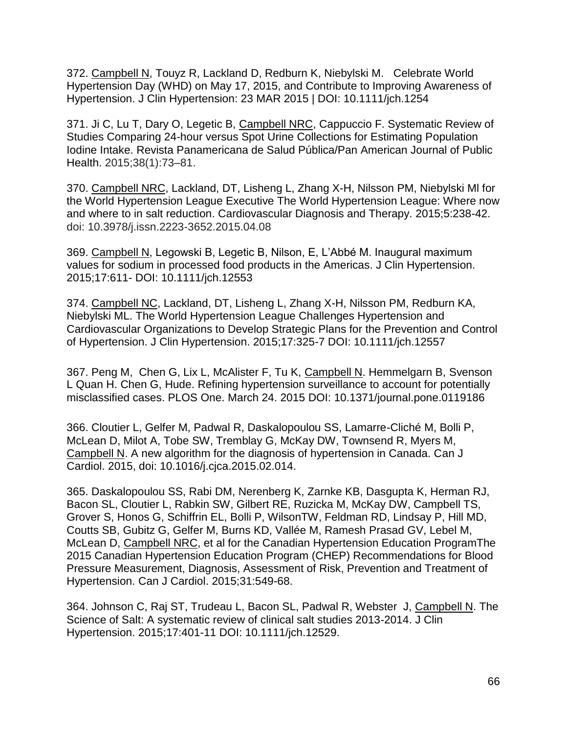372. Campbell N, Touyz R, Lackland D, Redburn K, Niebylski M. Celebrate World Hypertension Day (WHD) on May 17, 2015, and Contribute to Improving Awareness of Hypertension. J Clin Hypertension: 23 MAR 2015 | DOI: 10.1111/jch.1254

371. Ji C, Lu T, Dary O, Legetic B, Campbell NRC, Cappuccio F. Systematic Review of Studies Comparing 24-hour versus Spot Urine Collections for Estimating Population Iodine Intake. Revista Panamericana de Salud Pública/Pan American Journal of Public Health. 2015;38(1):73–81.

370. Campbell NRC, Lackland, DT, Lisheng L, Zhang X-H, Nilsson PM, Niebylski Ml for the World Hypertension League Executive The World Hypertension League: Where now and where to in salt reduction. Cardiovascular Diagnosis and Therapy. 2015;5:238-42. doi: 10.3978/j.issn.2223-3652.2015.04.08

369. Campbell N, Legowski B, Legetic B, Nilson, E, L'Abbé M. Inaugural maximum values for sodium in processed food products in the Americas. J Clin Hypertension. 2015;17:611- DOI: 10.1111/jch.12553

374. Campbell NC, Lackland, DT, Lisheng L, Zhang X-H, Nilsson PM, Redburn KA, Niebylski ML. The World Hypertension League Challenges Hypertension and Cardiovascular Organizations to Develop Strategic Plans for the Prevention and Control of Hypertension. J Clin Hypertension. 2015;17:325-7 DOI: 10.1111/jch.12557

367. Peng M, Chen G, Lix L, McAlister F, Tu K, Campbell N. Hemmelgarn B, Svenson L Quan H. Chen G, Hude. Refining hypertension surveillance to account for potentially misclassified cases. PLOS One. March 24. 2015 DOI: 10.1371/journal.pone.0119186

366. Cloutier L, Gelfer M, Padwal R, Daskalopoulou SS, Lamarre-Cliché M, Bolli P, McLean D, Milot A, Tobe SW, Tremblay G, McKay DW, Townsend R, Myers M, Campbell N. A new algorithm for the diagnosis of hypertension in Canada. Can J Cardiol. 2015, doi: 10.1016/j.cjca.2015.02.014.

365. Daskalopoulou SS, Rabi DM, Nerenberg K, Zarnke KB, Dasgupta K, Herman RJ, Bacon SL, Cloutier L, Rabkin SW, Gilbert RE, Ruzicka M, McKay DW, Campbell TS, Grover S, Honos G, Schiffrin EL, Bolli P, WilsonTW, Feldman RD, Lindsay P, Hill MD, Coutts SB, Gubitz G, Gelfer M, Burns KD, Vallée M, Ramesh Prasad GV, Lebel M, McLean D, Campbell NRC, et al for the Canadian Hypertension Education ProgramThe 2015 Canadian Hypertension Education Program (CHEP) Recommendations for Blood Pressure Measurement, Diagnosis, Assessment of Risk, Prevention and Treatment of Hypertension. Can J Cardiol. 2015;31:549-68.

364. Johnson C, Raj ST, Trudeau L, Bacon SL, Padwal R, Webster J, Campbell N. The Science of Salt: A systematic review of clinical salt studies 2013-2014. J Clin Hypertension. 2015;17:401-11 DOI: 10.1111/jch.12529.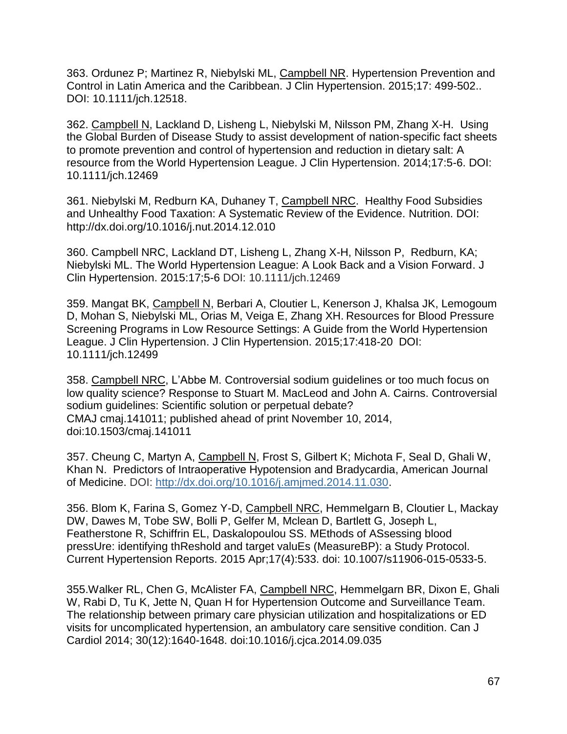363. Ordunez P; Martinez R, Niebylski ML, Campbell NR. Hypertension Prevention and Control in Latin America and the Caribbean. J Clin Hypertension. 2015;17: 499-502.. DOI: 10.1111/jch.12518.

362. Campbell N, Lackland D, Lisheng L, Niebylski M, Nilsson PM, Zhang X-H. Using the Global Burden of Disease Study to assist development of nation-specific fact sheets to promote prevention and control of hypertension and reduction in dietary salt: A resource from the World Hypertension League. J Clin Hypertension. 2014;17:5-6. DOI: 10.1111/jch.12469

361. Niebylski M, Redburn KA, Duhaney T, Campbell NRC. Healthy Food Subsidies and Unhealthy Food Taxation: A Systematic Review of the Evidence. Nutrition. DOI: <http://dx.doi.org/10.1016/j.nut.2014.12.010>

360. Campbell NRC, Lackland DT, Lisheng L, Zhang X-H, Nilsson P, Redburn, KA; Niebylski ML. The World Hypertension League: A Look Back and a Vision Forward. J Clin Hypertension. 2015:17;5-6 DOI: 10.1111/jch.12469

359. Mangat BK, Campbell N, Berbari A, Cloutier L, Kenerson J, Khalsa JK, Lemogoum D, Mohan S, Niebylski ML, Orias M, Veiga E, Zhang XH. Resources for Blood Pressure Screening Programs in Low Resource Settings: A Guide from the World Hypertension League. J Clin Hypertension. J Clin Hypertension. 2015;17:418-20 DOI: 10.1111/jch.12499

358. Campbell NRC, L'Abbe M. Controversial sodium guidelines or too much focus on low quality science? Response to Stuart M. MacLeod and John A. Cairns. Controversial sodium guidelines: Scientific solution or perpetual debate? CMAJ cmaj.141011; published ahead of print November 10, 2014, doi:10.1503/cmaj.141011

357. Cheung C, Martyn A, Campbell N, Frost S, Gilbert K; Michota F, Seal D, Ghali W, Khan N. Predictors of Intraoperative Hypotension and Bradycardia, American Journal of Medicine. DOI: [http://dx.doi.org/10.1016/j.amjmed.2014.11.030.](http://dx.doi.org/10.1016/j.amjmed.2014.11.030)

356. Blom K, Farina S, Gomez Y-D, Campbell NRC, Hemmelgarn B, Cloutier L, Mackay DW, Dawes M, Tobe SW, Bolli P, Gelfer M, Mclean D, Bartlett G, Joseph L, Featherstone R, Schiffrin EL, Daskalopoulou SS. MEthods of ASsessing blood pressUre: identifying thReshold and target valuEs (MeasureBP): a Study Protocol. Current Hypertension Reports. 2015 Apr;17(4):533. doi: 10.1007/s11906-015-0533-5.

355.Walker RL, Chen G, McAlister FA, Campbell NRC, Hemmelgarn BR, Dixon E, Ghali W, Rabi D, Tu K, Jette N, Quan H for Hypertension Outcome and Surveillance Team. The relationship between primary care physician utilization and hospitalizations or ED visits for uncomplicated hypertension, an ambulatory care sensitive condition. Can J Cardiol 2014; 30(12):1640-1648. doi:10.1016/j.cjca.2014.09.035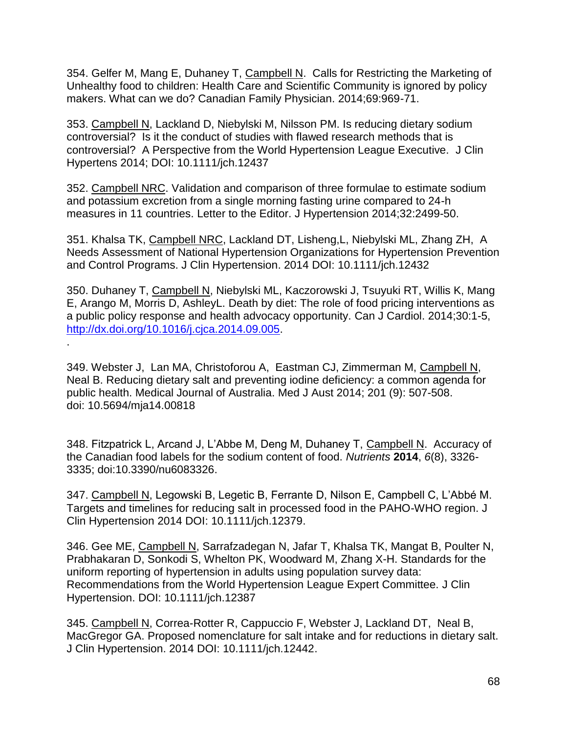354. Gelfer M, Mang E, Duhaney T, Campbell N. Calls for Restricting the Marketing of Unhealthy food to children: Health Care and Scientific Community is ignored by policy makers. What can we do? Canadian Family Physician. 2014;69:969-71.

353. Campbell N, Lackland D, Niebylski M, Nilsson PM. Is reducing dietary sodium controversial? Is it the conduct of studies with flawed research methods that is controversial? A Perspective from the World Hypertension League Executive. J Clin Hypertens 2014; DOI: 10.1111/jch.12437

352. Campbell NRC. Validation and comparison of three formulae to estimate sodium and potassium excretion from a single morning fasting urine compared to 24-h measures in 11 countries. Letter to the Editor. J Hypertension 2014;32:2499-50.

351. Khalsa TK, Campbell NRC, Lackland DT, Lisheng,L, Niebylski ML, Zhang ZH, A Needs Assessment of National Hypertension Organizations for Hypertension Prevention and Control Programs. J Clin Hypertension. 2014 DOI: 10.1111/jch.12432

350. Duhaney T, Campbell N, Niebylski ML, Kaczorowski J, Tsuyuki RT, Willis K, Mang E, Arango M, Morris D, AshleyL. Death by diet: The role of food pricing interventions as a public policy response and health advocacy opportunity. Can J Cardiol. 2014;30:1-5, [http://dx.doi.org/10.1016/j.cjca.2014.09.005.](http://dx.doi.org/10.1016/j.cjca.2014.09.005)

349. Webster J, Lan MA, Christoforou A, Eastman CJ, Zimmerman M, Campbell N, Neal B. Reducing dietary salt and preventing iodine deficiency: a common agenda for public health. Medical Journal of Australia. Med J Aust 2014; 201 (9): 507-508. doi: 10.5694/mja14.00818

.

348. Fitzpatrick L, Arcand J, L'Abbe M, Deng M, Duhaney T, Campbell N. Accuracy of the Canadian food labels for the sodium content of food. *Nutrients* **2014**, *6*(8), 3326- 3335; doi[:10.3390/nu6083326.](http://dx.doi.org/10.3390/nu6083326)

347. Campbell N, Legowski B, Legetic B, Ferrante D, Nilson E, Campbell C, L'Abbé M. Targets and timelines for reducing salt in processed food in the PAHO-WHO region. J Clin Hypertension 2014 DOI: 10.1111/jch.12379.

346. Gee ME, Campbell N, Sarrafzadegan N, Jafar T, Khalsa TK, Mangat B, Poulter N, Prabhakaran D, Sonkodi S, Whelton PK, Woodward M, Zhang X-H. Standards for the uniform reporting of hypertension in adults using population survey data: Recommendations from the World Hypertension League Expert Committee. J Clin Hypertension. DOI: 10.1111/jch.12387

345. Campbell N, Correa-Rotter R, Cappuccio F, Webster J, Lackland DT, Neal B, MacGregor GA. Proposed nomenclature for salt intake and for reductions in dietary salt. J Clin Hypertension. 2014 DOI: 10.1111/jch.12442.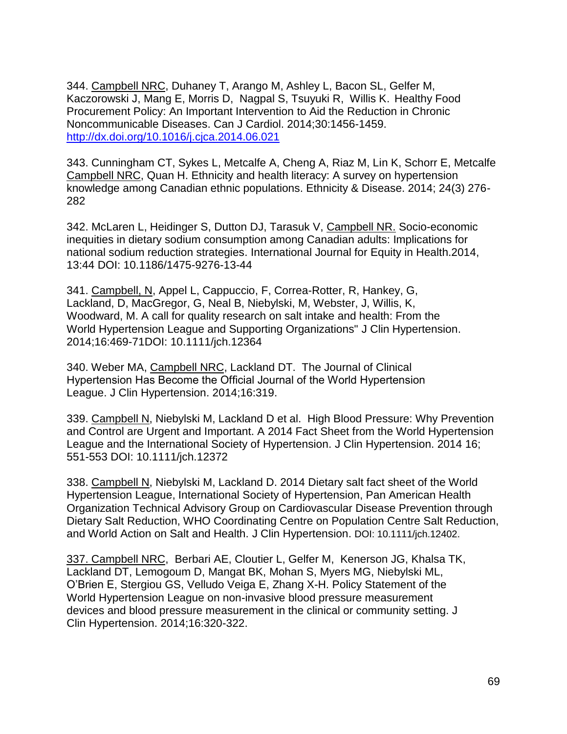344. Campbell NRC, Duhaney T, Arango M, Ashley L, Bacon SL, Gelfer M, Kaczorowski J, Mang E, Morris D, Nagpal S, Tsuyuki R, Willis K. Healthy Food Procurement Policy: An Important Intervention to Aid the Reduction in Chronic Noncommunicable Diseases. Can J Cardiol. 2014;30:1456-1459. <http://dx.doi.org/10.1016/j.cjca.2014.06.021>

343. Cunningham CT, Sykes L, Metcalfe A, Cheng A, Riaz M, Lin K, Schorr E, Metcalfe Campbell NRC, Quan H. Ethnicity and health literacy: A survey on hypertension knowledge among Canadian ethnic populations. Ethnicity & Disease. 2014; 24(3) 276- 282

342. McLaren L, Heidinger S, Dutton DJ, Tarasuk V, Campbell NR. Socio-economic inequities in dietary sodium consumption among Canadian adults: Implications for national sodium reduction strategies. International Journal for Equity in Health.2014, 13:44 DOI: 10.1186/1475-9276-13-44

341. Campbell, N, Appel L, Cappuccio, F, Correa-Rotter, R, Hankey, G, Lackland, D, MacGregor, G, Neal B, Niebylski, M, Webster, J, Willis, K, Woodward, M. A call for quality research on salt intake and health: From the World Hypertension League and Supporting Organizations" J Clin Hypertension. 2014;16:469-71DOI: 10.1111/jch.12364

340. Weber MA, Campbell NRC, Lackland DT. The Journal of Clinical Hypertension Has Become the Official Journal of the World Hypertension League. J Clin Hypertension. 2014;16:319.

339. Campbell N, Niebylski M, Lackland D et al. High Blood Pressure: Why Prevention and Control are Urgent and Important. A 2014 Fact Sheet from the World Hypertension League and the International Society of Hypertension. J Clin Hypertension. 2014 16; 551-553 DOI: 10.1111/jch.12372

338. Campbell N, Niebylski M, Lackland D. 2014 Dietary salt fact sheet of the World Hypertension League, International Society of Hypertension, Pan American Health Organization Technical Advisory Group on Cardiovascular Disease Prevention through Dietary Salt Reduction, WHO Coordinating Centre on Population Centre Salt Reduction, and World Action on Salt and Health. J Clin Hypertension. DOI: 10.1111/jch.12402.

337. Campbell NRC, Berbari AE, Cloutier L, Gelfer M, Kenerson JG, Khalsa TK, Lackland DT, Lemogoum D, Mangat BK, Mohan S, Myers MG, Niebylski ML, O'Brien E, Stergiou GS, Velludo Veiga E, Zhang X-H. Policy Statement of the World Hypertension League on non-invasive blood pressure measurement devices and blood pressure measurement in the clinical or community setting. J Clin Hypertension. 2014;16:320-322.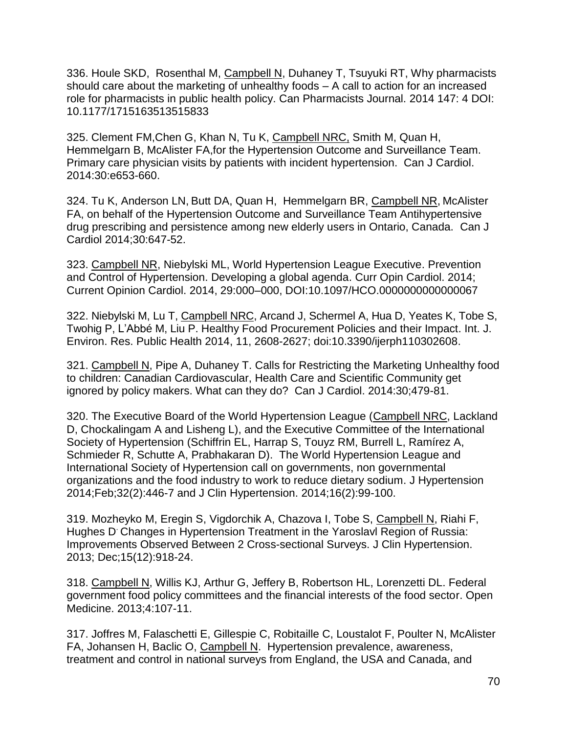336. Houle SKD, Rosenthal M, Campbell N, Duhaney T, Tsuyuki RT, Why pharmacists should care about the marketing of unhealthy foods – A call to action for an increased role for pharmacists in public health policy. Can Pharmacists Journal. 2014 147: 4 DOI: 10.1177/1715163513515833

325. Clement FM,Chen G, Khan N, Tu K, [Campbell](http://www.sciencedirect.com/science/article/pii/S0828282X13003000) NRC, [Smith](http://www.sciencedirect.com/science/article/pii/S0828282X13000044) M, Quan H, [Hemmelgarn](http://www.sciencedirect.com/science/article/pii/S0828282X13003000) B, McAlister FA,for the Hypertension Outcome and Surveillance Team. Primary care physician visits by patients with incident hypertension. Can J Cardiol. 2014:30:e653-660.

324. Tu K, Anderson LN, Butt DA, Quan H, Hemmelgarn BR, Campbell NR, McAlister FA, on behalf of the Hypertension Outcome and Surveillance Team Antihypertensive drug prescribing and persistence among new elderly users in Ontario, Canada. Can J Cardiol 2014;30:647-52.

323. Campbell NR, Niebylski ML, World Hypertension League Executive. Prevention and Control of Hypertension. Developing a global agenda. Curr Opin Cardiol. 2014; Current Opinion Cardiol. 2014, 29:000–000, DOI:10.1097/HCO.0000000000000067

322. Niebylski M, Lu T, Campbell NRC, Arcand J, Schermel A, Hua D, Yeates K, Tobe S, Twohig P, L'Abbé M, Liu P. Healthy Food Procurement Policies and their Impact. Int. J. Environ. Res. Public Health 2014, 11, 2608-2627; doi:10.3390/ijerph110302608.

321. Campbell N, Pipe A, Duhaney T. Calls for Restricting the Marketing Unhealthy food to children: Canadian Cardiovascular, Health Care and Scientific Community get ignored by policy makers. What can they do? Can J Cardiol. 2014:30;479-81.

320. The Executive Board of the World Hypertension League (Campbell NRC, Lackland D, Chockalingam A and Lisheng L), and the Executive Committee of the International Society of Hypertension (Schiffrin EL, Harrap S, Touyz RM, Burrell L, Ramírez A, Schmieder R, Schutte A, Prabhakaran D).The World Hypertension League and International Society of Hypertension call on governments, non governmental organizations and the food industry to work to reduce dietary sodium. J Hypertension 2014;Feb;32(2):446-7 and J Clin Hypertension. 2014;16(2):99-100.

319. Mozheyko M, Eregin S, Vigdorchik A, Chazova I, Tobe S, Campbell N, Riahi F, Hughes D. Changes in Hypertension Treatment in the Yaroslavl Region of Russia: Improvements Observed Between 2 Cross-sectional Surveys. J Clin Hypertension. 2013; Dec;15(12):918-24.

318. Campbell N, Willis KJ, Arthur G, Jeffery B, Robertson HL, Lorenzetti DL. Federal government food policy committees and the financial interests of the food sector. Open Medicine. 2013;4:107-11.

317. Joffres M, Falaschetti E, Gillespie C, Robitaille C, Loustalot F, Poulter N, McAlister FA, Johansen H, Baclic O, Campbell N. Hypertension prevalence, awareness, treatment and control in national surveys from England, the USA and Canada, and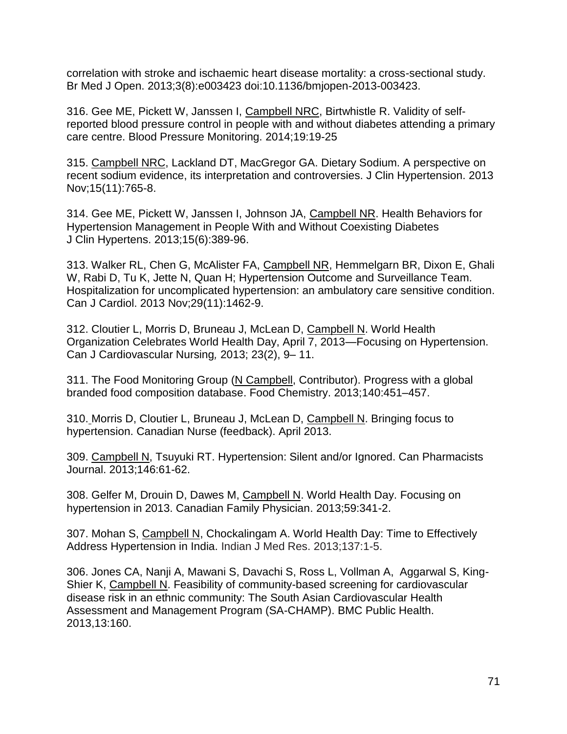correlation with stroke and ischaemic heart disease mortality: a cross-sectional study. Br Med J Open. 2013;3(8):e003423 doi:10.1136/bmjopen-2013-003423.

316. Gee ME, Pickett W, Janssen I, Campbell NRC, Birtwhistle R. Validity of selfreported blood pressure control in people with and without diabetes attending a primary care centre. Blood Pressure Monitoring. 2014;19:19-25

315. Campbell NRC, Lackland DT, MacGregor GA. Dietary Sodium. A perspective on recent sodium evidence, its interpretation and controversies. J Clin Hypertension. 2013 Nov;15(11):765-8.

314. Gee ME, Pickett W, Janssen I, Johnson JA, Campbell NR. Health Behaviors for Hypertension Management in People With and Without Coexisting Diabetes J Clin Hypertens. 2013;15(6):389-96.

313. Walker RL, Chen G, McAlister FA, Campbell NR, Hemmelgarn BR, Dixon E, Ghali W, Rabi D, Tu K, Jette N, Quan H; Hypertension Outcome and Surveillance Team. Hospitalization for uncomplicated hypertension: an ambulatory care sensitive condition. Can J Cardiol. 2013 Nov;29(11):1462-9.

312. Cloutier L, Morris D, Bruneau J, McLean D, Campbell N. World Health Organization Celebrates World Health Day, April 7, 2013—Focusing on Hypertension. Can J Cardiovascular Nursing*,* 2013; 23(2), 9– 11.

311. The Food Monitoring Group (N Campbell, Contributor). Progress with a global branded food composition database. Food Chemistry. 2013;140:451–457.

310. Morris D, Cloutier L, Bruneau J, McLean D, Campbell N. Bringing focus to hypertension. Canadian Nurse (feedback). April 2013.

309. Campbell N, Tsuyuki RT. Hypertension: Silent and/or Ignored. Can Pharmacists Journal. 2013;146:61-62.

308. Gelfer M, Drouin D, Dawes M, Campbell N. World Health Day. Focusing on hypertension in 2013. Canadian Family Physician. 2013;59:341-2.

307. Mohan S, Campbell N, Chockalingam A. World Health Day: Time to Effectively Address Hypertension in India. Indian J Med Res. 2013;137:1-5.

306. Jones CA, Nanji A, Mawani S, Davachi S, Ross L, Vollman A, Aggarwal S, King-Shier K, Campbell N. Feasibility of community-based screening for cardiovascular disease risk in an ethnic community: The South Asian Cardiovascular Health Assessment and Management Program (SA-CHAMP). BMC Public Health. 2013,13:160.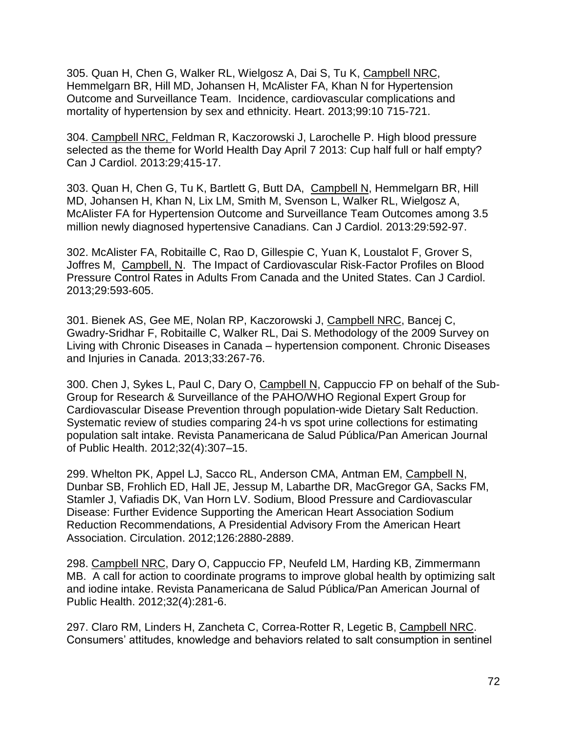305. Quan H, Chen G, Walker RL, Wielgosz A, Dai S, Tu K, Campbell NRC, Hemmelgarn BR, Hill MD, Johansen H, McAlister FA, Khan N for Hypertension Outcome and Surveillance Team. Incidence, cardiovascular complications and mortality of hypertension by sex and ethnicity. Heart. 2013;99:10 715-721.

304. Campbell NRC, Feldman R, Kaczorowski J, Larochelle P. High blood pressure selected as the theme for World Health Day April 7 2013: Cup half full or half empty? Can J Cardiol. 2013:29;415-17.

303. Quan H, Chen G, Tu K, Bartlett G, Butt DA, Campbell N, Hemmelgarn BR, Hill MD, Johansen H, Khan N, Lix LM, Smith M, Svenson L, Walker RL, Wielgosz A, McAlister FA for Hypertension Outcome and Surveillance Team Outcomes among 3.5 million newly diagnosed hypertensive Canadians. Can J Cardiol. 2013:29:592-97.

302. McAlister FA, Robitaille C, Rao D, Gillespie C, Yuan K, Loustalot F, Grover S, Joffres M, Campbell, N. The Impact of Cardiovascular Risk-Factor Profiles on Blood Pressure Control Rates in Adults From Canada and the United States. Can J Cardiol. 2013;29:593-605.

301. Bienek AS, Gee ME, Nolan RP, Kaczorowski J, Campbell NRC, Bancej C, Gwadry-Sridhar F, Robitaille C, Walker RL, Dai S. Methodology of the 2009 Survey on Living with Chronic Diseases in Canada – hypertension component. Chronic Diseases and Injuries in Canada. 2013;33:267-76.

300. Chen J, Sykes L, Paul C, Dary O, Campbell N, Cappuccio FP on behalf of the Sub-Group for Research & Surveillance of the PAHO/WHO Regional Expert Group for Cardiovascular Disease Prevention through population-wide Dietary Salt Reduction. Systematic review of studies comparing 24-h vs spot urine collections for estimating population salt intake. Revista Panamericana de Salud Pública/Pan American Journal of Public Health. 2012;32(4):307–15.

299. Whelton PK, Appel LJ, Sacco RL, Anderson CMA, Antman EM, Campbell N, Dunbar SB, Frohlich ED, Hall JE, Jessup M, Labarthe DR, MacGregor GA, Sacks FM, Stamler J, Vafiadis DK, Van Horn LV. Sodium, Blood Pressure and Cardiovascular Disease: Further Evidence Supporting the American Heart Association Sodium Reduction Recommendations, A Presidential Advisory From the American Heart Association. Circulation. 2012;126:2880-2889.

298. Campbell NRC, Dary O, Cappuccio FP, Neufeld LM, Harding KB, Zimmermann MB. A call for action to coordinate programs to improve global health by optimizing salt and iodine intake. Revista Panamericana de Salud Pública/Pan American Journal of Public Health. 2012;32(4):281-6.

297. Claro RM, Linders H, Zancheta C, Correa-Rotter R, Legetic B, Campbell NRC. Consumers' attitudes, knowledge and behaviors related to salt consumption in sentinel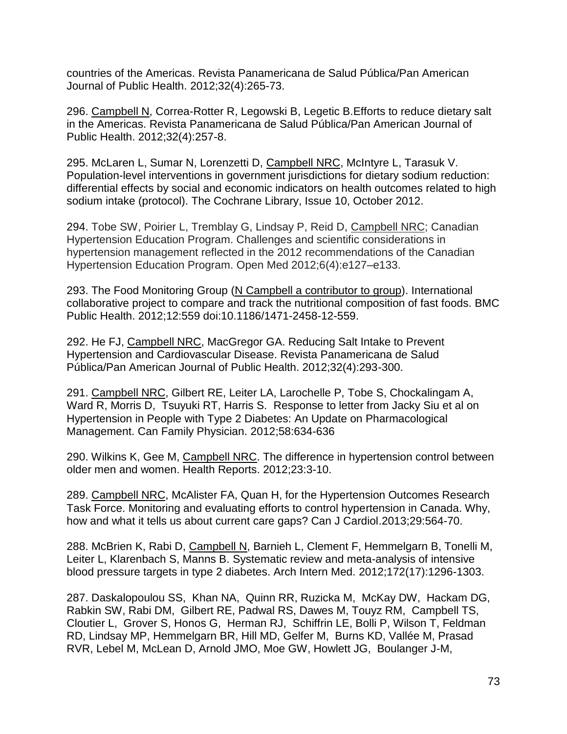countries of the Americas. Revista Panamericana de Salud Pública/Pan American Journal of Public Health. 2012;32(4):265-73.

296. Campbell N, Correa-Rotter R, Legowski B, Legetic B.Efforts to reduce dietary salt in the Americas. Revista Panamericana de Salud Pública/Pan American Journal of Public Health. 2012;32(4):257-8.

295. McLaren L, Sumar N, Lorenzetti D, Campbell NRC, McIntyre L, Tarasuk V. Population-level interventions in government jurisdictions for dietary sodium reduction: differential effects by social and economic indicators on health outcomes related to high sodium intake (protocol). The Cochrane Library, Issue 10, October 2012.

294. Tobe SW, Poirier L, Tremblay G, Lindsay P, Reid D, Campbell NRC; Canadian Hypertension Education Program. Challenges and scientific considerations in hypertension management reflected in the 2012 recommendations of the Canadian Hypertension Education Program. Open Med 2012;6(4):e127–e133.

293. The Food Monitoring Group (N Campbell a contributor to group). International collaborative project to compare and track the nutritional composition of fast foods. BMC Public Health. 2012;12:559 doi:10.1186/1471-2458-12-559.

292. He FJ, Campbell NRC, MacGregor GA. Reducing Salt Intake to Prevent Hypertension and Cardiovascular Disease. Revista Panamericana de Salud Pública/Pan American Journal of Public Health. 2012;32(4):293-300.

291. Campbell NRC, Gilbert RE, Leiter LA, Larochelle P, Tobe S, Chockalingam A, Ward R, Morris D, Tsuyuki RT, Harris S. Response to letter from Jacky Siu et al on Hypertension in People with Type 2 Diabetes: An Update on Pharmacological Management. Can Family Physician. 2012;58:634-636

290. Wilkins K, Gee M, Campbell NRC. The difference in hypertension control between older men and women. Health Reports. 2012;23:3-10.

289. Campbell NRC, McAlister FA, Quan H, for the Hypertension Outcomes Research Task Force. Monitoring and evaluating efforts to control hypertension in Canada. Why, how and what it tells us about current care gaps? Can J Cardiol.2013;29:564-70.

288. McBrien K, Rabi D, Campbell N, Barnieh L, Clement F, Hemmelgarn B, Tonelli M, Leiter L, Klarenbach S, Manns B. Systematic review and meta-analysis of intensive blood pressure targets in type 2 diabetes. Arch Intern Med. 2012;172(17):1296-1303.

287. Daskalopoulou SS, Khan NA, Quinn RR, Ruzicka M, McKay DW, Hackam DG, Rabkin SW, Rabi DM, Gilbert RE, Padwal RS, Dawes M, Touyz RM, Campbell TS, Cloutier L, Grover S, Honos G, Herman RJ, Schiffrin LE, Bolli P, Wilson T, Feldman RD, Lindsay MP, Hemmelgarn BR, Hill MD, Gelfer M, Burns KD, Vallée M, Prasad RVR, Lebel M, McLean D, Arnold JMO, Moe GW, Howlett JG, Boulanger J-M,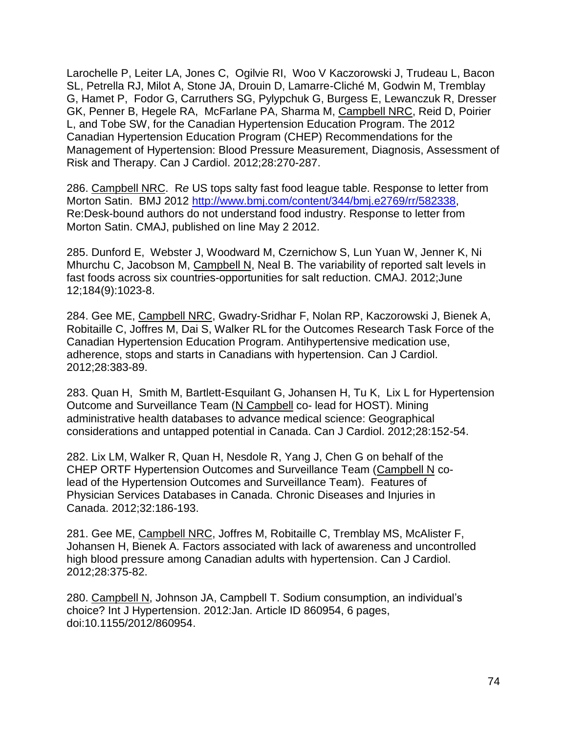Larochelle P, Leiter LA, Jones C, Ogilvie RI, Woo V Kaczorowski J, Trudeau L, Bacon SL, Petrella RJ, Milot A, Stone JA, Drouin D, Lamarre-Cliché M, Godwin M, Tremblay G, Hamet P, Fodor G, Carruthers SG, Pylypchuk G, Burgess E, Lewanczuk R, Dresser GK, Penner B, Hegele RA, McFarlane PA, Sharma M, Campbell NRC, Reid D, Poirier L, and Tobe SW, for the Canadian Hypertension Education Program. The 2012 Canadian Hypertension Education Program (CHEP) Recommendations for the Management of Hypertension: Blood Pressure Measurement, Diagnosis, Assessment of Risk and Therapy. Can J Cardiol. 2012;28:270-287.

286. Campbell NRC. R*e* US tops salty fast food league tabl*e*. Resp*o*nse to letter from Morton Satin. BMJ 2012 [http://www.bmj.com/content/344/bmj.e2769/rr/582338,](http://www.bmj.com/content/344/bmj.e2769/rr/582338) Re:Desk-bound authors do not understand food industry. Resp*o*nse to letter from Morton Satin. CMAJ, published on line May 2 2012.

285. Dunford E, Webster J, Woodward M, Czernichow S, Lun Yuan W, Jenner K, Ni Mhurchu C, Jacobson M, Campbell N, Neal B. The variability of reported salt levels in fast foods across six countries-opportunities for salt reduction. CMAJ. 2012;June 12;184(9):1023-8.

284. Gee ME, Campbell NRC, Gwadry-Sridhar F, Nolan RP, Kaczorowski J, Bienek A, Robitaille C, Joffres M, Dai S, Walker RL for the Outcomes Research Task Force of the Canadian Hypertension Education Program. Antihypertensive medication use, adherence, stops and starts in Canadians with hypertension. Can J Cardiol. 2012;28:383-89.

283. Quan H, Smith M, Bartlett-Esquilant G, Johansen H, Tu K, Lix L for Hypertension Outcome and Surveillance Team (N Campbell co- lead for HOST). Mining administrative health databases to advance medical science: Geographical considerations and untapped potential in Canada. Can J Cardiol. 2012;28:152-54.

282. Lix LM, Walker R, Quan H, Nesdole R, Yang J, Chen G on behalf of the CHEP ORTF Hypertension Outcomes and Surveillance Team (Campbell N colead of the Hypertension Outcomes and Surveillance Team). Features of Physician Services Databases in Canada. Chronic Diseases and Injuries in Canada. 2012;32:186-193.

281. Gee ME, Campbell NRC, Joffres M, Robitaille C, Tremblay MS, McAlister F, Johansen H, Bienek A. Factors associated with lack of awareness and uncontrolled high blood pressure among Canadian adults with hypertension. Can J Cardiol. 2012;28:375-82.

280. Campbell N, Johnson JA, Campbell T. Sodium consumption, an individual's choice? Int J Hypertension. 2012:Jan. Article ID 860954, 6 pages, doi:10.1155/2012/860954.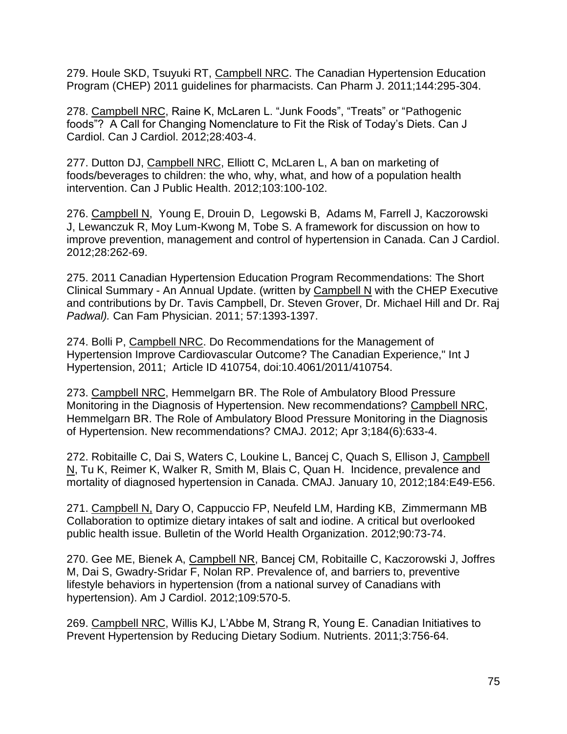279. Houle SKD, Tsuyuki RT, Campbell NRC. The Canadian Hypertension Education Program (CHEP) 2011 guidelines for pharmacists. Can Pharm J. 2011;144:295-304.

278. Campbell NRC, Raine K, McLaren L. "Junk Foods", "Treats" or "Pathogenic foods"? A Call for Changing Nomenclature to Fit the Risk of Today's Diets. Can J Cardiol. Can J Cardiol. 2012;28:403-4.

277. Dutton DJ, Campbell NRC, Elliott C, McLaren L, A ban on marketing of foods/beverages to children: the who, why, what, and how of a population health intervention. Can J Public Health. 2012;103:100-102.

276. Campbell N, Young E, Drouin D, Legowski B, Adams M, Farrell J, Kaczorowski J, Lewanczuk R, Moy Lum-Kwong M, Tobe S. A framework for discussion on how to improve prevention, management and control of hypertension in Canada. Can J Cardiol. 2012;28:262-69.

275. 2011 Canadian Hypertension Education Program Recommendations: The Short Clinical Summary - An Annual Update. (written by Campbell N with the CHEP Executive and contributions by Dr. Tavis Campbell, Dr. Steven Grover, Dr. Michael Hill and Dr. Raj *Padwal).* Can Fam Physician. 2011; 57:1393-1397.

274. Bolli P, Campbell NRC. Do Recommendations for the Management of Hypertension Improve Cardiovascular Outcome? The Canadian Experience," Int J Hypertension, 2011; Article ID 410754, doi:10.4061/2011/410754.

273. Campbell NRC, Hemmelgarn BR. The Role of Ambulatory Blood Pressure Monitoring in the Diagnosis of Hypertension. New recommendations? Campbell NRC, Hemmelgarn BR. The Role of Ambulatory Blood Pressure Monitoring in the Diagnosis of Hypertension. New recommendations? CMAJ. 2012; Apr 3;184(6):633-4.

272. Robitaille C, Dai S, Waters C, Loukine L, Bancej C, Quach S, Ellison J, Campbell N, Tu K, Reimer K, Walker R, Smith M, Blais C, Quan H. Incidence, prevalence and mortality of diagnosed hypertension in Canada. CMAJ. January 10, 2012;184:E49-E56.

271. Campbell N, Dary O, Cappuccio FP, Neufeld LM, Harding KB, Zimmermann MB Collaboration to optimize dietary intakes of salt and iodine. A critical but overlooked public health issue. Bulletin of the World Health Organization. 2012;90:73-74.

270. Gee ME, Bienek A, Campbell NR, Bancej CM, Robitaille C, Kaczorowski J, Joffres M, Dai S, Gwadry-Sridar F, Nolan RP. Prevalence of, and barriers to, preventive lifestyle behaviors in hypertension (from a national survey of Canadians with hypertension). Am J Cardiol. 2012;109:570-5.

269. Campbell NRC, Willis KJ, L'Abbe M, Strang R, Young E. Canadian Initiatives to Prevent Hypertension by Reducing Dietary Sodium. Nutrients. 2011;3:756-64.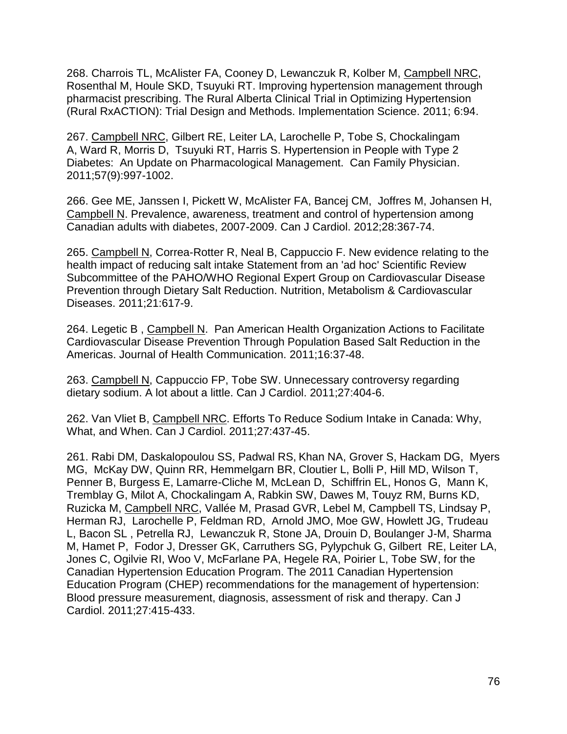268. Charrois TL, McAlister FA, Cooney D, Lewanczuk R, Kolber M, Campbell NRC, Rosenthal M, Houle SKD, Tsuyuki RT. Improving hypertension management through pharmacist prescribing. The Rural Alberta Clinical Trial in Optimizing Hypertension (Rural RxACTION): Trial Design and Methods. Implementation Science. 2011; 6:94.

267. Campbell NRC, Gilbert RE, Leiter LA, Larochelle P, Tobe S, Chockalingam A, Ward R, Morris D, Tsuyuki RT, Harris S. Hypertension in People with Type 2 Diabetes: An Update on Pharmacological Management. Can Family Physician. 2011;57(9):997-1002.

266. Gee ME, Janssen I, Pickett W, McAlister FA, Bancej CM, Joffres M, Johansen H, Campbell N. Prevalence, awareness, treatment and control of hypertension among Canadian adults with diabetes, 2007-2009. Can J Cardiol. 2012;28:367-74.

265. Campbell N, Correa-Rotter R, Neal B, Cappuccio F. New evidence relating to the health impact of reducing salt intake Statement from an 'ad hoc' Scientific Review Subcommittee of the PAHO/WHO Regional Expert Group on Cardiovascular Disease Prevention through Dietary Salt Reduction. Nutrition, Metabolism & Cardiovascular Diseases. 2011;21:617-9.

264. Legetic B , Campbell N. Pan American Health Organization Actions to Facilitate Cardiovascular Disease Prevention Through Population Based Salt Reduction in the Americas. Journal of Health Communication. 2011;16:37-48.

263. Campbell N, Cappuccio FP, Tobe SW. Unnecessary controversy regarding dietary sodium. A lot about a little. Can J Cardiol. 2011;27:404-6.

262. Van Vliet B, Campbell NRC. Efforts To Reduce Sodium Intake in Canada: Why, What, and When. Can J Cardiol. 2011;27:437-45.

261. Rabi DM, Daskalopoulou SS, Padwal RS, Khan NA, Grover S, Hackam DG, Myers MG, McKay DW, Quinn RR, Hemmelgarn BR, Cloutier L, Bolli P, Hill MD, Wilson T, Penner B, Burgess E, Lamarre-Cliche M, McLean D, Schiffrin EL, Honos G, Mann K, Tremblay G, Milot A, Chockalingam A, Rabkin SW, Dawes M, Touyz RM, Burns KD, Ruzicka M, Campbell NRC, Vallée M, Prasad GVR, Lebel M, Campbell TS, Lindsay P, Herman RJ, Larochelle P, Feldman RD, Arnold JMO, Moe GW, Howlett JG, Trudeau L, Bacon SL , Petrella RJ, Lewanczuk R, Stone JA, Drouin D, Boulanger J-M, Sharma M, Hamet P, Fodor J, Dresser GK, Carruthers SG, Pylypchuk G, Gilbert RE, Leiter LA, Jones C, Ogilvie RI, Woo V, McFarlane PA, Hegele RA, Poirier L, Tobe SW, for the Canadian Hypertension Education Program. The 2011 Canadian Hypertension Education Program (CHEP) recommendations for the management of hypertension: Blood pressure measurement, diagnosis, assessment of risk and therapy. Can J Cardiol. 2011;27:415-433.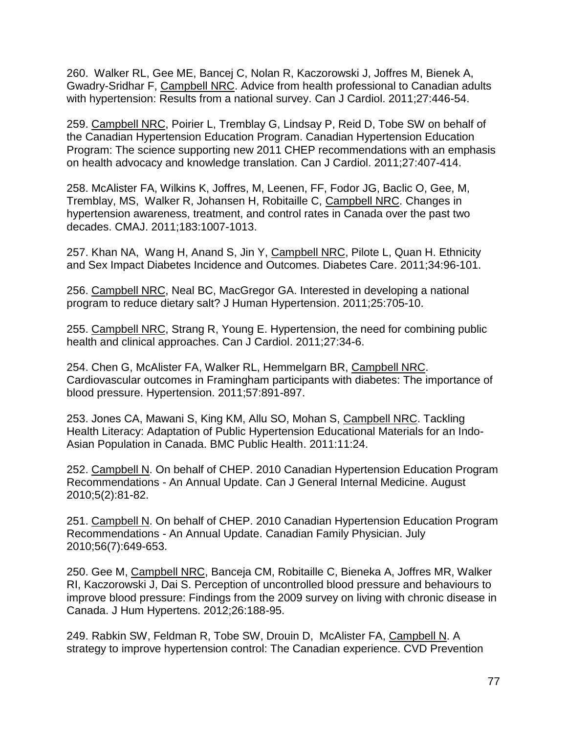260. Walker RL, Gee ME, Bancej C, Nolan R, Kaczorowski J, Joffres M, Bienek A, Gwadry-Sridhar F, Campbell NRC. Advice from health professional to Canadian adults with hypertension: Results from a national survey. Can J Cardiol. 2011;27:446-54.

259. Campbell NRC, Poirier L, Tremblay G, Lindsay P, Reid D, Tobe SW on behalf of the Canadian Hypertension Education Program. Canadian Hypertension Education Program: The science supporting new 2011 CHEP recommendations with an emphasis on health advocacy and knowledge translation. Can J Cardiol. 2011;27:407-414.

258. McAlister FA, Wilkins K, Joffres, M, Leenen, FF, Fodor JG, Baclic O, Gee, M, Tremblay, MS, Walker R, Johansen H, Robitaille C, Campbell NRC. Changes in hypertension awareness, treatment, and control rates in Canada over the past two decades. CMAJ. 2011;183:1007-1013.

257. Khan NA, Wang H, Anand S, Jin Y, Campbell NRC, Pilote L, Quan H. Ethnicity and Sex Impact Diabetes Incidence and Outcomes. Diabetes Care. 2011;34:96-101.

256. Campbell NRC, Neal BC, MacGregor GA. Interested in developing a national program to reduce dietary salt? J Human Hypertension. 2011;25:705-10.

255. Campbell NRC, Strang R, Young E. Hypertension, the need for combining public health and clinical approaches. Can J Cardiol. 2011;27:34-6.

254. Chen G, McAlister FA, Walker RL, Hemmelgarn BR, Campbell NRC. Cardiovascular outcomes in Framingham participants with diabetes: The importance of blood pressure. Hypertension. 2011;57:891-897.

253. Jones CA, Mawani S, King KM, Allu SO, Mohan S, Campbell NRC. Tackling Health Literacy: Adaptation of Public Hypertension Educational Materials for an Indo-Asian Population in Canada. BMC Public Health. 2011:11:24.

252. Campbell N. On behalf of CHEP. 2010 Canadian Hypertension Education Program Recommendations - An Annual Update. Can J General Internal Medicine. August 2010;5(2):81-82.

251. Campbell N. On behalf of CHEP. 2010 Canadian Hypertension Education Program Recommendations - An Annual Update. Canadian Family Physician. July 2010;56(7):649-653.

250. Gee M, Campbell NRC, Banceja CM, Robitaille C, Bieneka A, Joffres MR, Walker RI, Kaczorowski J, Dai S. Perception of uncontrolled blood pressure and behaviours to improve blood pressure: Findings from the 2009 survey on living with chronic disease in Canada. J Hum Hypertens. 2012;26:188-95.

249. Rabkin SW, Feldman R, Tobe SW, Drouin D, McAlister FA, Campbell N. A strategy to improve hypertension control: The Canadian experience. CVD Prevention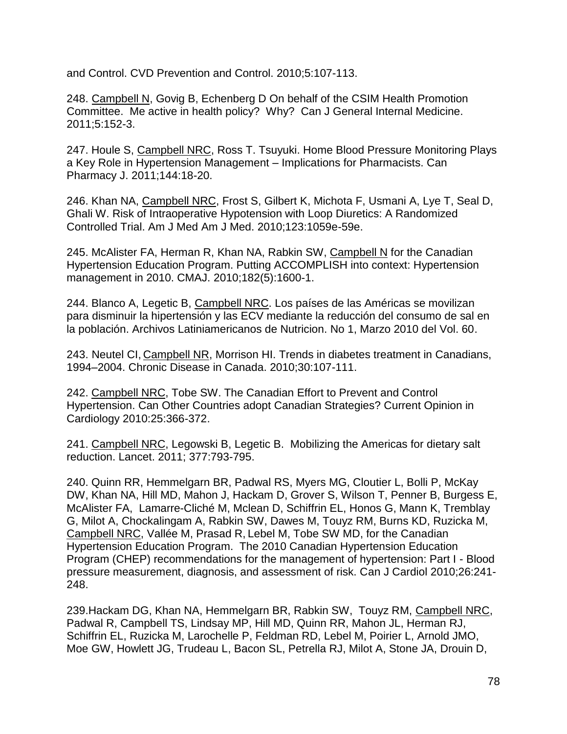and Control. CVD Prevention and Control. 2010;5:107-113.

248. Campbell N, Govig B, Echenberg D On behalf of the CSIM Health Promotion Committee. Me active in health policy? Why? Can J General Internal Medicine. 2011;5:152-3.

247. Houle S, Campbell NRC, Ross T. Tsuyuki. Home Blood Pressure Monitoring Plays a Key Role in Hypertension Management – Implications for Pharmacists. Can Pharmacy J. 2011;144:18-20.

246. Khan NA, Campbell NRC, Frost S, Gilbert K, Michota F, Usmani A, Lye T, Seal D, Ghali W. Risk of Intraoperative Hypotension with Loop Diuretics: A Randomized Controlled Trial. Am J Med Am J Med. 2010;123:1059e-59e.

245. McAlister FA, Herman R, Khan NA, Rabkin SW, Campbell N for the Canadian Hypertension Education Program. Putting ACCOMPLISH into context: Hypertension management in 2010. CMAJ. 2010;182(5):1600-1.

244. Blanco A, Legetic B, Campbell NRC. Los países de las Américas se movilizan para disminuir la hipertensión y las ECV mediante la reducción del consumo de sal en la población. Archivos Latiniamericanos de Nutricion. No 1, Marzo 2010 del Vol. 60.

243. Neutel CI, Campbell NR, Morrison HI. Trends in diabetes treatment in Canadians, 1994–2004. Chronic Disease in Canada. 2010;30:107-111.

242. Campbell NRC, Tobe SW. The Canadian Effort to Prevent and Control Hypertension. Can Other Countries adopt Canadian Strategies? Current Opinion in Cardiology 2010:25:366-372.

241. Campbell NRC, Legowski B, Legetic B. Mobilizing the Americas for dietary salt reduction. Lancet. 2011; 377:793-795.

240. Quinn RR, Hemmelgarn BR, Padwal RS, Myers MG, Cloutier L, Bolli P, McKay DW, Khan NA, Hill MD, Mahon J, Hackam D, Grover S, Wilson T, Penner B, Burgess E, McAlister FA, Lamarre-Cliché M, Mclean D, Schiffrin EL, Honos G, Mann K, Tremblay G, Milot A, Chockalingam A, Rabkin SW, Dawes M, Touyz RM, Burns KD, Ruzicka M, Campbell NRC, Vallée M, Prasad R, Lebel M, Tobe SW MD, for the Canadian Hypertension Education Program. The 2010 Canadian Hypertension Education Program (CHEP) recommendations for the management of hypertension: Part I - Blood pressure measurement, diagnosis, and assessment of risk. Can J Cardiol 2010;26:241- 248.

239. Hackam DG, Khan NA, Hemmelgarn BR, Rabkin SW, Touyz RM, Campbell NRC, Padwal R, Campbell TS, Lindsay MP, Hill MD, Quinn RR, Mahon JL, Herman RJ, Schiffrin EL, Ruzicka M, Larochelle P, Feldman RD, Lebel M, Poirier L, Arnold JMO, Moe GW, Howlett JG, Trudeau L, Bacon SL, Petrella RJ, Milot A, Stone JA, Drouin D,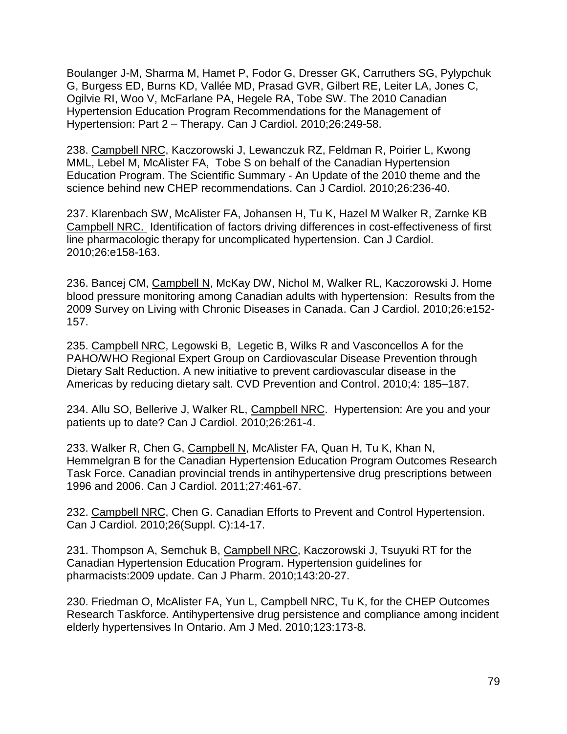Boulanger J-M, Sharma M, Hamet P, Fodor G, Dresser GK, Carruthers SG, Pylypchuk G, Burgess ED, Burns KD, Vallée MD, Prasad GVR, Gilbert RE, Leiter LA, Jones C, Ogilvie RI, Woo V, McFarlane PA, Hegele RA, Tobe SW. The 2010 Canadian Hypertension Education Program Recommendations for the Management of Hypertension: Part 2 – Therapy. Can J Cardiol. 2010;26:249-58.

238. Campbell NRC, Kaczorowski J, Lewanczuk RZ, Feldman R, Poirier L, Kwong MML, Lebel M, McAlister FA, Tobe S on behalf of the Canadian Hypertension Education Program. The Scientific Summary - An Update of the 2010 theme and the science behind new CHEP recommendations. Can J Cardiol. 2010;26:236-40.

237. Klarenbach SW, McAlister FA, Johansen H, Tu K, Hazel M Walker R, Zarnke KB Campbell NRC. Identification of factors driving differences in cost-effectiveness of first line pharmacologic therapy for uncomplicated hypertension. Can J Cardiol. 2010;26:e158-163.

236. Bancej CM, Campbell N, McKay DW, Nichol M, Walker RL, Kaczorowski J. Home blood pressure monitoring among Canadian adults with hypertension: Results from the 2009 Survey on Living with Chronic Diseases in Canada. Can J Cardiol. 2010;26:e152- 157.

235. Campbell NRC, Legowski B, Legetic B, Wilks R and Vasconcellos A for the PAHO/WHO Regional Expert Group on Cardiovascular Disease Prevention through Dietary Salt Reduction. A new initiative to prevent cardiovascular disease in the Americas by reducing dietary salt. CVD Prevention and Control. 2010;4: 185–187.

234. Allu SO, Bellerive J, Walker RL, Campbell NRC. Hypertension: Are you and your patients up to date? Can J Cardiol. 2010;26:261-4.

233. Walker R, Chen G, Campbell N, McAlister FA, Quan H, Tu K, Khan N, Hemmelgran B for the Canadian Hypertension Education Program Outcomes Research Task Force. Canadian provincial trends in antihypertensive drug prescriptions between 1996 and 2006. Can J Cardiol. 2011;27:461-67.

232. Campbell NRC, Chen G. Canadian Efforts to Prevent and Control Hypertension. Can J Cardiol. 2010;26(Suppl. C):14-17.

231. Thompson A, Semchuk B, Campbell NRC, Kaczorowski J, Tsuyuki RT for the Canadian Hypertension Education Program. Hypertension guidelines for pharmacists:2009 update. Can J Pharm. 2010;143:20-27.

230. Friedman O, McAlister FA, Yun L, Campbell NRC, Tu K, for the CHEP Outcomes Research Taskforce. Antihypertensive drug persistence and compliance among incident elderly hypertensives In Ontario. Am J Med. 2010;123:173-8.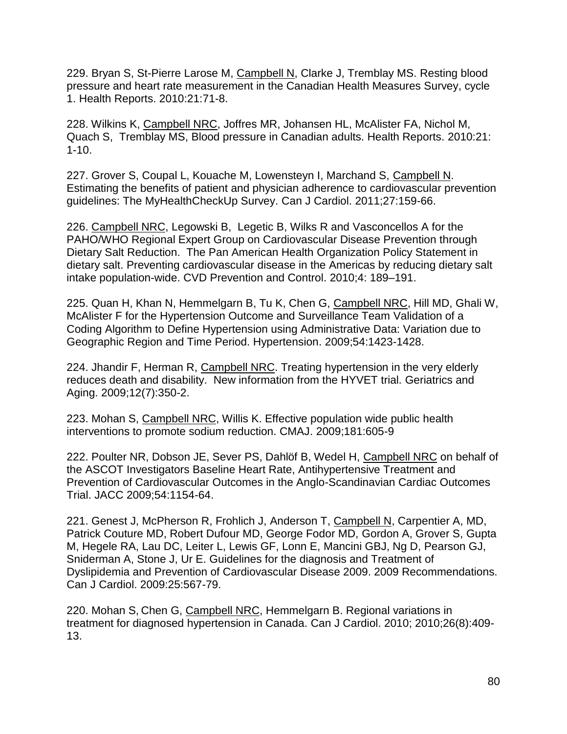229. Bryan S, St-Pierre Larose M, Campbell N, Clarke J, Tremblay MS. Resting blood pressure and heart rate measurement in the Canadian Health Measures Survey, cycle 1. Health Reports. 2010:21:71-8.

228. Wilkins K, Campbell NRC, Joffres MR, Johansen HL, McAlister FA, Nichol M, Quach S, Tremblay MS, Blood pressure in Canadian adults. Health Reports. 2010:21: 1-10.

227. Grover S, Coupal L, Kouache M, Lowensteyn I, Marchand S, Campbell N. Estimating the benefits of patient and physician adherence to cardiovascular prevention guidelines: The MyHealthCheckUp Survey. Can J Cardiol. 2011;27:159-66.

226. Campbell NRC, Legowski B, Legetic B, Wilks R and Vasconcellos A for the PAHO/WHO Regional Expert Group on Cardiovascular Disease Prevention through Dietary Salt Reduction. The Pan American Health Organization Policy Statement in dietary salt. Preventing cardiovascular disease in the Americas by reducing dietary salt intake population-wide. CVD Prevention and Control. 2010;4: 189–191.

225. Quan H, Khan N, Hemmelgarn B, Tu K, Chen G, Campbell NRC, Hill MD, Ghali W, McAlister F for the Hypertension Outcome and Surveillance Team Validation of a Coding Algorithm to Define Hypertension using Administrative Data: Variation due to Geographic Region and Time Period. Hypertension. 2009;54:1423-1428.

224. Jhandir F, Herman R, Campbell NRC. Treating hypertension in the very elderly reduces death and disability. New information from the HYVET trial. Geriatrics and Aging. 2009;12(7):350-2.

223. Mohan S, Campbell NRC, Willis K. Effective population wide public health interventions to promote sodium reduction. CMAJ. 2009;181:605-9

222. Poulter NR, Dobson JE, Sever PS, Dahlöf B, Wedel H, Campbell NRC on behalf of the ASCOT Investigators Baseline Heart Rate, Antihypertensive Treatment and Prevention of Cardiovascular Outcomes in the Anglo-Scandinavian Cardiac Outcomes Trial. JACC 2009;54:1154-64.

221. Genest J, McPherson R, Frohlich J, Anderson T, Campbell N, Carpentier A, MD, Patrick Couture MD, Robert Dufour MD, George Fodor MD, Gordon A, Grover S, Gupta M, Hegele RA, Lau DC, Leiter L, Lewis GF, Lonn E, Mancini GBJ, Ng D, Pearson GJ, Sniderman A, Stone J, Ur E. Guidelines for the diagnosis and Treatment of Dyslipidemia and Prevention of Cardiovascular Disease 2009. 2009 Recommendations. Can J Cardiol. 2009:25:567-79.

220. Mohan S, Chen G, Campbell NRC, Hemmelgarn B. Regional variations in treatment for diagnosed hypertension in Canada. Can J Cardiol. 2010; 2010;26(8):409- 13.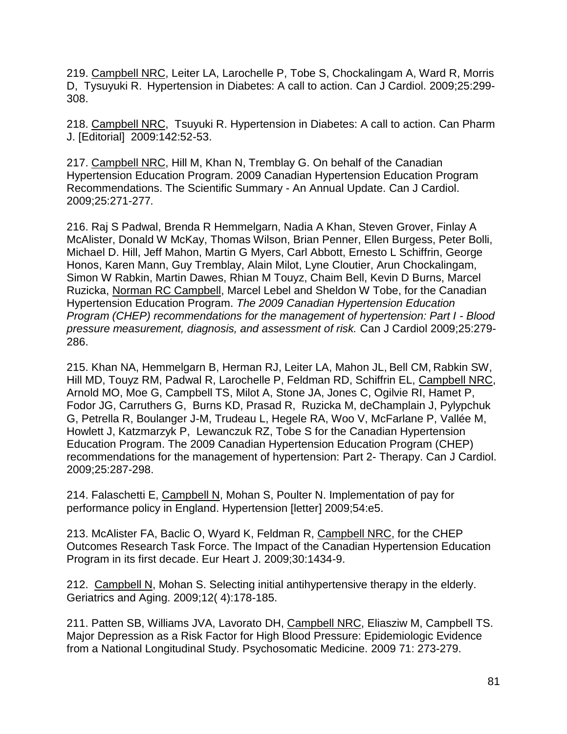219. Campbell NRC, Leiter LA, Larochelle P, Tobe S, Chockalingam A, Ward R, Morris D, Tysuyuki R. Hypertension in Diabetes: A call to action. Can J Cardiol. 2009;25:299- 308.

218. Campbell NRC, Tsuyuki R. Hypertension in Diabetes: A call to action. Can Pharm J. [Editorial] 2009:142:52-53.

217. Campbell NRC, Hill M, Khan N, Tremblay G. On behalf of the Canadian Hypertension Education Program. 2009 Canadian Hypertension Education Program Recommendations. The Scientific Summary - An Annual Update. Can J Cardiol. 2009;25:271-277*.*

216. Raj S Padwal, Brenda R Hemmelgarn, Nadia A Khan, Steven Grover, Finlay A McAlister, Donald W McKay, Thomas Wilson, Brian Penner, Ellen Burgess, Peter Bolli, Michael D. Hill, Jeff Mahon, Martin G Myers, Carl Abbott, Ernesto L Schiffrin, George Honos, Karen Mann, Guy Tremblay, Alain Milot, Lyne Cloutier, Arun Chockalingam, Simon W Rabkin, Martin Dawes, Rhian M Touyz, Chaim Bell, Kevin D Burns, Marcel Ruzicka, Norman RC Campbell, Marcel Lebel and Sheldon W Tobe, for the Canadian Hypertension Education Program. *The 2009 Canadian Hypertension Education Program (CHEP) recommendations for the management of hypertension: Part I - Blood pressure measurement, diagnosis, and assessment of risk.* Can J Cardiol 2009;25:279- 286.

215. Khan NA, Hemmelgarn B, Herman RJ, Leiter LA, Mahon JL, Bell CM, Rabkin SW, Hill MD, Touyz RM, Padwal R, Larochelle P, Feldman RD, Schiffrin EL, Campbell NRC, Arnold MO, Moe G, Campbell TS, Milot A, Stone JA, Jones C, Ogilvie RI, Hamet P, Fodor JG, Carruthers G, Burns KD, Prasad R, Ruzicka M, deChamplain J, Pylypchuk G, Petrella R, Boulanger J-M, Trudeau L, Hegele RA, Woo V, McFarlane P, Vallée M, Howlett J, Katzmarzyk P, Lewanczuk RZ, Tobe S for the Canadian Hypertension Education Program. The 2009 Canadian Hypertension Education Program (CHEP) recommendations for the management of hypertension: Part 2- Therapy. Can J Cardiol. 2009;25:287-298.

214. Falaschetti E, Campbell N, Mohan S, Poulter N. Implementation of pay for performance policy in England. Hypertension [letter] 2009;54:e5.

213. McAlister FA, Baclic O, Wyard K, Feldman R, Campbell NRC, for the CHEP Outcomes Research Task Force. The Impact of the Canadian Hypertension Education Program in its first decade. Eur Heart J. 2009;30:1434-9.

212. Campbell N, Mohan S. Selecting initial antihypertensive therapy in the elderly. Geriatrics and Aging. 2009;12( 4):178-185.

211. Patten SB, Williams JVA, Lavorato DH, Campbell NRC, Eliasziw M, Campbell TS. Major Depression as a Risk Factor for High Blood Pressure: Epidemiologic Evidence from a National Longitudinal Study. Psychosomatic Medicine. 2009 71: 273-279.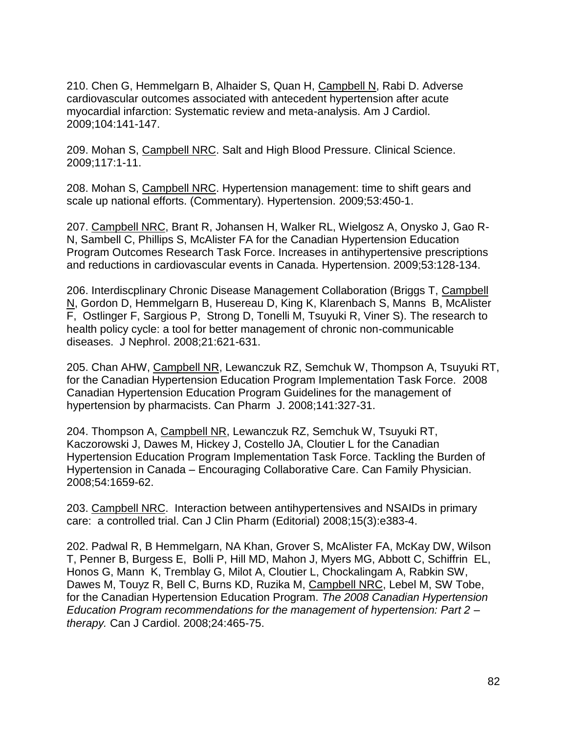210. Chen G, Hemmelgarn B, Alhaider S, Quan H, Campbell N, Rabi D. Adverse cardiovascular outcomes associated with antecedent hypertension after acute myocardial infarction: Systematic review and meta-analysis. Am J Cardiol. 2009;104:141-147.

209. Mohan S, Campbell NRC. Salt and High Blood Pressure. Clinical Science. 2009;117:1-11.

208. Mohan S, Campbell NRC. Hypertension management: time to shift gears and scale up national efforts. (Commentary). Hypertension. 2009;53:450-1.

207. Campbell NRC, Brant R, Johansen H, Walker RL, Wielgosz A, Onysko J, Gao R-N, Sambell C, Phillips S, McAlister FA for the Canadian Hypertension Education Program Outcomes Research Task Force. Increases in antihypertensive prescriptions and reductions in cardiovascular events in Canada. Hypertension. 2009;53:128-134.

206. Interdiscplinary Chronic Disease Management Collaboration (Briggs T, Campbell N, Gordon D, Hemmelgarn B, Husereau D, King K, Klarenbach S, Manns B, McAlister F, Ostlinger F, Sargious P, Strong D, Tonelli M, Tsuyuki R, Viner S). The research to health policy cycle: a tool for better management of chronic non-communicable diseases. J Nephrol. 2008;21:621-631.

205. Chan AHW, Campbell NR, Lewanczuk RZ, Semchuk W, Thompson A, Tsuyuki RT, for the Canadian Hypertension Education Program Implementation Task Force. 2008 Canadian Hypertension Education Program Guidelines for the management of hypertension by pharmacists. Can Pharm J. 2008;141:327-31.

204. Thompson A, Campbell NR, Lewanczuk RZ, Semchuk W, Tsuyuki RT, Kaczorowski J, Dawes M, Hickey J, Costello JA, Cloutier L for the Canadian Hypertension Education Program Implementation Task Force. Tackling the Burden of Hypertension in Canada – Encouraging Collaborative Care. Can Family Physician. 2008;54:1659-62.

203. Campbell NRC. Interaction between antihypertensives and NSAIDs in primary care: a controlled trial. Can J Clin Pharm (Editorial) 2008;15(3):e383-4.

202. Padwal R, B Hemmelgarn, NA Khan, Grover S, McAlister FA, McKay DW, Wilson T, Penner B, Burgess E, Bolli P, Hill MD, Mahon J, Myers MG, Abbott C, Schiffrin EL, Honos G, Mann K, Tremblay G, Milot A, Cloutier L, Chockalingam A, Rabkin SW, Dawes M, Touyz R, Bell C, Burns KD, Ruzika M, Campbell NRC, Lebel M, SW Tobe, for the Canadian Hypertension Education Program. *The 2008 Canadian Hypertension Education Program recommendations for the management of hypertension: Part 2 – therapy.* Can J Cardiol. 2008;24:465-75.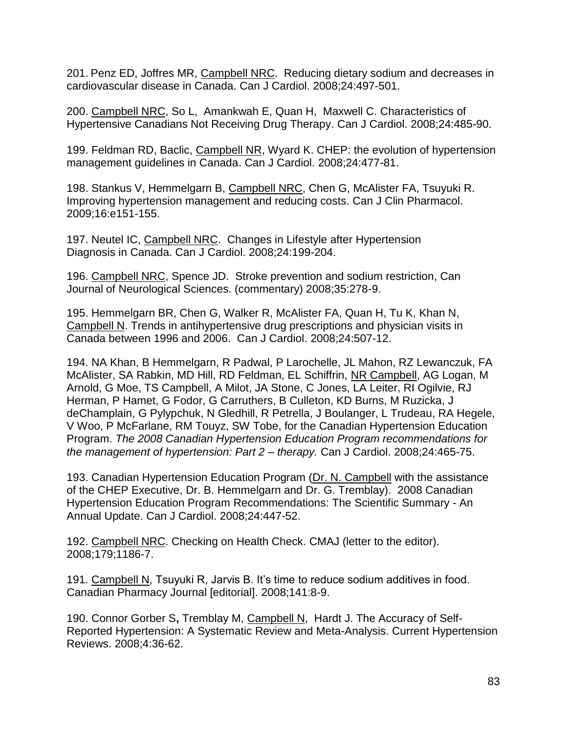201. Penz ED, Joffres MR, Campbell NRC. Reducing dietary sodium and decreases in cardiovascular disease in Canada. Can J Cardiol. 2008;24:497-501.

200. Campbell NRC, So L, Amankwah E, Quan H, Maxwell C. Characteristics of Hypertensive Canadians Not Receiving Drug Therapy. Can J Cardiol. 2008;24:485-90.

199. Feldman RD, Baclic, Campbell NR, Wyard K. CHEP: the evolution of hypertension management guidelines in Canada. Can J Cardiol. 2008;24:477-81.

198. Stankus V, Hemmelgarn B, Campbell NRC, Chen G, McAlister FA, Tsuyuki R. Improving hypertension management and reducing costs. Can J Clin Pharmacol. 2009;16:e151-155.

197. Neutel IC, Campbell NRC. Changes in Lifestyle after Hypertension Diagnosis in Canada. Can J Cardiol. 2008;24:199-204.

196. Campbell NRC, Spence JD. Stroke prevention and sodium restriction, Can Journal of Neurological Sciences. (commentary) 2008;35:278-9.

195. Hemmelgarn BR, Chen G, Walker R, McAlister FA, Quan H, Tu K, Khan N, Campbell N. Trends in antihypertensive drug prescriptions and physician visits in Canada between 1996 and 2006. Can J Cardiol. 2008;24:507-12.

194. NA Khan, B Hemmelgarn, R Padwal, P Larochelle, JL Mahon, RZ Lewanczuk, FA McAlister, SA Rabkin, MD Hill, RD Feldman, EL Schiffrin, NR Campbell, AG Logan, M Arnold, G Moe, TS Campbell, A Milot, JA Stone, C Jones, LA Leiter, RI Ogilvie, RJ Herman, P Hamet, G Fodor, G Carruthers, B Culleton, KD Burns, M Ruzicka, J deChamplain, G Pylypchuk, N Gledhill, R Petrella, J Boulanger, L Trudeau, RA Hegele, V Woo, P McFarlane, RM Touyz, SW Tobe, for the Canadian Hypertension Education Program. *The 2008 Canadian Hypertension Education Program recommendations for the management of hypertension: Part 2 – therapy.* Can J Cardiol. 2008;24:465-75.

193. Canadian Hypertension Education Program (Dr. N. Campbell with the assistance of the CHEP Executive, Dr. B. Hemmelgarn and Dr. G. Tremblay). 2008 Canadian Hypertension Education Program Recommendations: The Scientific Summary - An Annual Update. Can J Cardiol. 2008;24:447-52.

192. Campbell NRC. Checking on Health Check. CMAJ (letter to the editor). 2008;179;1186-7.

191. Campbell N, Tsuyuki R, Jarvis B. It's time to reduce sodium additives in food. Canadian Pharmacy Journal [editorial]. 2008;141:8-9.

190. Connor Gorber S**,** Tremblay M, Campbell N, Hardt J. The Accuracy of Self-Reported Hypertension: A Systematic Review and Meta-Analysis. Current Hypertension Reviews. 2008;4:36-62.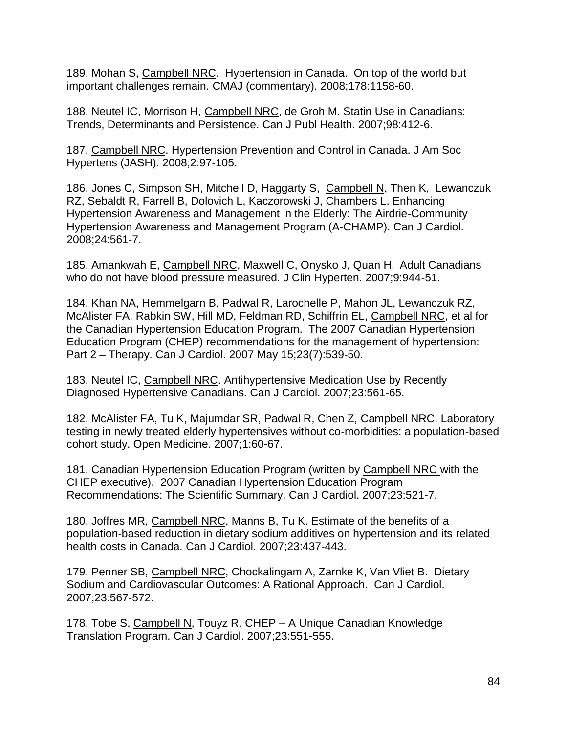189. Mohan S, Campbell NRC. Hypertension in Canada. On top of the world but important challenges remain. CMAJ (commentary). 2008;178:1158-60.

188. Neutel IC, Morrison H, Campbell NRC, de Groh M. Statin Use in Canadians: Trends, Determinants and Persistence. Can J Publ Health. 2007;98:412-6.

187. Campbell NRC. Hypertension Prevention and Control in Canada. J Am Soc Hypertens (JASH). 2008;2:97-105.

186. Jones C, Simpson SH, Mitchell D, Haggarty S, Campbell N, Then K, Lewanczuk RZ, Sebaldt R, Farrell B, Dolovich L, Kaczorowski J, Chambers L. Enhancing Hypertension Awareness and Management in the Elderly: The Airdrie-Community Hypertension Awareness and Management Program (A-CHAMP). Can J Cardiol. 2008;24:561-7.

185. Amankwah E, Campbell NRC, Maxwell C, Onysko J, Quan H. Adult Canadians who do not have blood pressure measured. J Clin Hyperten. 2007;9:944-51.

184. Khan NA, Hemmelgarn B, Padwal R, Larochelle P, Mahon JL, Lewanczuk RZ, McAlister FA, Rabkin SW, Hill MD, Feldman RD, Schiffrin EL, Campbell NRC, et al for the Canadian Hypertension Education Program. The 2007 Canadian Hypertension Education Program (CHEP) recommendations for the management of hypertension: Part 2 – Therapy. Can J Cardiol. 2007 May 15;23(7):539-50.

183. Neutel IC, Campbell NRC. Antihypertensive Medication Use by Recently Diagnosed Hypertensive Canadians. Can J Cardiol. 2007;23:561-65.

182. McAlister FA, Tu K, Majumdar SR, Padwal R, Chen Z, Campbell NRC. Laboratory testing in newly treated elderly hypertensives without co-morbidities: a population-based cohort study. Open Medicine. 2007;1:60-67.

181. Canadian Hypertension Education Program (written by Campbell NRC with the CHEP executive). 2007 Canadian Hypertension Education Program Recommendations: The Scientific Summary. Can J Cardiol. 2007;23:521-7.

180. Joffres MR, Campbell NRC, Manns B, Tu K. Estimate of the benefits of a population-based reduction in dietary sodium additives on hypertension and its related health costs in Canada. Can J Cardiol. 2007;23:437-443.

179. Penner SB, Campbell NRC, Chockalingam A, Zarnke K, Van Vliet B. Dietary Sodium and Cardiovascular Outcomes: A Rational Approach. Can J Cardiol. 2007;23:567-572.

178. Tobe S, Campbell N, Touyz R. CHEP – A Unique Canadian Knowledge Translation Program. Can J Cardiol. 2007;23:551-555.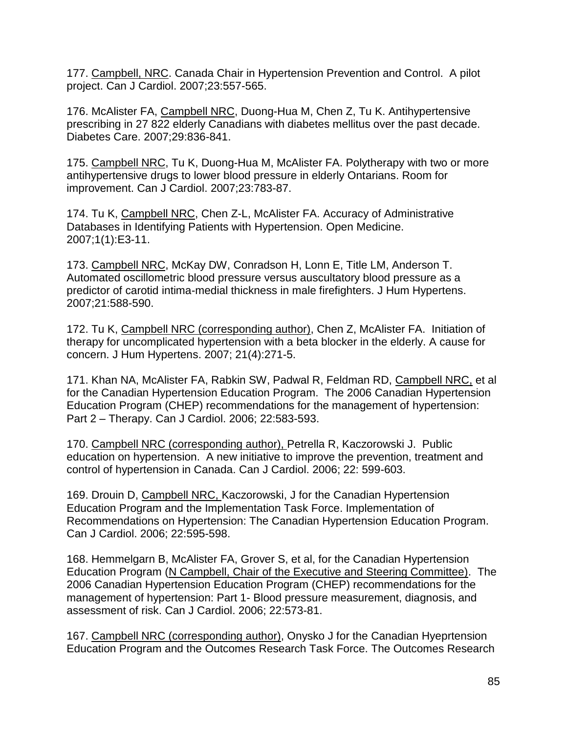177. Campbell, NRC. Canada Chair in Hypertension Prevention and Control. A pilot project. Can J Cardiol. 2007;23:557-565.

176. McAlister FA, Campbell NRC, Duong-Hua M, Chen Z, Tu K. Antihypertensive prescribing in 27 822 elderly Canadians with diabetes mellitus over the past decade. Diabetes Care. 2007;29:836-841.

175. Campbell NRC, Tu K, Duong-Hua M, McAlister FA. Polytherapy with two or more antihypertensive drugs to lower blood pressure in elderly Ontarians. Room for improvement. Can J Cardiol. 2007;23:783-87.

174. Tu K, Campbell NRC, Chen Z-L, McAlister FA. Accuracy of Administrative Databases in Identifying Patients with Hypertension. Open Medicine. 2007;1(1):E3-11.

173. Campbell NRC, McKay DW, Conradson H, Lonn E, Title LM, Anderson T. Automated oscillometric blood pressure versus auscultatory blood pressure as a predictor of carotid intima-medial thickness in male firefighters. J Hum Hypertens. 2007;21:588-590.

172. Tu K, Campbell NRC (corresponding author), Chen Z, McAlister FA. Initiation of therapy for uncomplicated hypertension with a beta blocker in the elderly. A cause for concern. J Hum Hypertens. 2007; 21(4):271-5.

171. Khan NA, McAlister FA, Rabkin SW, Padwal R, Feldman RD, Campbell NRC, et al for the Canadian Hypertension Education Program. The 2006 Canadian Hypertension Education Program (CHEP) recommendations for the management of hypertension: Part 2 – Therapy. Can J Cardiol. 2006; 22:583-593.

170. Campbell NRC (corresponding author), Petrella R, Kaczorowski J. Public education on hypertension. A new initiative to improve the prevention, treatment and control of hypertension in Canada. Can J Cardiol. 2006; 22: 599-603.

169. Drouin D, Campbell NRC, Kaczorowski, J for the Canadian Hypertension Education Program and the Implementation Task Force. Implementation of Recommendations on Hypertension: The Canadian Hypertension Education Program. Can J Cardiol. 2006; 22:595-598.

168. Hemmelgarn B, McAlister FA, Grover S, et al, for the Canadian Hypertension Education Program (N Campbell, Chair of the Executive and Steering Committee). The 2006 Canadian Hypertension Education Program (CHEP) recommendations for the management of hypertension: Part 1- Blood pressure measurement, diagnosis, and assessment of risk. Can J Cardiol. 2006; 22:573-81.

167. Campbell NRC (corresponding author), Onysko J for the Canadian Hyeprtension Education Program and the Outcomes Research Task Force. The Outcomes Research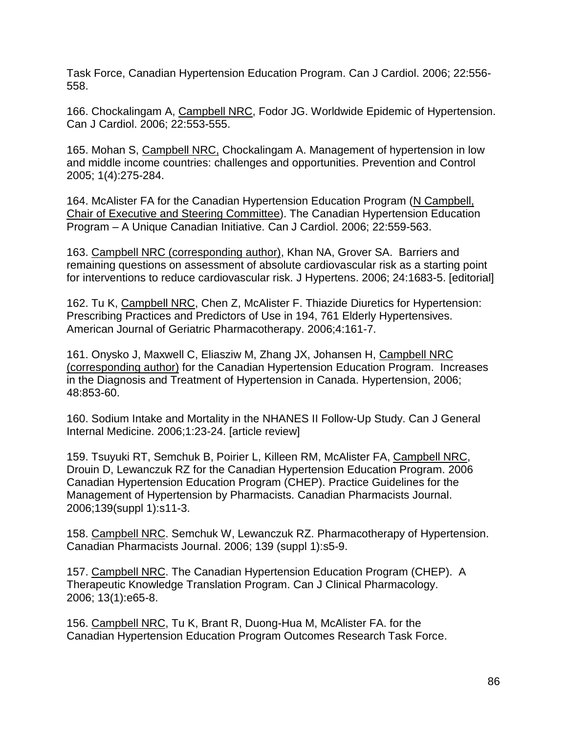Task Force, Canadian Hypertension Education Program. Can J Cardiol. 2006; 22:556- 558.

166. Chockalingam A, Campbell NRC, Fodor JG. Worldwide Epidemic of Hypertension. Can J Cardiol. 2006; 22:553-555.

165. Mohan S, Campbell NRC, Chockalingam A. Management of hypertension in low and middle income countries: challenges and opportunities. Prevention and Control 2005; 1(4):275-284.

164. McAlister FA for the Canadian Hypertension Education Program (N Campbell, Chair of Executive and Steering Committee). The Canadian Hypertension Education Program – A Unique Canadian Initiative. Can J Cardiol. 2006; 22:559-563.

163. Campbell NRC (corresponding author), Khan NA, Grover SA. Barriers and remaining questions on assessment of absolute cardiovascular risk as a starting point for interventions to reduce cardiovascular risk. J Hypertens. 2006; 24:1683-5. [editorial]

162. Tu K, Campbell NRC, Chen Z, McAlister F. Thiazide Diuretics for Hypertension: Prescribing Practices and Predictors of Use in 194, 761 Elderly Hypertensives. American Journal of Geriatric Pharmacotherapy. 2006;4:161-7.

161. Onysko J, Maxwell C, Eliasziw M, Zhang JX, Johansen H, Campbell NRC (corresponding author) for the Canadian Hypertension Education Program. Increases in the Diagnosis and Treatment of Hypertension in Canada. Hypertension, 2006; 48:853-60.

160. Sodium Intake and Mortality in the NHANES II Follow-Up Study. Can J General Internal Medicine. 2006;1:23-24. [article review]

159. Tsuyuki RT, Semchuk B, Poirier L, Killeen RM, McAlister FA, Campbell NRC, Drouin D, Lewanczuk RZ for the Canadian Hypertension Education Program. 2006 Canadian Hypertension Education Program (CHEP). Practice Guidelines for the Management of Hypertension by Pharmacists. Canadian Pharmacists Journal. 2006;139(suppl 1):s11-3.

158. Campbell NRC. Semchuk W, Lewanczuk RZ. Pharmacotherapy of Hypertension. Canadian Pharmacists Journal. 2006; 139 (suppl 1):s5-9.

157. Campbell NRC. The Canadian Hypertension Education Program (CHEP). A Therapeutic Knowledge Translation Program. Can J Clinical Pharmacology. 2006; 13(1):e65-8.

156. Campbell NRC, Tu K, Brant R, Duong-Hua M, McAlister FA. for the Canadian Hypertension Education Program Outcomes Research Task Force.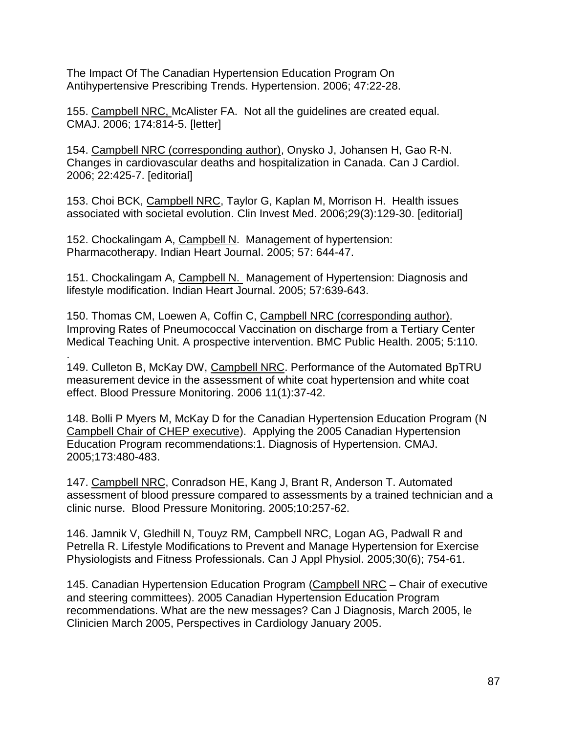The Impact Of The Canadian Hypertension Education Program On Antihypertensive Prescribing Trends. Hypertension. 2006; 47:22-28.

155. Campbell NRC, McAlister FA. Not all the guidelines are created equal. CMAJ. 2006; 174:814-5. [letter]

154. Campbell NRC (corresponding author), Onysko J, Johansen H, Gao R-N. Changes in cardiovascular deaths and hospitalization in Canada. Can J Cardiol. 2006; 22:425-7. [editorial]

153. Choi BCK, Campbell NRC, Taylor G, Kaplan M, Morrison H. Health issues associated with societal evolution. Clin Invest Med. 2006;29(3):129-30. [editorial]

152. Chockalingam A, Campbell N. Management of hypertension: Pharmacotherapy. Indian Heart Journal. 2005; 57: 644-47.

151. Chockalingam A, Campbell N. Management of Hypertension: Diagnosis and lifestyle modification. Indian Heart Journal. 2005; 57:639-643.

150. Thomas CM, Loewen A, Coffin C, Campbell NRC (corresponding author). Improving Rates of Pneumococcal Vaccination on discharge from a Tertiary Center Medical Teaching Unit. A prospective intervention. BMC Public Health. 2005; 5:110.

. 149. Culleton B, McKay DW, Campbell NRC. Performance of the Automated BpTRU measurement device in the assessment of white coat hypertension and white coat effect. Blood Pressure Monitoring. 2006 11(1):37-42.

148. Bolli P Myers M, McKay D for the Canadian Hypertension Education Program (N Campbell Chair of CHEP executive). Applying the 2005 Canadian Hypertension Education Program recommendations:1. Diagnosis of Hypertension. CMAJ. 2005;173:480-483.

147. Campbell NRC, Conradson HE, Kang J, Brant R, Anderson T. Automated assessment of blood pressure compared to assessments by a trained technician and a clinic nurse. Blood Pressure Monitoring. 2005;10:257-62.

146. Jamnik V, Gledhill N, Touyz RM, Campbell NRC, Logan AG, Padwall R and Petrella R. Lifestyle Modifications to Prevent and Manage Hypertension for Exercise Physiologists and Fitness Professionals. Can J Appl Physiol. 2005;30(6); 754-61.

145. Canadian Hypertension Education Program (Campbell NRC – Chair of executive and steering committees). 2005 Canadian Hypertension Education Program recommendations. What are the new messages? Can J Diagnosis, March 2005, le Clinicien March 2005, Perspectives in Cardiology January 2005.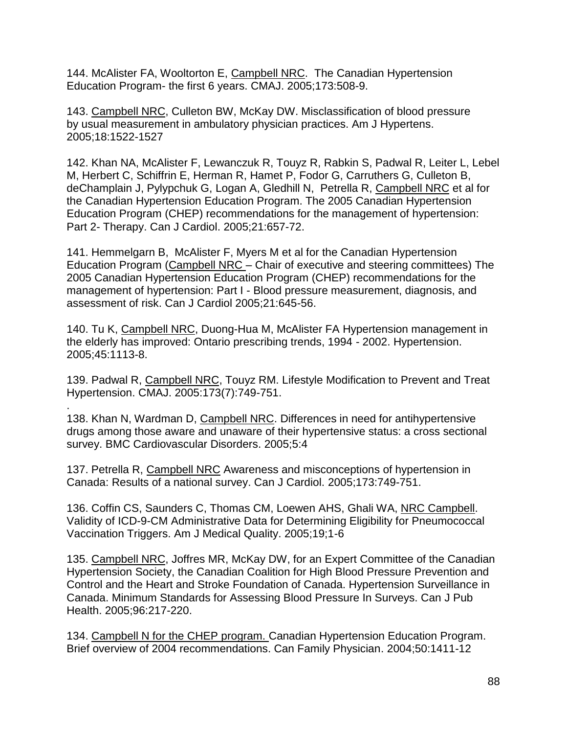144. McAlister FA, Wooltorton E, Campbell NRC. The Canadian Hypertension Education Program- the first 6 years. CMAJ. 2005;173:508-9.

143. Campbell NRC, Culleton BW, McKay DW. Misclassification of blood pressure by usual measurement in ambulatory physician practices. Am J Hypertens. 2005;18:1522-1527

142. Khan NA, McAlister F, Lewanczuk R, Touyz R, Rabkin S, Padwal R, Leiter L, Lebel M, Herbert C, Schiffrin E, Herman R, Hamet P, Fodor G, Carruthers G, Culleton B, deChamplain J, Pylypchuk G, Logan A, Gledhill N, Petrella R, Campbell NRC et al for the Canadian Hypertension Education Program. The 2005 Canadian Hypertension Education Program (CHEP) recommendations for the management of hypertension: Part 2- Therapy. Can J Cardiol. 2005;21:657-72.

141. Hemmelgarn B, McAlister F, Myers M et al for the Canadian Hypertension Education Program (Campbell NRC – Chair of executive and steering committees) The 2005 Canadian Hypertension Education Program (CHEP) recommendations for the management of hypertension: Part I - Blood pressure measurement, diagnosis, and assessment of risk. Can J Cardiol 2005;21:645-56.

140. Tu K, Campbell NRC, Duong-Hua M, McAlister FA Hypertension management in the elderly has improved: Ontario prescribing trends, 1994 - 2002. Hypertension. 2005;45:1113-8.

139. Padwal R, Campbell NRC, Touyz RM. Lifestyle Modification to Prevent and Treat Hypertension. CMAJ. 2005:173(7):749-751.

. 138. Khan N, Wardman D, Campbell NRC. Differences in need for antihypertensive drugs among those aware and unaware of their hypertensive status: a cross sectional survey. BMC Cardiovascular Disorders. 2005;5:4

137. Petrella R, Campbell NRC Awareness and misconceptions of hypertension in Canada: Results of a national survey. Can J Cardiol. 2005;173:749-751.

136. Coffin CS, Saunders C, Thomas CM, Loewen AHS, Ghali WA, NRC Campbell. Validity of ICD-9-CM Administrative Data for Determining Eligibility for Pneumococcal Vaccination Triggers. Am J Medical Quality. 2005;19;1-6

135. Campbell NRC, Joffres MR, McKay DW, for an Expert Committee of the Canadian Hypertension Society, the Canadian Coalition for High Blood Pressure Prevention and Control and the Heart and Stroke Foundation of Canada. Hypertension Surveillance in Canada. Minimum Standards for Assessing Blood Pressure In Surveys. Can J Pub Health. 2005;96:217-220.

134. Campbell N for the CHEP program. Canadian Hypertension Education Program. Brief overview of 2004 recommendations. Can Family Physician. 2004;50:1411-12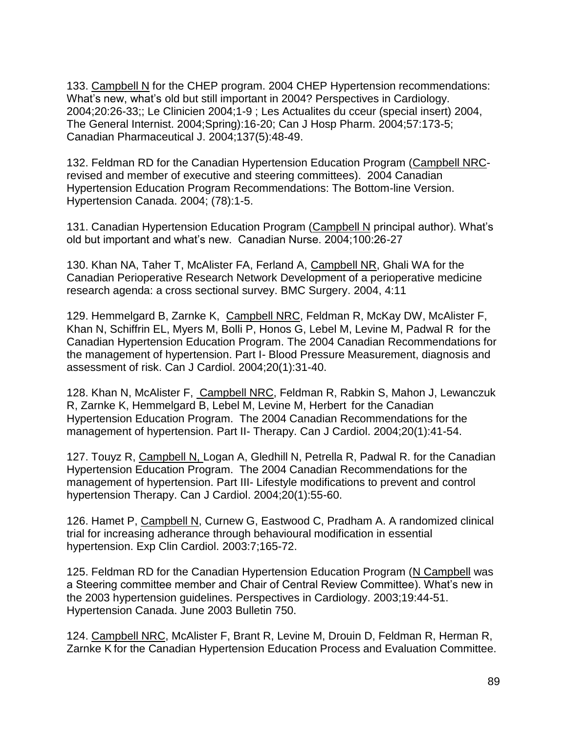133. Campbell N for the CHEP program. 2004 CHEP Hypertension recommendations: What's new, what's old but still important in 2004? Perspectives in Cardiology. 2004;20:26-33;; Le Clinicien 2004;1-9 ; Les Actualites du cceur (special insert) 2004, The General Internist. 2004;Spring):16-20; Can J Hosp Pharm. 2004;57:173-5; Canadian Pharmaceutical J. 2004;137(5):48-49.

132. Feldman RD for the Canadian Hypertension Education Program (Campbell NRCrevised and member of executive and steering committees). 2004 Canadian Hypertension Education Program Recommendations: The Bottom-line Version. Hypertension Canada. 2004; (78):1-5.

131. Canadian Hypertension Education Program (Campbell N principal author). What's old but important and what's new. Canadian Nurse. 2004;100:26-27

130. Khan NA, Taher T, McAlister FA, Ferland A, Campbell NR, Ghali WA for the Canadian Perioperative Research Network Development of a perioperative medicine research agenda: a cross sectional survey. BMC Surgery. 2004, 4:11

129. Hemmelgard B, Zarnke K, Campbell NRC, Feldman R, McKay DW, McAlister F, Khan N, Schiffrin EL, Myers M, Bolli P, Honos G, Lebel M, Levine M, Padwal R for the Canadian Hypertension Education Program. The 2004 Canadian Recommendations for the management of hypertension. Part I- Blood Pressure Measurement, diagnosis and assessment of risk. Can J Cardiol. 2004;20(1):31-40.

128. Khan N, McAlister F, Campbell NRC, Feldman R, Rabkin S, Mahon J, Lewanczuk R, Zarnke K, Hemmelgard B, Lebel M, Levine M, Herbert for the Canadian Hypertension Education Program. The 2004 Canadian Recommendations for the management of hypertension. Part II- Therapy. Can J Cardiol. 2004;20(1):41-54.

127. Touyz R, Campbell N, Logan A, Gledhill N, Petrella R, Padwal R. for the Canadian Hypertension Education Program. The 2004 Canadian Recommendations for the management of hypertension. Part III- Lifestyle modifications to prevent and control hypertension Therapy. Can J Cardiol. 2004;20(1):55-60.

126. Hamet P, Campbell N, Curnew G, Eastwood C, Pradham A. A randomized clinical trial for increasing adherance through behavioural modification in essential hypertension. Exp Clin Cardiol. 2003:7;165-72.

125. Feldman RD for the Canadian Hypertension Education Program (N Campbell was a Steering committee member and Chair of Central Review Committee). What's new in the 2003 hypertension guidelines. Perspectives in Cardiology. 2003;19:44-51. Hypertension Canada. June 2003 Bulletin 750.

124. Campbell NRC, McAlister F, Brant R, Levine M, Drouin D, Feldman R, Herman R, Zarnke K for the Canadian Hypertension Education Process and Evaluation Committee.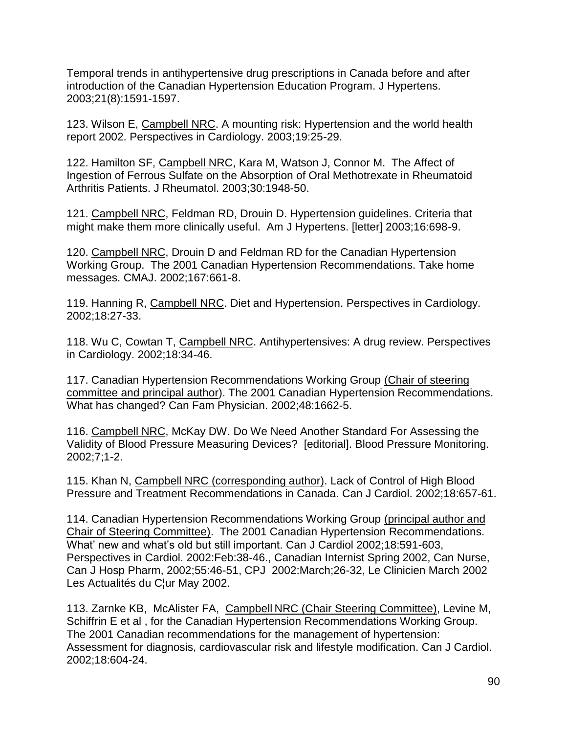Temporal trends in antihypertensive drug prescriptions in Canada before and after introduction of the Canadian Hypertension Education Program. J Hypertens. 2003;21(8):1591-1597.

123. Wilson E, Campbell NRC. A mounting risk: Hypertension and the world health report 2002. Perspectives in Cardiology. 2003;19:25-29.

122. Hamilton SF, Campbell NRC, Kara M, Watson J, Connor M. The Affect of Ingestion of Ferrous Sulfate on the Absorption of Oral Methotrexate in Rheumatoid Arthritis Patients. J Rheumatol. 2003;30:1948-50.

121. Campbell NRC, Feldman RD, Drouin D. Hypertension guidelines. Criteria that might make them more clinically useful. Am J Hypertens. [letter] 2003;16:698-9.

120. Campbell NRC, Drouin D and Feldman RD for the Canadian Hypertension Working Group. The 2001 Canadian Hypertension Recommendations. Take home messages. CMAJ. 2002;167:661-8.

119. Hanning R, Campbell NRC. Diet and Hypertension. Perspectives in Cardiology. 2002;18:27-33.

118. Wu C, Cowtan T, Campbell NRC. Antihypertensives: A drug review. Perspectives in Cardiology. 2002;18:34-46.

117. Canadian Hypertension Recommendations Working Group (Chair of steering committee and principal author). The 2001 Canadian Hypertension Recommendations. What has changed? Can Fam Physician. 2002;48:1662-5.

116. Campbell NRC, McKay DW. Do We Need Another Standard For Assessing the Validity of Blood Pressure Measuring Devices? [editorial]. Blood Pressure Monitoring. 2002;7;1-2.

115. Khan N, Campbell NRC (corresponding author). Lack of Control of High Blood Pressure and Treatment Recommendations in Canada. Can J Cardiol. 2002;18:657-61.

114. Canadian Hypertension Recommendations Working Group (principal author and Chair of Steering Committee). The 2001 Canadian Hypertension Recommendations. What' new and what's old but still important. Can J Cardiol 2002;18:591-603, Perspectives in Cardiol. 2002:Feb:38-46., Canadian Internist Spring 2002, Can Nurse, Can J Hosp Pharm, 2002;55:46-51, CPJ 2002:March;26-32, Le Clinicien March 2002 Les Actualités du C¦ur May 2002.

113. Zarnke KB, McAlister FA, Campbell NRC (Chair Steering Committee), Levine M, Schiffrin E et al , for the Canadian Hypertension Recommendations Working Group. The 2001 Canadian recommendations for the management of hypertension: Assessment for diagnosis, cardiovascular risk and lifestyle modification. Can J Cardiol. 2002;18:604-24.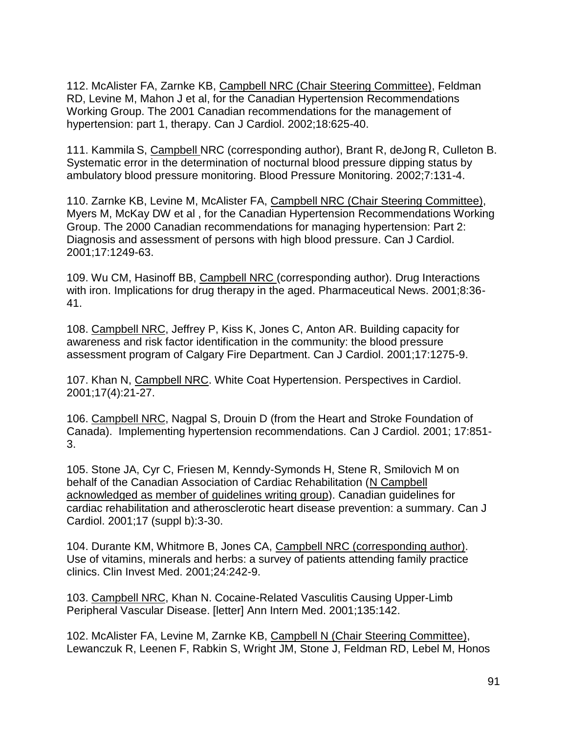112. McAlister FA, Zarnke KB, Campbell NRC (Chair Steering Committee), Feldman RD, Levine M, Mahon J et al, for the Canadian Hypertension Recommendations Working Group. The 2001 Canadian recommendations for the management of hypertension: part 1, therapy. Can J Cardiol. 2002;18:625-40.

111. Kammila S, Campbell NRC (corresponding author), Brant R, deJong R, Culleton B. Systematic error in the determination of nocturnal blood pressure dipping status by ambulatory blood pressure monitoring. Blood Pressure Monitoring. 2002;7:131-4.

110. Zarnke KB, Levine M, McAlister FA, Campbell NRC (Chair Steering Committee), Myers M, McKay DW et al , for the Canadian Hypertension Recommendations Working Group. The 2000 Canadian recommendations for managing hypertension: Part 2: Diagnosis and assessment of persons with high blood pressure. Can J Cardiol. 2001;17:1249-63.

109. Wu CM, Hasinoff BB, Campbell NRC (corresponding author). Drug Interactions with iron. Implications for drug therapy in the aged. Pharmaceutical News. 2001;8:36- 41.

108. Campbell NRC, Jeffrey P, Kiss K, Jones C, Anton AR. Building capacity for awareness and risk factor identification in the community: the blood pressure assessment program of Calgary Fire Department. Can J Cardiol. 2001;17:1275-9.

107. Khan N, Campbell NRC. White Coat Hypertension. Perspectives in Cardiol. 2001;17(4):21-27.

106. Campbell NRC, Nagpal S, Drouin D (from the Heart and Stroke Foundation of Canada). Implementing hypertension recommendations. Can J Cardiol. 2001; 17:851- 3.

105. Stone JA, Cyr C, Friesen M, Kenndy-Symonds H, Stene R, Smilovich M on behalf of the Canadian Association of Cardiac Rehabilitation (N Campbell acknowledged as member of guidelines writing group). Canadian guidelines for cardiac rehabilitation and atherosclerotic heart disease prevention: a summary. Can J Cardiol. 2001;17 (suppl b):3-30.

104. Durante KM, Whitmore B, Jones CA, Campbell NRC (corresponding author). Use of vitamins, minerals and herbs: a survey of patients attending family practice clinics. Clin Invest Med. 2001;24:242-9.

103. Campbell NRC, Khan N. Cocaine-Related Vasculitis Causing Upper-Limb Peripheral Vascular Disease. [letter] Ann Intern Med. 2001;135:142.

102. McAlister FA, Levine M, Zarnke KB, Campbell N (Chair Steering Committee), Lewanczuk R, Leenen F, Rabkin S, Wright JM, Stone J, Feldman RD, Lebel M, Honos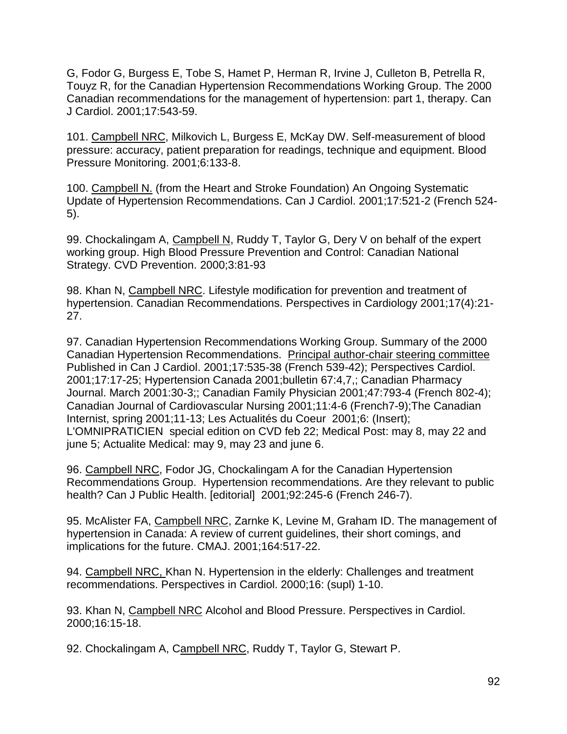G, Fodor G, Burgess E, Tobe S, Hamet P, Herman R, Irvine J, Culleton B, Petrella R, Touyz R, for the Canadian Hypertension Recommendations Working Group. The 2000 Canadian recommendations for the management of hypertension: part 1, therapy. Can J Cardiol. 2001;17:543-59.

101. Campbell NRC, Milkovich L, Burgess E, McKay DW. Self-measurement of blood pressure: accuracy, patient preparation for readings, technique and equipment. Blood Pressure Monitoring. 2001;6:133-8.

100. Campbell N. (from the Heart and Stroke Foundation) An Ongoing Systematic Update of Hypertension Recommendations. Can J Cardiol. 2001;17:521-2 (French 524- 5).

99. Chockalingam A, Campbell N, Ruddy T, Taylor G, Dery V on behalf of the expert working group. High Blood Pressure Prevention and Control: Canadian National Strategy. CVD Prevention. 2000;3:81-93

98. Khan N, Campbell NRC. Lifestyle modification for prevention and treatment of hypertension. Canadian Recommendations. Perspectives in Cardiology 2001;17(4):21- 27.

97. Canadian Hypertension Recommendations Working Group. Summary of the 2000 Canadian Hypertension Recommendations. Principal author-chair steering committee Published in Can J Cardiol. 2001;17:535-38 (French 539-42); Perspectives Cardiol. 2001;17:17-25; Hypertension Canada 2001;bulletin 67:4,7,; Canadian Pharmacy Journal. March 2001:30-3;; Canadian Family Physician 2001;47:793-4 (French 802-4); Canadian Journal of Cardiovascular Nursing 2001;11:4-6 (French7-9);The Canadian Internist, spring 2001;11-13; Les Actualités du Coeur 2001;6: (Insert); L'OMNIPRATICIEN special edition on CVD feb 22; Medical Post: may 8, may 22 and june 5; Actualite Medical: may 9, may 23 and june 6.

96. Campbell NRC, Fodor JG, Chockalingam A for the Canadian Hypertension Recommendations Group. Hypertension recommendations. Are they relevant to public health? Can J Public Health. [editorial] 2001;92:245-6 (French 246-7).

95. McAlister FA, Campbell NRC, Zarnke K, Levine M, Graham ID. The management of hypertension in Canada: A review of current guidelines, their short comings, and implications for the future. CMAJ. 2001;164:517-22.

94. Campbell NRC, Khan N. Hypertension in the elderly: Challenges and treatment recommendations. Perspectives in Cardiol. 2000;16: (supl) 1-10.

93. Khan N, Campbell NRC Alcohol and Blood Pressure. Perspectives in Cardiol. 2000;16:15-18.

92. Chockalingam A, Campbell NRC, Ruddy T, Taylor G, Stewart P.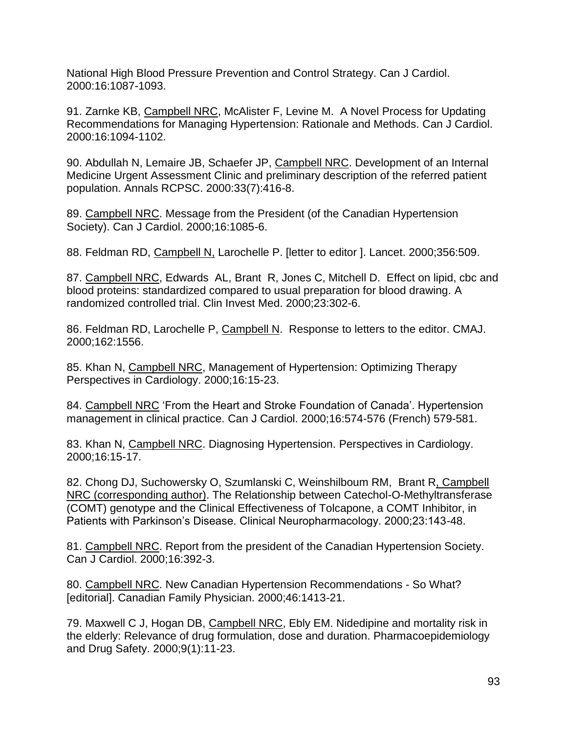National High Blood Pressure Prevention and Control Strategy. Can J Cardiol. 2000:16:1087-1093.

91. Zarnke KB, Campbell NRC, McAlister F, Levine M. A Novel Process for Updating Recommendations for Managing Hypertension: Rationale and Methods. Can J Cardiol. 2000:16:1094-1102.

90. Abdullah N, Lemaire JB, Schaefer JP, Campbell NRC. Development of an Internal Medicine Urgent Assessment Clinic and preliminary description of the referred patient population. Annals RCPSC. 2000:33(7):416-8.

89. Campbell NRC. Message from the President (of the Canadian Hypertension Society). Can J Cardiol. 2000;16:1085-6.

88. Feldman RD, Campbell N, Larochelle P. [letter to editor ]. Lancet. 2000;356:509.

87. Campbell NRC, Edwards AL, Brant R, Jones C, Mitchell D. Effect on lipid, cbc and blood proteins: standardized compared to usual preparation for blood drawing. A randomized controlled trial. Clin Invest Med. 2000;23:302-6.

86. Feldman RD, Larochelle P, Campbell N. Response to letters to the editor. CMAJ. 2000;162:1556.

85. Khan N, Campbell NRC, Management of Hypertension: Optimizing Therapy Perspectives in Cardiology. 2000;16:15-23.

84. Campbell NRC 'From the Heart and Stroke Foundation of Canada'. Hypertension management in clinical practice. Can J Cardiol. 2000;16:574-576 (French) 579-581.

83. Khan N, Campbell NRC. Diagnosing Hypertension. Perspectives in Cardiology. 2000;16:15-17.

82. Chong DJ, Suchowersky O, Szumlanski C, Weinshilboum RM, Brant R, Campbell NRC (corresponding author). The Relationship between Catechol-O-Methyltransferase (COMT) genotype and the Clinical Effectiveness of Tolcapone, a COMT Inhibitor, in Patients with Parkinson's Disease. Clinical Neuropharmacology. 2000;23:143-48.

81. Campbell NRC. Report from the president of the Canadian Hypertension Society. Can J Cardiol. 2000;16:392-3.

80. Campbell NRC. New Canadian Hypertension Recommendations - So What? [editorial]. Canadian Family Physician. 2000;46:1413-21.

79. Maxwell C J, Hogan DB, Campbell NRC, Ebly EM. Nidedipine and mortality risk in the elderly: Relevance of drug formulation, dose and duration. Pharmacoepidemiology and Drug Safety. 2000;9(1):11-23.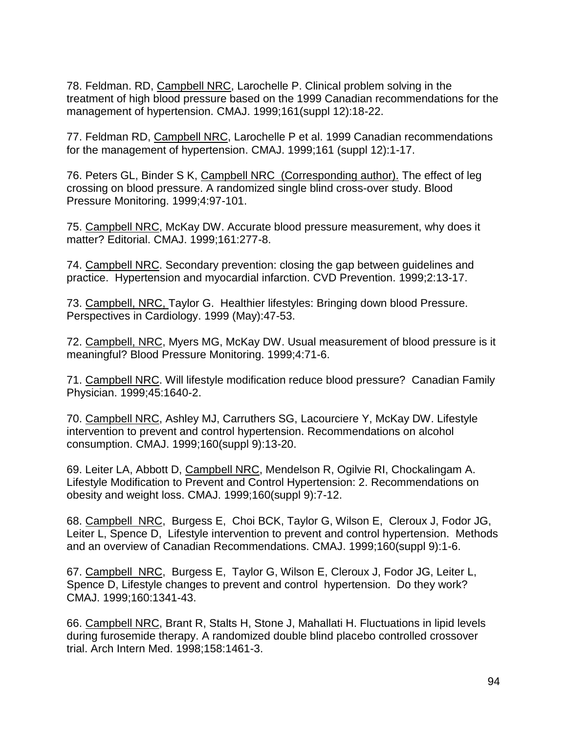78. Feldman. RD, Campbell NRC, Larochelle P. Clinical problem solving in the treatment of high blood pressure based on the 1999 Canadian recommendations for the management of hypertension. CMAJ. 1999;161(suppl 12):18-22.

77. Feldman RD, Campbell NRC, Larochelle P et al. 1999 Canadian recommendations for the management of hypertension. CMAJ. 1999;161 (suppl 12):1-17.

76. Peters GL, Binder S K, Campbell NRC (Corresponding author). The effect of leg crossing on blood pressure. A randomized single blind cross-over study. Blood Pressure Monitoring. 1999;4:97-101.

75. Campbell NRC, McKay DW. Accurate blood pressure measurement, why does it matter? Editorial. CMAJ. 1999;161:277-8.

74. Campbell NRC. Secondary prevention: closing the gap between guidelines and practice. Hypertension and myocardial infarction. CVD Prevention. 1999;2:13-17.

73. Campbell, NRC, Taylor G. Healthier lifestyles: Bringing down blood Pressure. Perspectives in Cardiology. 1999 (May):47-53.

72. Campbell, NRC, Myers MG, McKay DW. Usual measurement of blood pressure is it meaningful? Blood Pressure Monitoring. 1999;4:71-6.

71. Campbell NRC. Will lifestyle modification reduce blood pressure? Canadian Family Physician. 1999;45:1640-2.

70. Campbell NRC, Ashley MJ, Carruthers SG, Lacourciere Y, McKay DW. Lifestyle intervention to prevent and control hypertension. Recommendations on alcohol consumption. CMAJ. 1999;160(suppl 9):13-20.

69. Leiter LA, Abbott D, Campbell NRC, Mendelson R, Ogilvie RI, Chockalingam A. Lifestyle Modification to Prevent and Control Hypertension: 2. Recommendations on obesity and weight loss. CMAJ. 1999;160(suppl 9):7-12.

68. Campbell NRC, Burgess E, Choi BCK, Taylor G, Wilson E, Cleroux J, Fodor JG, Leiter L, Spence D, Lifestyle intervention to prevent and control hypertension. Methods and an overview of Canadian Recommendations. CMAJ. 1999;160(suppl 9):1-6.

67. Campbell NRC, Burgess E, Taylor G, Wilson E, Cleroux J, Fodor JG, Leiter L, Spence D, Lifestyle changes to prevent and control hypertension. Do they work? CMAJ. 1999;160:1341-43.

66. Campbell NRC, Brant R, Stalts H, Stone J, Mahallati H. Fluctuations in lipid levels during furosemide therapy. A randomized double blind placebo controlled crossover trial. Arch Intern Med. 1998;158:1461-3.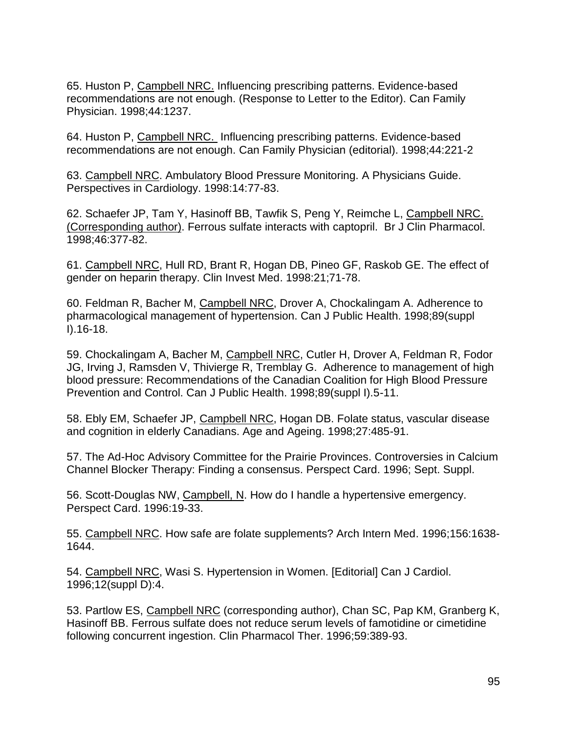65. Huston P, Campbell NRC. Influencing prescribing patterns. Evidence-based recommendations are not enough. (Response to Letter to the Editor). Can Family Physician. 1998;44:1237.

64. Huston P, Campbell NRC. Influencing prescribing patterns. Evidence-based recommendations are not enough. Can Family Physician (editorial). 1998;44:221-2

63. Campbell NRC. Ambulatory Blood Pressure Monitoring. A Physicians Guide. Perspectives in Cardiology. 1998:14:77-83.

62. Schaefer JP, Tam Y, Hasinoff BB, Tawfik S, Peng Y, Reimche L, Campbell NRC. (Corresponding author). Ferrous sulfate interacts with captopril. Br J Clin Pharmacol. 1998;46:377-82.

61. Campbell NRC, Hull RD, Brant R, Hogan DB, Pineo GF, Raskob GE. The effect of gender on heparin therapy. Clin Invest Med. 1998:21;71-78.

60. Feldman R, Bacher M, Campbell NRC, Drover A, Chockalingam A. Adherence to pharmacological management of hypertension. Can J Public Health. 1998;89(suppl I).16-18.

59. Chockalingam A, Bacher M, Campbell NRC, Cutler H, Drover A, Feldman R, Fodor JG, Irving J, Ramsden V, Thivierge R, Tremblay G. Adherence to management of high blood pressure: Recommendations of the Canadian Coalition for High Blood Pressure Prevention and Control. Can J Public Health. 1998;89(suppl I).5-11.

58. Ebly EM, Schaefer JP, Campbell NRC, Hogan DB. Folate status, vascular disease and cognition in elderly Canadians. Age and Ageing. 1998;27:485-91.

57. The Ad-Hoc Advisory Committee for the Prairie Provinces. Controversies in Calcium Channel Blocker Therapy: Finding a consensus. Perspect Card. 1996; Sept. Suppl.

56. Scott-Douglas NW, Campbell, N. How do I handle a hypertensive emergency. Perspect Card. 1996:19-33.

55. Campbell NRC. How safe are folate supplements? Arch Intern Med. 1996;156:1638- 1644.

54. Campbell NRC, Wasi S. Hypertension in Women. [Editorial] Can J Cardiol. 1996;12(suppl D):4.

53. Partlow ES, Campbell NRC (corresponding author), Chan SC, Pap KM, Granberg K, Hasinoff BB. Ferrous sulfate does not reduce serum levels of famotidine or cimetidine following concurrent ingestion. Clin Pharmacol Ther. 1996;59:389-93.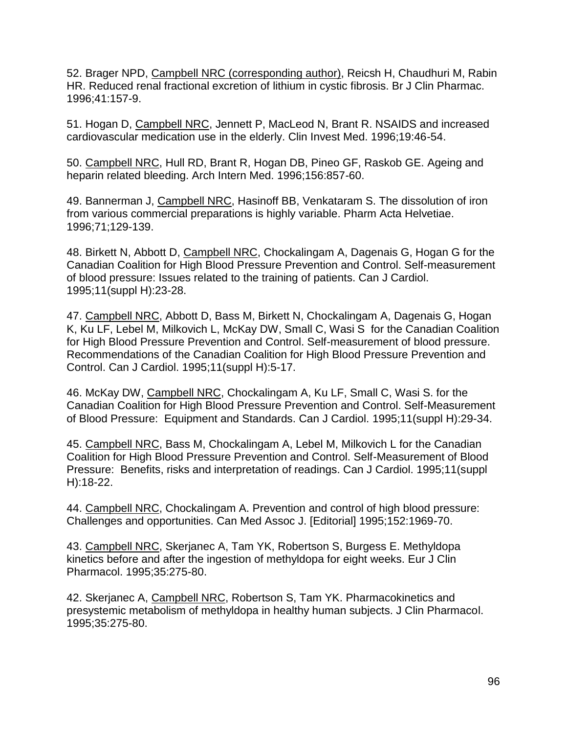52. Brager NPD, Campbell NRC (corresponding author), Reicsh H, Chaudhuri M, Rabin HR. Reduced renal fractional excretion of lithium in cystic fibrosis. Br J Clin Pharmac. 1996;41:157-9.

51. Hogan D, Campbell NRC, Jennett P, MacLeod N, Brant R. NSAIDS and increased cardiovascular medication use in the elderly. Clin Invest Med. 1996;19:46-54.

50. Campbell NRC, Hull RD, Brant R, Hogan DB, Pineo GF, Raskob GE. Ageing and heparin related bleeding. Arch Intern Med. 1996;156:857-60.

49. Bannerman J, Campbell NRC, Hasinoff BB, Venkataram S. The dissolution of iron from various commercial preparations is highly variable. Pharm Acta Helvetiae. 1996;71;129-139.

48. Birkett N, Abbott D, Campbell NRC, Chockalingam A, Dagenais G, Hogan G for the Canadian Coalition for High Blood Pressure Prevention and Control. Self-measurement of blood pressure: Issues related to the training of patients. Can J Cardiol. 1995;11(suppl H):23-28.

47. Campbell NRC, Abbott D, Bass M, Birkett N, Chockalingam A, Dagenais G, Hogan K, Ku LF, Lebel M, Milkovich L, McKay DW, Small C, Wasi S for the Canadian Coalition for High Blood Pressure Prevention and Control. Self-measurement of blood pressure. Recommendations of the Canadian Coalition for High Blood Pressure Prevention and Control. Can J Cardiol. 1995;11(suppl H):5-17.

46. McKay DW, Campbell NRC, Chockalingam A, Ku LF, Small C, Wasi S. for the Canadian Coalition for High Blood Pressure Prevention and Control. Self-Measurement of Blood Pressure: Equipment and Standards. Can J Cardiol. 1995;11(suppl H):29-34.

45. Campbell NRC, Bass M, Chockalingam A, Lebel M, Milkovich L for the Canadian Coalition for High Blood Pressure Prevention and Control. Self-Measurement of Blood Pressure: Benefits, risks and interpretation of readings. Can J Cardiol. 1995;11(suppl H):18-22.

44. Campbell NRC, Chockalingam A. Prevention and control of high blood pressure: Challenges and opportunities. Can Med Assoc J. [Editorial] 1995;152:1969-70.

43. Campbell NRC, Skerjanec A, Tam YK, Robertson S, Burgess E. Methyldopa kinetics before and after the ingestion of methyldopa for eight weeks. Eur J Clin Pharmacol. 1995;35:275-80.

42. Skerjanec A, Campbell NRC, Robertson S, Tam YK. Pharmacokinetics and presystemic metabolism of methyldopa in healthy human subjects. J Clin Pharmacol. 1995;35:275-80.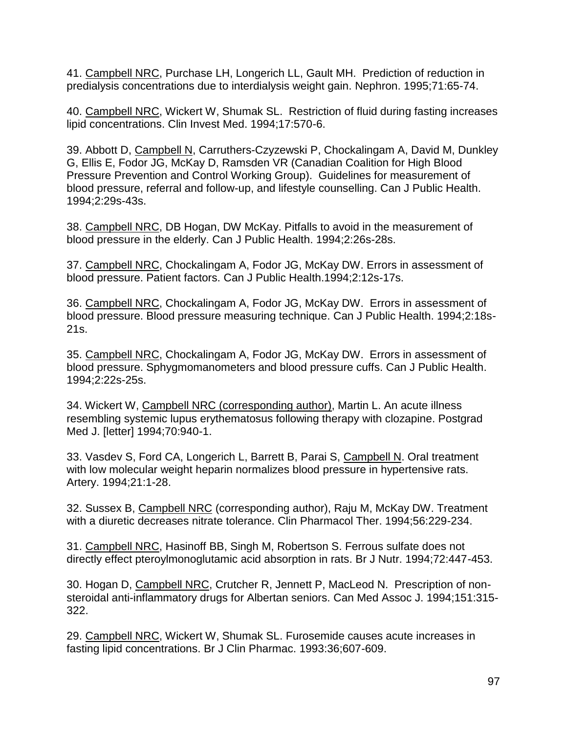41. Campbell NRC, Purchase LH, Longerich LL, Gault MH. Prediction of reduction in predialysis concentrations due to interdialysis weight gain. Nephron. 1995;71:65-74.

40. Campbell NRC, Wickert W, Shumak SL. Restriction of fluid during fasting increases lipid concentrations. Clin Invest Med. 1994;17:570-6.

39. Abbott D, Campbell N, Carruthers-Czyzewski P, Chockalingam A, David M, Dunkley G, Ellis E, Fodor JG, McKay D, Ramsden VR (Canadian Coalition for High Blood Pressure Prevention and Control Working Group). Guidelines for measurement of blood pressure, referral and follow-up, and lifestyle counselling. Can J Public Health. 1994;2:29s-43s.

38. Campbell NRC, DB Hogan, DW McKay. Pitfalls to avoid in the measurement of blood pressure in the elderly. Can J Public Health. 1994;2:26s-28s.

37. Campbell NRC, Chockalingam A, Fodor JG, McKay DW. Errors in assessment of blood pressure. Patient factors. Can J Public Health.1994;2:12s-17s.

36. Campbell NRC, Chockalingam A, Fodor JG, McKay DW. Errors in assessment of blood pressure. Blood pressure measuring technique. Can J Public Health. 1994;2:18s-21s.

35. Campbell NRC, Chockalingam A, Fodor JG, McKay DW. Errors in assessment of blood pressure. Sphygmomanometers and blood pressure cuffs. Can J Public Health. 1994;2:22s-25s.

34. Wickert W, Campbell NRC (corresponding author), Martin L. An acute illness resembling systemic lupus erythematosus following therapy with clozapine. Postgrad Med J. [letter] 1994;70:940-1.

33. Vasdev S, Ford CA, Longerich L, Barrett B, Parai S, Campbell N. Oral treatment with low molecular weight heparin normalizes blood pressure in hypertensive rats. Artery. 1994;21:1-28.

32. Sussex B, Campbell NRC (corresponding author), Raju M, McKay DW. Treatment with a diuretic decreases nitrate tolerance. Clin Pharmacol Ther. 1994;56:229-234.

31. Campbell NRC, Hasinoff BB, Singh M, Robertson S. Ferrous sulfate does not directly effect pteroylmonoglutamic acid absorption in rats. Br J Nutr. 1994;72:447-453.

30. Hogan D, Campbell NRC, Crutcher R, Jennett P, MacLeod N. Prescription of nonsteroidal anti-inflammatory drugs for Albertan seniors. Can Med Assoc J. 1994;151:315- 322.

29. Campbell NRC, Wickert W, Shumak SL. Furosemide causes acute increases in fasting lipid concentrations. Br J Clin Pharmac. 1993:36;607-609.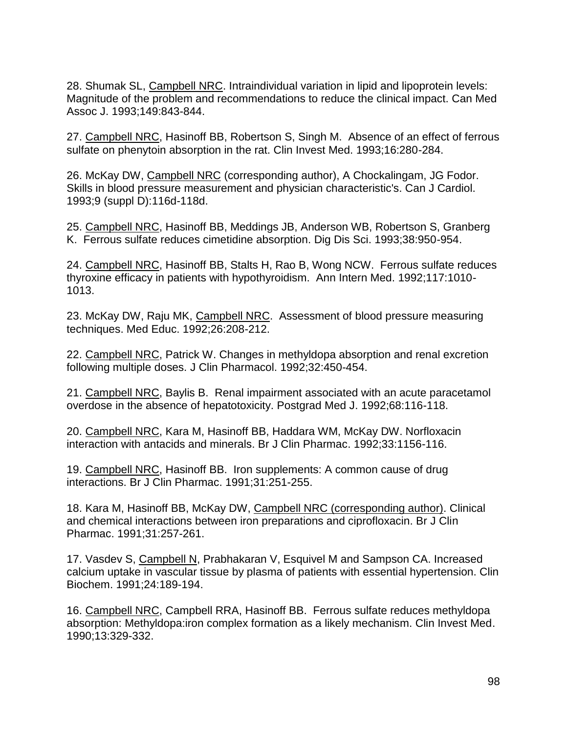28. Shumak SL, Campbell NRC. Intraindividual variation in lipid and lipoprotein levels: Magnitude of the problem and recommendations to reduce the clinical impact. Can Med Assoc J. 1993;149:843-844.

27. Campbell NRC, Hasinoff BB, Robertson S, Singh M. Absence of an effect of ferrous sulfate on phenytoin absorption in the rat. Clin Invest Med. 1993;16:280-284.

26. McKay DW, Campbell NRC (corresponding author), A Chockalingam, JG Fodor. Skills in blood pressure measurement and physician characteristic's. Can J Cardiol. 1993;9 (suppl D):116d-118d.

25. Campbell NRC, Hasinoff BB, Meddings JB, Anderson WB, Robertson S, Granberg K. Ferrous sulfate reduces cimetidine absorption. Dig Dis Sci. 1993;38:950-954.

24. Campbell NRC, Hasinoff BB, Stalts H, Rao B, Wong NCW. Ferrous sulfate reduces thyroxine efficacy in patients with hypothyroidism. Ann Intern Med. 1992;117:1010- 1013.

23. McKay DW, Raju MK, Campbell NRC. Assessment of blood pressure measuring techniques. Med Educ. 1992;26:208-212.

22. Campbell NRC, Patrick W. Changes in methyldopa absorption and renal excretion following multiple doses. J Clin Pharmacol. 1992;32:450-454.

21. Campbell NRC, Baylis B. Renal impairment associated with an acute paracetamol overdose in the absence of hepatotoxicity. Postgrad Med J. 1992;68:116-118.

20. Campbell NRC, Kara M, Hasinoff BB, Haddara WM, McKay DW. Norfloxacin interaction with antacids and minerals. Br J Clin Pharmac. 1992;33:1156-116.

19. Campbell NRC, Hasinoff BB. Iron supplements: A common cause of drug interactions. Br J Clin Pharmac. 1991;31:251-255.

18. Kara M, Hasinoff BB, McKay DW, Campbell NRC (corresponding author). Clinical and chemical interactions between iron preparations and ciprofloxacin. Br J Clin Pharmac. 1991;31:257-261.

17. Vasdev S, Campbell N, Prabhakaran V, Esquivel M and Sampson CA. Increased calcium uptake in vascular tissue by plasma of patients with essential hypertension. Clin Biochem. 1991;24:189-194.

16. Campbell NRC, Campbell RRA, Hasinoff BB. Ferrous sulfate reduces methyldopa absorption: Methyldopa:iron complex formation as a likely mechanism. Clin Invest Med. 1990;13:329-332.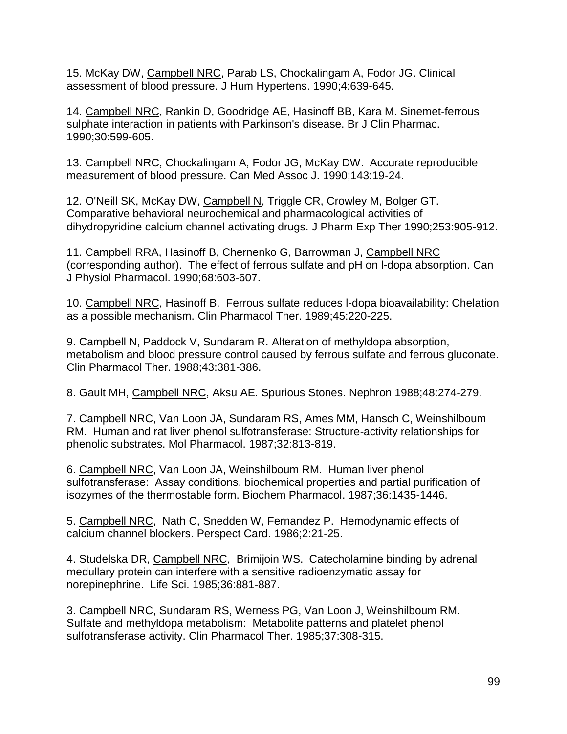15. McKay DW, Campbell NRC, Parab LS, Chockalingam A, Fodor JG. Clinical assessment of blood pressure. J Hum Hypertens. 1990;4:639-645.

14. Campbell NRC, Rankin D, Goodridge AE, Hasinoff BB, Kara M. Sinemet-ferrous sulphate interaction in patients with Parkinson's disease. Br J Clin Pharmac. 1990;30:599-605.

13. Campbell NRC, Chockalingam A, Fodor JG, McKay DW. Accurate reproducible measurement of blood pressure. Can Med Assoc J. 1990;143:19-24.

12. O'Neill SK, McKay DW, Campbell N, Triggle CR, Crowley M, Bolger GT. Comparative behavioral neurochemical and pharmacological activities of dihydropyridine calcium channel activating drugs. J Pharm Exp Ther 1990;253:905-912.

11. Campbell RRA, Hasinoff B, Chernenko G, Barrowman J, Campbell NRC (corresponding author). The effect of ferrous sulfate and pH on l-dopa absorption. Can J Physiol Pharmacol. 1990;68:603-607.

10. Campbell NRC, Hasinoff B. Ferrous sulfate reduces l-dopa bioavailability: Chelation as a possible mechanism. Clin Pharmacol Ther. 1989;45:220-225.

9. Campbell N, Paddock V, Sundaram R. Alteration of methyldopa absorption, metabolism and blood pressure control caused by ferrous sulfate and ferrous gluconate. Clin Pharmacol Ther. 1988;43:381-386.

8. Gault MH, Campbell NRC, Aksu AE. Spurious Stones. Nephron 1988;48:274-279.

7. Campbell NRC, Van Loon JA, Sundaram RS, Ames MM, Hansch C, Weinshilboum RM. Human and rat liver phenol sulfotransferase: Structure-activity relationships for phenolic substrates. Mol Pharmacol. 1987;32:813-819.

6. Campbell NRC, Van Loon JA, Weinshilboum RM. Human liver phenol sulfotransferase: Assay conditions, biochemical properties and partial purification of isozymes of the thermostable form. Biochem Pharmacol. 1987;36:1435-1446.

5. Campbell NRC, Nath C, Snedden W, Fernandez P. Hemodynamic effects of calcium channel blockers. Perspect Card. 1986;2:21-25.

4. Studelska DR, Campbell NRC, Brimijoin WS. Catecholamine binding by adrenal medullary protein can interfere with a sensitive radioenzymatic assay for norepinephrine. Life Sci. 1985;36:881-887.

3. Campbell NRC, Sundaram RS, Werness PG, Van Loon J, Weinshilboum RM. Sulfate and methyldopa metabolism: Metabolite patterns and platelet phenol sulfotransferase activity. Clin Pharmacol Ther. 1985;37:308-315.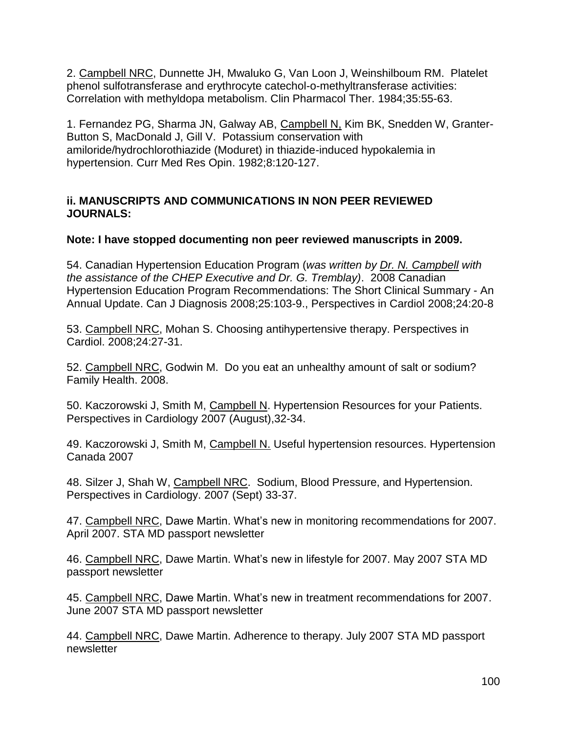2. Campbell NRC, Dunnette JH, Mwaluko G, Van Loon J, Weinshilboum RM. Platelet phenol sulfotransferase and erythrocyte catechol-o-methyltransferase activities: Correlation with methyldopa metabolism. Clin Pharmacol Ther. 1984;35:55-63.

1. Fernandez PG, Sharma JN, Galway AB, Campbell N, Kim BK, Snedden W, Granter-Button S, MacDonald J, Gill V. Potassium conservation with amiloride/hydrochlorothiazide (Moduret) in thiazide-induced hypokalemia in hypertension. Curr Med Res Opin. 1982;8:120-127.

#### **ii. MANUSCRIPTS AND COMMUNICATIONS IN NON PEER REVIEWED JOURNALS:**

## **Note: I have stopped documenting non peer reviewed manuscripts in 2009.**

54. Canadian Hypertension Education Program (*was written by Dr. N. Campbell with the assistance of the CHEP Executive and Dr. G. Tremblay)*. 2008 Canadian Hypertension Education Program Recommendations: The Short Clinical Summary - An Annual Update. Can J Diagnosis 2008;25:103-9., Perspectives in Cardiol 2008;24:20-8

53. Campbell NRC, Mohan S. Choosing antihypertensive therapy. Perspectives in Cardiol. 2008;24:27-31.

52. Campbell NRC, Godwin M. Do you eat an unhealthy amount of salt or sodium? Family Health. 2008.

50. Kaczorowski J, Smith M, Campbell N. Hypertension Resources for your Patients. Perspectives in Cardiology 2007 (August),32-34.

49. Kaczorowski J, Smith M, Campbell N. Useful hypertension resources. Hypertension Canada 2007

48. Silzer J, Shah W, Campbell NRC. Sodium, Blood Pressure, and Hypertension. Perspectives in Cardiology. 2007 (Sept) 33-37.

47. Campbell NRC, Dawe Martin. What's new in monitoring recommendations for 2007. April 2007. STA MD passport newsletter

46. Campbell NRC, Dawe Martin. What's new in lifestyle for 2007. May 2007 STA MD passport newsletter

45. Campbell NRC, Dawe Martin. What's new in treatment recommendations for 2007. June 2007 STA MD passport newsletter

44. Campbell NRC, Dawe Martin. Adherence to therapy. July 2007 STA MD passport newsletter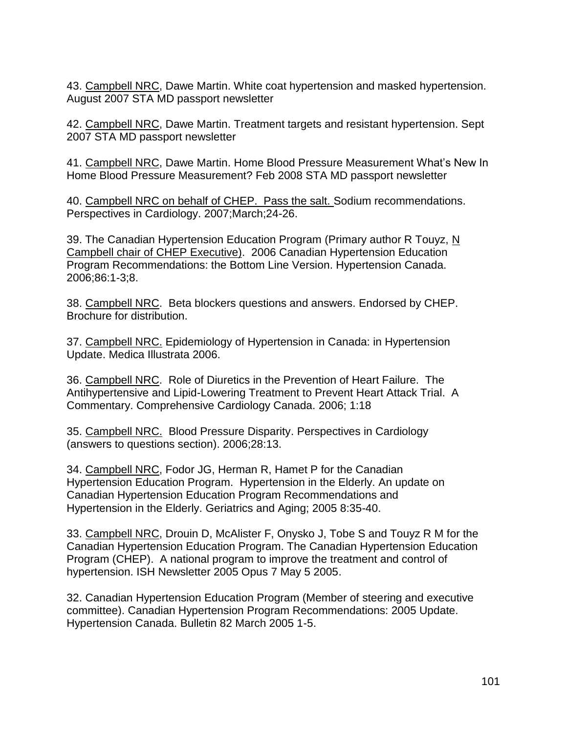43. Campbell NRC, Dawe Martin. White coat hypertension and masked hypertension. August 2007 STA MD passport newsletter

42. Campbell NRC, Dawe Martin. Treatment targets and resistant hypertension. Sept 2007 STA MD passport newsletter

41. Campbell NRC, Dawe Martin. Home Blood Pressure Measurement What's New In Home Blood Pressure Measurement? Feb 2008 STA MD passport newsletter

40. Campbell NRC on behalf of CHEP. Pass the salt. Sodium recommendations. Perspectives in Cardiology. 2007;March;24-26.

39. The Canadian Hypertension Education Program (Primary author R Touyz, N Campbell chair of CHEP Executive). 2006 Canadian Hypertension Education Program Recommendations: the Bottom Line Version. Hypertension Canada. 2006;86:1-3;8.

38. Campbell NRC. Beta blockers questions and answers. Endorsed by CHEP. Brochure for distribution.

37. Campbell NRC. Epidemiology of Hypertension in Canada: in Hypertension Update. Medica Illustrata 2006.

36. Campbell NRC. Role of Diuretics in the Prevention of Heart Failure. The Antihypertensive and Lipid-Lowering Treatment to Prevent Heart Attack Trial. A Commentary. Comprehensive Cardiology Canada. 2006; 1:18

35. Campbell NRC. Blood Pressure Disparity. Perspectives in Cardiology (answers to questions section). 2006;28:13.

34. Campbell NRC, Fodor JG, Herman R, Hamet P for the Canadian Hypertension Education Program. Hypertension in the Elderly. An update on Canadian Hypertension Education Program Recommendations and Hypertension in the Elderly. Geriatrics and Aging; 2005 8:35-40.

33. Campbell NRC, Drouin D, McAlister F, Onysko J, Tobe S and Touyz R M for the Canadian Hypertension Education Program. The Canadian Hypertension Education Program (CHEP). A national program to improve the treatment and control of hypertension. ISH Newsletter 2005 Opus 7 May 5 2005.

32. Canadian Hypertension Education Program (Member of steering and executive committee). Canadian Hypertension Program Recommendations: 2005 Update. Hypertension Canada. Bulletin 82 March 2005 1-5.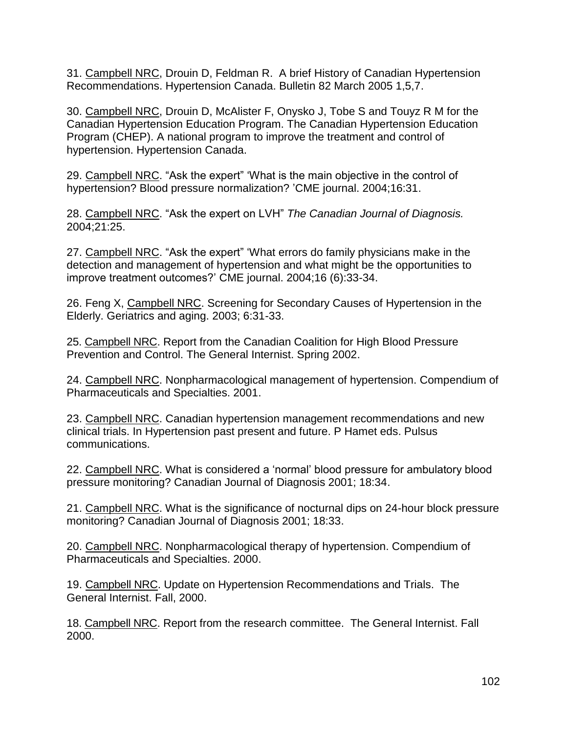31. Campbell NRC, Drouin D, Feldman R. A brief History of Canadian Hypertension Recommendations. Hypertension Canada. Bulletin 82 March 2005 1,5,7.

30. Campbell NRC, Drouin D, McAlister F, Onysko J, Tobe S and Touyz R M for the Canadian Hypertension Education Program. The Canadian Hypertension Education Program (CHEP). A national program to improve the treatment and control of hypertension. Hypertension Canada.

29. Campbell NRC. "Ask the expert" 'What is the main objective in the control of hypertension? Blood pressure normalization? 'CME journal. 2004;16:31.

28. Campbell NRC. "Ask the expert on LVH" *The Canadian Journal of Diagnosis.*  2004;21:25.

27. Campbell NRC. "Ask the expert" 'What errors do family physicians make in the detection and management of hypertension and what might be the opportunities to improve treatment outcomes?' CME journal. 2004;16 (6):33-34.

26. Feng X, Campbell NRC. Screening for Secondary Causes of Hypertension in the Elderly. Geriatrics and aging. 2003; 6:31-33.

25. Campbell NRC. Report from the Canadian Coalition for High Blood Pressure Prevention and Control. The General Internist. Spring 2002.

24. Campbell NRC. Nonpharmacological management of hypertension. Compendium of Pharmaceuticals and Specialties. 2001.

23. Campbell NRC. Canadian hypertension management recommendations and new clinical trials. In Hypertension past present and future. P Hamet eds. Pulsus communications.

22. Campbell NRC. What is considered a 'normal' blood pressure for ambulatory blood pressure monitoring? Canadian Journal of Diagnosis 2001; 18:34.

21. Campbell NRC. What is the significance of nocturnal dips on 24-hour block pressure monitoring? Canadian Journal of Diagnosis 2001; 18:33.

20. Campbell NRC. Nonpharmacological therapy of hypertension. Compendium of Pharmaceuticals and Specialties. 2000.

19. Campbell NRC. Update on Hypertension Recommendations and Trials. The General Internist. Fall, 2000.

18. Campbell NRC. Report from the research committee. The General Internist. Fall 2000.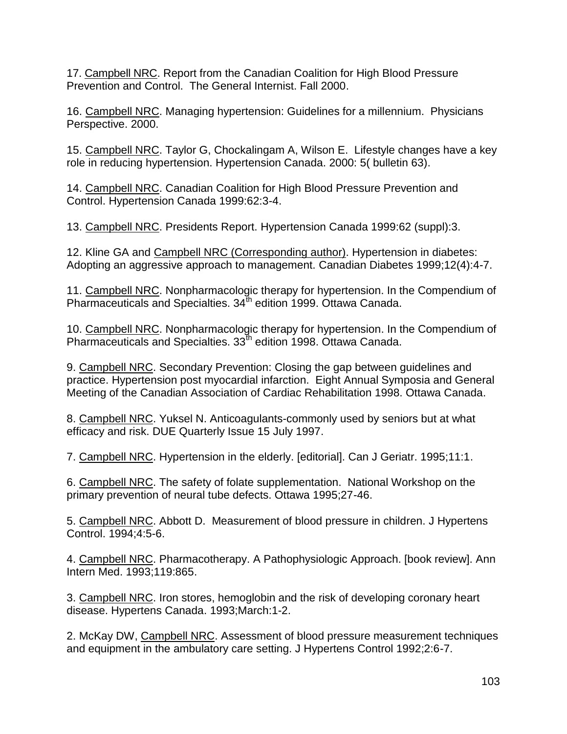17. Campbell NRC. Report from the Canadian Coalition for High Blood Pressure Prevention and Control. The General Internist. Fall 2000.

16. Campbell NRC. Managing hypertension: Guidelines for a millennium. Physicians Perspective. 2000.

15. Campbell NRC. Taylor G, Chockalingam A, Wilson E. Lifestyle changes have a key role in reducing hypertension. Hypertension Canada. 2000: 5( bulletin 63).

14. Campbell NRC. Canadian Coalition for High Blood Pressure Prevention and Control. Hypertension Canada 1999:62:3-4.

13. Campbell NRC. Presidents Report. Hypertension Canada 1999:62 (suppl):3.

12. Kline GA and Campbell NRC (Corresponding author). Hypertension in diabetes: Adopting an aggressive approach to management. Canadian Diabetes 1999;12(4):4-7.

11. Campbell NRC. Nonpharmacologic therapy for hypertension. In the Compendium of Pharmaceuticals and Specialties. 34<sup>th</sup> edition 1999. Ottawa Canada.

10. Campbell NRC. Nonpharmacologic therapy for hypertension. In the Compendium of Pharmaceuticals and Specialties. 33<sup>th</sup> edition 1998. Ottawa Canada.

9. Campbell NRC. Secondary Prevention: Closing the gap between guidelines and practice. Hypertension post myocardial infarction. Eight Annual Symposia and General Meeting of the Canadian Association of Cardiac Rehabilitation 1998. Ottawa Canada.

8. Campbell NRC. Yuksel N. Anticoagulants-commonly used by seniors but at what efficacy and risk. DUE Quarterly Issue 15 July 1997.

7. Campbell NRC. Hypertension in the elderly. [editorial]. Can J Geriatr. 1995;11:1.

6. Campbell NRC. The safety of folate supplementation. National Workshop on the primary prevention of neural tube defects. Ottawa 1995;27-46.

5. Campbell NRC. Abbott D. Measurement of blood pressure in children. J Hypertens Control. 1994;4:5-6.

4. Campbell NRC. Pharmacotherapy. A Pathophysiologic Approach. [book review]. Ann Intern Med. 1993;119:865.

3. Campbell NRC. Iron stores, hemoglobin and the risk of developing coronary heart disease. Hypertens Canada. 1993;March:1-2.

2. McKay DW, Campbell NRC. Assessment of blood pressure measurement techniques and equipment in the ambulatory care setting. J Hypertens Control 1992;2:6-7.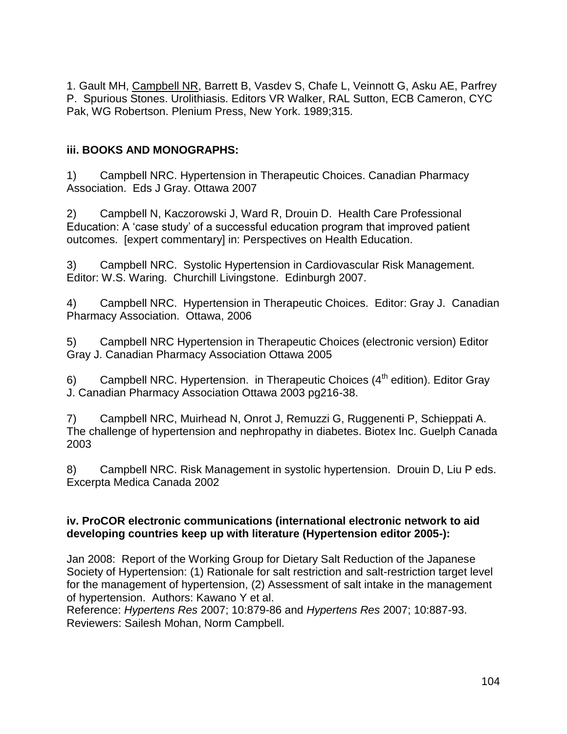1. Gault MH, Campbell NR, Barrett B, Vasdev S, Chafe L, Veinnott G, Asku AE, Parfrey P. Spurious Stones. Urolithiasis. Editors VR Walker, RAL Sutton, ECB Cameron, CYC Pak, WG Robertson. Plenium Press, New York. 1989;315.

## **iii. BOOKS AND MONOGRAPHS:**

1) Campbell NRC. Hypertension in Therapeutic Choices. Canadian Pharmacy Association. Eds J Gray. Ottawa 2007

2) Campbell N, Kaczorowski J, Ward R, Drouin D. Health Care Professional Education: A 'case study' of a successful education program that improved patient outcomes. [expert commentary] in: Perspectives on Health Education.

3) Campbell NRC. Systolic Hypertension in Cardiovascular Risk Management. Editor: W.S. Waring. Churchill Livingstone. Edinburgh 2007.

4) Campbell NRC. Hypertension in Therapeutic Choices. Editor: Gray J. Canadian Pharmacy Association. Ottawa, 2006

5) Campbell NRC Hypertension in Therapeutic Choices (electronic version) Editor Gray J. Canadian Pharmacy Association Ottawa 2005

6) Campbell NRC. Hypertension. in Therapeutic Choices  $(4<sup>th</sup>$  edition). Editor Gray J. Canadian Pharmacy Association Ottawa 2003 pg216-38.

7) Campbell NRC, Muirhead N, Onrot J, Remuzzi G, Ruggenenti P, Schieppati A. The challenge of hypertension and nephropathy in diabetes. Biotex Inc. Guelph Canada 2003

8) Campbell NRC. Risk Management in systolic hypertension. Drouin D, Liu P eds. Excerpta Medica Canada 2002

#### **iv. ProCOR electronic communications (international electronic network to aid developing countries keep up with literature (Hypertension editor 2005-):**

Jan 2008: Report of the Working Group for Dietary Salt Reduction of the Japanese Society of Hypertension: (1) Rationale for salt restriction and salt-restriction target level for the management of hypertension, (2) Assessment of salt intake in the management of hypertension. Authors: Kawano Y et al.

Reference: *Hypertens Res* 2007; 10:879-86 and *Hypertens Res* 2007; 10:887-93. Reviewers: Sailesh Mohan, Norm Campbell.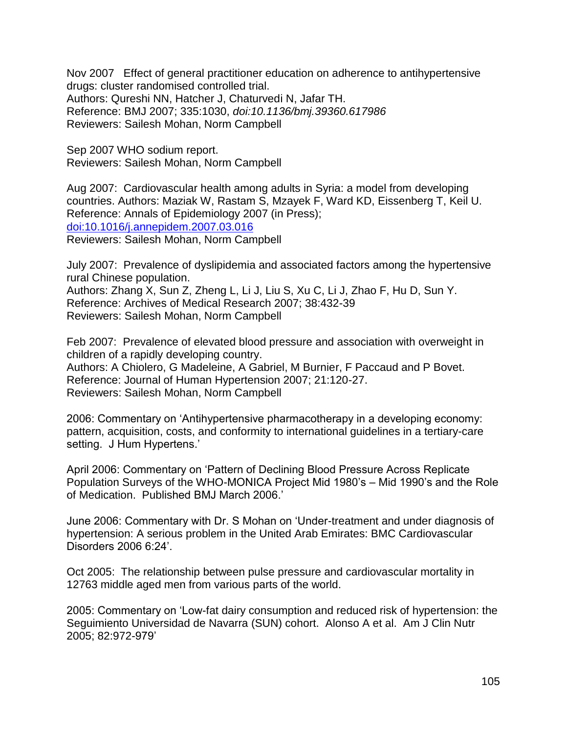Nov 2007 Effect of general practitioner education on adherence to antihypertensive drugs: cluster randomised controlled trial. Authors: Qureshi NN, Hatcher J, Chaturvedi N, Jafar TH. Reference: BMJ 2007; 335:1030, *doi:10.1136/bmj.39360.617986* Reviewers: Sailesh Mohan, Norm Campbell

Sep 2007 WHO sodium report. Reviewers: Sailesh Mohan, Norm Campbell

Aug 2007: Cardiovascular health among adults in Syria: a model from developing countries. Authors: Maziak W, Rastam S, Mzayek F, Ward KD, Eissenberg T, Keil U. Reference: Annals of Epidemiology 2007 (in Press); [doi:10.1016/j.annepidem.2007.03.016](http://dx.doi.org/10.1016/j.annepidem.2007.03.016) Reviewers: Sailesh Mohan, Norm Campbell

July 2007: Prevalence of dyslipidemia and associated factors among the hypertensive rural Chinese population.

Authors: Zhang X, Sun Z, Zheng L, Li J, Liu S, Xu C, Li J, Zhao F, Hu D, Sun Y. Reference: Archives of Medical Research 2007; 38:432-39 Reviewers: Sailesh Mohan, Norm Campbell

Feb 2007: Prevalence of elevated blood pressure and association with overweight in children of a rapidly developing country. Authors: A Chiolero, G Madeleine, A Gabriel, M Burnier, F Paccaud and P Bovet. Reference: Journal of Human Hypertension 2007; 21:120-27. Reviewers: Sailesh Mohan, Norm Campbell

2006: Commentary on 'Antihypertensive pharmacotherapy in a developing economy: pattern, acquisition, costs, and conformity to international guidelines in a tertiary-care setting. J Hum Hypertens.'

April 2006: Commentary on 'Pattern of Declining Blood Pressure Across Replicate Population Surveys of the WHO-MONICA Project Mid 1980's – Mid 1990's and the Role of Medication. Published BMJ March 2006.'

June 2006: Commentary with Dr. S Mohan on 'Under-treatment and under diagnosis of hypertension: A serious problem in the United Arab Emirates: BMC Cardiovascular Disorders 2006 6:24'.

Oct 2005: The relationship between pulse pressure and cardiovascular mortality in 12763 middle aged men from various parts of the world.

2005: Commentary on 'Low-fat dairy consumption and reduced risk of hypertension: the Seguimiento Universidad de Navarra (SUN) cohort. Alonso A et al. Am J Clin Nutr 2005; 82:972-979'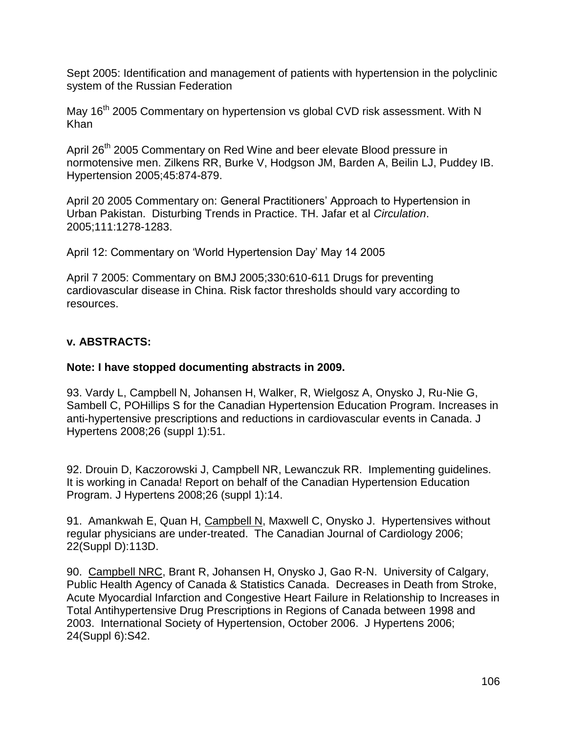Sept 2005: Identification and management of patients with hypertension in the polyclinic system of the Russian Federation

May 16<sup>th</sup> 2005 Commentary on hypertension vs global CVD risk assessment. With N Khan

April 26<sup>th</sup> 2005 Commentary on Red Wine and beer elevate Blood pressure in normotensive men. Zilkens RR, Burke V, Hodgson JM, Barden A, Beilin LJ, Puddey IB. Hypertension 2005;45:874-879.

April 20 2005 Commentary on: General Practitioners' Approach to Hypertension in Urban Pakistan. Disturbing Trends in Practice. TH. Jafar et al *Circulation*. 2005;111:1278-1283.

April 12: Commentary on 'World Hypertension Day' May 14 2005

April 7 2005: Commentary on BMJ 2005;330:610-611 Drugs for preventing cardiovascular disease in China. Risk factor thresholds should vary according to resources.

# **v. ABSTRACTS:**

## **Note: I have stopped documenting abstracts in 2009.**

93. Vardy L, Campbell N, Johansen H, Walker, R, Wielgosz A, Onysko J, Ru-Nie G, Sambell C, POHillips S for the Canadian Hypertension Education Program. Increases in anti-hypertensive prescriptions and reductions in cardiovascular events in Canada. J Hypertens 2008;26 (suppl 1):51.

92. Drouin D, Kaczorowski J, Campbell NR, Lewanczuk RR. Implementing guidelines. It is working in Canada! Report on behalf of the Canadian Hypertension Education Program. J Hypertens 2008;26 (suppl 1):14.

91. Amankwah E, Quan H, Campbell N, Maxwell C, Onysko J. Hypertensives without regular physicians are under-treated. The Canadian Journal of Cardiology 2006; 22(Suppl D):113D.

90. Campbell NRC, Brant R, Johansen H, Onysko J, Gao R-N. University of Calgary, Public Health Agency of Canada & Statistics Canada. Decreases in Death from Stroke, Acute Myocardial Infarction and Congestive Heart Failure in Relationship to Increases in Total Antihypertensive Drug Prescriptions in Regions of Canada between 1998 and 2003. International Society of Hypertension, October 2006. J Hypertens 2006; 24(Suppl 6):S42.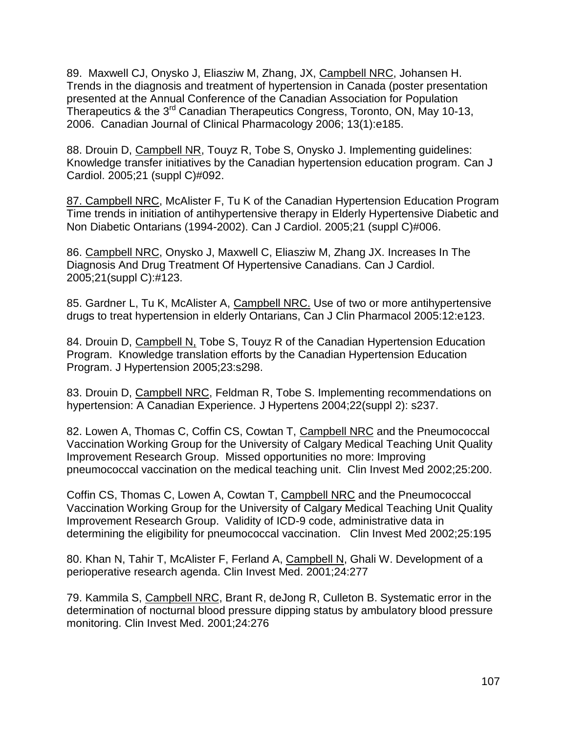89. Maxwell CJ, Onysko J, Eliasziw M, Zhang, JX, Campbell NRC, Johansen H. Trends in the diagnosis and treatment of hypertension in Canada (poster presentation presented at the Annual Conference of the Canadian Association for Population Therapeutics & the 3<sup>rd</sup> Canadian Therapeutics Congress, Toronto, ON, May 10-13, 2006. Canadian Journal of Clinical Pharmacology 2006; 13(1):e185.

88. Drouin D, Campbell NR, Touyz R, Tobe S, Onysko J. Implementing guidelines: Knowledge transfer initiatives by the Canadian hypertension education program. Can J Cardiol. 2005;21 (suppl C)#092.

87. Campbell NRC, McAlister F, Tu K of the Canadian Hypertension Education Program Time trends in initiation of antihypertensive therapy in Elderly Hypertensive Diabetic and Non Diabetic Ontarians (1994-2002). Can J Cardiol. 2005;21 (suppl C)#006.

86. Campbell NRC, Onysko J, Maxwell C, Eliasziw M, Zhang JX. Increases In The Diagnosis And Drug Treatment Of Hypertensive Canadians. Can J Cardiol. 2005;21(suppl C):#123.

85. Gardner L, Tu K, McAlister A, Campbell NRC. Use of two or more antihypertensive drugs to treat hypertension in elderly Ontarians, Can J Clin Pharmacol 2005:12:e123.

84. Drouin D, Campbell N, Tobe S, Touyz R of the Canadian Hypertension Education Program. Knowledge translation efforts by the Canadian Hypertension Education Program. J Hypertension 2005;23:s298.

83. Drouin D, Campbell NRC, Feldman R, Tobe S. Implementing recommendations on hypertension: A Canadian Experience. J Hypertens 2004;22(suppl 2): s237.

82. Lowen A, Thomas C, Coffin CS, Cowtan T, Campbell NRC and the Pneumococcal Vaccination Working Group for the University of Calgary Medical Teaching Unit Quality Improvement Research Group. Missed opportunities no more: Improving pneumococcal vaccination on the medical teaching unit. Clin Invest Med 2002;25:200.

Coffin CS, Thomas C, Lowen A, Cowtan T, Campbell NRC and the Pneumococcal Vaccination Working Group for the University of Calgary Medical Teaching Unit Quality Improvement Research Group. Validity of ICD-9 code, administrative data in determining the eligibility for pneumococcal vaccination. Clin Invest Med 2002;25:195

80. Khan N, Tahir T, McAlister F, Ferland A, Campbell N, Ghali W. Development of a perioperative research agenda. Clin Invest Med. 2001;24:277

79. Kammila S, Campbell NRC, Brant R, deJong R, Culleton B. Systematic error in the determination of nocturnal blood pressure dipping status by ambulatory blood pressure monitoring. Clin Invest Med. 2001;24:276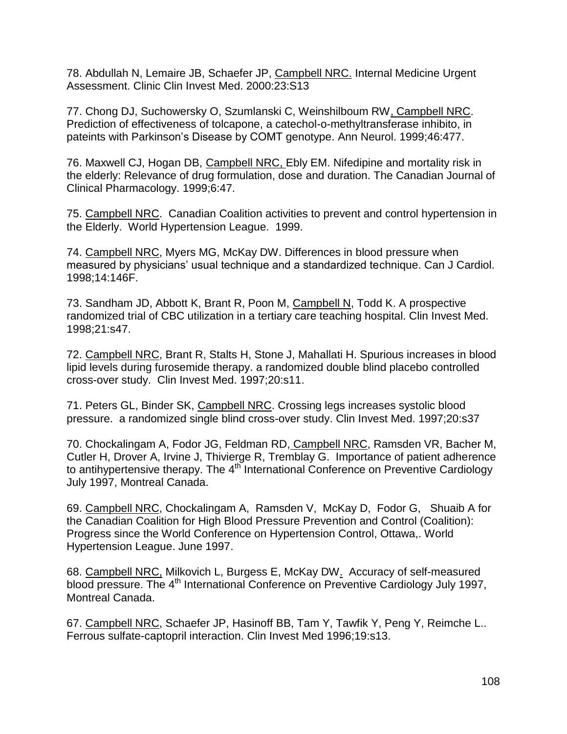78. Abdullah N, Lemaire JB, Schaefer JP, Campbell NRC. Internal Medicine Urgent Assessment. Clinic Clin Invest Med. 2000:23:S13

77. Chong DJ, Suchowersky O, Szumlanski C, Weinshilboum RW, Campbell NRC. Prediction of effectiveness of tolcapone, a catechol-o-methyltransferase inhibito, in pateints with Parkinson's Disease by COMT genotype. Ann Neurol. 1999;46:477.

76. Maxwell CJ, Hogan DB, Campbell NRC, Ebly EM. Nifedipine and mortality risk in the elderly: Relevance of drug formulation, dose and duration. The Canadian Journal of Clinical Pharmacology. 1999;6:47.

75. Campbell NRC. Canadian Coalition activities to prevent and control hypertension in the Elderly. World Hypertension League. 1999.

74. Campbell NRC, Myers MG, McKay DW. Differences in blood pressure when measured by physicians' usual technique and a standardized technique. Can J Cardiol. 1998;14:146F.

73. Sandham JD, Abbott K, Brant R, Poon M, Campbell N, Todd K. A prospective randomized trial of CBC utilization in a tertiary care teaching hospital. Clin Invest Med. 1998;21:s47.

72. Campbell NRC, Brant R, Stalts H, Stone J, Mahallati H. Spurious increases in blood lipid levels during furosemide therapy. a randomized double blind placebo controlled cross-over study. Clin Invest Med. 1997;20:s11.

71. Peters GL, Binder SK, Campbell NRC. Crossing legs increases systolic blood pressure. a randomized single blind cross-over study. Clin Invest Med. 1997;20:s37

70. Chockalingam A, Fodor JG, Feldman RD, Campbell NRC, Ramsden VR, Bacher M, Cutler H, Drover A, Irvine J, Thivierge R, Tremblay G. Importance of patient adherence to antihypertensive therapy. The  $4<sup>th</sup>$  International Conference on Preventive Cardiology July 1997, Montreal Canada.

69. Campbell NRC, Chockalingam A, Ramsden V, McKay D, Fodor G, Shuaib A for the Canadian Coalition for High Blood Pressure Prevention and Control (Coalition): Progress since the World Conference on Hypertension Control, Ottawa,. World Hypertension League. June 1997.

68. Campbell NRC, Milkovich L, Burgess E, McKay DW. Accuracy of self-measured blood pressure. The 4<sup>th</sup> International Conference on Preventive Cardiology July 1997, Montreal Canada.

67. Campbell NRC, Schaefer JP, Hasinoff BB, Tam Y, Tawfik Y, Peng Y, Reimche L.. Ferrous sulfate-captopril interaction. Clin Invest Med 1996;19:s13.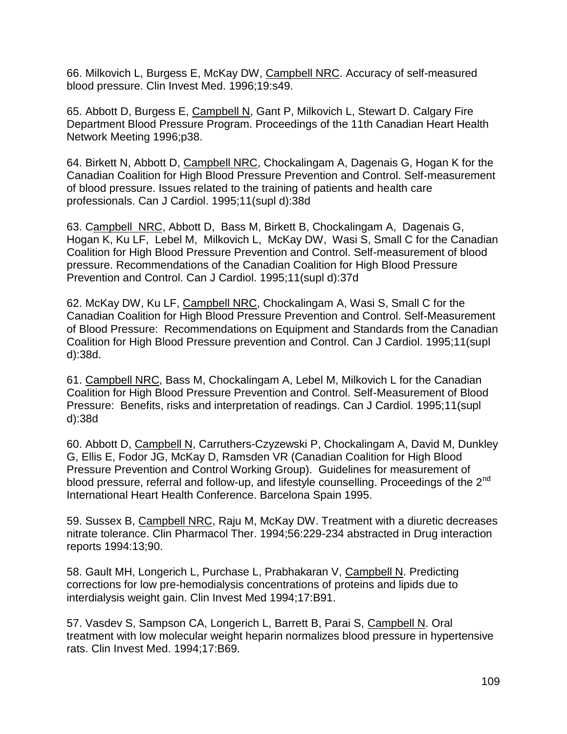66. Milkovich L, Burgess E, McKay DW, Campbell NRC. Accuracy of self-measured blood pressure. Clin Invest Med. 1996;19:s49.

65. Abbott D, Burgess E, Campbell N, Gant P, Milkovich L, Stewart D. Calgary Fire Department Blood Pressure Program. Proceedings of the 11th Canadian Heart Health Network Meeting 1996;p38.

64. Birkett N, Abbott D, Campbell NRC, Chockalingam A, Dagenais G, Hogan K for the Canadian Coalition for High Blood Pressure Prevention and Control. Self-measurement of blood pressure. Issues related to the training of patients and health care professionals. Can J Cardiol. 1995;11(supl d):38d

63. Campbell NRC, Abbott D, Bass M, Birkett B, Chockalingam A, Dagenais G, Hogan K, Ku LF, Lebel M, Milkovich L, McKay DW, Wasi S, Small C for the Canadian Coalition for High Blood Pressure Prevention and Control. Self-measurement of blood pressure. Recommendations of the Canadian Coalition for High Blood Pressure Prevention and Control. Can J Cardiol. 1995;11(supl d):37d

62. McKay DW, Ku LF, Campbell NRC, Chockalingam A, Wasi S, Small C for the Canadian Coalition for High Blood Pressure Prevention and Control. Self-Measurement of Blood Pressure: Recommendations on Equipment and Standards from the Canadian Coalition for High Blood Pressure prevention and Control. Can J Cardiol. 1995;11(supl d):38d.

61. Campbell NRC, Bass M, Chockalingam A, Lebel M, Milkovich L for the Canadian Coalition for High Blood Pressure Prevention and Control. Self-Measurement of Blood Pressure: Benefits, risks and interpretation of readings. Can J Cardiol. 1995;11(supl d):38d

60. Abbott D, Campbell N, Carruthers-Czyzewski P, Chockalingam A, David M, Dunkley G, Ellis E, Fodor JG, McKay D, Ramsden VR (Canadian Coalition for High Blood Pressure Prevention and Control Working Group). Guidelines for measurement of blood pressure, referral and follow-up, and lifestyle counselling. Proceedings of the 2<sup>nd</sup> International Heart Health Conference. Barcelona Spain 1995.

59. Sussex B, Campbell NRC, Raju M, McKay DW. Treatment with a diuretic decreases nitrate tolerance. Clin Pharmacol Ther. 1994;56:229-234 abstracted in Drug interaction reports 1994:13;90.

58. Gault MH, Longerich L, Purchase L, Prabhakaran V, Campbell N. Predicting corrections for low pre-hemodialysis concentrations of proteins and lipids due to interdialysis weight gain. Clin Invest Med 1994;17:B91.

57. Vasdev S, Sampson CA, Longerich L, Barrett B, Parai S, Campbell N. Oral treatment with low molecular weight heparin normalizes blood pressure in hypertensive rats. Clin Invest Med. 1994;17:B69.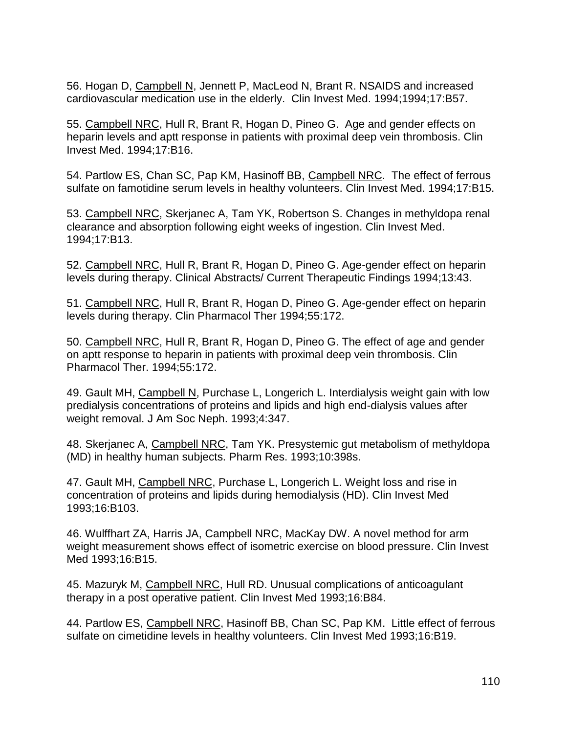56. Hogan D, Campbell N, Jennett P, MacLeod N, Brant R. NSAIDS and increased cardiovascular medication use in the elderly. Clin Invest Med. 1994;1994;17:B57.

55. Campbell NRC, Hull R, Brant R, Hogan D, Pineo G. Age and gender effects on heparin levels and aptt response in patients with proximal deep vein thrombosis. Clin Invest Med. 1994;17:B16.

54. Partlow ES, Chan SC, Pap KM, Hasinoff BB, Campbell NRC. The effect of ferrous sulfate on famotidine serum levels in healthy volunteers. Clin Invest Med. 1994;17:B15.

53. Campbell NRC, Skerjanec A, Tam YK, Robertson S. Changes in methyldopa renal clearance and absorption following eight weeks of ingestion. Clin Invest Med. 1994;17:B13.

52. Campbell NRC, Hull R, Brant R, Hogan D, Pineo G. Age-gender effect on heparin levels during therapy. Clinical Abstracts/ Current Therapeutic Findings 1994;13:43.

51. Campbell NRC, Hull R, Brant R, Hogan D, Pineo G. Age-gender effect on heparin levels during therapy. Clin Pharmacol Ther 1994;55:172.

50. Campbell NRC, Hull R, Brant R, Hogan D, Pineo G. The effect of age and gender on aptt response to heparin in patients with proximal deep vein thrombosis. Clin Pharmacol Ther. 1994;55:172.

49. Gault MH, Campbell N, Purchase L, Longerich L. Interdialysis weight gain with low predialysis concentrations of proteins and lipids and high end-dialysis values after weight removal. J Am Soc Neph. 1993;4:347.

48. Skerjanec A, Campbell NRC, Tam YK. Presystemic gut metabolism of methyldopa (MD) in healthy human subjects. Pharm Res. 1993;10:398s.

47. Gault MH, Campbell NRC, Purchase L, Longerich L. Weight loss and rise in concentration of proteins and lipids during hemodialysis (HD). Clin Invest Med 1993;16:B103.

46. Wulffhart ZA, Harris JA, Campbell NRC, MacKay DW. A novel method for arm weight measurement shows effect of isometric exercise on blood pressure. Clin Invest Med 1993;16:B15.

45. Mazuryk M, Campbell NRC, Hull RD. Unusual complications of anticoagulant therapy in a post operative patient. Clin Invest Med 1993;16:B84.

44. Partlow ES, Campbell NRC, Hasinoff BB, Chan SC, Pap KM. Little effect of ferrous sulfate on cimetidine levels in healthy volunteers. Clin Invest Med 1993;16:B19.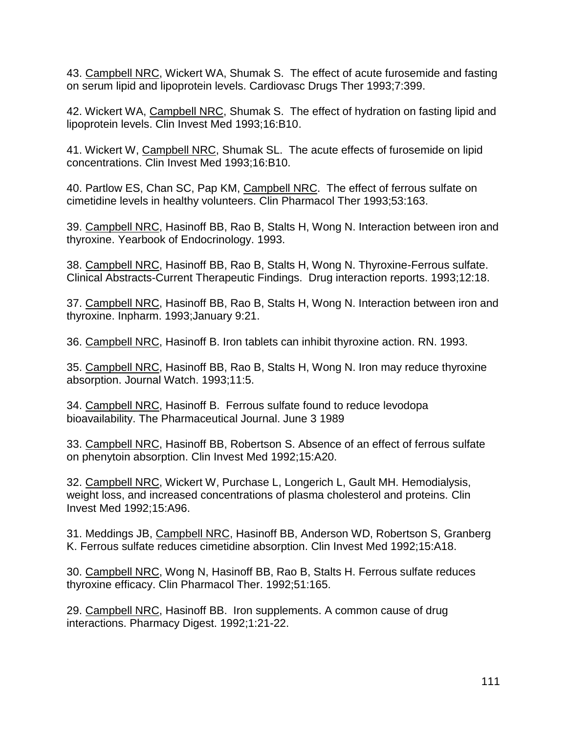43. Campbell NRC, Wickert WA, Shumak S. The effect of acute furosemide and fasting on serum lipid and lipoprotein levels. Cardiovasc Drugs Ther 1993;7:399.

42. Wickert WA, Campbell NRC, Shumak S. The effect of hydration on fasting lipid and lipoprotein levels. Clin Invest Med 1993;16:B10.

41. Wickert W, Campbell NRC, Shumak SL. The acute effects of furosemide on lipid concentrations. Clin Invest Med 1993;16:B10.

40. Partlow ES, Chan SC, Pap KM, Campbell NRC. The effect of ferrous sulfate on cimetidine levels in healthy volunteers. Clin Pharmacol Ther 1993;53:163.

39. Campbell NRC, Hasinoff BB, Rao B, Stalts H, Wong N. Interaction between iron and thyroxine. Yearbook of Endocrinology. 1993.

38. Campbell NRC, Hasinoff BB, Rao B, Stalts H, Wong N. Thyroxine-Ferrous sulfate. Clinical Abstracts-Current Therapeutic Findings. Drug interaction reports. 1993;12:18.

37. Campbell NRC, Hasinoff BB, Rao B, Stalts H, Wong N. Interaction between iron and thyroxine. Inpharm. 1993;January 9:21.

36. Campbell NRC, Hasinoff B. Iron tablets can inhibit thyroxine action. RN. 1993.

35. Campbell NRC, Hasinoff BB, Rao B, Stalts H, Wong N. Iron may reduce thyroxine absorption. Journal Watch. 1993;11:5.

34. Campbell NRC, Hasinoff B. Ferrous sulfate found to reduce levodopa bioavailability. The Pharmaceutical Journal. June 3 1989

33. Campbell NRC, Hasinoff BB, Robertson S. Absence of an effect of ferrous sulfate on phenytoin absorption. Clin Invest Med 1992;15:A20.

32. Campbell NRC, Wickert W, Purchase L, Longerich L, Gault MH. Hemodialysis, weight loss, and increased concentrations of plasma cholesterol and proteins. Clin Invest Med 1992;15:A96.

31. Meddings JB, Campbell NRC, Hasinoff BB, Anderson WD, Robertson S, Granberg K. Ferrous sulfate reduces cimetidine absorption. Clin Invest Med 1992;15:A18.

30. Campbell NRC, Wong N, Hasinoff BB, Rao B, Stalts H. Ferrous sulfate reduces thyroxine efficacy. Clin Pharmacol Ther. 1992;51:165.

29. Campbell NRC, Hasinoff BB. Iron supplements. A common cause of drug interactions. Pharmacy Digest. 1992;1:21-22.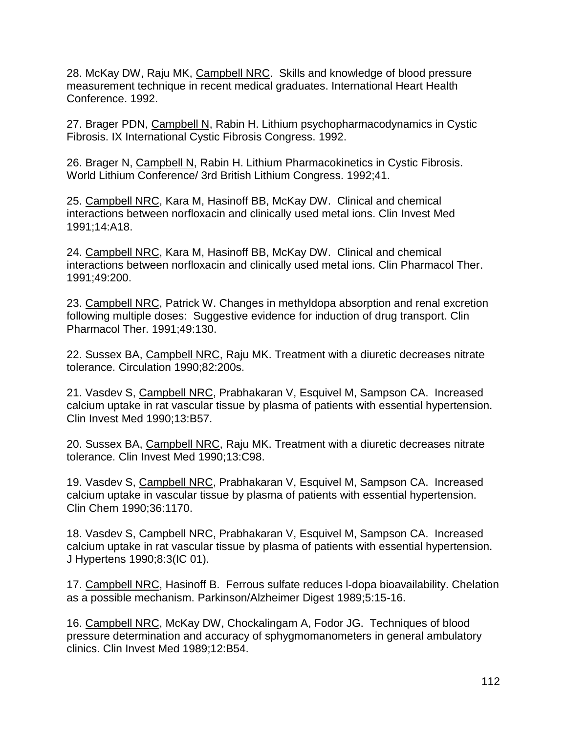28. McKay DW, Raju MK, Campbell NRC. Skills and knowledge of blood pressure measurement technique in recent medical graduates. International Heart Health Conference. 1992.

27. Brager PDN, Campbell N, Rabin H. Lithium psychopharmacodynamics in Cystic Fibrosis. IX International Cystic Fibrosis Congress. 1992.

26. Brager N, Campbell N, Rabin H. Lithium Pharmacokinetics in Cystic Fibrosis. World Lithium Conference/ 3rd British Lithium Congress. 1992;41.

25. Campbell NRC, Kara M, Hasinoff BB, McKay DW. Clinical and chemical interactions between norfloxacin and clinically used metal ions. Clin Invest Med 1991;14:A18.

24. Campbell NRC, Kara M, Hasinoff BB, McKay DW. Clinical and chemical interactions between norfloxacin and clinically used metal ions. Clin Pharmacol Ther. 1991;49:200.

23. Campbell NRC, Patrick W. Changes in methyldopa absorption and renal excretion following multiple doses: Suggestive evidence for induction of drug transport. Clin Pharmacol Ther. 1991;49:130.

22. Sussex BA, Campbell NRC, Raju MK. Treatment with a diuretic decreases nitrate tolerance. Circulation 1990;82:200s.

21. Vasdev S, Campbell NRC, Prabhakaran V, Esquivel M, Sampson CA. Increased calcium uptake in rat vascular tissue by plasma of patients with essential hypertension. Clin Invest Med 1990;13:B57.

20. Sussex BA, Campbell NRC, Raju MK. Treatment with a diuretic decreases nitrate tolerance. Clin Invest Med 1990;13:C98.

19. Vasdev S, Campbell NRC, Prabhakaran V, Esquivel M, Sampson CA. Increased calcium uptake in vascular tissue by plasma of patients with essential hypertension. Clin Chem 1990;36:1170.

18. Vasdev S, Campbell NRC, Prabhakaran V, Esquivel M, Sampson CA. Increased calcium uptake in rat vascular tissue by plasma of patients with essential hypertension. J Hypertens 1990;8:3(IC 01).

17. Campbell NRC, Hasinoff B. Ferrous sulfate reduces l-dopa bioavailability. Chelation as a possible mechanism. Parkinson/Alzheimer Digest 1989;5:15-16.

16. Campbell NRC, McKay DW, Chockalingam A, Fodor JG. Techniques of blood pressure determination and accuracy of sphygmomanometers in general ambulatory clinics. Clin Invest Med 1989;12:B54.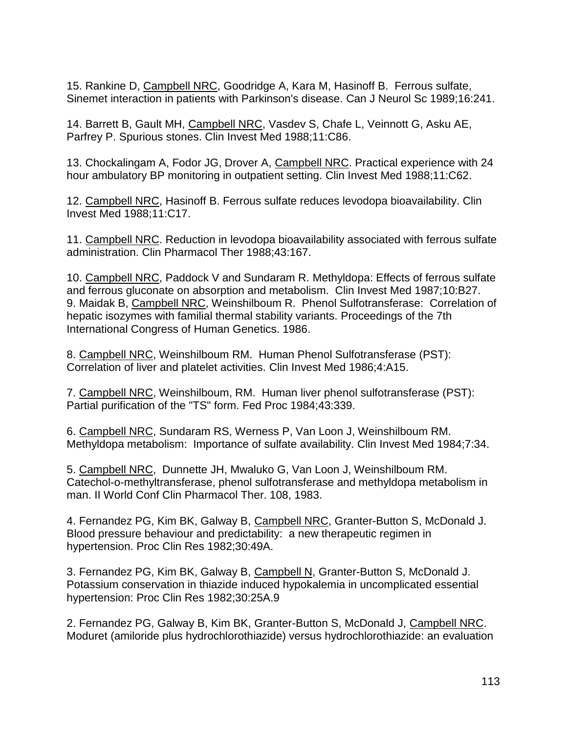15. Rankine D, Campbell NRC, Goodridge A, Kara M, Hasinoff B. Ferrous sulfate, Sinemet interaction in patients with Parkinson's disease. Can J Neurol Sc 1989;16:241.

14. Barrett B, Gault MH, Campbell NRC, Vasdev S, Chafe L, Veinnott G, Asku AE, Parfrey P. Spurious stones. Clin Invest Med 1988;11:C86.

13. Chockalingam A, Fodor JG, Drover A, Campbell NRC. Practical experience with 24 hour ambulatory BP monitoring in outpatient setting. Clin Invest Med 1988;11:C62.

12. Campbell NRC, Hasinoff B. Ferrous sulfate reduces levodopa bioavailability. Clin Invest Med 1988;11:C17.

11. Campbell NRC. Reduction in levodopa bioavailability associated with ferrous sulfate administration. Clin Pharmacol Ther 1988;43:167.

10. Campbell NRC, Paddock V and Sundaram R. Methyldopa: Effects of ferrous sulfate and ferrous gluconate on absorption and metabolism. Clin Invest Med 1987;10:B27. 9. Maidak B, Campbell NRC, Weinshilboum R. Phenol Sulfotransferase: Correlation of hepatic isozymes with familial thermal stability variants. Proceedings of the 7th International Congress of Human Genetics. 1986.

8. Campbell NRC, Weinshilboum RM. Human Phenol Sulfotransferase (PST): Correlation of liver and platelet activities. Clin Invest Med 1986;4:A15.

7. Campbell NRC, Weinshilboum, RM. Human liver phenol sulfotransferase (PST): Partial purification of the "TS" form. Fed Proc 1984;43:339.

6. Campbell NRC, Sundaram RS, Werness P, Van Loon J, Weinshilboum RM. Methyldopa metabolism: Importance of sulfate availability. Clin Invest Med 1984;7:34.

5. Campbell NRC, Dunnette JH, Mwaluko G, Van Loon J, Weinshilboum RM. Catechol-o-methyltransferase, phenol sulfotransferase and methyldopa metabolism in man. II World Conf Clin Pharmacol Ther. 108, 1983.

4. Fernandez PG, Kim BK, Galway B, Campbell NRC, Granter-Button S, McDonald J. Blood pressure behaviour and predictability: a new therapeutic regimen in hypertension. Proc Clin Res 1982;30:49A.

3. Fernandez PG, Kim BK, Galway B, Campbell N, Granter-Button S, McDonald J. Potassium conservation in thiazide induced hypokalemia in uncomplicated essential hypertension: Proc Clin Res 1982;30:25A.9

2. Fernandez PG, Galway B, Kim BK, Granter-Button S, McDonald J, Campbell NRC. Moduret (amiloride plus hydrochlorothiazide) versus hydrochlorothiazide: an evaluation